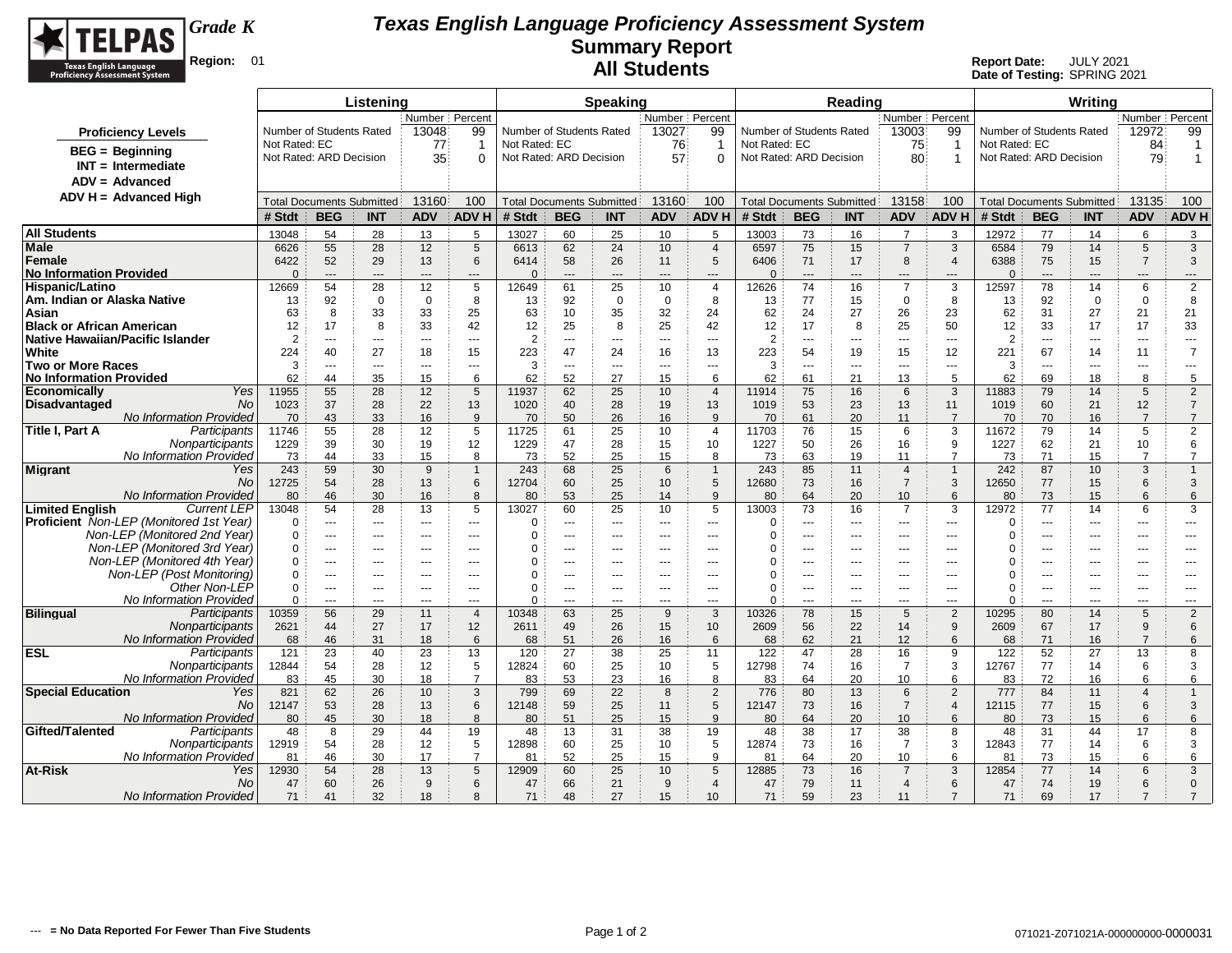

| Number Percent<br>Number   Percent<br>Number Percent<br>Number   Percent<br>Number of Students Rated<br>13048<br>99<br>Number of Students Rated<br>13027<br>99<br>Number of Students Rated<br>13003<br>99<br>Number of Students Rated<br>12972<br>99<br><b>Proficiency Levels</b><br>Not Rated: EC<br>Not Rated: EC<br>Not Rated: EC<br>Not Rated: EC<br>77<br>76<br>75<br>84<br>$\mathbf 1$<br>-1<br>$\overline{\mathbf{1}}$<br>-1<br><b>BEG</b> = Beginning<br>Not Rated: ARD Decision<br>35<br>Not Rated: ARD Decision<br>57<br>Not Rated: ARD Decision<br>80<br>Not Rated: ARD Decision<br>79<br>$\Omega$<br>$\overline{1}$<br>$\overline{1}$<br>$\Omega$<br>$INT = Intermediate$<br>$ADV = Advanced$<br>$ADV H = Advanced High$<br>13160<br>13135<br>13160<br>100<br>100<br>13158<br>100<br>100<br><b>Total Documents Submitted</b><br><b>Total Documents Submitted</b><br><b>Total Documents Submitted</b><br><b>Total Documents Submitted</b><br><b>BEG</b><br><b>ADV</b><br><b>ADV H</b><br># Stdt<br><b>BEG</b><br><b>ADV</b><br><b>ADV H</b><br><b>ADV</b><br><b>ADV H</b><br># Stdt<br><b>ADV</b><br><b>ADV H</b><br># Stdt<br><b>INT</b><br><b>INT</b><br># Stdt<br><b>BEG</b><br><b>INT</b><br><b>BEG</b><br><b>INT</b><br>13048<br>54<br>28<br>13<br>5<br>13027<br>60<br>25<br>10<br>5<br>13003<br>73<br>$\overline{7}$<br>3<br>12972<br>77<br>14<br>6<br>3<br>16<br>55<br>28<br>12<br>5<br>62<br>75<br>$\overline{7}$<br>3<br>79<br>14<br>$\sqrt{5}$<br>$\mathbf{3}$<br>6626<br>24<br>10<br>$\overline{4}$<br>6597<br>15<br>6584<br>6613<br>6422<br>52<br>29<br>13<br>58<br>26<br>5<br>6406<br>71<br>8<br>6388<br>75<br>15<br>$\overline{7}$<br>3<br>6<br>6414<br>11<br>17<br>$\overline{4}$<br><b>No Information Provided</b><br>$\Omega$<br>$\overline{a}$<br>$\Omega$<br>$\Omega$<br>$---$<br>$---$<br>$\overline{\phantom{a}}$<br>$\overline{a}$<br>$\overline{a}$<br>$\overline{a}$<br>$\qquad \qquad -\qquad$<br>$\cdots$<br>---<br>---<br>---<br>---<br>$\overline{a}$<br>$---$<br>$---$<br>2<br>Hispanic/Latino<br>12669<br>54<br>28<br>12<br>5<br>12649<br>61<br>25<br>12626<br>74<br>16<br>$\overline{7}$<br>3<br>12597<br>78<br>14<br>6<br>10<br>$\overline{4}$<br>92<br>92<br>$\mathbf 0$<br>8<br>77<br>$\mathbf 0$<br>92<br>$\mathbf 0$<br>8<br>Am. Indian or Alaska Native<br>$\mathbf 0$<br>$\mathbf 0$<br>8<br>$\mathbf 0$<br>15<br>8<br>$\mathbf 0$<br>13<br>13<br>13<br>13<br>62<br>26<br>31<br>27<br>63<br>8<br>33<br>33<br>25<br>63<br>10<br>35<br>32<br>24<br>24<br>27<br>23<br>62<br>21<br>21<br>Asian<br><b>Black or African American</b><br>17<br>12<br>17<br>8<br>33<br>42<br>12<br>25<br>8<br>25<br>12<br>8<br>25<br>50<br>12<br>33<br>17<br>17<br>33<br>42<br>$\overline{2}$<br>Native Hawaiian/Pacific Islander<br>$\overline{2}$<br>$\overline{2}$<br>$\overline{2}$<br>$\overline{a}$<br>$\overline{a}$<br>$\sim$ $\sim$<br>$\overline{a}$<br>$\overline{a}$<br>$\sim$<br>$\cdots$<br>$\scriptstyle\cdots$<br>$\sim$ $\sim$<br>$- - -$<br>$- - -$<br>$\cdots$<br>$- - -$<br>$\overline{\phantom{a}}$<br>$\sim$ $\sim$ $\sim$<br>$--$<br>White<br>224<br>27<br>67<br>$\overline{7}$<br>40<br>18<br>15<br>223<br>47<br>24<br>13<br>223<br>54<br>19<br>15<br>12<br>221<br>14<br>16<br>11<br><b>Two or More Races</b><br>3<br>3<br>3<br>3<br>$\overline{a}$<br>$\overline{a}$<br>---<br>$\overline{a}$<br>$---$<br>$\overline{a}$<br>$---$<br>$\overline{a}$<br>$\overline{a}$<br>$\overline{a}$<br>$\overline{a}$<br>$\overline{a}$<br>$\overline{a}$<br>$\sim$ $\sim$<br>$\sim$ $\sim$ $\sim$<br>$- - -$<br>62<br>44<br>35<br>15<br>62<br>52<br>27<br>6<br>62<br>21<br>13<br>5<br>62<br>69<br>18<br>8<br>5<br>6<br>15<br>61<br>Yes<br>55<br>28<br>12<br>79<br>11955<br>62<br>25<br>75<br>11883<br>$\sqrt{5}$<br>$\overline{2}$<br>5<br>11937<br>10<br>$\overline{4}$<br>11914<br>16<br>6<br>3<br>14<br><b>No</b><br>1023<br>37<br>28<br>22<br>13<br>28<br>13<br>60<br>12<br>$\overline{7}$<br>1020<br>40<br>19<br>1019<br>53<br>23<br>13<br>11<br>1019<br>21<br>$\overline{7}$<br>$\overline{7}$<br>No Information Provided<br>70<br>43<br>16<br>9<br>50<br>26<br>16<br>9<br>61<br>20<br>$\overline{7}$<br>70<br>16<br>33<br>70<br>70<br>70<br>11<br>5<br>$\overline{2}$<br>Participants<br>11746<br>55<br>28<br>12<br>5<br>11725<br>25<br>11703<br>76<br>15<br>6<br>3<br>79<br>14<br>Title I. Part A<br>61<br>10<br>$\overline{4}$<br>11672<br>Nonparticipants<br>1229<br>39<br>30<br>19<br>12<br>1229<br>47<br>28<br>15<br>10<br>50<br>9<br>62<br>21<br>10<br>6<br>1227<br>26<br>16<br>1227<br>No Information Provided<br>33<br>15<br>52<br>73<br>44<br>8<br>73<br>25<br>15<br>8<br>73<br>63<br>19<br>11<br>$\overline{7}$<br>73<br>71<br>15<br>$\overline{7}$<br>$\overline{7}$<br>59<br>30<br>87<br>3<br><b>Migrant</b><br>Yes<br>243<br>9<br>243<br>68<br>25<br>6<br>$\overline{1}$<br>243<br>85<br>11<br>$\overline{4}$<br>$\overline{1}$<br>242<br>10<br>$\overline{1}$<br>$\overline{1}$<br>No.<br>54<br>28<br>13<br>60<br>25<br>5<br>73<br>77<br>15<br>6<br>3<br>12725<br>6<br>12704<br>10<br>12680<br>16<br>$\overline{7}$<br>3<br>12650<br><b>No Information Provided</b><br>73<br>80<br>46<br>30<br>16<br>8<br>80<br>53<br>25<br>14<br>9<br>80<br>64<br>20<br>10<br>6<br>80<br>15<br>6<br>6<br><b>Current LEP</b><br>77<br><b>Limited English</b><br>13048<br>54<br>28<br>13<br>5<br>13027<br>60<br>25<br>5<br>13003<br>73<br>$\overline{7}$<br>3<br>12972<br>6<br>3<br>10<br>16<br>14<br><b>Proficient</b> Non-LEP (Monitored 1st Year)<br>$\Omega$<br>$\Omega$<br>$\Omega$<br>$\Omega$<br>---<br>---<br>$-$<br>---<br>---<br>$\overline{a}$<br>---<br>$---$<br>$\cdots$<br>$\cdots$<br>$- - -$<br>---<br>---<br>---<br>---<br>$\cdots$<br>Non-LEP (Monitored 2nd Year)<br>$\Omega$<br>$\Omega$<br>$\Omega$<br>$\Omega$<br>$\sim$<br>---<br>$\overline{a}$<br>---<br>$\overline{a}$<br>$- - -$<br>$---$<br>$---$<br>$\overline{a}$<br>$\overline{a}$<br>---<br>$\overline{a}$<br>$---$<br>$---$<br>Non-LEP (Monitored 3rd Year)<br>$\Omega$<br>$\Omega$<br>$\Omega$<br>0<br>$- - -$<br>$- - -$<br>$- - -$<br>$- - -$<br>---<br>---<br>$-$<br>$- - -$<br>$- - -$<br>---<br>---<br>$\sim$<br>$- - -$<br>$- - -$<br>---<br>$- - -$<br>Non-LEP (Monitored 4th Year)<br>$\Omega$<br>O<br>$\Omega$<br>$\Omega$<br>$\sim$<br>$\sim$<br>---<br>---<br>$\sim$<br>$\overline{a}$<br>$\overline{a}$<br>---<br>$\sim$<br>$\overline{a}$<br>÷÷<br>---<br>$\sim$<br>$\overline{a}$<br>$---$<br>$\overline{a}$<br>Non-LEP (Post Monitoring)<br>$\mathbf 0$<br>$\Omega$<br>$\Omega$<br>$\Omega$<br>$- - -$<br>$- - -$<br>$---$<br>---<br>---<br>$---$<br>$---$<br>$---$<br>$---$<br>$\sim$<br>$--$<br>$---$<br>---<br>---<br>---<br>$---$<br>Other Non-LEP<br>$\mathbf 0$<br>$\Omega$<br>$\mathbf 0$<br>$\Omega$<br>$\overline{a}$<br>---<br>---<br>---<br>---<br>---<br>---<br>---<br>---<br>---<br>$\overline{a}$<br>---<br>---<br>---<br>---<br>No Information Provided<br>$\Omega$<br>$\Omega$<br>$\Omega$<br>$\Omega$<br>---<br>---<br>$\overline{a}$<br>---<br>$\overline{a}$<br>---<br>---<br>$-$<br>---<br>---<br>$- - -$<br>$- - -$<br>$\sim$ $\sim$<br>$\overline{a}$<br>---<br>$\cdots$<br><b>Bilingual</b><br>Participants<br>10359<br>56<br>29<br>11<br>10348<br>63<br>25<br>9<br>3<br>10326<br>78<br>15<br>5<br>2<br>10295<br>80<br>14<br>5<br>$\overline{2}$<br>$\overline{4}$ |                                |  | Listening |  |  | <b>Speaking</b> |  |  | Reading |  |  | Writing |  |
|---------------------------------------------------------------------------------------------------------------------------------------------------------------------------------------------------------------------------------------------------------------------------------------------------------------------------------------------------------------------------------------------------------------------------------------------------------------------------------------------------------------------------------------------------------------------------------------------------------------------------------------------------------------------------------------------------------------------------------------------------------------------------------------------------------------------------------------------------------------------------------------------------------------------------------------------------------------------------------------------------------------------------------------------------------------------------------------------------------------------------------------------------------------------------------------------------------------------------------------------------------------------------------------------------------------------------------------------------------------------------------------------------------------------------------------------------------------------------------------------------------------------------------------------------------------------------------------------------------------------------------------------------------------------------------------------------------------------------------------------------------------------------------------------------------------------------------------------------------------------------------------------------------------------------------------------------------------------------------------------------------------------------------------------------------------------------------------------------------------------------------------------------------------------------------------------------------------------------------------------------------------------------------------------------------------------------------------------------------------------------------------------------------------------------------------------------------------------------------------------------------------------------------------------------------------------------------------------------------------------------------------------------------------------------------------------------------------------------------------------------------------------------------------------------------------------------------------------------------------------------------------------------------------------------------------------------------------------------------------------------------------------------------------------------------------------------------------------------------------------------------------------------------------------------------------------------------------------------------------------------------------------------------------------------------------------------------------------------------------------------------------------------------------------------------------------------------------------------------------------------------------------------------------------------------------------------------------------------------------------------------------------------------------------------------------------------------------------------------------------------------------------------------------------------------------------------------------------------------------------------------------------------------------------------------------------------------------------------------------------------------------------------------------------------------------------------------------------------------------------------------------------------------------------------------------------------------------------------------------------------------------------------------------------------------------------------------------------------------------------------------------------------------------------------------------------------------------------------------------------------------------------------------------------------------------------------------------------------------------------------------------------------------------------------------------------------------------------------------------------------------------------------------------------------------------------------------------------------------------------------------------------------------------------------------------------------------------------------------------------------------------------------------------------------------------------------------------------------------------------------------------------------------------------------------------------------------------------------------------------------------------------------------------------------------------------------------------------------------------------------------------------------------------------------------------------------------------------------------------------------------------------------------------------------------------------------------------------------------------------------------------------------------------------------------------------------------------------------------------------------------------------------------------------------------------------------------------------------------------------------------------------------------------------------------------------------------------------------------------------------------------------------------------------------------------------------------------------------------------------------------------------------------------------------------------------------------------------------------------------------------------------------------------------------------------------------------------------------------------------------------------------------------------------------------------------------------------------------------------------------------------------------------------------------------------------------------------------------------------------------------------------------------------------------------------------------------------------------------------------------------------------------------------------------------------------------------------------------------------------------------------------------------------------------------------------------------------------------------------------------------------------------------------------------------------------------------------------------------------------------------------------------------------------------------------------------------------------------------------------------------------------------------------------------------------------------------------|--------------------------------|--|-----------|--|--|-----------------|--|--|---------|--|--|---------|--|
|                                                                                                                                                                                                                                                                                                                                                                                                                                                                                                                                                                                                                                                                                                                                                                                                                                                                                                                                                                                                                                                                                                                                                                                                                                                                                                                                                                                                                                                                                                                                                                                                                                                                                                                                                                                                                                                                                                                                                                                                                                                                                                                                                                                                                                                                                                                                                                                                                                                                                                                                                                                                                                                                                                                                                                                                                                                                                                                                                                                                                                                                                                                                                                                                                                                                                                                                                                                                                                                                                                                                                                                                                                                                                                                                                                                                                                                                                                                                                                                                                                                                                                                                                                                                                                                                                                                                                                                                                                                                                                                                                                                                                                                                                                                                                                                                                                                                                                                                                                                                                                                                                                                                                                                                                                                                                                                                                                                                                                                                                                                                                                                                                                                                                                                                                                                                                                                                                                                                                                                                                                                                                                                                                                                                                                                                                                                                                                                                                                                                                                                                                                                                                                                                                                                                                                                                                                                                                                                                                                                                                                                                                                                                                                                                                                                                                                                                       |                                |  |           |  |  |                 |  |  |         |  |  |         |  |
|                                                                                                                                                                                                                                                                                                                                                                                                                                                                                                                                                                                                                                                                                                                                                                                                                                                                                                                                                                                                                                                                                                                                                                                                                                                                                                                                                                                                                                                                                                                                                                                                                                                                                                                                                                                                                                                                                                                                                                                                                                                                                                                                                                                                                                                                                                                                                                                                                                                                                                                                                                                                                                                                                                                                                                                                                                                                                                                                                                                                                                                                                                                                                                                                                                                                                                                                                                                                                                                                                                                                                                                                                                                                                                                                                                                                                                                                                                                                                                                                                                                                                                                                                                                                                                                                                                                                                                                                                                                                                                                                                                                                                                                                                                                                                                                                                                                                                                                                                                                                                                                                                                                                                                                                                                                                                                                                                                                                                                                                                                                                                                                                                                                                                                                                                                                                                                                                                                                                                                                                                                                                                                                                                                                                                                                                                                                                                                                                                                                                                                                                                                                                                                                                                                                                                                                                                                                                                                                                                                                                                                                                                                                                                                                                                                                                                                                                       |                                |  |           |  |  |                 |  |  |         |  |  |         |  |
|                                                                                                                                                                                                                                                                                                                                                                                                                                                                                                                                                                                                                                                                                                                                                                                                                                                                                                                                                                                                                                                                                                                                                                                                                                                                                                                                                                                                                                                                                                                                                                                                                                                                                                                                                                                                                                                                                                                                                                                                                                                                                                                                                                                                                                                                                                                                                                                                                                                                                                                                                                                                                                                                                                                                                                                                                                                                                                                                                                                                                                                                                                                                                                                                                                                                                                                                                                                                                                                                                                                                                                                                                                                                                                                                                                                                                                                                                                                                                                                                                                                                                                                                                                                                                                                                                                                                                                                                                                                                                                                                                                                                                                                                                                                                                                                                                                                                                                                                                                                                                                                                                                                                                                                                                                                                                                                                                                                                                                                                                                                                                                                                                                                                                                                                                                                                                                                                                                                                                                                                                                                                                                                                                                                                                                                                                                                                                                                                                                                                                                                                                                                                                                                                                                                                                                                                                                                                                                                                                                                                                                                                                                                                                                                                                                                                                                                                       |                                |  |           |  |  |                 |  |  |         |  |  |         |  |
|                                                                                                                                                                                                                                                                                                                                                                                                                                                                                                                                                                                                                                                                                                                                                                                                                                                                                                                                                                                                                                                                                                                                                                                                                                                                                                                                                                                                                                                                                                                                                                                                                                                                                                                                                                                                                                                                                                                                                                                                                                                                                                                                                                                                                                                                                                                                                                                                                                                                                                                                                                                                                                                                                                                                                                                                                                                                                                                                                                                                                                                                                                                                                                                                                                                                                                                                                                                                                                                                                                                                                                                                                                                                                                                                                                                                                                                                                                                                                                                                                                                                                                                                                                                                                                                                                                                                                                                                                                                                                                                                                                                                                                                                                                                                                                                                                                                                                                                                                                                                                                                                                                                                                                                                                                                                                                                                                                                                                                                                                                                                                                                                                                                                                                                                                                                                                                                                                                                                                                                                                                                                                                                                                                                                                                                                                                                                                                                                                                                                                                                                                                                                                                                                                                                                                                                                                                                                                                                                                                                                                                                                                                                                                                                                                                                                                                                                       |                                |  |           |  |  |                 |  |  |         |  |  |         |  |
|                                                                                                                                                                                                                                                                                                                                                                                                                                                                                                                                                                                                                                                                                                                                                                                                                                                                                                                                                                                                                                                                                                                                                                                                                                                                                                                                                                                                                                                                                                                                                                                                                                                                                                                                                                                                                                                                                                                                                                                                                                                                                                                                                                                                                                                                                                                                                                                                                                                                                                                                                                                                                                                                                                                                                                                                                                                                                                                                                                                                                                                                                                                                                                                                                                                                                                                                                                                                                                                                                                                                                                                                                                                                                                                                                                                                                                                                                                                                                                                                                                                                                                                                                                                                                                                                                                                                                                                                                                                                                                                                                                                                                                                                                                                                                                                                                                                                                                                                                                                                                                                                                                                                                                                                                                                                                                                                                                                                                                                                                                                                                                                                                                                                                                                                                                                                                                                                                                                                                                                                                                                                                                                                                                                                                                                                                                                                                                                                                                                                                                                                                                                                                                                                                                                                                                                                                                                                                                                                                                                                                                                                                                                                                                                                                                                                                                                                       |                                |  |           |  |  |                 |  |  |         |  |  |         |  |
|                                                                                                                                                                                                                                                                                                                                                                                                                                                                                                                                                                                                                                                                                                                                                                                                                                                                                                                                                                                                                                                                                                                                                                                                                                                                                                                                                                                                                                                                                                                                                                                                                                                                                                                                                                                                                                                                                                                                                                                                                                                                                                                                                                                                                                                                                                                                                                                                                                                                                                                                                                                                                                                                                                                                                                                                                                                                                                                                                                                                                                                                                                                                                                                                                                                                                                                                                                                                                                                                                                                                                                                                                                                                                                                                                                                                                                                                                                                                                                                                                                                                                                                                                                                                                                                                                                                                                                                                                                                                                                                                                                                                                                                                                                                                                                                                                                                                                                                                                                                                                                                                                                                                                                                                                                                                                                                                                                                                                                                                                                                                                                                                                                                                                                                                                                                                                                                                                                                                                                                                                                                                                                                                                                                                                                                                                                                                                                                                                                                                                                                                                                                                                                                                                                                                                                                                                                                                                                                                                                                                                                                                                                                                                                                                                                                                                                                                       |                                |  |           |  |  |                 |  |  |         |  |  |         |  |
|                                                                                                                                                                                                                                                                                                                                                                                                                                                                                                                                                                                                                                                                                                                                                                                                                                                                                                                                                                                                                                                                                                                                                                                                                                                                                                                                                                                                                                                                                                                                                                                                                                                                                                                                                                                                                                                                                                                                                                                                                                                                                                                                                                                                                                                                                                                                                                                                                                                                                                                                                                                                                                                                                                                                                                                                                                                                                                                                                                                                                                                                                                                                                                                                                                                                                                                                                                                                                                                                                                                                                                                                                                                                                                                                                                                                                                                                                                                                                                                                                                                                                                                                                                                                                                                                                                                                                                                                                                                                                                                                                                                                                                                                                                                                                                                                                                                                                                                                                                                                                                                                                                                                                                                                                                                                                                                                                                                                                                                                                                                                                                                                                                                                                                                                                                                                                                                                                                                                                                                                                                                                                                                                                                                                                                                                                                                                                                                                                                                                                                                                                                                                                                                                                                                                                                                                                                                                                                                                                                                                                                                                                                                                                                                                                                                                                                                                       |                                |  |           |  |  |                 |  |  |         |  |  |         |  |
|                                                                                                                                                                                                                                                                                                                                                                                                                                                                                                                                                                                                                                                                                                                                                                                                                                                                                                                                                                                                                                                                                                                                                                                                                                                                                                                                                                                                                                                                                                                                                                                                                                                                                                                                                                                                                                                                                                                                                                                                                                                                                                                                                                                                                                                                                                                                                                                                                                                                                                                                                                                                                                                                                                                                                                                                                                                                                                                                                                                                                                                                                                                                                                                                                                                                                                                                                                                                                                                                                                                                                                                                                                                                                                                                                                                                                                                                                                                                                                                                                                                                                                                                                                                                                                                                                                                                                                                                                                                                                                                                                                                                                                                                                                                                                                                                                                                                                                                                                                                                                                                                                                                                                                                                                                                                                                                                                                                                                                                                                                                                                                                                                                                                                                                                                                                                                                                                                                                                                                                                                                                                                                                                                                                                                                                                                                                                                                                                                                                                                                                                                                                                                                                                                                                                                                                                                                                                                                                                                                                                                                                                                                                                                                                                                                                                                                                                       | <b>All Students</b>            |  |           |  |  |                 |  |  |         |  |  |         |  |
|                                                                                                                                                                                                                                                                                                                                                                                                                                                                                                                                                                                                                                                                                                                                                                                                                                                                                                                                                                                                                                                                                                                                                                                                                                                                                                                                                                                                                                                                                                                                                                                                                                                                                                                                                                                                                                                                                                                                                                                                                                                                                                                                                                                                                                                                                                                                                                                                                                                                                                                                                                                                                                                                                                                                                                                                                                                                                                                                                                                                                                                                                                                                                                                                                                                                                                                                                                                                                                                                                                                                                                                                                                                                                                                                                                                                                                                                                                                                                                                                                                                                                                                                                                                                                                                                                                                                                                                                                                                                                                                                                                                                                                                                                                                                                                                                                                                                                                                                                                                                                                                                                                                                                                                                                                                                                                                                                                                                                                                                                                                                                                                                                                                                                                                                                                                                                                                                                                                                                                                                                                                                                                                                                                                                                                                                                                                                                                                                                                                                                                                                                                                                                                                                                                                                                                                                                                                                                                                                                                                                                                                                                                                                                                                                                                                                                                                                       | Male                           |  |           |  |  |                 |  |  |         |  |  |         |  |
|                                                                                                                                                                                                                                                                                                                                                                                                                                                                                                                                                                                                                                                                                                                                                                                                                                                                                                                                                                                                                                                                                                                                                                                                                                                                                                                                                                                                                                                                                                                                                                                                                                                                                                                                                                                                                                                                                                                                                                                                                                                                                                                                                                                                                                                                                                                                                                                                                                                                                                                                                                                                                                                                                                                                                                                                                                                                                                                                                                                                                                                                                                                                                                                                                                                                                                                                                                                                                                                                                                                                                                                                                                                                                                                                                                                                                                                                                                                                                                                                                                                                                                                                                                                                                                                                                                                                                                                                                                                                                                                                                                                                                                                                                                                                                                                                                                                                                                                                                                                                                                                                                                                                                                                                                                                                                                                                                                                                                                                                                                                                                                                                                                                                                                                                                                                                                                                                                                                                                                                                                                                                                                                                                                                                                                                                                                                                                                                                                                                                                                                                                                                                                                                                                                                                                                                                                                                                                                                                                                                                                                                                                                                                                                                                                                                                                                                                       | Female                         |  |           |  |  |                 |  |  |         |  |  |         |  |
|                                                                                                                                                                                                                                                                                                                                                                                                                                                                                                                                                                                                                                                                                                                                                                                                                                                                                                                                                                                                                                                                                                                                                                                                                                                                                                                                                                                                                                                                                                                                                                                                                                                                                                                                                                                                                                                                                                                                                                                                                                                                                                                                                                                                                                                                                                                                                                                                                                                                                                                                                                                                                                                                                                                                                                                                                                                                                                                                                                                                                                                                                                                                                                                                                                                                                                                                                                                                                                                                                                                                                                                                                                                                                                                                                                                                                                                                                                                                                                                                                                                                                                                                                                                                                                                                                                                                                                                                                                                                                                                                                                                                                                                                                                                                                                                                                                                                                                                                                                                                                                                                                                                                                                                                                                                                                                                                                                                                                                                                                                                                                                                                                                                                                                                                                                                                                                                                                                                                                                                                                                                                                                                                                                                                                                                                                                                                                                                                                                                                                                                                                                                                                                                                                                                                                                                                                                                                                                                                                                                                                                                                                                                                                                                                                                                                                                                                       |                                |  |           |  |  |                 |  |  |         |  |  |         |  |
|                                                                                                                                                                                                                                                                                                                                                                                                                                                                                                                                                                                                                                                                                                                                                                                                                                                                                                                                                                                                                                                                                                                                                                                                                                                                                                                                                                                                                                                                                                                                                                                                                                                                                                                                                                                                                                                                                                                                                                                                                                                                                                                                                                                                                                                                                                                                                                                                                                                                                                                                                                                                                                                                                                                                                                                                                                                                                                                                                                                                                                                                                                                                                                                                                                                                                                                                                                                                                                                                                                                                                                                                                                                                                                                                                                                                                                                                                                                                                                                                                                                                                                                                                                                                                                                                                                                                                                                                                                                                                                                                                                                                                                                                                                                                                                                                                                                                                                                                                                                                                                                                                                                                                                                                                                                                                                                                                                                                                                                                                                                                                                                                                                                                                                                                                                                                                                                                                                                                                                                                                                                                                                                                                                                                                                                                                                                                                                                                                                                                                                                                                                                                                                                                                                                                                                                                                                                                                                                                                                                                                                                                                                                                                                                                                                                                                                                                       |                                |  |           |  |  |                 |  |  |         |  |  |         |  |
|                                                                                                                                                                                                                                                                                                                                                                                                                                                                                                                                                                                                                                                                                                                                                                                                                                                                                                                                                                                                                                                                                                                                                                                                                                                                                                                                                                                                                                                                                                                                                                                                                                                                                                                                                                                                                                                                                                                                                                                                                                                                                                                                                                                                                                                                                                                                                                                                                                                                                                                                                                                                                                                                                                                                                                                                                                                                                                                                                                                                                                                                                                                                                                                                                                                                                                                                                                                                                                                                                                                                                                                                                                                                                                                                                                                                                                                                                                                                                                                                                                                                                                                                                                                                                                                                                                                                                                                                                                                                                                                                                                                                                                                                                                                                                                                                                                                                                                                                                                                                                                                                                                                                                                                                                                                                                                                                                                                                                                                                                                                                                                                                                                                                                                                                                                                                                                                                                                                                                                                                                                                                                                                                                                                                                                                                                                                                                                                                                                                                                                                                                                                                                                                                                                                                                                                                                                                                                                                                                                                                                                                                                                                                                                                                                                                                                                                                       |                                |  |           |  |  |                 |  |  |         |  |  |         |  |
|                                                                                                                                                                                                                                                                                                                                                                                                                                                                                                                                                                                                                                                                                                                                                                                                                                                                                                                                                                                                                                                                                                                                                                                                                                                                                                                                                                                                                                                                                                                                                                                                                                                                                                                                                                                                                                                                                                                                                                                                                                                                                                                                                                                                                                                                                                                                                                                                                                                                                                                                                                                                                                                                                                                                                                                                                                                                                                                                                                                                                                                                                                                                                                                                                                                                                                                                                                                                                                                                                                                                                                                                                                                                                                                                                                                                                                                                                                                                                                                                                                                                                                                                                                                                                                                                                                                                                                                                                                                                                                                                                                                                                                                                                                                                                                                                                                                                                                                                                                                                                                                                                                                                                                                                                                                                                                                                                                                                                                                                                                                                                                                                                                                                                                                                                                                                                                                                                                                                                                                                                                                                                                                                                                                                                                                                                                                                                                                                                                                                                                                                                                                                                                                                                                                                                                                                                                                                                                                                                                                                                                                                                                                                                                                                                                                                                                                                       |                                |  |           |  |  |                 |  |  |         |  |  |         |  |
|                                                                                                                                                                                                                                                                                                                                                                                                                                                                                                                                                                                                                                                                                                                                                                                                                                                                                                                                                                                                                                                                                                                                                                                                                                                                                                                                                                                                                                                                                                                                                                                                                                                                                                                                                                                                                                                                                                                                                                                                                                                                                                                                                                                                                                                                                                                                                                                                                                                                                                                                                                                                                                                                                                                                                                                                                                                                                                                                                                                                                                                                                                                                                                                                                                                                                                                                                                                                                                                                                                                                                                                                                                                                                                                                                                                                                                                                                                                                                                                                                                                                                                                                                                                                                                                                                                                                                                                                                                                                                                                                                                                                                                                                                                                                                                                                                                                                                                                                                                                                                                                                                                                                                                                                                                                                                                                                                                                                                                                                                                                                                                                                                                                                                                                                                                                                                                                                                                                                                                                                                                                                                                                                                                                                                                                                                                                                                                                                                                                                                                                                                                                                                                                                                                                                                                                                                                                                                                                                                                                                                                                                                                                                                                                                                                                                                                                                       |                                |  |           |  |  |                 |  |  |         |  |  |         |  |
|                                                                                                                                                                                                                                                                                                                                                                                                                                                                                                                                                                                                                                                                                                                                                                                                                                                                                                                                                                                                                                                                                                                                                                                                                                                                                                                                                                                                                                                                                                                                                                                                                                                                                                                                                                                                                                                                                                                                                                                                                                                                                                                                                                                                                                                                                                                                                                                                                                                                                                                                                                                                                                                                                                                                                                                                                                                                                                                                                                                                                                                                                                                                                                                                                                                                                                                                                                                                                                                                                                                                                                                                                                                                                                                                                                                                                                                                                                                                                                                                                                                                                                                                                                                                                                                                                                                                                                                                                                                                                                                                                                                                                                                                                                                                                                                                                                                                                                                                                                                                                                                                                                                                                                                                                                                                                                                                                                                                                                                                                                                                                                                                                                                                                                                                                                                                                                                                                                                                                                                                                                                                                                                                                                                                                                                                                                                                                                                                                                                                                                                                                                                                                                                                                                                                                                                                                                                                                                                                                                                                                                                                                                                                                                                                                                                                                                                                       |                                |  |           |  |  |                 |  |  |         |  |  |         |  |
|                                                                                                                                                                                                                                                                                                                                                                                                                                                                                                                                                                                                                                                                                                                                                                                                                                                                                                                                                                                                                                                                                                                                                                                                                                                                                                                                                                                                                                                                                                                                                                                                                                                                                                                                                                                                                                                                                                                                                                                                                                                                                                                                                                                                                                                                                                                                                                                                                                                                                                                                                                                                                                                                                                                                                                                                                                                                                                                                                                                                                                                                                                                                                                                                                                                                                                                                                                                                                                                                                                                                                                                                                                                                                                                                                                                                                                                                                                                                                                                                                                                                                                                                                                                                                                                                                                                                                                                                                                                                                                                                                                                                                                                                                                                                                                                                                                                                                                                                                                                                                                                                                                                                                                                                                                                                                                                                                                                                                                                                                                                                                                                                                                                                                                                                                                                                                                                                                                                                                                                                                                                                                                                                                                                                                                                                                                                                                                                                                                                                                                                                                                                                                                                                                                                                                                                                                                                                                                                                                                                                                                                                                                                                                                                                                                                                                                                                       |                                |  |           |  |  |                 |  |  |         |  |  |         |  |
|                                                                                                                                                                                                                                                                                                                                                                                                                                                                                                                                                                                                                                                                                                                                                                                                                                                                                                                                                                                                                                                                                                                                                                                                                                                                                                                                                                                                                                                                                                                                                                                                                                                                                                                                                                                                                                                                                                                                                                                                                                                                                                                                                                                                                                                                                                                                                                                                                                                                                                                                                                                                                                                                                                                                                                                                                                                                                                                                                                                                                                                                                                                                                                                                                                                                                                                                                                                                                                                                                                                                                                                                                                                                                                                                                                                                                                                                                                                                                                                                                                                                                                                                                                                                                                                                                                                                                                                                                                                                                                                                                                                                                                                                                                                                                                                                                                                                                                                                                                                                                                                                                                                                                                                                                                                                                                                                                                                                                                                                                                                                                                                                                                                                                                                                                                                                                                                                                                                                                                                                                                                                                                                                                                                                                                                                                                                                                                                                                                                                                                                                                                                                                                                                                                                                                                                                                                                                                                                                                                                                                                                                                                                                                                                                                                                                                                                                       | <b>No Information Provided</b> |  |           |  |  |                 |  |  |         |  |  |         |  |
|                                                                                                                                                                                                                                                                                                                                                                                                                                                                                                                                                                                                                                                                                                                                                                                                                                                                                                                                                                                                                                                                                                                                                                                                                                                                                                                                                                                                                                                                                                                                                                                                                                                                                                                                                                                                                                                                                                                                                                                                                                                                                                                                                                                                                                                                                                                                                                                                                                                                                                                                                                                                                                                                                                                                                                                                                                                                                                                                                                                                                                                                                                                                                                                                                                                                                                                                                                                                                                                                                                                                                                                                                                                                                                                                                                                                                                                                                                                                                                                                                                                                                                                                                                                                                                                                                                                                                                                                                                                                                                                                                                                                                                                                                                                                                                                                                                                                                                                                                                                                                                                                                                                                                                                                                                                                                                                                                                                                                                                                                                                                                                                                                                                                                                                                                                                                                                                                                                                                                                                                                                                                                                                                                                                                                                                                                                                                                                                                                                                                                                                                                                                                                                                                                                                                                                                                                                                                                                                                                                                                                                                                                                                                                                                                                                                                                                                                       | <b>Economically</b>            |  |           |  |  |                 |  |  |         |  |  |         |  |
|                                                                                                                                                                                                                                                                                                                                                                                                                                                                                                                                                                                                                                                                                                                                                                                                                                                                                                                                                                                                                                                                                                                                                                                                                                                                                                                                                                                                                                                                                                                                                                                                                                                                                                                                                                                                                                                                                                                                                                                                                                                                                                                                                                                                                                                                                                                                                                                                                                                                                                                                                                                                                                                                                                                                                                                                                                                                                                                                                                                                                                                                                                                                                                                                                                                                                                                                                                                                                                                                                                                                                                                                                                                                                                                                                                                                                                                                                                                                                                                                                                                                                                                                                                                                                                                                                                                                                                                                                                                                                                                                                                                                                                                                                                                                                                                                                                                                                                                                                                                                                                                                                                                                                                                                                                                                                                                                                                                                                                                                                                                                                                                                                                                                                                                                                                                                                                                                                                                                                                                                                                                                                                                                                                                                                                                                                                                                                                                                                                                                                                                                                                                                                                                                                                                                                                                                                                                                                                                                                                                                                                                                                                                                                                                                                                                                                                                                       | <b>Disadvantaged</b>           |  |           |  |  |                 |  |  |         |  |  |         |  |
|                                                                                                                                                                                                                                                                                                                                                                                                                                                                                                                                                                                                                                                                                                                                                                                                                                                                                                                                                                                                                                                                                                                                                                                                                                                                                                                                                                                                                                                                                                                                                                                                                                                                                                                                                                                                                                                                                                                                                                                                                                                                                                                                                                                                                                                                                                                                                                                                                                                                                                                                                                                                                                                                                                                                                                                                                                                                                                                                                                                                                                                                                                                                                                                                                                                                                                                                                                                                                                                                                                                                                                                                                                                                                                                                                                                                                                                                                                                                                                                                                                                                                                                                                                                                                                                                                                                                                                                                                                                                                                                                                                                                                                                                                                                                                                                                                                                                                                                                                                                                                                                                                                                                                                                                                                                                                                                                                                                                                                                                                                                                                                                                                                                                                                                                                                                                                                                                                                                                                                                                                                                                                                                                                                                                                                                                                                                                                                                                                                                                                                                                                                                                                                                                                                                                                                                                                                                                                                                                                                                                                                                                                                                                                                                                                                                                                                                                       |                                |  |           |  |  |                 |  |  |         |  |  |         |  |
|                                                                                                                                                                                                                                                                                                                                                                                                                                                                                                                                                                                                                                                                                                                                                                                                                                                                                                                                                                                                                                                                                                                                                                                                                                                                                                                                                                                                                                                                                                                                                                                                                                                                                                                                                                                                                                                                                                                                                                                                                                                                                                                                                                                                                                                                                                                                                                                                                                                                                                                                                                                                                                                                                                                                                                                                                                                                                                                                                                                                                                                                                                                                                                                                                                                                                                                                                                                                                                                                                                                                                                                                                                                                                                                                                                                                                                                                                                                                                                                                                                                                                                                                                                                                                                                                                                                                                                                                                                                                                                                                                                                                                                                                                                                                                                                                                                                                                                                                                                                                                                                                                                                                                                                                                                                                                                                                                                                                                                                                                                                                                                                                                                                                                                                                                                                                                                                                                                                                                                                                                                                                                                                                                                                                                                                                                                                                                                                                                                                                                                                                                                                                                                                                                                                                                                                                                                                                                                                                                                                                                                                                                                                                                                                                                                                                                                                                       |                                |  |           |  |  |                 |  |  |         |  |  |         |  |
|                                                                                                                                                                                                                                                                                                                                                                                                                                                                                                                                                                                                                                                                                                                                                                                                                                                                                                                                                                                                                                                                                                                                                                                                                                                                                                                                                                                                                                                                                                                                                                                                                                                                                                                                                                                                                                                                                                                                                                                                                                                                                                                                                                                                                                                                                                                                                                                                                                                                                                                                                                                                                                                                                                                                                                                                                                                                                                                                                                                                                                                                                                                                                                                                                                                                                                                                                                                                                                                                                                                                                                                                                                                                                                                                                                                                                                                                                                                                                                                                                                                                                                                                                                                                                                                                                                                                                                                                                                                                                                                                                                                                                                                                                                                                                                                                                                                                                                                                                                                                                                                                                                                                                                                                                                                                                                                                                                                                                                                                                                                                                                                                                                                                                                                                                                                                                                                                                                                                                                                                                                                                                                                                                                                                                                                                                                                                                                                                                                                                                                                                                                                                                                                                                                                                                                                                                                                                                                                                                                                                                                                                                                                                                                                                                                                                                                                                       |                                |  |           |  |  |                 |  |  |         |  |  |         |  |
|                                                                                                                                                                                                                                                                                                                                                                                                                                                                                                                                                                                                                                                                                                                                                                                                                                                                                                                                                                                                                                                                                                                                                                                                                                                                                                                                                                                                                                                                                                                                                                                                                                                                                                                                                                                                                                                                                                                                                                                                                                                                                                                                                                                                                                                                                                                                                                                                                                                                                                                                                                                                                                                                                                                                                                                                                                                                                                                                                                                                                                                                                                                                                                                                                                                                                                                                                                                                                                                                                                                                                                                                                                                                                                                                                                                                                                                                                                                                                                                                                                                                                                                                                                                                                                                                                                                                                                                                                                                                                                                                                                                                                                                                                                                                                                                                                                                                                                                                                                                                                                                                                                                                                                                                                                                                                                                                                                                                                                                                                                                                                                                                                                                                                                                                                                                                                                                                                                                                                                                                                                                                                                                                                                                                                                                                                                                                                                                                                                                                                                                                                                                                                                                                                                                                                                                                                                                                                                                                                                                                                                                                                                                                                                                                                                                                                                                                       |                                |  |           |  |  |                 |  |  |         |  |  |         |  |
|                                                                                                                                                                                                                                                                                                                                                                                                                                                                                                                                                                                                                                                                                                                                                                                                                                                                                                                                                                                                                                                                                                                                                                                                                                                                                                                                                                                                                                                                                                                                                                                                                                                                                                                                                                                                                                                                                                                                                                                                                                                                                                                                                                                                                                                                                                                                                                                                                                                                                                                                                                                                                                                                                                                                                                                                                                                                                                                                                                                                                                                                                                                                                                                                                                                                                                                                                                                                                                                                                                                                                                                                                                                                                                                                                                                                                                                                                                                                                                                                                                                                                                                                                                                                                                                                                                                                                                                                                                                                                                                                                                                                                                                                                                                                                                                                                                                                                                                                                                                                                                                                                                                                                                                                                                                                                                                                                                                                                                                                                                                                                                                                                                                                                                                                                                                                                                                                                                                                                                                                                                                                                                                                                                                                                                                                                                                                                                                                                                                                                                                                                                                                                                                                                                                                                                                                                                                                                                                                                                                                                                                                                                                                                                                                                                                                                                                                       |                                |  |           |  |  |                 |  |  |         |  |  |         |  |
|                                                                                                                                                                                                                                                                                                                                                                                                                                                                                                                                                                                                                                                                                                                                                                                                                                                                                                                                                                                                                                                                                                                                                                                                                                                                                                                                                                                                                                                                                                                                                                                                                                                                                                                                                                                                                                                                                                                                                                                                                                                                                                                                                                                                                                                                                                                                                                                                                                                                                                                                                                                                                                                                                                                                                                                                                                                                                                                                                                                                                                                                                                                                                                                                                                                                                                                                                                                                                                                                                                                                                                                                                                                                                                                                                                                                                                                                                                                                                                                                                                                                                                                                                                                                                                                                                                                                                                                                                                                                                                                                                                                                                                                                                                                                                                                                                                                                                                                                                                                                                                                                                                                                                                                                                                                                                                                                                                                                                                                                                                                                                                                                                                                                                                                                                                                                                                                                                                                                                                                                                                                                                                                                                                                                                                                                                                                                                                                                                                                                                                                                                                                                                                                                                                                                                                                                                                                                                                                                                                                                                                                                                                                                                                                                                                                                                                                                       |                                |  |           |  |  |                 |  |  |         |  |  |         |  |
|                                                                                                                                                                                                                                                                                                                                                                                                                                                                                                                                                                                                                                                                                                                                                                                                                                                                                                                                                                                                                                                                                                                                                                                                                                                                                                                                                                                                                                                                                                                                                                                                                                                                                                                                                                                                                                                                                                                                                                                                                                                                                                                                                                                                                                                                                                                                                                                                                                                                                                                                                                                                                                                                                                                                                                                                                                                                                                                                                                                                                                                                                                                                                                                                                                                                                                                                                                                                                                                                                                                                                                                                                                                                                                                                                                                                                                                                                                                                                                                                                                                                                                                                                                                                                                                                                                                                                                                                                                                                                                                                                                                                                                                                                                                                                                                                                                                                                                                                                                                                                                                                                                                                                                                                                                                                                                                                                                                                                                                                                                                                                                                                                                                                                                                                                                                                                                                                                                                                                                                                                                                                                                                                                                                                                                                                                                                                                                                                                                                                                                                                                                                                                                                                                                                                                                                                                                                                                                                                                                                                                                                                                                                                                                                                                                                                                                                                       |                                |  |           |  |  |                 |  |  |         |  |  |         |  |
|                                                                                                                                                                                                                                                                                                                                                                                                                                                                                                                                                                                                                                                                                                                                                                                                                                                                                                                                                                                                                                                                                                                                                                                                                                                                                                                                                                                                                                                                                                                                                                                                                                                                                                                                                                                                                                                                                                                                                                                                                                                                                                                                                                                                                                                                                                                                                                                                                                                                                                                                                                                                                                                                                                                                                                                                                                                                                                                                                                                                                                                                                                                                                                                                                                                                                                                                                                                                                                                                                                                                                                                                                                                                                                                                                                                                                                                                                                                                                                                                                                                                                                                                                                                                                                                                                                                                                                                                                                                                                                                                                                                                                                                                                                                                                                                                                                                                                                                                                                                                                                                                                                                                                                                                                                                                                                                                                                                                                                                                                                                                                                                                                                                                                                                                                                                                                                                                                                                                                                                                                                                                                                                                                                                                                                                                                                                                                                                                                                                                                                                                                                                                                                                                                                                                                                                                                                                                                                                                                                                                                                                                                                                                                                                                                                                                                                                                       |                                |  |           |  |  |                 |  |  |         |  |  |         |  |
|                                                                                                                                                                                                                                                                                                                                                                                                                                                                                                                                                                                                                                                                                                                                                                                                                                                                                                                                                                                                                                                                                                                                                                                                                                                                                                                                                                                                                                                                                                                                                                                                                                                                                                                                                                                                                                                                                                                                                                                                                                                                                                                                                                                                                                                                                                                                                                                                                                                                                                                                                                                                                                                                                                                                                                                                                                                                                                                                                                                                                                                                                                                                                                                                                                                                                                                                                                                                                                                                                                                                                                                                                                                                                                                                                                                                                                                                                                                                                                                                                                                                                                                                                                                                                                                                                                                                                                                                                                                                                                                                                                                                                                                                                                                                                                                                                                                                                                                                                                                                                                                                                                                                                                                                                                                                                                                                                                                                                                                                                                                                                                                                                                                                                                                                                                                                                                                                                                                                                                                                                                                                                                                                                                                                                                                                                                                                                                                                                                                                                                                                                                                                                                                                                                                                                                                                                                                                                                                                                                                                                                                                                                                                                                                                                                                                                                                                       |                                |  |           |  |  |                 |  |  |         |  |  |         |  |
|                                                                                                                                                                                                                                                                                                                                                                                                                                                                                                                                                                                                                                                                                                                                                                                                                                                                                                                                                                                                                                                                                                                                                                                                                                                                                                                                                                                                                                                                                                                                                                                                                                                                                                                                                                                                                                                                                                                                                                                                                                                                                                                                                                                                                                                                                                                                                                                                                                                                                                                                                                                                                                                                                                                                                                                                                                                                                                                                                                                                                                                                                                                                                                                                                                                                                                                                                                                                                                                                                                                                                                                                                                                                                                                                                                                                                                                                                                                                                                                                                                                                                                                                                                                                                                                                                                                                                                                                                                                                                                                                                                                                                                                                                                                                                                                                                                                                                                                                                                                                                                                                                                                                                                                                                                                                                                                                                                                                                                                                                                                                                                                                                                                                                                                                                                                                                                                                                                                                                                                                                                                                                                                                                                                                                                                                                                                                                                                                                                                                                                                                                                                                                                                                                                                                                                                                                                                                                                                                                                                                                                                                                                                                                                                                                                                                                                                                       |                                |  |           |  |  |                 |  |  |         |  |  |         |  |
|                                                                                                                                                                                                                                                                                                                                                                                                                                                                                                                                                                                                                                                                                                                                                                                                                                                                                                                                                                                                                                                                                                                                                                                                                                                                                                                                                                                                                                                                                                                                                                                                                                                                                                                                                                                                                                                                                                                                                                                                                                                                                                                                                                                                                                                                                                                                                                                                                                                                                                                                                                                                                                                                                                                                                                                                                                                                                                                                                                                                                                                                                                                                                                                                                                                                                                                                                                                                                                                                                                                                                                                                                                                                                                                                                                                                                                                                                                                                                                                                                                                                                                                                                                                                                                                                                                                                                                                                                                                                                                                                                                                                                                                                                                                                                                                                                                                                                                                                                                                                                                                                                                                                                                                                                                                                                                                                                                                                                                                                                                                                                                                                                                                                                                                                                                                                                                                                                                                                                                                                                                                                                                                                                                                                                                                                                                                                                                                                                                                                                                                                                                                                                                                                                                                                                                                                                                                                                                                                                                                                                                                                                                                                                                                                                                                                                                                                       |                                |  |           |  |  |                 |  |  |         |  |  |         |  |
|                                                                                                                                                                                                                                                                                                                                                                                                                                                                                                                                                                                                                                                                                                                                                                                                                                                                                                                                                                                                                                                                                                                                                                                                                                                                                                                                                                                                                                                                                                                                                                                                                                                                                                                                                                                                                                                                                                                                                                                                                                                                                                                                                                                                                                                                                                                                                                                                                                                                                                                                                                                                                                                                                                                                                                                                                                                                                                                                                                                                                                                                                                                                                                                                                                                                                                                                                                                                                                                                                                                                                                                                                                                                                                                                                                                                                                                                                                                                                                                                                                                                                                                                                                                                                                                                                                                                                                                                                                                                                                                                                                                                                                                                                                                                                                                                                                                                                                                                                                                                                                                                                                                                                                                                                                                                                                                                                                                                                                                                                                                                                                                                                                                                                                                                                                                                                                                                                                                                                                                                                                                                                                                                                                                                                                                                                                                                                                                                                                                                                                                                                                                                                                                                                                                                                                                                                                                                                                                                                                                                                                                                                                                                                                                                                                                                                                                                       |                                |  |           |  |  |                 |  |  |         |  |  |         |  |
|                                                                                                                                                                                                                                                                                                                                                                                                                                                                                                                                                                                                                                                                                                                                                                                                                                                                                                                                                                                                                                                                                                                                                                                                                                                                                                                                                                                                                                                                                                                                                                                                                                                                                                                                                                                                                                                                                                                                                                                                                                                                                                                                                                                                                                                                                                                                                                                                                                                                                                                                                                                                                                                                                                                                                                                                                                                                                                                                                                                                                                                                                                                                                                                                                                                                                                                                                                                                                                                                                                                                                                                                                                                                                                                                                                                                                                                                                                                                                                                                                                                                                                                                                                                                                                                                                                                                                                                                                                                                                                                                                                                                                                                                                                                                                                                                                                                                                                                                                                                                                                                                                                                                                                                                                                                                                                                                                                                                                                                                                                                                                                                                                                                                                                                                                                                                                                                                                                                                                                                                                                                                                                                                                                                                                                                                                                                                                                                                                                                                                                                                                                                                                                                                                                                                                                                                                                                                                                                                                                                                                                                                                                                                                                                                                                                                                                                                       |                                |  |           |  |  |                 |  |  |         |  |  |         |  |
|                                                                                                                                                                                                                                                                                                                                                                                                                                                                                                                                                                                                                                                                                                                                                                                                                                                                                                                                                                                                                                                                                                                                                                                                                                                                                                                                                                                                                                                                                                                                                                                                                                                                                                                                                                                                                                                                                                                                                                                                                                                                                                                                                                                                                                                                                                                                                                                                                                                                                                                                                                                                                                                                                                                                                                                                                                                                                                                                                                                                                                                                                                                                                                                                                                                                                                                                                                                                                                                                                                                                                                                                                                                                                                                                                                                                                                                                                                                                                                                                                                                                                                                                                                                                                                                                                                                                                                                                                                                                                                                                                                                                                                                                                                                                                                                                                                                                                                                                                                                                                                                                                                                                                                                                                                                                                                                                                                                                                                                                                                                                                                                                                                                                                                                                                                                                                                                                                                                                                                                                                                                                                                                                                                                                                                                                                                                                                                                                                                                                                                                                                                                                                                                                                                                                                                                                                                                                                                                                                                                                                                                                                                                                                                                                                                                                                                                                       |                                |  |           |  |  |                 |  |  |         |  |  |         |  |
| Nonparticipants<br>44<br>27<br>17<br>12<br>49<br>56<br>22<br>67<br>17<br>9<br>2621<br>2611<br>26<br>15<br>10<br>2609<br>9<br>2609<br>6<br>14                                                                                                                                                                                                                                                                                                                                                                                                                                                                                                                                                                                                                                                                                                                                                                                                                                                                                                                                                                                                                                                                                                                                                                                                                                                                                                                                                                                                                                                                                                                                                                                                                                                                                                                                                                                                                                                                                                                                                                                                                                                                                                                                                                                                                                                                                                                                                                                                                                                                                                                                                                                                                                                                                                                                                                                                                                                                                                                                                                                                                                                                                                                                                                                                                                                                                                                                                                                                                                                                                                                                                                                                                                                                                                                                                                                                                                                                                                                                                                                                                                                                                                                                                                                                                                                                                                                                                                                                                                                                                                                                                                                                                                                                                                                                                                                                                                                                                                                                                                                                                                                                                                                                                                                                                                                                                                                                                                                                                                                                                                                                                                                                                                                                                                                                                                                                                                                                                                                                                                                                                                                                                                                                                                                                                                                                                                                                                                                                                                                                                                                                                                                                                                                                                                                                                                                                                                                                                                                                                                                                                                                                                                                                                                                          |                                |  |           |  |  |                 |  |  |         |  |  |         |  |
| <b>No Information Provided</b><br>46<br>31<br>18<br>51<br>26<br>68<br>62<br>21<br>12<br>71<br>16<br>$\overline{7}$<br>6<br>68<br>6<br>68<br>16<br>6<br>6<br>68                                                                                                                                                                                                                                                                                                                                                                                                                                                                                                                                                                                                                                                                                                                                                                                                                                                                                                                                                                                                                                                                                                                                                                                                                                                                                                                                                                                                                                                                                                                                                                                                                                                                                                                                                                                                                                                                                                                                                                                                                                                                                                                                                                                                                                                                                                                                                                                                                                                                                                                                                                                                                                                                                                                                                                                                                                                                                                                                                                                                                                                                                                                                                                                                                                                                                                                                                                                                                                                                                                                                                                                                                                                                                                                                                                                                                                                                                                                                                                                                                                                                                                                                                                                                                                                                                                                                                                                                                                                                                                                                                                                                                                                                                                                                                                                                                                                                                                                                                                                                                                                                                                                                                                                                                                                                                                                                                                                                                                                                                                                                                                                                                                                                                                                                                                                                                                                                                                                                                                                                                                                                                                                                                                                                                                                                                                                                                                                                                                                                                                                                                                                                                                                                                                                                                                                                                                                                                                                                                                                                                                                                                                                                                                        |                                |  |           |  |  |                 |  |  |         |  |  |         |  |
| 23<br>23<br>13<br>27<br>52<br>27<br>13<br>Participants<br>121<br>40<br>120<br>38<br>25<br>11<br>122<br>47<br>28<br>16<br>9<br>122<br>8                                                                                                                                                                                                                                                                                                                                                                                                                                                                                                                                                                                                                                                                                                                                                                                                                                                                                                                                                                                                                                                                                                                                                                                                                                                                                                                                                                                                                                                                                                                                                                                                                                                                                                                                                                                                                                                                                                                                                                                                                                                                                                                                                                                                                                                                                                                                                                                                                                                                                                                                                                                                                                                                                                                                                                                                                                                                                                                                                                                                                                                                                                                                                                                                                                                                                                                                                                                                                                                                                                                                                                                                                                                                                                                                                                                                                                                                                                                                                                                                                                                                                                                                                                                                                                                                                                                                                                                                                                                                                                                                                                                                                                                                                                                                                                                                                                                                                                                                                                                                                                                                                                                                                                                                                                                                                                                                                                                                                                                                                                                                                                                                                                                                                                                                                                                                                                                                                                                                                                                                                                                                                                                                                                                                                                                                                                                                                                                                                                                                                                                                                                                                                                                                                                                                                                                                                                                                                                                                                                                                                                                                                                                                                                                                | ESL                            |  |           |  |  |                 |  |  |         |  |  |         |  |
| Nonparticipants<br>28<br>12<br>74<br>77<br>12844<br>54<br>5<br>12824<br>60<br>25<br>10<br>5<br>12798<br>16<br>$\overline{7}$<br>3<br>12767<br>14<br>6<br>3                                                                                                                                                                                                                                                                                                                                                                                                                                                                                                                                                                                                                                                                                                                                                                                                                                                                                                                                                                                                                                                                                                                                                                                                                                                                                                                                                                                                                                                                                                                                                                                                                                                                                                                                                                                                                                                                                                                                                                                                                                                                                                                                                                                                                                                                                                                                                                                                                                                                                                                                                                                                                                                                                                                                                                                                                                                                                                                                                                                                                                                                                                                                                                                                                                                                                                                                                                                                                                                                                                                                                                                                                                                                                                                                                                                                                                                                                                                                                                                                                                                                                                                                                                                                                                                                                                                                                                                                                                                                                                                                                                                                                                                                                                                                                                                                                                                                                                                                                                                                                                                                                                                                                                                                                                                                                                                                                                                                                                                                                                                                                                                                                                                                                                                                                                                                                                                                                                                                                                                                                                                                                                                                                                                                                                                                                                                                                                                                                                                                                                                                                                                                                                                                                                                                                                                                                                                                                                                                                                                                                                                                                                                                                                            |                                |  |           |  |  |                 |  |  |         |  |  |         |  |
| No Information Provided<br>45<br>30<br>18<br>53<br>23<br>8<br>64<br>72<br>16<br>6<br>83<br>$\overline{7}$<br>83<br>16<br>83<br>20<br>10<br>6<br>83<br>6                                                                                                                                                                                                                                                                                                                                                                                                                                                                                                                                                                                                                                                                                                                                                                                                                                                                                                                                                                                                                                                                                                                                                                                                                                                                                                                                                                                                                                                                                                                                                                                                                                                                                                                                                                                                                                                                                                                                                                                                                                                                                                                                                                                                                                                                                                                                                                                                                                                                                                                                                                                                                                                                                                                                                                                                                                                                                                                                                                                                                                                                                                                                                                                                                                                                                                                                                                                                                                                                                                                                                                                                                                                                                                                                                                                                                                                                                                                                                                                                                                                                                                                                                                                                                                                                                                                                                                                                                                                                                                                                                                                                                                                                                                                                                                                                                                                                                                                                                                                                                                                                                                                                                                                                                                                                                                                                                                                                                                                                                                                                                                                                                                                                                                                                                                                                                                                                                                                                                                                                                                                                                                                                                                                                                                                                                                                                                                                                                                                                                                                                                                                                                                                                                                                                                                                                                                                                                                                                                                                                                                                                                                                                                                               |                                |  |           |  |  |                 |  |  |         |  |  |         |  |
| 62<br>26<br>22<br>$\overline{2}$<br>84<br>821<br>10<br>3<br>69<br>8<br>80<br>$\overline{2}$<br>11<br>Yes<br>799<br>776<br>13<br>6<br>777<br>$\overline{4}$<br>$\overline{1}$                                                                                                                                                                                                                                                                                                                                                                                                                                                                                                                                                                                                                                                                                                                                                                                                                                                                                                                                                                                                                                                                                                                                                                                                                                                                                                                                                                                                                                                                                                                                                                                                                                                                                                                                                                                                                                                                                                                                                                                                                                                                                                                                                                                                                                                                                                                                                                                                                                                                                                                                                                                                                                                                                                                                                                                                                                                                                                                                                                                                                                                                                                                                                                                                                                                                                                                                                                                                                                                                                                                                                                                                                                                                                                                                                                                                                                                                                                                                                                                                                                                                                                                                                                                                                                                                                                                                                                                                                                                                                                                                                                                                                                                                                                                                                                                                                                                                                                                                                                                                                                                                                                                                                                                                                                                                                                                                                                                                                                                                                                                                                                                                                                                                                                                                                                                                                                                                                                                                                                                                                                                                                                                                                                                                                                                                                                                                                                                                                                                                                                                                                                                                                                                                                                                                                                                                                                                                                                                                                                                                                                                                                                                                                          | <b>Special Education</b>       |  |           |  |  |                 |  |  |         |  |  |         |  |
| 25<br>77<br>No<br>12147<br>53<br>28<br>13<br>12148<br>59<br>11<br>5<br>12147<br>73<br>16<br>$\overline{7}$<br>12115<br>15<br>6<br>3<br>6<br>$\overline{4}$                                                                                                                                                                                                                                                                                                                                                                                                                                                                                                                                                                                                                                                                                                                                                                                                                                                                                                                                                                                                                                                                                                                                                                                                                                                                                                                                                                                                                                                                                                                                                                                                                                                                                                                                                                                                                                                                                                                                                                                                                                                                                                                                                                                                                                                                                                                                                                                                                                                                                                                                                                                                                                                                                                                                                                                                                                                                                                                                                                                                                                                                                                                                                                                                                                                                                                                                                                                                                                                                                                                                                                                                                                                                                                                                                                                                                                                                                                                                                                                                                                                                                                                                                                                                                                                                                                                                                                                                                                                                                                                                                                                                                                                                                                                                                                                                                                                                                                                                                                                                                                                                                                                                                                                                                                                                                                                                                                                                                                                                                                                                                                                                                                                                                                                                                                                                                                                                                                                                                                                                                                                                                                                                                                                                                                                                                                                                                                                                                                                                                                                                                                                                                                                                                                                                                                                                                                                                                                                                                                                                                                                                                                                                                                            |                                |  |           |  |  |                 |  |  |         |  |  |         |  |
| <b>No Information Provided</b><br>45<br>30<br>18<br>51<br>25<br>9<br>73<br>15<br>6<br>6<br>80<br>80<br>64<br>20<br>10<br>8<br>15<br>80<br>6<br>80                                                                                                                                                                                                                                                                                                                                                                                                                                                                                                                                                                                                                                                                                                                                                                                                                                                                                                                                                                                                                                                                                                                                                                                                                                                                                                                                                                                                                                                                                                                                                                                                                                                                                                                                                                                                                                                                                                                                                                                                                                                                                                                                                                                                                                                                                                                                                                                                                                                                                                                                                                                                                                                                                                                                                                                                                                                                                                                                                                                                                                                                                                                                                                                                                                                                                                                                                                                                                                                                                                                                                                                                                                                                                                                                                                                                                                                                                                                                                                                                                                                                                                                                                                                                                                                                                                                                                                                                                                                                                                                                                                                                                                                                                                                                                                                                                                                                                                                                                                                                                                                                                                                                                                                                                                                                                                                                                                                                                                                                                                                                                                                                                                                                                                                                                                                                                                                                                                                                                                                                                                                                                                                                                                                                                                                                                                                                                                                                                                                                                                                                                                                                                                                                                                                                                                                                                                                                                                                                                                                                                                                                                                                                                                                     |                                |  |           |  |  |                 |  |  |         |  |  |         |  |
| Participants<br>48<br>8<br>29<br>44<br>19<br>13<br>31<br>38<br>19<br>48<br>38<br>38<br>48<br>31<br>44<br>17<br>8<br>48<br>17<br>8                                                                                                                                                                                                                                                                                                                                                                                                                                                                                                                                                                                                                                                                                                                                                                                                                                                                                                                                                                                                                                                                                                                                                                                                                                                                                                                                                                                                                                                                                                                                                                                                                                                                                                                                                                                                                                                                                                                                                                                                                                                                                                                                                                                                                                                                                                                                                                                                                                                                                                                                                                                                                                                                                                                                                                                                                                                                                                                                                                                                                                                                                                                                                                                                                                                                                                                                                                                                                                                                                                                                                                                                                                                                                                                                                                                                                                                                                                                                                                                                                                                                                                                                                                                                                                                                                                                                                                                                                                                                                                                                                                                                                                                                                                                                                                                                                                                                                                                                                                                                                                                                                                                                                                                                                                                                                                                                                                                                                                                                                                                                                                                                                                                                                                                                                                                                                                                                                                                                                                                                                                                                                                                                                                                                                                                                                                                                                                                                                                                                                                                                                                                                                                                                                                                                                                                                                                                                                                                                                                                                                                                                                                                                                                                                     | Gifted/Talented                |  |           |  |  |                 |  |  |         |  |  |         |  |
| Nonparticipants<br>12<br>60<br>25<br>$\sqrt{5}$<br>73<br>77<br>6<br>3<br>12919<br>54<br>28<br>5<br>12898<br>10<br>12874<br>16<br>$\overline{7}$<br>3<br>12843<br>14<br>No Information Provided<br>73<br>81<br>46<br>30<br>17<br>$\overline{7}$<br>52<br>25<br>9<br>64<br>10<br>15<br>6<br>81<br>81<br>20<br>6<br>81<br>6                                                                                                                                                                                                                                                                                                                                                                                                                                                                                                                                                                                                                                                                                                                                                                                                                                                                                                                                                                                                                                                                                                                                                                                                                                                                                                                                                                                                                                                                                                                                                                                                                                                                                                                                                                                                                                                                                                                                                                                                                                                                                                                                                                                                                                                                                                                                                                                                                                                                                                                                                                                                                                                                                                                                                                                                                                                                                                                                                                                                                                                                                                                                                                                                                                                                                                                                                                                                                                                                                                                                                                                                                                                                                                                                                                                                                                                                                                                                                                                                                                                                                                                                                                                                                                                                                                                                                                                                                                                                                                                                                                                                                                                                                                                                                                                                                                                                                                                                                                                                                                                                                                                                                                                                                                                                                                                                                                                                                                                                                                                                                                                                                                                                                                                                                                                                                                                                                                                                                                                                                                                                                                                                                                                                                                                                                                                                                                                                                                                                                                                                                                                                                                                                                                                                                                                                                                                                                                                                                                                                              |                                |  |           |  |  |                 |  |  |         |  |  |         |  |
| 15<br>12930<br>54<br>28<br>13<br>5<br>12909<br>60<br>25<br>10<br>5<br>12885<br>73<br>$\overline{7}$<br>3<br>12854<br>77<br>14<br>6<br>3<br>Yes<br>16                                                                                                                                                                                                                                                                                                                                                                                                                                                                                                                                                                                                                                                                                                                                                                                                                                                                                                                                                                                                                                                                                                                                                                                                                                                                                                                                                                                                                                                                                                                                                                                                                                                                                                                                                                                                                                                                                                                                                                                                                                                                                                                                                                                                                                                                                                                                                                                                                                                                                                                                                                                                                                                                                                                                                                                                                                                                                                                                                                                                                                                                                                                                                                                                                                                                                                                                                                                                                                                                                                                                                                                                                                                                                                                                                                                                                                                                                                                                                                                                                                                                                                                                                                                                                                                                                                                                                                                                                                                                                                                                                                                                                                                                                                                                                                                                                                                                                                                                                                                                                                                                                                                                                                                                                                                                                                                                                                                                                                                                                                                                                                                                                                                                                                                                                                                                                                                                                                                                                                                                                                                                                                                                                                                                                                                                                                                                                                                                                                                                                                                                                                                                                                                                                                                                                                                                                                                                                                                                                                                                                                                                                                                                                                                  | At-Risk                        |  |           |  |  |                 |  |  |         |  |  |         |  |
| No<br>60<br>26<br>9<br>66<br>21<br>9<br>79<br>6<br>47<br>74<br>19<br>6<br>$\mathbf 0$<br>47<br>6<br>47<br>$\overline{4}$<br>47<br>11<br>$\overline{4}$                                                                                                                                                                                                                                                                                                                                                                                                                                                                                                                                                                                                                                                                                                                                                                                                                                                                                                                                                                                                                                                                                                                                                                                                                                                                                                                                                                                                                                                                                                                                                                                                                                                                                                                                                                                                                                                                                                                                                                                                                                                                                                                                                                                                                                                                                                                                                                                                                                                                                                                                                                                                                                                                                                                                                                                                                                                                                                                                                                                                                                                                                                                                                                                                                                                                                                                                                                                                                                                                                                                                                                                                                                                                                                                                                                                                                                                                                                                                                                                                                                                                                                                                                                                                                                                                                                                                                                                                                                                                                                                                                                                                                                                                                                                                                                                                                                                                                                                                                                                                                                                                                                                                                                                                                                                                                                                                                                                                                                                                                                                                                                                                                                                                                                                                                                                                                                                                                                                                                                                                                                                                                                                                                                                                                                                                                                                                                                                                                                                                                                                                                                                                                                                                                                                                                                                                                                                                                                                                                                                                                                                                                                                                                                                |                                |  |           |  |  |                 |  |  |         |  |  |         |  |
| No Information Provided<br>71<br>41<br>32<br>18<br>48<br>27<br>15<br>59<br>23<br>$\overline{7}$<br>69<br>17<br>$\overline{7}$<br>$\overline{7}$<br>8<br>71<br>10<br>71<br>11<br>71                                                                                                                                                                                                                                                                                                                                                                                                                                                                                                                                                                                                                                                                                                                                                                                                                                                                                                                                                                                                                                                                                                                                                                                                                                                                                                                                                                                                                                                                                                                                                                                                                                                                                                                                                                                                                                                                                                                                                                                                                                                                                                                                                                                                                                                                                                                                                                                                                                                                                                                                                                                                                                                                                                                                                                                                                                                                                                                                                                                                                                                                                                                                                                                                                                                                                                                                                                                                                                                                                                                                                                                                                                                                                                                                                                                                                                                                                                                                                                                                                                                                                                                                                                                                                                                                                                                                                                                                                                                                                                                                                                                                                                                                                                                                                                                                                                                                                                                                                                                                                                                                                                                                                                                                                                                                                                                                                                                                                                                                                                                                                                                                                                                                                                                                                                                                                                                                                                                                                                                                                                                                                                                                                                                                                                                                                                                                                                                                                                                                                                                                                                                                                                                                                                                                                                                                                                                                                                                                                                                                                                                                                                                                                    |                                |  |           |  |  |                 |  |  |         |  |  |         |  |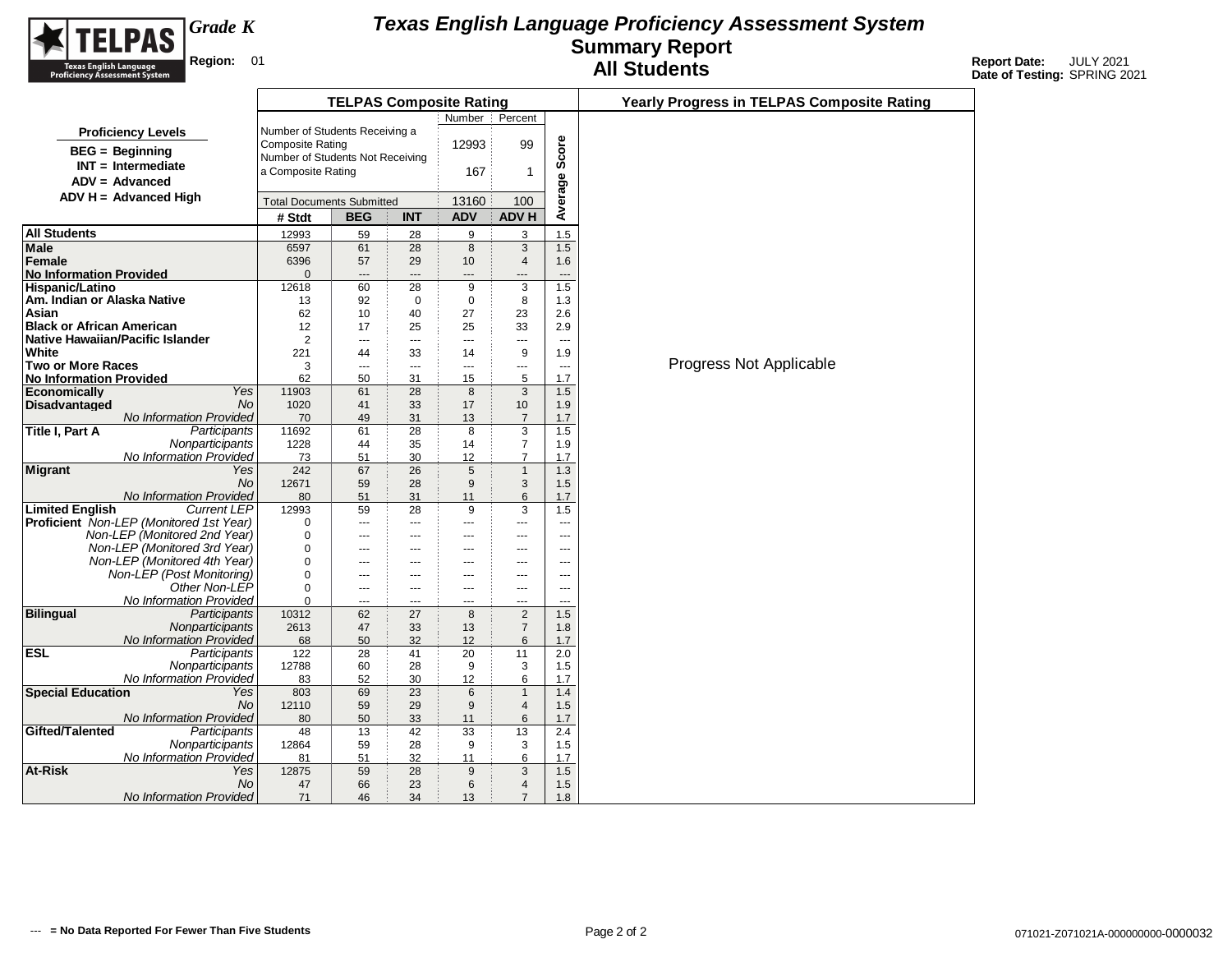

|                                                                                |                                                             | <b>TELPAS Composite Rating</b> |                       |                |                                |                                 | <b>Yearly Progress in TELPAS Composite Rating</b> |
|--------------------------------------------------------------------------------|-------------------------------------------------------------|--------------------------------|-----------------------|----------------|--------------------------------|---------------------------------|---------------------------------------------------|
|                                                                                |                                                             |                                |                       | Number         | Percent                        |                                 |                                                   |
| <b>Proficiency Levels</b>                                                      | Number of Students Receiving a                              |                                |                       |                |                                |                                 |                                                   |
| <b>BEG</b> = Beginning                                                         | <b>Composite Rating</b><br>Number of Students Not Receiving |                                |                       | 12993          | 99                             | Score                           |                                                   |
| $INT = Intermediate$                                                           | a Composite Rating                                          |                                |                       | 167            | 1                              |                                 |                                                   |
| $ADV = Advanced$                                                               |                                                             |                                |                       |                |                                | Φ                               |                                                   |
| $ADV H = Advanced High$                                                        | <b>Total Documents Submitted</b>                            |                                |                       | 13160          | 100                            |                                 |                                                   |
|                                                                                | # Stdt                                                      | <b>BEG</b>                     | <b>INT</b>            | <b>ADV</b>     | <b>ADV H</b>                   | Averag                          |                                                   |
| All Students                                                                   | 12993                                                       | 59                             | 28                    | 9              | 3                              | 1.5                             |                                                   |
| Male                                                                           | 6597                                                        | 61                             | 28                    | 8              | 3                              | 1.5                             |                                                   |
| Female                                                                         | 6396                                                        | 57                             | 29                    | 10             | 4                              | 1.6                             |                                                   |
| <b>No Information Provided</b>                                                 | $\Omega$                                                    | $---$                          | $---$                 | $---$          |                                | $\overline{\phantom{a}}$        |                                                   |
| Hispanic/Latino                                                                | 12618                                                       | 60                             | 28                    | 9              | 3                              | 1.5                             |                                                   |
| Am. Indian or Alaska Native                                                    | 13                                                          | 92                             | $\mathbf 0$           | $\mathbf 0$    | 8                              | 1.3                             |                                                   |
| Asian                                                                          | 62                                                          | 10                             | 40                    | 27             | 23                             | 2.6                             |                                                   |
| Black or African American                                                      | 12                                                          | 17                             | 25                    | 25             | 33                             | 2.9                             |                                                   |
| Native Hawaiian/Pacific Islander                                               | 2                                                           | $---$                          | ---                   | $\overline{a}$ | ---                            | $\sim$                          |                                                   |
| White<br>Two or More Races                                                     | 221<br>3                                                    | 44                             | 33<br>---             | 14<br>---      | 9                              | 1.9                             | Progress Not Applicable                           |
| <b>No Information Provided</b>                                                 | 62                                                          | $---$<br>50                    | 31                    | 15             | ---<br>5                       | $\overline{\phantom{a}}$<br>1.7 |                                                   |
| Yes<br>Economically                                                            | 11903                                                       | 61                             | 28                    | 8              | 3                              | 1.5                             |                                                   |
| Disadvantaged<br>No.                                                           | 1020                                                        | 41                             | 33                    | 17             | 10                             | 1.9                             |                                                   |
| No Information Provided                                                        | 70                                                          | 49                             | 31                    | 13             | $\overline{7}$                 | 1.7                             |                                                   |
| Title I, Part A<br>Participants                                                | 11692                                                       | 61                             | 28                    | 8              | 3                              | 1.5                             |                                                   |
| Nonparticipants                                                                | 1228                                                        | 44                             | 35                    | 14             | $\overline{7}$                 | 1.9                             |                                                   |
| No Information Provided                                                        | 73                                                          | 51                             | 30                    | 12             | $\overline{7}$                 | 1.7                             |                                                   |
| <b>Migrant</b><br>Yes                                                          | 242                                                         | 67                             | 26                    | 5              | $\mathbf{1}$                   | 1.3                             |                                                   |
| No.                                                                            | 12671                                                       | 59                             | 28                    | 9              | 3                              | 1.5                             |                                                   |
| No Information Provided                                                        | 80                                                          | 51                             | 31                    | 11             | 6                              | 1.7                             |                                                   |
| <b>Current LEP</b><br><b>Limited English</b>                                   | 12993                                                       | 59                             | 28                    | 9<br>$\sim$    | 3                              | 1.5                             |                                                   |
| <b>Proficient</b> Non-LEP (Monitored 1st Year)<br>Non-LEP (Monitored 2nd Year) | 0<br>0                                                      | ---                            | ---                   | ---            | ---                            | $---$                           |                                                   |
| Non-LEP (Monitored 3rd Year)                                                   | 0                                                           | ---<br>$---$                   | ---<br>$\overline{a}$ | $---$          | ---<br>$---$                   | ---<br>---                      |                                                   |
| Non-LEP (Monitored 4th Year)                                                   | 0                                                           | ---                            | ---                   | $---$          | ---                            | ---                             |                                                   |
| Non-LEP (Post Monitoring)                                                      | 0                                                           | $---$                          | $\overline{a}$        | $---$          | $---$                          | $\overline{a}$                  |                                                   |
| Other Non-LEP                                                                  | 0                                                           | $---$                          | $---$                 | $- - -$        | $- - -$                        | $-$                             |                                                   |
| No Information Provided                                                        | 0                                                           | $\overline{a}$                 | ---                   | $\overline{a}$ | $\overline{a}$                 | $\overline{a}$                  |                                                   |
| <b>Bilingual</b><br>Participants                                               | 10312                                                       | 62                             | 27                    | 8              | 2                              | 1.5                             |                                                   |
| Nonparticipants                                                                | 2613                                                        | 47                             | 33                    | 13             | $\overline{7}$                 | 1.8                             |                                                   |
| No Information Provided                                                        | 68                                                          | 50                             | 32                    | 12             | 6                              | 1.7                             |                                                   |
| $\overline{\mathsf{ESL}}$<br>Participants                                      | 122                                                         | 28                             | 41                    | 20             | 11                             | 2.0                             |                                                   |
| Nonparticipants                                                                | 12788                                                       | 60                             | 28                    | 9              | 3                              | 1.5                             |                                                   |
| No Information Provided                                                        | 83                                                          | 52                             | 30                    | 12             | 6                              | 1.7                             |                                                   |
| <b>Special Education</b><br>Yes<br>No                                          | 803<br>12110                                                | 69<br>59                       | 23<br>29              | 6<br>9         | $\mathbf{1}$<br>$\overline{4}$ | 1.4<br>1.5                      |                                                   |
| No Information Provided                                                        | 80                                                          | 50                             | 33                    | 11             | 6                              | 1.7                             |                                                   |
| Gifted/Talented<br>Participants                                                | 48                                                          | 13                             | 42                    | 33             | 13                             | 2.4                             |                                                   |
| Nonparticipants                                                                | 12864                                                       | 59                             | 28                    | 9              | 3                              | 1.5                             |                                                   |
| No Information Provided                                                        | 81                                                          | 51                             | 32                    | 11             | 6                              | 1.7                             |                                                   |
| At-Risk<br>Yes                                                                 | 12875                                                       | 59                             | 28                    | 9              | 3                              | 1.5                             |                                                   |
| No.                                                                            | 47                                                          | 66                             | 23                    | 6              | $\overline{4}$                 | 1.5                             |                                                   |
| No Information Provided                                                        | 71                                                          | 46                             | 34                    | 13             | $\overline{7}$                 | 1.8                             |                                                   |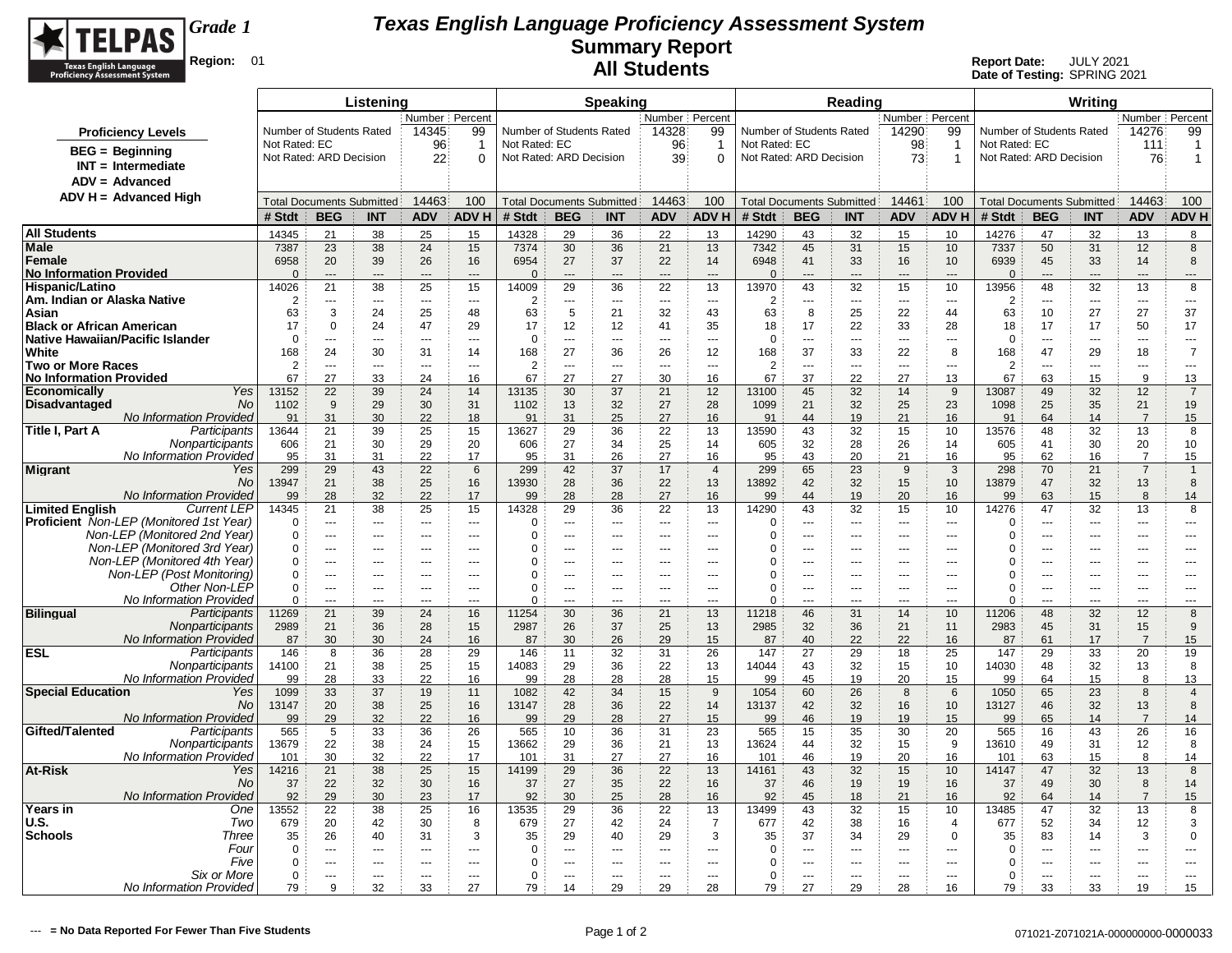

|                                                                         |                |                                  | Listening                                      |                       |                            |                |                                                | <b>Speaking</b> |                          |                       |                                            |                       | Reading        |                                            |                                  |                |                          | Writing                                        |                       |                  |
|-------------------------------------------------------------------------|----------------|----------------------------------|------------------------------------------------|-----------------------|----------------------------|----------------|------------------------------------------------|-----------------|--------------------------|-----------------------|--------------------------------------------|-----------------------|----------------|--------------------------------------------|----------------------------------|----------------|--------------------------|------------------------------------------------|-----------------------|------------------|
|                                                                         |                |                                  |                                                | Number Percent        |                            |                |                                                |                 | Number   Percent         |                       |                                            |                       |                | Number Percent                             |                                  |                |                          |                                                | Number Percent        |                  |
| <b>Proficiency Levels</b>                                               |                | Number of Students Rated         |                                                | 14345                 | 99                         |                | Number of Students Rated                       |                 | 14328                    | 99                    | Number of Students Rated                   |                       |                | 14290                                      | 99                               |                | Number of Students Rated |                                                | 14276                 | 99               |
| $BEG =$ Beginning                                                       | Not Rated: EC  |                                  |                                                | 96                    | -1                         | Not Rated: EC  |                                                |                 | 96                       | -1                    | Not Rated: EC                              |                       |                | 98                                         | $\mathbf{1}$                     | Not Rated: EC  |                          |                                                | 111                   | $\overline{1}$   |
| $INT = Intermediate$                                                    |                | Not Rated: ARD Decision          |                                                | 22                    | 0                          |                | Not Rated: ARD Decision                        |                 | 39                       | $\Omega$              | Not Rated: ARD Decision                    |                       |                | 73                                         | $\mathbf 1$                      |                | Not Rated: ARD Decision  |                                                | 76                    | 1                |
| $ADV = Advanced$                                                        |                |                                  |                                                |                       |                            |                |                                                |                 |                          |                       |                                            |                       |                |                                            |                                  |                |                          |                                                |                       |                  |
| $ADV H = Advanced High$                                                 |                |                                  |                                                | 14463                 | 100                        |                |                                                |                 | 14463                    | 100                   |                                            |                       |                | 14461                                      | 100                              |                |                          |                                                | 14463                 | 100              |
|                                                                         | # Stdt         | <b>BEG</b>                       | <b>Total Documents Submitted</b><br><b>INT</b> | <b>ADV</b>            | <b>ADVH</b>                | # Stdt         | <b>Total Documents Submitted</b><br><b>BEG</b> | <b>INT</b>      | <b>ADV</b>               | <b>ADVH</b>           | <b>Total Documents Submitted</b><br># Stdt | <b>BEG</b>            | <b>INT</b>     | <b>ADV</b>                                 | <b>ADVH</b>                      | # Stdt         | <b>BEG</b>               | <b>Total Documents Submitted</b><br><b>INT</b> | <b>ADV</b>            | <b>ADVH</b>      |
|                                                                         |                |                                  |                                                |                       |                            |                |                                                |                 |                          |                       |                                            |                       |                |                                            |                                  |                |                          |                                                |                       |                  |
| <b>All Students</b><br>Male                                             | 14345<br>7387  | 21<br>23                         | 38<br>38                                       | 25<br>24              | 15<br>15                   | 14328<br>7374  | 29<br>30                                       | 36<br>36        | 22<br>21                 | 13<br>13              | 14290<br>7342                              | 43<br>45              | 32<br>31       | 15<br>15                                   | 10<br>10                         | 14276<br>7337  | 47<br>50                 | 32<br>31                                       | 13<br>12              | 8<br>8           |
| <b>Female</b>                                                           | 6958           | 20                               | 39                                             | 26                    | 16                         | 6954           | 27                                             | 37              | 22                       | 14                    | 6948                                       | 41                    | 33             | 16                                         | 10                               | 6939           | 45                       | 33                                             | 14                    | 8                |
| <b>No Information Provided</b>                                          | $\Omega$       | $\overline{a}$                   | ---                                            | $---$                 | $\overline{a}$             | $\Omega$       | $---$                                          | $---$           | $\sim$                   | $\overline{a}$        | $\Omega$                                   | $\overline{a}$        | $\overline{a}$ | $---$                                      | $\overline{a}$                   | $\Omega$       | $---$                    | ---                                            | $---$                 | ---              |
| <b>Hispanic/Latino</b>                                                  | 14026          | 21                               | 38                                             | 25                    | 15                         | 14009          | 29                                             | 36              | 22                       | 13                    | 13970                                      | 43                    | 32             | 15                                         | 10                               | 13956          | 48                       | 32                                             | 13                    | 8                |
| Am. Indian or Alaska Native                                             | 2              | ---                              | $\overline{a}$                                 | $---$                 | $\sim$                     | $\overline{2}$ | ---                                            | ---             | $\overline{\phantom{a}}$ | $\overline{a}$        | 2                                          | ---                   | $\sim$         | $\overline{\phantom{a}}$                   | $\overline{a}$                   | $\overline{2}$ | $\overline{a}$           | $\overline{a}$                                 | ---                   | ---              |
| Asian                                                                   | 63             | 3                                | 24                                             | 25                    | 48                         | 63             | $\overline{5}$                                 | 21              | 32                       | 43                    | 63                                         | 8                     | 25             | 22                                         | 44                               | 63             | 10                       | 27                                             | 27                    | 37               |
| <b>Black or African American</b><br>Native Hawaiian/Pacific Islander    | 17<br>$\Omega$ | $\Omega$<br>$\overline{a}$       | 24<br>$- - -$                                  | 47<br>$\sim$          | 29<br>$\sim$ $\sim$ $\sim$ | 17<br>$\Omega$ | 12<br>$---$                                    | 12<br>$\sim$    | 41<br>$\sim$             | 35<br>$\overline{a}$  | 18<br>$\Omega$                             | 17<br>$\overline{a}$  | 22<br>$\sim$   | 33<br>$\sim$ $\sim$                        | 28<br>$\sim$                     | 18<br>$\Omega$ | 17<br>$\sim$             | 17<br>$\overline{a}$                           | 50<br>$\overline{a}$  | 17<br>$- - -$    |
| White                                                                   | 168            | 24                               | 30                                             | 31                    | 14                         | 168            | 27                                             | 36              | 26                       | 12                    | 168                                        | 37                    | 33             | 22                                         | 8                                | 168            | 47                       | 29                                             | 18                    | $\overline{7}$   |
| <b>Two or More Races</b>                                                | $\overline{2}$ | $\overline{a}$                   | ---                                            | $\overline{a}$        | $\sim$                     | $\overline{2}$ | ---                                            | ---             | $\sim$                   | $\overline{a}$        | $\overline{2}$                             | ---                   | $\overline{a}$ | $\overline{a}$                             | $\overline{a}$                   | $\overline{2}$ | $\overline{a}$           | ---                                            | $\overline{a}$        | $\overline{a}$   |
| <b>No Information Provided</b>                                          | 67             | 27                               | 33                                             | 24                    | 16                         | 67             | 27                                             | 27              | 30                       | 16                    | 67                                         | 37                    | 22             | 27                                         | 13                               | 67             | 63                       | 15                                             | 9                     | 13               |
| Yes<br><b>Economically</b>                                              | 13152          | 22                               | 39                                             | 24                    | 14                         | 13135          | 30                                             | 37              | 21                       | 12                    | 13100                                      | 45                    | 32             | 14                                         | 9                                | 13087          | 49                       | 32                                             | 12                    | $\overline{7}$   |
| <b>No</b><br><b>Disadvantaged</b>                                       | 1102           | 9                                | 29                                             | 30                    | 31                         | 1102           | 13                                             | 32              | 27                       | 28                    | 1099                                       | 21                    | 32             | 25                                         | 23                               | 1098           | 25                       | 35                                             | 21<br>$\overline{7}$  | 19               |
| No Information Provided<br>Title I, Part A<br>Participants              | 91<br>13644    | 31<br>21                         | 30<br>39                                       | 22<br>25              | 18<br>15                   | 91<br>13627    | 31<br>29                                       | 25<br>36        | 27<br>22                 | 16<br>13              | 91<br>13590                                | 44<br>43              | 19<br>32       | 21<br>15                                   | 16<br>10                         | 91<br>13576    | 64<br>48                 | 14<br>32                                       | 13                    | 15<br>8          |
| Nonparticipants                                                         | 606            | 21                               | 30                                             | 29                    | 20                         | 606            | 27                                             | 34              | 25                       | 14                    | 605                                        | 32                    | 28             | 26                                         | 14                               | 605            | 41                       | 30                                             | 20                    | 10               |
| No Information Provideo                                                 | 95             | 31                               | 31                                             | 22                    | 17                         | 95             | 31                                             | 26              | 27                       | 16                    | 95                                         | 43                    | 20             | 21                                         | 16                               | 95             | 62                       | 16                                             | -7                    | 15               |
| <b>Migrant</b><br>Yes                                                   | 299            | 29                               | 43                                             | 22                    | 6                          | 299            | 42                                             | 37              | 17                       | $\overline{4}$        | 299                                        | 65                    | 23             | 9                                          | 3                                | 298            | 70                       | 21                                             | $\overline{7}$        | $\mathbf{1}$     |
| No                                                                      | 13947          | 21                               | 38                                             | 25                    | 16                         | 13930          | 28                                             | 36              | 22                       | 13                    | 13892                                      | 42                    | 32             | 15                                         | 10                               | 13879          | 47                       | 32                                             | 13                    | 8                |
| No Information Provided<br><b>Limited English</b><br><b>Current LEP</b> | 99<br>14345    | 28<br>21                         | 32<br>38                                       | 22<br>25              | 17<br>15                   | 99<br>14328    | 28<br>29                                       | 28<br>36        | 27<br>22                 | 16<br>13              | 99<br>14290                                | 44<br>43              | 19<br>32       | 20<br>15                                   | 16<br>10                         | 99<br>14276    | 63<br>47                 | 15<br>32                                       | 8<br>13               | 14<br>8          |
| <b>Proficient</b> Non-LEP (Monitored 1st Year)                          | $\Omega$       | $---$                            | $- - -$                                        | $- - -$               | $---$                      | $\Omega$       | $\overline{a}$                                 | ---             | $\sim$                   | $---$                 | $\Omega$                                   | $---$                 | $- - -$        | $- - -$                                    | $\sim$                           | $\Omega$       | ---                      | $\overline{a}$                                 | ---                   | $\cdots$         |
| Non-LEP (Monitored 2nd Year)                                            | $\Omega$       | $\overline{\phantom{a}}$         | ---                                            | $---$                 | $\sim$                     | $\Omega$       | ---                                            | ---             | $\overline{a}$           | ---                   | $\Omega$                                   | $\overline{a}$        | ---            | $---$                                      | $\sim$                           | $\Omega$       | ---                      | $\overline{a}$                                 | ---                   | ---              |
| Non-LEP (Monitored 3rd Year)                                            | $\Omega$       | ---                              | ---                                            | $---$                 | $--$                       | 0              | ---                                            | ---             | ---                      | ---                   | $\Omega$                                   | ---                   | ---            | $---$                                      | ---                              | $\Omega$       | ---                      | ---                                            | ---                   | $---$            |
| Non-LEP (Monitored 4th Year)                                            | 0              | ---                              | ---                                            | $\sim$                | $\sim$                     | 0              | ÷÷.                                            | ---             | ---                      |                       | $\Omega$                                   | ---                   | ---            | ---                                        | $\overline{a}$                   | 0              | $\overline{a}$           | ---                                            | ---                   |                  |
| Non-LEP (Post Monitoring)                                               | $\mathbf 0$    | $\overline{a}$                   | $-$                                            | $-$                   | $-$                        | $\mathbf 0$    | $-$                                            | $-$             | $\sim$                   | $\overline{a}$        | $\Omega$                                   | $\overline{a}$        | $\overline{a}$ | $\overline{a}$                             | $\sim$                           | 0              | $\overline{a}$           | $-$                                            | ---                   | $---$            |
| Other Non-LEP<br>No Information Provideo                                | 0<br>$\Omega$  | $\overline{a}$<br>$\overline{a}$ | $---$<br>---                                   | $\overline{a}$<br>$-$ | $\sim$<br>$\sim$           | 0<br>U         | ---<br>$\overline{a}$                          | ---<br>$-$      | $\sim$<br>---            | $\overline{a}$<br>$-$ | $\Omega$<br>$\Omega$                       | $\overline{a}$<br>$-$ | $---$<br>$-$   | $\overline{\phantom{a}}$<br>$\overline{a}$ | $\overline{a}$<br>$\overline{a}$ | 0<br>0         | ---<br>$\overline{a}$    | $\overline{a}$<br>$\overline{a}$               | $\overline{a}$<br>--- | $---$<br>---     |
| <b>Bilingual</b><br>Participants                                        | 11269          | 21                               | 39                                             | 24                    | 16                         | 11254          | 30                                             | 36              | 21                       | 13                    | 11218                                      | 46                    | 31             | 14                                         | 10                               | 11206          | 48                       | 32                                             | 12                    | 8                |
| Nonparticipants                                                         | 2989           | 21                               | 36                                             | 28                    | 15                         | 2987           | 26                                             | 37              | 25                       | 13                    | 2985                                       | 32                    | 36             | 21                                         | 11                               | 2983           | 45                       | 31                                             | 15                    | 9                |
| No Information Provided                                                 | 87             | 30                               | 30                                             | 24                    | 16                         | 87             | 30                                             | 26              | 29                       | 15                    | 87                                         | 40                    | 22             | 22                                         | 16                               | 87             | 61                       | 17                                             | $\overline{7}$        | 15               |
| ESL<br>Participants                                                     | 146<br>14100   | 8<br>21                          | 36<br>38                                       | 28                    | 29<br>15                   | 146<br>14083   | 11<br>29                                       | 32<br>36        | 31                       | 26                    | 147<br>14044                               | 27<br>43              | 29<br>32       | 18                                         | 25<br>10                         | 147<br>14030   | 29<br>48                 | 33<br>32                                       | 20                    | 19<br>8          |
| Nonparticipants<br>No Information Provided                              | 99             | 28                               | 33                                             | 25<br>22              | 16                         | 99             | 28                                             | 28              | 22<br>28                 | 13<br>15              | 99                                         | 45                    | 19             | 15<br>20                                   | 15                               | 99             | 64                       | 15                                             | 13<br>8               | 13               |
| <b>Special Education</b><br>Yes                                         | 1099           | 33                               | 37                                             | 19                    | 11                         | 1082           | 42                                             | 34              | 15                       | 9                     | 1054                                       | 60                    | 26             | 8                                          | 6                                | 1050           | 65                       | 23                                             | 8                     | $\overline{4}$   |
| <b>No</b>                                                               | 13147          | 20                               | 38                                             | 25                    | 16                         | 13147          | 28                                             | 36              | 22                       | 14                    | 13137                                      | 42                    | 32             | 16                                         | 10                               | 13127          | 46                       | 32                                             | 13                    | 8                |
| No Information Provided                                                 | 99             | 29                               | 32                                             | 22                    | 16                         | 99             | 29                                             | 28              | 27                       | 15                    | 99                                         | 46                    | 19             | 19                                         | 15                               | 99             | 65                       | 14                                             | $\overline{7}$        | 14               |
| Gifted/Talented<br>Participants                                         | 565            | 5                                | 33                                             | 36                    | 26                         | 565            | 10                                             | 36              | 31                       | 23                    | 565                                        | 15                    | 35             | 30                                         | 20                               | 565            | 16                       | 43                                             | 26                    | 16               |
| Nonparticipants<br>No Information Provideo                              | 13679<br>101   | 22<br>30                         | 38<br>32                                       | 24<br>22              | 15<br>17                   | 13662<br>101   | 29<br>31                                       | 36<br>27        | 21<br>27                 | 13<br>16              | 13624<br>101                               | 44<br>46              | 32<br>19       | 15<br>20                                   | 9<br>16                          | 13610<br>101   | 49<br>63                 | 31<br>15                                       | 12<br>8               | 8<br>14          |
| At-Risk<br>Yes                                                          | 14216          | 21                               | 38                                             | 25                    | 15                         | 14199          | 29                                             | 36              | 22                       | 13                    | 14161                                      | 43                    | 32             | 15                                         | 10                               | 14147          | 47                       | 32                                             | 13                    | 8                |
| No                                                                      | 37             | 22                               | 32                                             | 30                    | 16                         | 37             | 27                                             | 35              | 22                       | 16                    | 37                                         | 46                    | 19             | 19                                         | 16                               | 37             | 49                       | 30                                             | 8                     | 14               |
| No Information Provided                                                 | 92             | 29                               | 30                                             | 23                    | 17                         | 92             | 30                                             | 25              | 28                       | 16                    | 92                                         | 45                    | 18             | 21                                         | 16                               | 92             | 64                       | 14                                             | $\overline{7}$        | 15               |
| Years in<br>One                                                         | 13552          | 22                               | 38                                             | 25                    | 16                         | 13535          | 29                                             | 36              | 22                       | 13                    | 13499                                      | 43                    | 32             | 15                                         | 10                               | 13485          | 47                       | 32                                             | 13                    | 8                |
| U.S.<br>Two<br>Three<br><b>Schools</b>                                  | 679<br>35      | 20<br>26                         | 42<br>40                                       | 30<br>31              | 8<br>3                     | 679<br>35      | 27<br>29                                       | 42<br>40        | 24<br>29                 | $\overline{7}$<br>3   | 677<br>35                                  | 42<br>37              | 38<br>34       | 16<br>29                                   | $\overline{4}$<br>$\mathbf 0$    | 677<br>35      | 52<br>83                 | 34<br>14                                       | 12<br>3               | 3<br>$\mathbf 0$ |
| Four                                                                    | $\mathbf 0$    | $\overline{a}$                   | $-$                                            | $-$                   | $-$                        | 0              | $-$                                            | $-$             | $\overline{a}$           | $\overline{a}$        | $\Omega$                                   | $\overline{a}$        | $-$            | $\sim$                                     | $-$                              | $\Omega$       | $\overline{a}$           | $\overline{a}$                                 | $\overline{a}$        | $\overline{a}$   |
| Five                                                                    | $\Omega$       | $\overline{a}$                   | $- - -$                                        | $- - -$               | $---$                      | 0              | $\overline{a}$                                 | $\overline{a}$  | $\sim$                   | $---$                 | $\Omega$                                   | $\overline{a}$        | $- - -$        | $\sim$ $\sim$                              | $\sim$                           | 0              | $\overline{a}$           | $\overline{a}$                                 | $\overline{a}$        | $---$            |
| Six or More                                                             | 0              | $\overline{a}$                   | $- - -$                                        | $- - -$               | $- - -$                    | 0              | $\overline{a}$                                 | $---$           | $- - -$                  | $---$                 | $\Omega$                                   | $\overline{a}$        | $- - -$        | $\sim$ $\sim$                              | $\sim$                           | $\Omega$       | $\sim$                   | $\overline{a}$                                 | $\overline{a}$        | $- - -$          |
| No Information Provided                                                 | 79             | 9                                | 32                                             | 33                    | 27                         | 79             | 14                                             | 29              | 29                       | 28                    | 79                                         | 27                    | 29             | 28                                         | 16                               | 79             | 33                       | 33                                             | 19                    | 15               |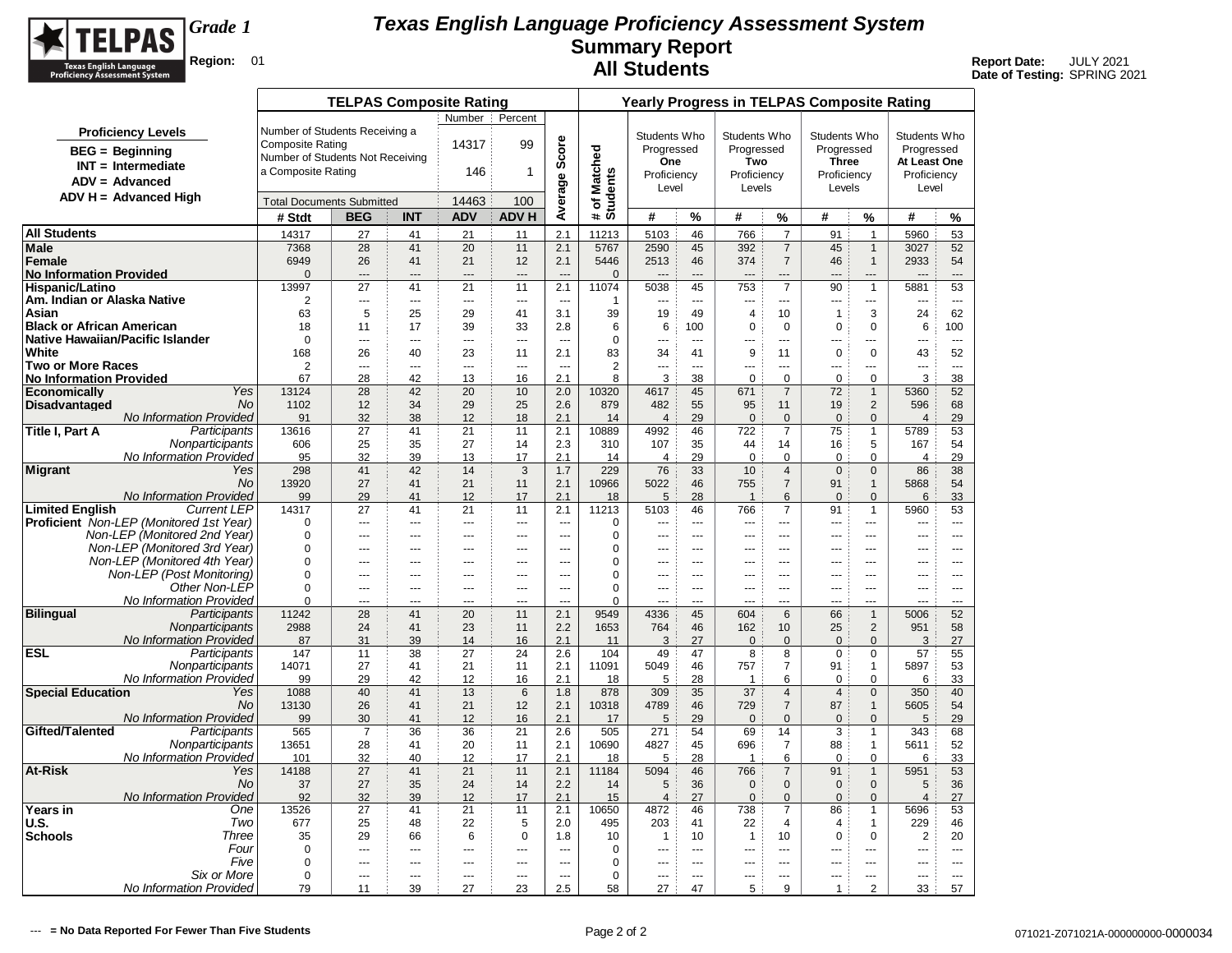

|                                                       |                                                 |                                  | <b>TELPAS Composite Rating</b> |            |                          |                          |                                  |                        |                        |                          |                     |                                  | <b>Yearly Progress in TELPAS Composite Rating</b> |                              |                        |                                |
|-------------------------------------------------------|-------------------------------------------------|----------------------------------|--------------------------------|------------|--------------------------|--------------------------|----------------------------------|------------------------|------------------------|--------------------------|---------------------|----------------------------------|---------------------------------------------------|------------------------------|------------------------|--------------------------------|
|                                                       |                                                 |                                  |                                |            | Number                   | Percent                  |                                  |                        |                        |                          |                     |                                  |                                                   |                              |                        |                                |
|                                                       | <b>Proficiency Levels</b>                       | Number of Students Receiving a   |                                |            |                          |                          |                                  |                        | Students Who           |                          | Students Who        |                                  | Students Who                                      |                              | Students Who           |                                |
|                                                       | <b>BEG</b> = Beginning                          | <b>Composite Rating</b>          |                                |            | 14317                    | 99                       | Average Score                    |                        | Progressed             |                          | Progressed          |                                  | Progressed                                        |                              | Progressed             |                                |
|                                                       | $INT = Intermediate$                            | Number of Students Not Receiving |                                |            |                          |                          |                                  | <b>Matched</b>         | One                    |                          | Two                 |                                  | <b>Three</b>                                      |                              | At Least One           |                                |
|                                                       | $ADV = Advanced$                                | a Composite Rating               |                                |            | 146                      | 1                        |                                  |                        | Proficiency            |                          | Proficiency         |                                  | Proficiency                                       |                              | Proficiency            |                                |
|                                                       | $ADV H = Advanced High$                         |                                  |                                |            |                          |                          |                                  |                        | Level                  |                          | Levels              |                                  | Levels                                            |                              | Level                  |                                |
|                                                       |                                                 | <b>Total Documents Submitted</b> |                                |            | 14463                    | 100                      |                                  | # of Match<br>Students |                        |                          |                     |                                  |                                                   |                              |                        |                                |
|                                                       |                                                 | # Stdt                           | <b>BEG</b>                     | <b>INT</b> | <b>ADV</b>               | <b>ADV H</b>             |                                  |                        | #                      | %                        | #                   | %                                | #                                                 | %                            | #                      | %                              |
| <b>All Students</b>                                   |                                                 | 14317                            | 27                             | 41         | 21                       | 11                       | 2.1                              | 11213                  | 5103                   | 46                       | 766                 | $\overline{7}$                   | 91                                                | $\mathbf{1}$                 | 5960                   | 53                             |
| <b>Male</b>                                           |                                                 | 7368                             | 28                             | 41         | 20                       | 11                       | 2.1                              | 5767                   | 2590                   | 45                       | 392                 | $\overline{7}$                   | 45                                                | $\mathbf{1}$                 | 3027                   | 52                             |
| Female<br><b>No Information Provided</b>              |                                                 | 6949<br>$\Omega$                 | 26                             | 41         | 21                       | 12                       | 2.1                              | 5446                   | 2513                   | 46                       | 374                 | $\overline{7}$                   | 46                                                | $\mathbf{1}$                 | 2933                   | 54                             |
| <b>Hispanic/Latino</b>                                |                                                 | 13997                            | $\overline{a}$<br>27           | ---<br>41  | $\overline{a}$<br>21     | ---<br>11                | $\overline{a}$<br>2.1            | $\mathbf{0}$<br>11074  | 5038                   | 45                       | 753                 | $\overline{a}$<br>$\overline{7}$ | 90                                                | $\mathbf{1}$                 | 5881                   | $\overline{\phantom{a}}$<br>53 |
| Am. Indian or Alaska Native                           |                                                 | $\overline{2}$                   | ---                            | ---        | $\overline{\phantom{a}}$ | $\overline{\phantom{a}}$ | $\overline{\phantom{a}}$         | 1                      | ---                    | $\overline{\phantom{a}}$ | ---                 | $\sim$                           | ---                                               | ---                          | ---                    | $\sim$ $\sim$                  |
| Asian                                                 |                                                 | 63                               | 5                              | 25         | 29                       | 41                       | 3.1                              | 39                     | 19                     | 49                       | $\overline{4}$      | 10                               | $\overline{1}$                                    | 3                            | 24                     | 62                             |
| <b>Black or African American</b>                      |                                                 | 18                               | 11                             | 17         | 39                       | 33                       | 2.8                              | 6                      | 6                      | 100                      | 0                   | 0                                | $\mathbf 0$                                       | $\mathbf 0$                  | 6                      | 100                            |
| Native Hawaiian/Pacific Islander                      |                                                 | $\Omega$                         | ---                            | ---        | $\overline{a}$           | ---                      | $\overline{a}$                   | $\mathbf 0$            | ---                    | $\sim$                   | $\overline{a}$      | $\overline{a}$                   | $\overline{a}$                                    | ---                          | ---                    | $\overline{a}$                 |
| White                                                 |                                                 | 168                              | 26                             | 40         | 23                       | 11                       | 2.1                              | 83                     | 34                     | 41                       | 9                   | 11                               | $\mathbf 0$                                       | $\mathbf 0$                  | 43                     | 52                             |
| <b>Two or More Races</b>                              |                                                 | $\overline{2}$                   | ---                            | ---        | ---                      | ---                      | ---                              | $\overline{2}$         | ---                    | ---                      | ---                 | ---                              | ---                                               | ---                          | ---                    | $\overline{\phantom{a}}$       |
| <b>No Information Provided</b><br><b>Economically</b> | Yes                                             | 67<br>13124                      | 28<br>28                       | 42<br>42   | 13<br>20                 | 16<br>10                 | 2.1<br>2.0                       | 8<br>10320             | 3<br>4617              | 38<br>45                 | $\mathbf 0$<br>671  | 0<br>$\overline{7}$              | 0<br>72                                           | $\mathbf 0$<br>$\mathbf{1}$  | 3<br>5360              | 38<br>52                       |
| <b>Disadvantaged</b>                                  | <b>No</b>                                       | 1102                             | 12                             | 34         | 29                       | 25                       | 2.6                              | 879                    | 482                    | 55                       | 95                  | 11                               | 19                                                | $\overline{2}$               | 596                    | 68                             |
|                                                       | No Information Provided                         | 91                               | 32                             | 38         | 12                       | 18                       | 2.1                              | 14                     | $\overline{4}$         | 29                       | $\mathbf 0$         | $\mathbf 0$                      | $\mathbf{0}$                                      | $\mathbf{0}$                 | $\overline{4}$         | 29                             |
| Title I, Part A                                       | Participants                                    | 13616                            | 27                             | 41         | 21                       | 11                       | 2.1                              | 10889                  | 4992                   | 46                       | 722                 | $\overline{7}$                   | 75                                                | $\mathbf{1}$                 | 5789                   | 53                             |
|                                                       | Nonparticipants                                 | 606                              | 25                             | 35         | 27                       | 14                       | 2.3                              | 310                    | 107                    | 35                       | 44                  | 14                               | 16                                                | 5                            | 167                    | 54                             |
|                                                       | No Information Provided                         | 95                               | 32                             | 39         | 13                       | 17                       | 2.1                              | 14                     | $\overline{4}$         | 29                       | $\mathbf 0$         | $\mathbf 0$                      | $\mathbf 0$                                       | $\mathbf 0$                  | $\overline{4}$         | 29                             |
| Migrant                                               | Yes                                             | 298                              | 41                             | 42         | 14                       | 3                        | 1.7                              | 229                    | 76                     | 33                       | 10                  | $\overline{4}$                   | $\mathbf{0}$                                      | $\overline{0}$               | 86                     | 38                             |
|                                                       | <b>No</b><br>No Information Provided            | 13920<br>99                      | 27<br>29                       | 41<br>41   | 21                       | 11<br>17                 | 2.1<br>2.1                       | 10966                  | 5022                   | 46<br>28                 | 755<br>$\mathbf{1}$ | $\overline{7}$                   | 91<br>$\mathbf{0}$                                | $\mathbf{1}$<br>$\mathbf{0}$ | 5868                   | 54<br>33                       |
| <b>Limited English</b>                                | <b>Current LEP</b>                              | 14317                            | 27                             | 41         | 12<br>21                 | 11                       | 2.1                              | 18<br>11213            | 5<br>5103              | 46                       | 766                 | 6<br>$\overline{7}$              | 91                                                | $\mathbf{1}$                 | 6<br>5960              | 53                             |
|                                                       | <b>Proficient</b> Non-LEP (Monitored 1st Year)  | $\mathbf 0$                      | ---                            | ---        | ---                      | $\overline{a}$           | ---                              | 0                      | ---                    | $\sim$                   | ---                 | ---                              | $\overline{a}$                                    | ---                          | ---                    | $\overline{\phantom{a}}$       |
|                                                       | Non-LEP (Monitored 2nd Year)                    | $\Omega$                         | $\overline{a}$                 | ---        | $\overline{a}$           | ---                      | ---                              | $\mathbf 0$            |                        | ---                      |                     | ---                              | ÷÷.                                               | ---                          |                        |                                |
|                                                       | Non-LEP (Monitored 3rd Year)                    | $\mathbf 0$                      | ---                            | ---        | ---                      | ---                      | $\overline{a}$                   | 0                      | ---                    | $\overline{a}$           |                     | ---                              | ---                                               | ---                          | ---                    | $\overline{a}$                 |
|                                                       | Non-LEP (Monitored 4th Year)                    | $\Omega$                         | $\overline{a}$                 | ---        | $- - -$                  | $\overline{a}$           | $\sim$                           | $\mathbf 0$            | $\overline{a}$         | $-$                      | $\overline{a}$      | $\sim$                           | $\sim$                                            | $\overline{a}$               | $\overline{a}$         | $-$                            |
|                                                       | Non-LEP (Post Monitoring)                       | $\mathbf 0$                      | $---$                          | $---$      | $---$                    | $\overline{a}$           | $\overline{a}$                   | 0                      | $\overline{a}$         | $---$                    | $---$               | $- - -$                          | $- - -$                                           | $\overline{a}$               | $\overline{a}$         | $\overline{a}$                 |
|                                                       | Other Non-LEP<br><b>No Information Provided</b> | $\Omega$<br>$\Omega$             | ---                            | ---        | ---                      | $\overline{a}$           | $\overline{a}$<br>$\overline{a}$ | 0<br>$\Omega$          | ---<br>---             | $---$                    | ---                 | ---                              | ---                                               | ---<br>---                   | $\overline{a}$         | $\cdots$                       |
| <b>Bilingual</b>                                      | Participants                                    | 11242                            | ---<br>28                      | ---<br>41  | ---<br>20                | ---<br>11                | 2.1                              | 9549                   | 4336                   | ---<br>45                | 604                 | ---<br>6                         | $-$<br>66                                         | $\mathbf{1}$                 | ---<br>5006            | $\overline{a}$<br>52           |
|                                                       | Nonparticipants                                 | 2988                             | 24                             | 41         | 23                       | 11                       | 2.2                              | 1653                   | 764                    | 46                       | 162                 | 10                               | 25                                                | $\overline{2}$               | 951                    | 58                             |
|                                                       | No Information Provided                         | 87                               | 31                             | 39         | 14                       | 16                       | 2.1                              | 11                     | 3                      | 27                       | $\mathbf{0}$        | $\mathbf{0}$                     | $\mathbf{0}$                                      | $\mathbf{0}$                 | 3                      | 27                             |
| <b>ESL</b>                                            | Participants                                    | 147                              | 11                             | 38         | 27                       | 24                       | 2.6                              | 104                    | 49                     | 47                       | 8                   | 8                                | $\mathbf 0$                                       | $\mathbf 0$                  | 57                     | 55                             |
|                                                       | Nonparticipants                                 | 14071                            | 27                             | 41         | 21                       | 11                       | 2.1                              | 11091                  | 5049                   | 46                       | 757                 | $\overline{7}$                   | 91                                                | $\mathbf{1}$                 | 5897                   | 53                             |
|                                                       | No Information Provided                         | 99                               | 29                             | 42         | 12                       | 16                       | 2.1                              | 18                     | 5                      | 28                       | 1                   | 6                                | $\Omega$                                          | $\Omega$                     | 6                      | 33                             |
| <b>Special Education</b>                              | Yes<br>No                                       | 1088<br>13130                    | 40<br>26                       | 41<br>41   | 13<br>21                 | $6\phantom{1}6$<br>12    | 1.8<br>2.1                       | 878<br>10318           | 309<br>4789            | 35<br>46                 | 37<br>729           | $\overline{4}$<br>$\overline{7}$ | $\overline{4}$<br>87                              | $\Omega$<br>$\mathbf{1}$     | 350<br>5605            | 40<br>54                       |
|                                                       | No Information Provided                         | 99                               | 30                             | 41         | 12                       | 16                       | 2.1                              | 17                     | 5                      | 29                       | $\mathbf 0$         | $\mathbf 0$                      | $\pmb{0}$                                         | $\mathbf 0$                  | 5                      | 29                             |
| Gifted/Talented                                       | Participants                                    | 565                              | $\overline{7}$                 | 36         | 36                       | 21                       | 2.6                              | 505                    | 271                    | 54                       | 69                  | 14                               | 3                                                 | $\mathbf{1}$                 | 343                    | 68                             |
|                                                       | Nonparticipants                                 | 13651                            | 28                             | 41         | 20                       | 11                       | 2.1                              | 10690                  | 4827                   | 45                       | 696                 | $\overline{7}$                   | 88                                                | $\mathbf{1}$                 | 5611                   | 52                             |
|                                                       | No Information Provided                         | 101                              | 32                             | 40         | 12                       | 17                       | 2.1                              | 18                     | 5                      | 28                       | $\mathbf 1$         | 6                                | $\mathbf 0$                                       | $\mathbf 0$                  | 6                      | 33                             |
| <b>At-Risk</b>                                        | Yes                                             | 14188                            | 27                             | 41         | 21                       | 11                       | 2.1                              | 11184                  | 5094                   | 46                       | 766                 | $\overline{7}$                   | 91                                                | $\mathbf{1}$                 | 5951                   | 53                             |
|                                                       | No                                              | 37                               | 27                             | 35         | 24                       | 14                       | 2.2                              | 14                     | 5                      | 36                       | $\mathbf 0$         | $\pmb{0}$                        | $\mathsf 0$                                       | $\mathbf 0$                  | 5                      | 36                             |
|                                                       | No Information Provided<br>One                  | 92<br>13526                      | 32<br>27                       | 39<br>41   | 12<br>21                 | 17<br>11                 | 2.1<br>2.1                       | 15<br>10650            | $\overline{4}$<br>4872 | 27<br>46                 | $\pmb{0}$<br>738    | $\mathbf 0$<br>$\overline{7}$    | $\mathbf{0}$<br>86                                | $\mathbf{0}$                 | $\overline{4}$<br>5696 | 27<br>53                       |
| Years in<br><b>U.S.</b>                               | Two                                             | 677                              | 25                             | 48         | 22                       | 5                        | 2.0                              | 495                    | 203                    | 41                       | 22                  | $\overline{4}$                   | 4                                                 | $\mathbf{1}$<br>$\mathbf{1}$ | 229                    | 46                             |
| <b>Schools</b>                                        | Three                                           | 35                               | 29                             | 66         | 6                        | $\mathbf 0$              | 1.8                              | 10                     | $\mathbf{1}$           | 10                       | $\mathbf{1}$        | 10                               | $\mathbf 0$                                       | $\mathbf 0$                  | $\overline{2}$         | 20                             |
|                                                       | Four                                            | 0                                | $\sim$                         | ---        | $\sim$                   | ---                      | $\sim$                           | $\mathbf 0$            | $\sim$                 | $\overline{a}$           | $-$                 | ---                              | $-$                                               |                              | ---                    | $\sim$                         |
|                                                       | Five                                            | $\mathbf 0$                      | $\overline{a}$                 | ---        | $\overline{\phantom{a}}$ | $\overline{\phantom{a}}$ | ---                              | 0                      | ---                    | $\sim$                   | ---                 |                                  | $\overline{\phantom{a}}$                          | ---                          | $\overline{a}$         | ---                            |
|                                                       | Six or More                                     | $\mathbf 0$                      | $\sim$                         |            | $\overline{a}$           | ---                      | $\sim$                           | $\mathbf 0$            | $\sim$                 | $\sim$                   | <u></u>             |                                  |                                                   | ---                          |                        | $\sim$                         |
|                                                       | No Information Provided                         | 79                               | 11                             | 39         | 27                       | 23                       | 2.5                              | 58                     | 27                     | 47                       | 5                   | 9                                | $\mathbf{1}$                                      | 2                            | 33                     | 57                             |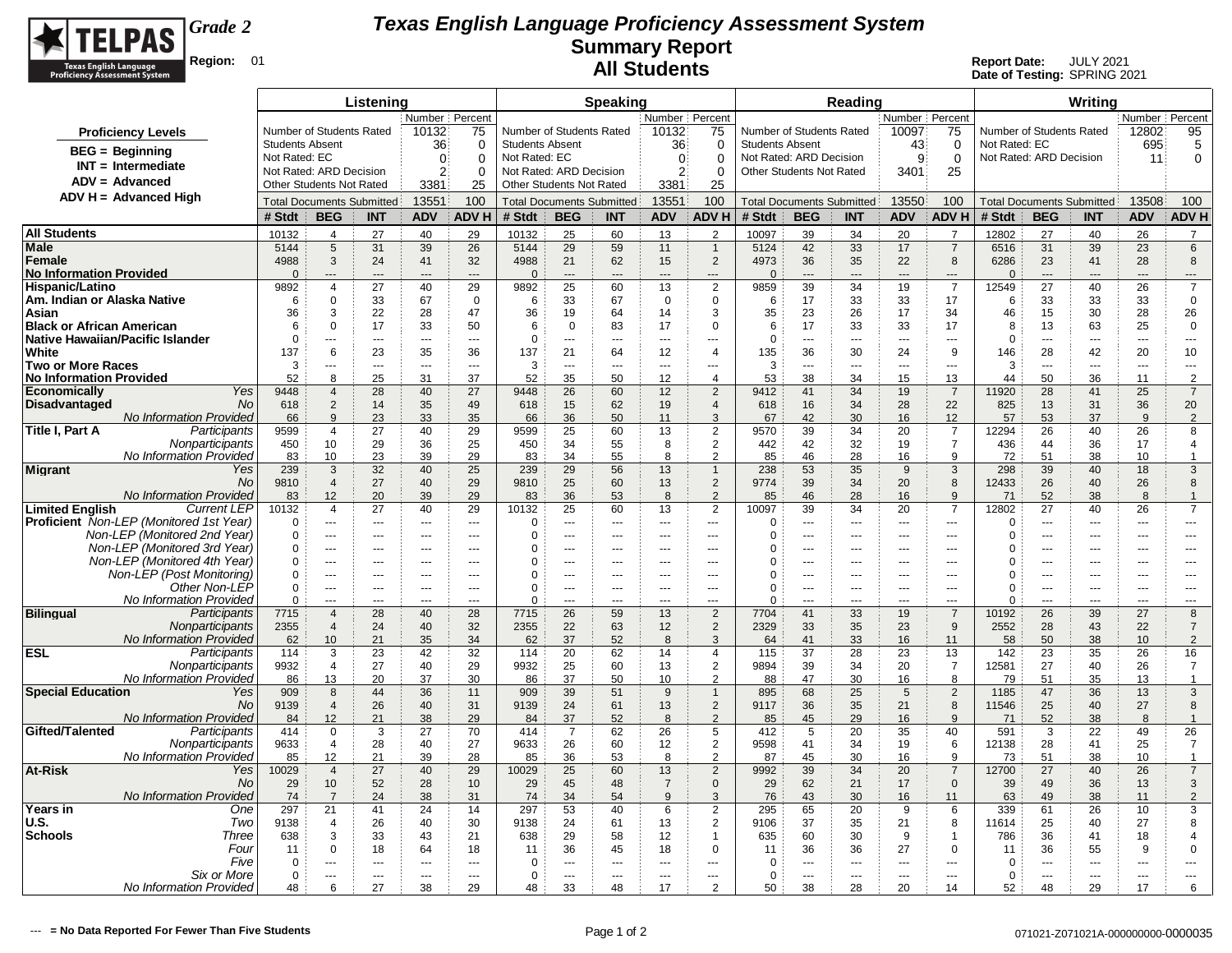

|                                                                                         |                            |                                            | Listening                        |                                  |                                    |                            |                                  | <b>Speaking</b>                 |                                |                                  |                                                            |                       | Reading                          |                                |                                  |                      |                                  | Writing                          |                          |                                  |
|-----------------------------------------------------------------------------------------|----------------------------|--------------------------------------------|----------------------------------|----------------------------------|------------------------------------|----------------------------|----------------------------------|---------------------------------|--------------------------------|----------------------------------|------------------------------------------------------------|-----------------------|----------------------------------|--------------------------------|----------------------------------|----------------------|----------------------------------|----------------------------------|--------------------------|----------------------------------|
|                                                                                         |                            |                                            |                                  | Number Percent                   |                                    |                            |                                  |                                 | Number Percent                 |                                  |                                                            |                       |                                  | Number Percent                 |                                  |                      |                                  |                                  | Number Percent           |                                  |
| <b>Proficiency Levels</b>                                                               |                            | Number of Students Rated                   |                                  | 10132                            | 75                                 |                            | Number of Students Rated         |                                 | 10132                          | 75                               | Number of Students Rated                                   |                       |                                  | 10097                          | 75                               |                      | Number of Students Rated         |                                  | 12802                    | 95                               |
| $BEG = Beginning$                                                                       | <b>Students Absent</b>     |                                            |                                  | 36                               | $\Omega$                           | <b>Students Absent</b>     |                                  |                                 | 36                             | $\Omega$                         | <b>Students Absent</b>                                     |                       |                                  | 43                             | 0                                | Not Rated: EC        |                                  |                                  | 695                      | 5                                |
| $INT = Intermediate$                                                                    | Not Rated: EC              | Not Rated: ARD Decision                    |                                  | $\Omega$<br>$\overline{2}$       | $\Omega$                           | Not Rated: EC              | Not Rated: ARD Decision          |                                 | $\mathbf{0}$<br>2 <sup>3</sup> | $\Omega$                         | Not Rated: ARD Decision<br><b>Other Students Not Rated</b> |                       |                                  | 9<br>3401                      | $\Omega$<br>25                   |                      | Not Rated: ARD Decision          |                                  | 11                       | $\mathbf 0$                      |
| $ADV = Advanced$                                                                        |                            | <b>Other Students Not Rated</b>            |                                  | 3381                             | 0<br>25                            |                            | Other Students Not Rated         |                                 | 3381                           | 0<br>25                          |                                                            |                       |                                  |                                |                                  |                      |                                  |                                  |                          |                                  |
| ADV H = Advanced High                                                                   |                            |                                            | <b>Total Documents Submitted</b> | 13551                            | 100                                |                            | <b>Total Documents Submitted</b> |                                 | 13551                          | 100                              |                                                            |                       | <b>Total Documents Submitted</b> | 13550                          | 100                              |                      |                                  | <b>Total Documents Submitted</b> | 13508                    | 100                              |
|                                                                                         | # Stdt                     | <b>BEG</b>                                 | <b>INT</b>                       | <b>ADV</b>                       | ADV H                              | # Stdt                     | <b>BEG</b>                       | <b>INT</b>                      | <b>ADV</b>                     | <b>ADVH</b>                      | # Stdt                                                     | <b>BEG</b>            | <b>INT</b>                       | <b>ADV</b>                     | <b>ADVH</b>                      | # Stdt               | <b>BEG</b>                       | <b>INT</b>                       | <b>ADV</b>               | <b>ADVH</b>                      |
| <b>All Students</b>                                                                     | 10132                      | 4                                          | 27                               | 40                               | 29                                 | 10132                      | 25                               | 60                              | 13                             | 2                                | 10097                                                      | 39                    | 34                               | 20                             | $\overline{7}$                   | 12802                | 27                               | 40                               | 26                       | $\overline{7}$                   |
| <b>Male</b>                                                                             | 5144                       | 5                                          | 31                               | 39                               | 26                                 | 5144                       | 29                               | 59                              | 11                             | $\overline{1}$                   | 5124                                                       | 42                    | 33                               | 17                             | $\overline{7}$                   | 6516                 | 31                               | 39                               | 23                       | 6                                |
| Female                                                                                  | 4988                       | 3                                          | 24                               | 41                               | 32                                 | 4988                       | 21                               | 62                              | 15                             | $\overline{2}$                   | 4973                                                       | 36                    | 35                               | 22                             | 8                                | 6286                 | 23                               | 41                               | 28                       | $\bf8$                           |
| <b>No Information Provided</b>                                                          | $\Omega$                   | $\overline{a}$                             | $---$                            | $---$                            | $\overline{a}$                     | $\mathbf{0}$               | $\overline{a}$                   | $\sim$                          | $---$                          | $\overline{a}$                   | $\mathbf{0}$                                               | $---$                 | $\sim$                           | $---$                          | $\overline{a}$                   | $\Omega$             | $\overline{a}$                   | $\overline{a}$                   | $---$                    | $---$                            |
| Hispanic/Latino                                                                         | 9892<br>6                  | $\overline{\mathbf{A}}$<br>$\Omega$        | 27<br>33                         | 40                               | 29<br>$\Omega$                     | 9892<br>6                  | 25<br>33                         | 60                              | 13                             | $\overline{2}$                   | 9859<br>6                                                  | 39<br>17              | 34                               | 19                             | $\overline{7}$                   | 12549                | 27                               | 40                               | 26<br>33                 | $\overline{7}$                   |
| Am. Indian or Alaska Native<br>Asian                                                    | 36                         | 3                                          | 22                               | 67<br>28                         | 47                                 | 36                         | 19                               | 67<br>64                        | 0<br>14                        | 0<br>3                           | 35                                                         | 23                    | 33<br>26                         | 33<br>17                       | 17<br>34                         | 6<br>46              | 33<br>15                         | 33<br>30                         | 28                       | 0<br>26                          |
| <b>Black or African American</b>                                                        | 6                          | $\mathbf 0$                                | 17                               | 33                               | 50                                 | 6                          | $\mathbf 0$                      | 83                              | 17                             | $\mathbf 0$                      | 6                                                          | 17                    | 33                               | 33                             | 17                               | 8                    | 13                               | 63                               | 25                       | $\mathbf 0$                      |
| Native Hawaiian/Pacific Islander                                                        | $\overline{0}$             | $\overline{a}$                             | $\overline{\phantom{a}}$         | $\overline{\phantom{a}}$         | ---                                | $\mathbf 0$                | ---                              | $\overline{\phantom{a}}$        | ---                            | ---                              | $\Omega$                                                   | ---                   | $\overline{\phantom{a}}$         | $\overline{\phantom{a}}$       | $\overline{\phantom{a}}$         | $\mathbf 0$          | $\rightarrow$                    | ---                              | $\overline{\phantom{a}}$ | $\overline{\phantom{a}}$         |
| White                                                                                   | 137                        | 6                                          | 23                               | 35                               | 36                                 | 137                        | 21                               | 64                              | 12                             | $\overline{4}$                   | 135                                                        | 36                    | 30                               | 24                             | 9                                | 146                  | 28                               | 42                               | 20                       | 10                               |
| <b>Two or More Races</b><br><b>No Information Provided</b>                              | 3<br>52                    | ---<br>8                                   | $\overline{\phantom{a}}$<br>25   | $\overline{a}$<br>31             | $\sim$<br>37                       | 3<br>52                    | $\overline{a}$<br>35             | $\sim$<br>50                    | $\sim$<br>12                   | $\overline{a}$<br>$\overline{4}$ | 3<br>53                                                    | $\overline{a}$<br>38  | $\sim$ $\sim$<br>34              | $\sim$ $\sim$<br>15            | $\overline{a}$<br>13             | 3<br>44              | $\overline{a}$<br>50             | ---<br>36                        | $\overline{a}$<br>11     | $\overline{a}$<br>$\overline{2}$ |
| Yes<br><b>Economically</b>                                                              | 9448                       | $\overline{4}$                             | 28                               | 40                               | 27                                 | 9448                       | 26                               | 60                              | 12                             | 2                                | 9412                                                       | 41                    | 34                               | 19                             | $\overline{7}$                   | 11920                | 28                               | 41                               | 25                       | $\overline{7}$                   |
| <b>No</b><br><b>Disadvantaged</b>                                                       | 618                        | $\overline{2}$                             | 14                               | 35                               | 49                                 | 618                        | 15                               | 62                              | 19                             | $\overline{4}$                   | 618                                                        | 16                    | 34                               | 28                             | 22                               | 825                  | 13                               | 31                               | 36                       | 20                               |
| No Information Provided                                                                 | 66                         | 9                                          | 23                               | 33                               | 35                                 | 66                         | 36                               | 50                              | 11                             | 3                                | 67                                                         | 42                    | 30                               | 16                             | 12                               | 57                   | 53                               | 37                               | 9                        | $\overline{2}$                   |
| Title I, Part A<br>Participants                                                         | 9599                       | $\overline{4}$                             | 27                               | 40                               | 29                                 | 9599                       | 25                               | 60                              | 13                             | $\overline{2}$                   | 9570                                                       | 39                    | 34                               | 20                             | $\overline{7}$                   | 12294                | 26                               | 40                               | 26                       | 8                                |
| Nonparticipants<br>No Information Provided                                              | 450<br>83                  | 10<br>10                                   | 29<br>23                         | 36<br>39                         | 25<br>29                           | 450<br>83                  | 34<br>34                         | 55<br>55                        | 8<br>8                         | $\overline{2}$<br>2              | 442<br>85                                                  | 42<br>46              | 32<br>28                         | 19<br>16                       | $\overline{7}$<br>9              | 436<br>72            | 44<br>51                         | 36<br>38                         | 17<br>10                 | $\overline{4}$<br>$\overline{1}$ |
| <b>Migrant</b><br>Yes                                                                   | 239                        | 3                                          | 32                               | 40                               | 25                                 | 239                        | 29                               | 56                              | 13                             | $\mathbf{1}$                     | 238                                                        | 53                    | 35                               | 9                              | 3                                | 298                  | 39                               | 40                               | 18                       | 3                                |
| No                                                                                      | 9810                       | $\overline{4}$                             | 27                               | 40                               | 29                                 | 9810                       | 25                               | 60                              | 13                             | $\overline{2}$                   | 9774                                                       | 39                    | 34                               | 20                             | 8                                | 12433                | 26                               | 40                               | 26                       | 8                                |
| No Information Provided                                                                 | 83                         | 12                                         | 20                               | 39                               | 29                                 | 83                         | 36                               | 53                              | 8                              | $\overline{2}$                   | 85                                                         | 46                    | 28                               | 16                             | 9                                | 71                   | 52                               | 38                               | 8                        | $\overline{1}$                   |
| <b>Limited English</b><br><b>Current LEP</b><br>Proficient Non-LEP (Monitored 1st Year) | 10132<br>$\Omega$          | 4<br>$\sim$ $\sim$ $\sim$                  | 27<br>$-$                        | 40<br>$\overline{a}$             | 29<br>$---$                        | 10132<br>$\mathbf 0$       | 25<br>                           | 60<br>$\sim$                    | 13<br>$\overline{a}$           | $\overline{2}$<br>$\overline{a}$ | 10097<br>$\mathbf 0$                                       | 39<br>$---$           | 34<br>$--$                       | 20<br>$\overline{\phantom{a}}$ | $\overline{7}$<br>$\overline{a}$ | 12802<br>0           | 27<br><u></u>                    | 40<br>$\overline{a}$             | 26<br>$---$              | $\overline{7}$<br>$---$          |
| Non-LEP (Monitored 2nd Year)                                                            | $\Omega$                   | $\overline{\phantom{a}}$                   | $-$                              | $\overline{a}$                   | $\overline{a}$                     | 0                          | ---                              | $\sim$                          | $\overline{a}$                 | $\overline{a}$                   | $\Omega$                                                   | ---                   | $\sim$                           | $\sim$ $\sim$                  | $\overline{\phantom{a}}$         | $\Omega$             | $\rightarrow$                    | ---                              | $\overline{a}$           | $\overline{a}$                   |
| Non-LEP (Monitored 3rd Year)                                                            | $\mathbf 0$                | $\sim$                                     | $\overline{a}$                   | $-$                              | $\sim$                             | 0                          | ÷-                               | $-$                             | $\sim$                         | ---                              | 0                                                          | ---                   |                                  | $\sim$                         | $\overline{a}$                   | $\Omega$             | ÷÷                               | ---                              | $-$                      | ---                              |
| Non-LEP (Monitored 4th Year)                                                            | 0                          | $\overline{\phantom{a}}$                   |                                  | $\overline{\phantom{a}}$         | ---                                | 0                          | ---                              | ---                             | ---                            | ---                              | $\Omega$                                                   | ---                   | $\overline{a}$                   | ---                            | ---                              | $\Omega$             | ---                              | ---                              | ---                      | ---                              |
| Non-LEP (Post Monitoring)<br>Other Non-LEP                                              | $\mathbf 0$                | $\sim$                                     | $\overline{a}$<br>$-$            | $\sim$                           | $---$                              | 0                          | $\overline{a}$                   | $\sim$                          | $-$                            | $\overline{a}$                   | $\Omega$                                                   | $\overline{a}$        | $-$                              | $\overline{a}$                 | $-$                              | 0                    | ---                              | $\overline{a}$                   | $-$                      | $---$                            |
| No Information Provided                                                                 | $\mathbf 0$<br>$\Omega$    | $\hspace{0.05cm} \ldots$<br>$\overline{a}$ |                                  | $\overline{a}$<br>$\overline{a}$ | $\overline{\phantom{a}}$<br>$\sim$ | $\mathbf 0$<br>0           | ---<br>$\overline{a}$            | $\overline{\phantom{a}}$<br>--- | $\overline{a}$<br>---          | $\overline{a}$<br>$-$            | $\overline{0}$<br>$\Omega$                                 | $\overline{a}$<br>--- | $\overline{a}$<br>$- - -$        | $\overline{a}$<br>$-$          | $\overline{a}$<br>$\overline{a}$ | 0<br>$\Omega$        | $\overline{a}$<br>$\overline{a}$ | ---<br>$\overline{a}$            | ---<br>---               | $\overline{a}$<br>---            |
| <b>Bilingual</b><br>Participants                                                        | 7715                       | $\overline{4}$                             | 28                               | 40                               | 28                                 | 7715                       | 26                               | 59                              | 13                             | $\overline{2}$                   | 7704                                                       | 41                    | 33                               | 19                             | $\overline{7}$                   | 10192                | 26                               | 39                               | 27                       | 8                                |
| Nonparticipants                                                                         | 2355                       | $\overline{4}$                             | 24                               | 40                               | 32                                 | 2355                       | 22                               | 63                              | 12                             | $\overline{2}$                   | 2329                                                       | 33                    | 35                               | 23                             | 9                                | 2552                 | 28                               | 43                               | 22                       | $\overline{7}$                   |
| <b>No Information Provided</b>                                                          | 62                         | 10                                         | 21                               | 35                               | 34                                 | 62                         | 37                               | 52                              | 8                              | 3                                | 64                                                         | 41                    | 33                               | 16                             | 11                               | 58                   | 50                               | 38                               | 10                       | $\overline{2}$                   |
| ESL<br>Participants<br>Nonparticipants                                                  | 114<br>9932                | 3<br>$\overline{4}$                        | 23<br>27                         | 42<br>40                         | 32<br>29                           | 114<br>9932                | 20<br>25                         | 62<br>60                        | 14<br>13                       | $\overline{4}$<br>$\overline{2}$ | 115<br>9894                                                | 37<br>39              | 28<br>34                         | 23<br>20                       | 13<br>$\overline{7}$             | 142<br>12581         | 23<br>27                         | 35<br>40                         | 26<br>26                 | 16<br>$\overline{7}$             |
| <b>No Information Provided</b>                                                          | 86                         | 13                                         | 20                               | 37                               | 30                                 | 86                         | 37                               | 50                              | 10                             | 2                                | 88                                                         | 47                    | 30                               | 16                             | 8                                | 79                   | 51                               | 35                               | 13                       | $\mathbf{1}$                     |
| <b>Special Education</b><br>Yes                                                         | 909                        | 8                                          | 44                               | 36                               | 11                                 | 909                        | 39                               | 51                              | 9                              | $\overline{1}$                   | 895                                                        | 68                    | 25                               | -5                             | 2                                | 1185                 | 47                               | 36                               | 13                       | 3                                |
| <b>No</b>                                                                               | 9139                       | $\overline{4}$                             | 26                               | 40                               | 31                                 | 9139                       | 24                               | 61                              | 13                             | $\overline{2}$                   | 9117                                                       | 36                    | 35                               | 21                             | 8                                | 11546                | 25                               | 40                               | 27                       | 8                                |
| No Information Provided<br>Gifted/Talented<br>Participants                              | 84<br>414                  | 12<br>0                                    | 21<br>3                          | 38<br>27                         | 29<br>70                           | 84<br>414                  | 37<br>$\overline{7}$             | 52<br>62                        | 8<br>26                        | $\overline{2}$<br>5              | 85<br>412                                                  | 45<br>5               | 29<br>20                         | 16<br>35                       | $\mathbf{q}$<br>40               | 71<br>591            | 52<br>3                          | 38<br>22                         | 8<br>49                  | $\overline{1}$<br>26             |
| Nonparticipants                                                                         | 9633                       | 4                                          | 28                               | 40                               | 27                                 | 9633                       | 26                               | 60                              | 12                             | $\overline{2}$                   | 9598                                                       | 41                    | 34                               | 19                             | 6                                | 12138                | 28                               | 41                               | 25                       | $\overline{7}$                   |
| <b>No Information Provided</b>                                                          | 85                         | 12                                         | 21                               | 39                               | 28                                 | 85                         | 36                               | 53                              | 8                              | $\overline{2}$                   | 87                                                         | 45                    | 30                               | 16                             | 9                                | 73                   | 51                               | 38                               | 10                       | $\mathbf{1}$                     |
| At-Risk<br>Yes                                                                          | 10029                      | $\overline{4}$                             | 27                               | 40                               | 29                                 | 10029                      | 25                               | 60                              | 13                             | $\overline{2}$                   | 9992                                                       | 39                    | 34                               | 20                             | $\overline{7}$                   | 12700                | 27                               | 40                               | 26                       | $\overline{7}$                   |
| No                                                                                      | 29                         | 10 <sup>1</sup>                            | 52                               | 28                               | 10                                 | 29                         | 45                               | 48                              | $\overline{7}$                 | $\mathbf{0}$                     | 29                                                         | 62                    | 21                               | 17                             | $\mathbf{0}$                     | 39                   | 49                               | 36                               | 13                       | 3                                |
| <b>No Information Provided</b><br>Years in<br>One                                       | 74<br>297                  | $\overline{7}$<br>21                       | 24<br>41                         | 38<br>24                         | 31<br>14                           | 74<br>297                  | 34<br>53                         | 54<br>40                        | 9<br>6                         | 3<br>2                           | 76<br>295                                                  | 43<br>65              | 30<br>20                         | 16<br>9                        | 11<br>6                          | 63<br>339            | 49<br>61                         | 38<br>26                         | 11<br>10                 | 2<br>3                           |
| U.S.<br>Two                                                                             | 9138                       | 4                                          | 26                               | 40                               | 30                                 | 9138                       | 24                               | 61                              | 13                             | $\overline{2}$                   | 9106                                                       | 37                    | 35                               | 21                             | 8                                | 11614                | 25                               | 40                               | 27                       | 8                                |
| <b>Schools</b><br>Three                                                                 | 638                        | 3                                          | 33                               | 43                               | 21                                 | 638                        | 29                               | 58                              | 12                             | $\mathbf{1}$                     | 635                                                        | 60                    | 30                               | 9                              | $\overline{1}$                   | 786                  | 36                               | 41                               | 18                       | $\overline{4}$                   |
| Four                                                                                    | 11                         | $\Omega$                                   | 18                               | 64                               | 18                                 | 11                         | 36                               | 45                              | 18                             | $\mathbf 0$                      | 11                                                         | 36                    | 36                               | 27                             | $\mathbf 0$                      | 11                   | 36                               | 55                               | 9                        | $\mathbf 0$                      |
| Five<br>Six or More                                                                     | $\mathbf 0$<br>$\mathbf 0$ | ---                                        | ---                              | $\overline{a}$<br>$\overline{a}$ | $\overline{a}$<br>---              | $\mathbf 0$<br>$\mathbf 0$ | Щ,<br>---                        | ---<br>---                      | $\overline{a}$<br>---          | ---<br>---                       | $\Omega$<br>$\Omega$                                       | ---<br>---            | $\overline{\phantom{a}}$         | ---<br>---                     | ---                              | $\Omega$<br>$\Omega$ | Ξ.<br>---                        | <br>---                          | ---                      | ---<br>$\overline{a}$            |
| No Information Provided                                                                 | 48                         | 6                                          | 27                               | 38                               | 29                                 | 48                         | 33                               | 48                              | 17                             | 2                                | 50                                                         | 38                    | 28                               | 20                             | 14                               | 52                   | 48                               | 29                               | 17                       | 6                                |
|                                                                                         |                            |                                            |                                  |                                  |                                    |                            |                                  |                                 |                                |                                  |                                                            |                       |                                  |                                |                                  |                      |                                  |                                  |                          |                                  |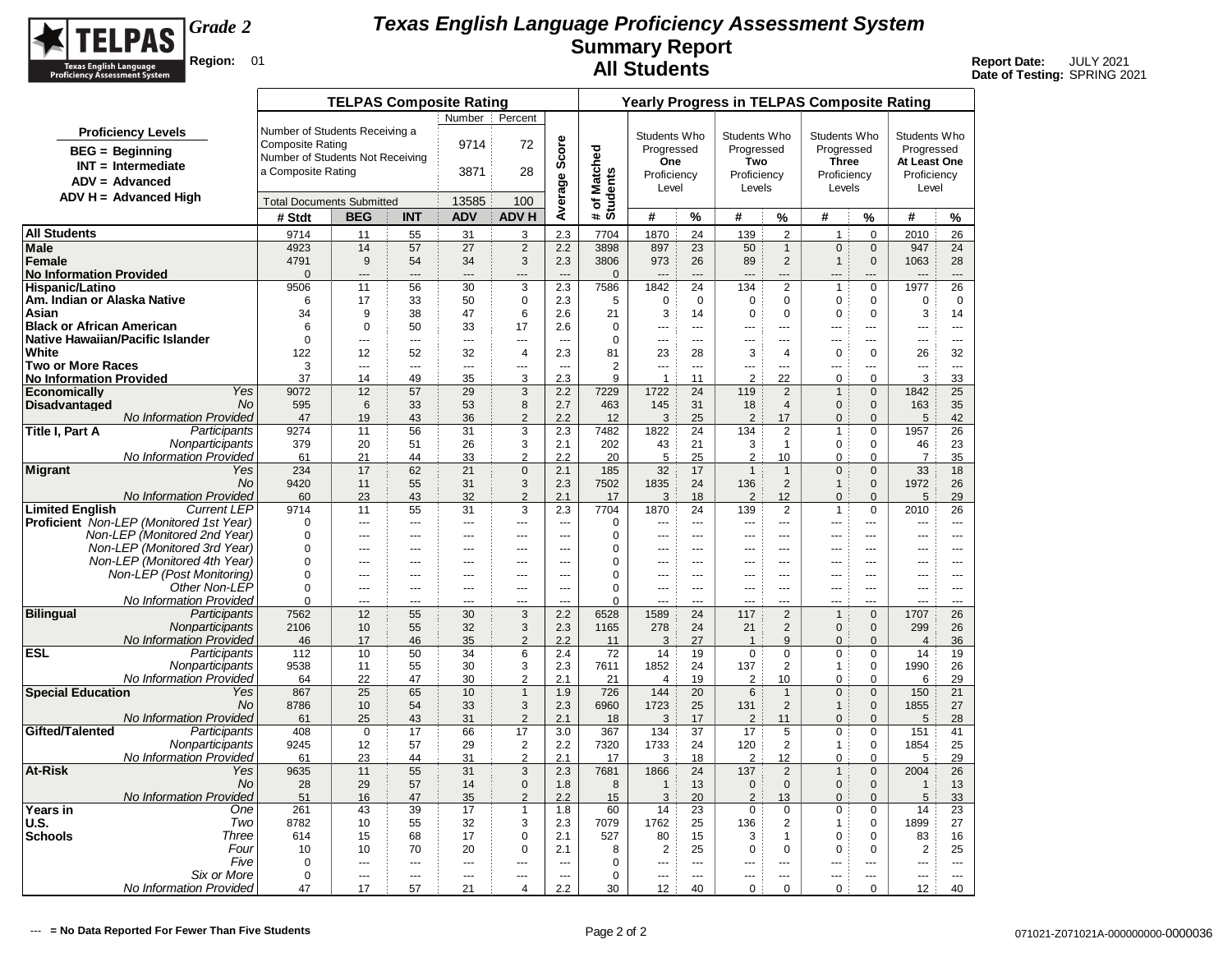

|                                      |                                                              |                                  | <b>TELPAS Composite Rating</b> |                       |                       |                                  |                          |                        |                        |                          |                               |                            | <b>Yearly Progress in TELPAS Composite Rating</b> |                       |                                |                          |
|--------------------------------------|--------------------------------------------------------------|----------------------------------|--------------------------------|-----------------------|-----------------------|----------------------------------|--------------------------|------------------------|------------------------|--------------------------|-------------------------------|----------------------------|---------------------------------------------------|-----------------------|--------------------------------|--------------------------|
|                                      |                                                              |                                  |                                |                       | Number                | Percent                          |                          |                        |                        |                          |                               |                            |                                                   |                       |                                |                          |
|                                      | <b>Proficiency Levels</b>                                    | Number of Students Receiving a   |                                |                       |                       |                                  |                          |                        | Students Who           |                          | Students Who                  |                            | Students Who                                      |                       | Students Who                   |                          |
|                                      | <b>BEG</b> = Beginning                                       | Composite Rating                 |                                |                       | 9714                  | 72                               | Score                    |                        | Progressed             |                          | Progressed                    |                            | Progressed                                        |                       | Progressed                     |                          |
|                                      | $INT = Intermediate$                                         | Number of Students Not Receiving |                                |                       |                       |                                  |                          | Matched                | One                    |                          | Two                           |                            | <b>Three</b>                                      |                       | At Least One                   |                          |
|                                      | $ADV = Advanced$                                             | a Composite Rating               |                                |                       | 3871                  | 28                               |                          |                        | Proficiency            |                          | Proficiency                   |                            | Proficiency                                       |                       | Proficiency                    |                          |
|                                      |                                                              |                                  |                                |                       |                       |                                  |                          |                        | Level                  |                          | Levels                        |                            | Levels                                            |                       | Level                          |                          |
|                                      | $ADV H = Advanced High$                                      | <b>Total Documents Submitted</b> |                                |                       | 13585                 | 100                              | Average                  | # of Match<br>Students |                        |                          |                               |                            |                                                   |                       |                                |                          |
|                                      |                                                              | # Stdt                           | <b>BEG</b>                     | <b>INT</b>            | <b>ADV</b>            | <b>ADV H</b>                     |                          |                        | #                      | %                        | #                             | %                          | #                                                 | %                     | #                              | %                        |
| <b>All Students</b>                  |                                                              | 9714                             | 11                             | 55                    | 31                    | 3                                | 2.3                      | 7704                   | 1870                   | 24                       | 139                           | 2                          | $\mathbf{1}$                                      | $\mathbf 0$           | 2010                           | 26                       |
| <b>Male</b>                          |                                                              | 4923                             | 14                             | 57                    | 27                    | $\overline{2}$                   | 2.2                      | 3898                   | 897                    | 23                       | 50                            | $\mathbf{1}$               | $\mathbf 0$                                       | $\mathbf 0$           | 947                            | 24                       |
| Female                               |                                                              | 4791                             | 9                              | 54                    | 34                    | 3                                | 2.3                      | 3806                   | 973                    | 26                       | 89                            | $\overline{2}$             | $\mathbf{1}$                                      | $\mathbf{0}$          | 1063                           | 28                       |
| <b>No Information Provided</b>       |                                                              | $\Omega$                         | $\overline{a}$                 | ---                   | $\overline{a}$        | ---                              | $\overline{a}$           | $\mathbf{0}$           | $\overline{a}$         |                          |                               | ---                        |                                                   |                       |                                | ---                      |
| <b>Hispanic/Latino</b>               |                                                              | 9506                             | 11                             | 56                    | 30                    | 3                                | 2.3                      | 7586                   | 1842                   | 24                       | 134                           | $\overline{2}$             | $\overline{1}$                                    | $\mathbf 0$           | 1977                           | 26                       |
| Am. Indian or Alaska Native<br>Asian |                                                              | 6<br>34                          | 17<br>9                        | 33<br>38              | 50<br>47              | $\pmb{0}$<br>6                   | 2.3<br>2.6               | 5<br>21                | $\mathbf 0$<br>3       | $\mathbf 0$<br>14        | $\mathbf 0$<br>$\mathbf 0$    | $\mathbf 0$<br>$\mathbf 0$ | $\mathbf 0$<br>$\mathbf 0$                        | 0<br>$\mathbf 0$      | $\mathbf 0$<br>3               | $\mathbf 0$<br>14        |
| <b>Black or African American</b>     |                                                              | 6                                | $\mathbf 0$                    | 50                    | 33                    | 17                               | 2.6                      | $\mathbf 0$            | ---                    | $\sim$                   | $\sim$                        | $\sim$                     | ---                                               | $\overline{a}$        | ---                            | $\sim$                   |
|                                      | Native Hawaiian/Pacific Islander                             | $\Omega$                         | ---                            | $\overline{a}$        | ---                   | $\overline{a}$                   | $\overline{a}$           | $\Omega$               | ---                    | $\sim$                   | $---$                         | $\overline{a}$             | $\overline{a}$                                    | ---                   | ---                            | $\overline{a}$           |
| White                                |                                                              | 122                              | 12                             | 52                    | 32                    | $\overline{4}$                   | 2.3                      | 81                     | 23                     | 28                       | 3                             | 4                          | $\mathbf 0$                                       | 0                     | 26                             | 32                       |
| <b>Two or More Races</b>             |                                                              | 3                                | ---                            | ---                   | ---                   | ---                              | $\overline{\phantom{a}}$ | $\overline{2}$         | ---                    | ---                      | ---                           | ---                        | ---                                               | ---                   |                                | $\overline{\phantom{a}}$ |
| <b>No Information Provided</b>       |                                                              | 37                               | 14                             | 49                    | 35                    | 3                                | 2.3                      | 9                      | $\mathbf{1}$           | 11                       | $\overline{2}$                | 22                         | 0                                                 | $\mathbf 0$           | 3                              | 33                       |
| <b>Economically</b>                  | Yes                                                          | 9072                             | 12                             | 57                    | 29                    | 3                                | 2.2                      | 7229                   | 1722                   | 24                       | 119                           | 2                          | $\mathbf{1}$                                      | $\mathbf{0}$          | 1842                           | 25                       |
| <b>Disadvantaged</b>                 | <b>No</b>                                                    | 595                              | 6                              | 33                    | 53                    | 8                                | 2.7                      | 463                    | 145                    | 31                       | 18                            | $\overline{4}$             | $\mathbf 0$                                       | $\mathbf{0}$          | 163                            | 35                       |
| Title I, Part A                      | No Information Provided<br>Participants                      | 47<br>9274                       | 19<br>11                       | 43<br>56              | 36<br>31              | $\overline{2}$<br>3              | 2.2<br>2.3               | 12<br>7482             | 3<br>1822              | 25<br>24                 | $\overline{2}$<br>134         | 17<br>2                    | $\mathbf{0}$<br>1                                 | $\Omega$<br>$\Omega$  | 5<br>1957                      | 42<br>26                 |
|                                      | Nonparticipants                                              | 379                              | 20                             | 51                    | 26                    | 3                                | 2.1                      | 202                    | 43                     | 21                       | 3                             | $\overline{1}$             | $\mathbf 0$                                       | $\mathbf 0$           | 46                             | 23                       |
|                                      | No Information Provided                                      | 61                               | 21                             | 44                    | 33                    | $\overline{2}$                   | 2.2                      | 20                     | 5                      | 25                       | $\overline{2}$                | 10                         | $\pmb{0}$                                         | $\mathbf 0$           | $\overline{7}$                 | 35                       |
| <b>Migrant</b>                       | Yes                                                          | 234                              | 17                             | 62                    | 21                    | $\pmb{0}$                        | 2.1                      | 185                    | 32                     | 17                       | $\mathbf{1}$                  | $\mathbf{1}$               | $\mathbf{0}$                                      | $\mathbf{0}$          | 33                             | 18                       |
|                                      | <b>No</b>                                                    | 9420                             | 11                             | 55                    | 31                    | 3                                | 2.3                      | 7502                   | 1835                   | 24                       | 136                           | 2                          | $\mathbf{1}$                                      | $\mathbf 0$           | 1972                           | 26                       |
|                                      | No Information Provided                                      | 60                               | 23                             | 43                    | 32                    | $\overline{2}$                   | 2.1                      | 17                     | 3                      | 18                       | $\overline{2}$                | 12                         | $\mathbf{0}$                                      | $\mathbf{0}$          | 5                              | 29                       |
| <b>Limited English</b>               | <b>Current LEP</b>                                           | 9714                             | 11                             | 55                    | 31                    | 3                                | 2.3                      | 7704                   | 1870                   | 24                       | 139                           | 2                          | $\mathbf{1}$                                      | $\mathbf 0$           | 2010                           | 26                       |
|                                      | <b>Proficient</b> Non-LEP (Monitored 1st Year)               | $\mathbf 0$                      | ---                            | ---                   | $\overline{a}$        | ---                              | $\overline{a}$           | $\mathbf 0$            | ---                    | $\overline{\phantom{a}}$ | $\overline{a}$                | ---                        | ---                                               | ---                   | $\overline{a}$                 | $\overline{\phantom{a}}$ |
|                                      | Non-LEP (Monitored 2nd Year)                                 | $\Omega$                         | ---                            | ---                   | $\overline{a}$        | ---                              | ---                      | 0                      |                        | $\sim$                   |                               | ÷÷                         | ÷÷.                                               | ---                   |                                |                          |
|                                      | Non-LEP (Monitored 3rd Year)<br>Non-LEP (Monitored 4th Year) | $\mathbf 0$<br>$\Omega$          | ---<br>---                     | ---<br>$\overline{a}$ | ---<br>$\overline{a}$ | $\overline{a}$<br>$\overline{a}$ | ---<br>$\overline{a}$    | 0<br>0                 | ---<br>$\overline{a}$  | $\overline{a}$<br>$-$    | $-$                           | ---<br>$-$                 | ---<br>$-$                                        | ---<br>$\overline{a}$ | ---<br>$-$                     | $\overline{a}$<br>$-$    |
|                                      | Non-LEP (Post Monitoring)                                    | $\mathbf 0$                      | ---                            | $\overline{a}$        | $---$                 | $\overline{a}$                   | $\sim$                   | 0                      | $\overline{a}$         | $---$                    | $---$                         | $---$                      | $- - -$                                           | $\overline{a}$        | $\overline{a}$                 | $---$                    |
|                                      | Other Non-LEP                                                | $\Omega$                         | ---                            | ---                   | ---                   | $\overline{a}$                   | ---                      | $\Omega$               | ---                    | $\overline{a}$           | ---                           | ---                        | ---                                               | ---                   | $\overline{a}$                 | $\cdots$                 |
|                                      | <b>No Information Provided</b>                               | $\Omega$                         | ---                            | ---                   | ---                   | ---                              |                          | $\Omega$               |                        | $\overline{a}$           |                               | ---                        | $-$                                               | ---                   | ---                            | ---                      |
| <b>Bilingual</b>                     | Participants                                                 | 7562                             | 12                             | 55                    | 30                    | $\overline{3}$                   | 2.2                      | 6528                   | 1589                   | 24                       | 117                           | 2                          | $\overline{1}$                                    | $\mathbf{0}$          | 1707                           | 26                       |
|                                      | Nonparticipants                                              | 2106                             | 10                             | 55                    | 32                    | 3                                | 2.3                      | 1165                   | 278                    | 24                       | 21                            | 2                          | $\mathbf{0}$                                      | $\mathbf{0}$          | 299                            | 26                       |
|                                      | No Information Provided                                      | 46                               | 17                             | 46                    | 35                    | $\overline{c}$                   | 2.2                      | 11                     | 3                      | 27                       | $\overline{1}$                | 9                          | $\mathbf{0}$                                      | $\mathbf{0}$          | $\overline{4}$                 | 36                       |
| <b>ESL</b>                           | Participants                                                 | 112                              | 10                             | 50                    | 34                    | 6                                | 2.4                      | 72                     | 14                     | 19                       | $\mathbf 0$                   | $\mathbf 0$                | $\mathbf 0$                                       | $\mathbf 0$           | 14                             | 19                       |
|                                      | Nonparticipants<br><b>No Information Provided</b>            | 9538<br>64                       | 11<br>22                       | 55<br>47              | 30<br>30              | 3<br>$\overline{\mathbf{c}}$     | 2.3<br>2.1               | 7611<br>21             | 1852<br>$\overline{4}$ | 24<br>19                 | 137<br>2                      | $\overline{2}$<br>10       | $\mathbf{1}$<br>$\mathbf 0$                       | 0<br>$\Omega$         | 1990<br>6                      | 26<br>29                 |
| <b>Special Education</b>             | Yes                                                          | 867                              | 25                             | 65                    | 10                    | $\mathbf{1}$                     | 1.9                      | 726                    | 144                    | 20                       | $6\phantom{1}$                | $\mathbf{1}$               | $\mathbf 0$                                       | $\Omega$              | 150                            | 21                       |
|                                      | No.                                                          | 8786                             | 10                             | 54                    | 33                    | 3                                | 2.3                      | 6960                   | 1723                   | 25                       | 131                           | $\overline{2}$             | $\mathbf{1}$                                      | $\mathbf 0$           | 1855                           | 27                       |
|                                      | No Information Provided                                      | 61                               | 25                             | 43                    | 31                    | $\overline{2}$                   | 2.1                      | 18                     | 3                      | 17                       | $\overline{2}$                | 11                         | $\pmb{0}$                                         | $\mathbf 0$           | 5                              | 28                       |
| Gifted/Talented                      | Participants                                                 | 408                              | $\mathbf 0$                    | 17                    | 66                    | 17                               | 3.0                      | 367                    | 134                    | 37                       | 17                            | 5                          | $\pmb{0}$                                         | 0                     | 151                            | 41                       |
|                                      | Nonparticipants                                              | 9245                             | 12                             | 57                    | 29                    | $\sqrt{2}$                       | 2.2                      | 7320                   | 1733                   | 24                       | 120                           | $\overline{2}$             | $\overline{1}$                                    | $\Omega$              | 1854                           | 25                       |
|                                      | No Information Provided                                      | 61                               | 23                             | 44                    | 31                    | 2                                | 2.1                      | 17                     | 3                      | 18                       | 2                             | 12                         | 0                                                 | $\mathbf 0$           | 5                              | 29                       |
| <b>At-Risk</b>                       | Yes                                                          | 9635                             | 11                             | 55                    | 31                    | 3                                | 2.3                      | 7681                   | 1866                   | 24                       | 137                           | $\overline{2}$             | $\mathbf{1}$                                      | $\mathbf{0}$          | 2004                           | 26                       |
|                                      | No<br>No Information Provided                                | 28                               | 29                             | 57<br>47              | 14<br>35              | $\mathbf 0$<br>$\overline{2}$    | 1.8<br>2.2               | 8                      | $\mathbf{1}$<br>3      | 13<br>20                 | $\mathbf 0$<br>$\overline{c}$ | $\mathsf{O}\xspace$<br>13  | $\pmb{0}$                                         | $\mathbf 0$           | $\mathbf{1}$<br>$\overline{5}$ | 13<br>33                 |
| Years in                             | One                                                          | 51<br>261                        | 16<br>43                       | 39                    | 17                    | 1                                | 1.8                      | 15<br>60               | 14                     | 23                       | $\mathbf 0$                   | $\mathbf 0$                | $\mathbf{0}$<br>$\mathbf 0$                       | $\mathbf{0}$<br>0     | 14                             | 23                       |
| <b>U.S.</b>                          | Two                                                          | 8782                             | 10                             | 55                    | 32                    | 3                                | 2.3                      | 7079                   | 1762                   | 25                       | 136                           | 2                          | $\overline{1}$                                    | 0                     | 1899                           | 27                       |
| <b>Schools</b>                       | Three                                                        | 614                              | 15                             | 68                    | 17                    | $\mathbf 0$                      | 2.1                      | 527                    | 80                     | 15                       | 3                             | $\mathbf{1}$               | $\mathbf 0$                                       | 0                     | 83                             | 16                       |
|                                      | Four                                                         | 10                               | 10                             | 70                    | 20                    | $\mathbf 0$                      | 2.1                      | 8                      | $\overline{2}$         | 25                       | 0                             | $\mathbf 0$                | 0                                                 | 0                     | 2                              | 25                       |
|                                      | Five                                                         | 0                                |                                | ---                   | $\sim$                | ---                              | $\sim$                   | $\mathbf 0$            | $\sim$                 | ---                      | $\overline{a}$                | ---                        | $-$                                               |                       | <u></u>                        | ---                      |
|                                      | Six or More                                                  | $\mathbf 0$                      |                                | ---                   | $\sim$                | ---                              | $\sim$                   | $\mathbf 0$            | ---                    | $\sim$                   | ---                           | <u></u>                    | $-$                                               | ---                   |                                | $\sim$                   |
|                                      | No Information Provided                                      | 47                               | 17                             | 57                    | 21                    | $\overline{4}$                   | 2.2                      | 30                     | 12                     | 40                       | $\pmb{0}$                     | 0                          | 0                                                 | $\mathbf 0$           | 12                             | 40                       |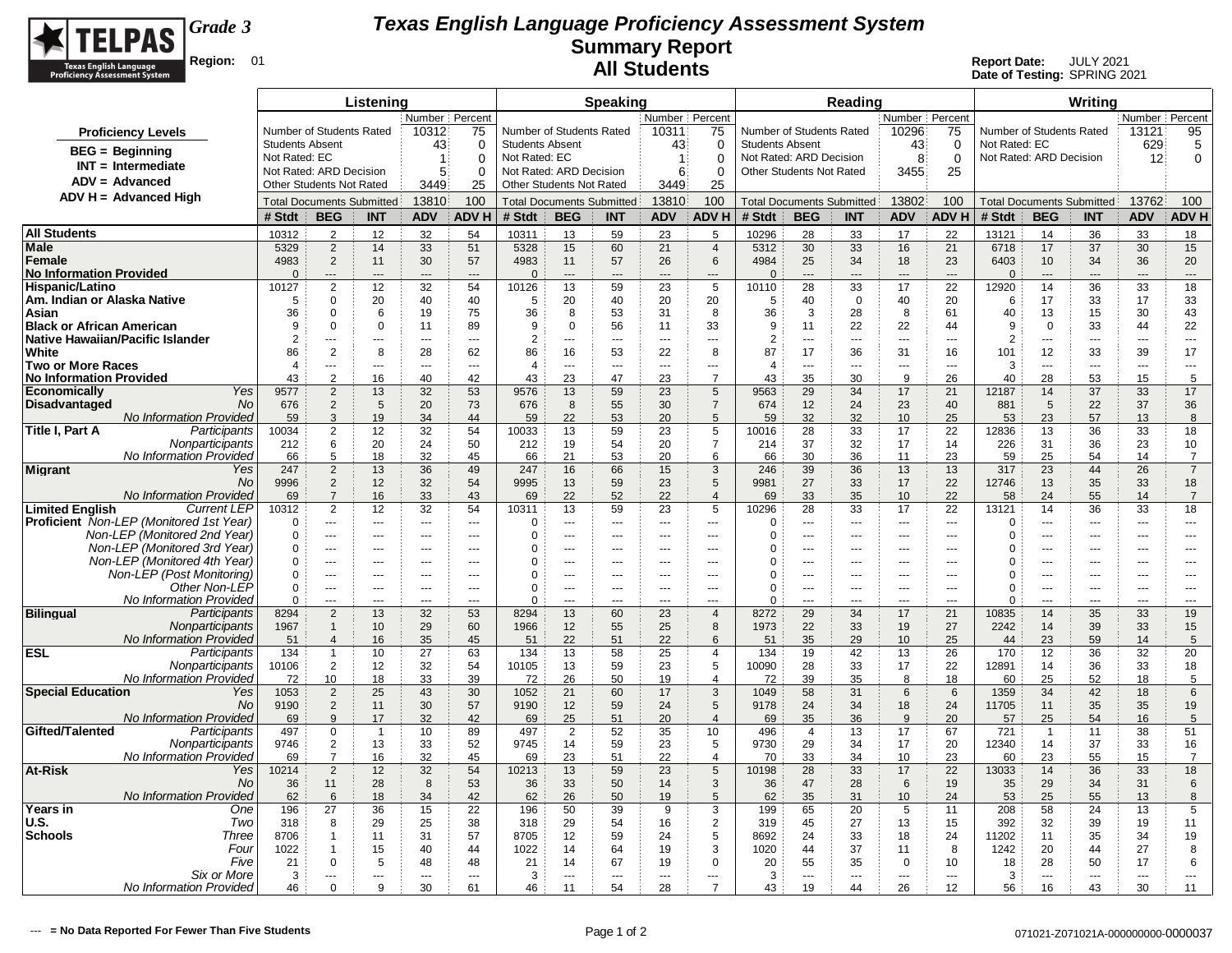

|                                                                                |                         |                                  | Listening            |                      |                      |                                                     |                                  | Speaking                 |                      |                                   |                                  |                          | Reading              |                          |                      |                          |                                  | Writina        |                      |                      |
|--------------------------------------------------------------------------------|-------------------------|----------------------------------|----------------------|----------------------|----------------------|-----------------------------------------------------|----------------------------------|--------------------------|----------------------|-----------------------------------|----------------------------------|--------------------------|----------------------|--------------------------|----------------------|--------------------------|----------------------------------|----------------|----------------------|----------------------|
|                                                                                |                         |                                  |                      | Number   Percent     |                      |                                                     |                                  |                          | Number   Percent     |                                   |                                  |                          |                      | Number Percent           |                      |                          |                                  |                | Number   Percent     |                      |
| <b>Proficiency Levels</b>                                                      |                         | Number of Students Rated         |                      | 10312                | 75                   | Number of Students Rated                            |                                  |                          | 10311                | 75                                | Number of Students Rated         |                          |                      | 10296                    | 75                   | Number of Students Rated |                                  |                | 13121                | 95                   |
| $BEG =$ Beginning                                                              | <b>Students Absent</b>  |                                  |                      | 43                   | $\mathbf 0$          | <b>Students Absent</b>                              |                                  |                          | 43                   | 0                                 | <b>Students Absent</b>           |                          |                      | 43                       | 0                    | Not Rated: EC            |                                  |                | 629                  | 5                    |
| $INT = Intermediate$                                                           | Not Rated: EC           |                                  |                      | $\overline{1}$       | $\Omega$             | Not Rated: EC                                       |                                  |                          | $\mathbf{1}$         | $\Omega$                          | Not Rated: ARD Decision          |                          |                      | 8                        | $\mathbf 0$          | Not Rated: ARD Decision  |                                  |                | 12                   | $\mathbf 0$          |
| $ADV = Advanced$                                                               | Not Rated: ARD Decision | <b>Other Students Not Rated</b>  |                      | 5                    | $\Omega$             | Not Rated: ARD Decision<br>Other Students Not Rated |                                  |                          | 6                    | $\Omega$                          | <b>Other Students Not Rated</b>  |                          |                      | 3455                     | 25                   |                          |                                  |                |                      |                      |
| $ADV H = Advanced High$                                                        |                         |                                  |                      | 3449                 | 25                   |                                                     |                                  |                          | 3449                 | 25                                |                                  |                          |                      |                          |                      |                          |                                  |                |                      |                      |
|                                                                                |                         | <b>Total Documents Submitted</b> |                      | 13810                | 100                  |                                                     | <b>Total Documents Submitted</b> |                          | 13810                | 100                               | <b>Total Documents Submitted</b> |                          |                      | 13802                    | 100                  |                          | <b>Total Documents Submitted</b> |                | 13762                | 100                  |
|                                                                                | # Stdt                  | <b>BEG</b>                       | <b>INT</b>           | <b>ADV</b>           | <b>ADVH</b>          | # Stdt                                              | <b>BEG</b>                       | <b>INT</b>               | <b>ADV</b>           | <b>ADVH</b>                       | # Stdt                           | <b>BEG</b>               | <b>INT</b>           | <b>ADV</b>               | ADV H                | # Stdt                   | <b>BEG</b>                       | <b>INT</b>     | <b>ADV</b>           | <b>ADV H</b>         |
| <b>All Students</b>                                                            | 10312                   | $\overline{2}$                   | 12                   | 32                   | 54                   | 10311                                               | 13                               | 59                       | 23                   | 5                                 | 10296                            | 28                       | 33                   | 17                       | 22                   | 13121                    | 14                               | 36             | 33                   | 18                   |
| Male<br>Female                                                                 | 5329<br>4983            | $\overline{2}$<br>$\overline{2}$ | 14<br>11             | 33                   | 51<br>57             | 5328                                                | 15                               | 60                       | 21                   | $\overline{4}$                    | 5312                             | 30                       | 33                   | 16                       | 21                   | 6718<br>6403             | 17<br>10                         | 37             | 30                   | 15                   |
| <b>No Information Provided</b>                                                 | $\Omega$                | ---                              |                      | 30<br>$\overline{a}$ | $\overline{a}$       | 4983<br>$\Omega$                                    | 11<br>$\overline{a}$             | 57<br>$\overline{a}$     | 26<br>$\overline{a}$ | 6<br>$\overline{a}$               | 4984<br>$\Omega$                 | 25<br>$\overline{a}$     | 34<br>---            | 18<br>$\overline{a}$     | 23<br>$\overline{a}$ | $\Omega$                 | $\overline{a}$                   | 34<br>---      | 36<br>---            | 20<br>$\overline{a}$ |
| Hispanic/Latino                                                                | 10127                   | $\overline{2}$                   | 12                   | 32                   | 54                   | 10126                                               | 13                               | 59                       | 23                   | 5                                 | 10110                            | 28                       | 33                   | 17                       | 22                   | 12920                    | 14                               | 36             | 33                   | 18                   |
| Am. Indian or Alaska Native                                                    | 5                       | 0                                | 20                   | 40                   | 40                   | 5                                                   | 20                               | 40                       | 20                   | 20                                | 5                                | 40                       | $\mathbf 0$          | 40                       | 20                   | 6                        | 17                               | 33             | 17                   | 33                   |
| Asian                                                                          | 36                      | $\mathbf 0$                      | 6                    | 19                   | 75                   | 36                                                  | 8                                | 53                       | 31                   | 8                                 | 36                               | 3                        | 28                   | 8                        | 61                   | 40                       | 13                               | 15             | 30                   | 43                   |
| <b>Black or African American</b>                                               | 9                       | $\mathbf 0$                      | $\Omega$             | 11                   | 89                   | 9                                                   | $\mathbf 0$                      | 56                       | 11                   | 33                                | 9                                | 11                       | 22                   | 22                       | 44                   | 9                        | $\mathbf 0$                      | 33             | 44                   | 22                   |
| Native Hawaiian/Pacific Islander                                               | $\overline{2}$          | $- - -$                          | $-$                  | $-$                  | $--$                 | $\overline{2}$                                      | $-$                              | $\overline{a}$           | $\overline{a}$       | ---                               | $\overline{2}$                   | $\overline{a}$           | $---$                | $\sim$ $\sim$            | $\sim$               | $\overline{2}$           | $---$                            | $\overline{a}$ | $\overline{a}$       | $- - -$              |
| White                                                                          | 86                      | $\overline{2}$                   | 8                    | 28                   | 62                   | 86                                                  | 16                               | 53                       | 22                   | 8                                 | 87                               | 17                       | 36                   | 31                       | 16                   | 101                      | 12                               | 33             | 39                   | 17                   |
| <b>Two or More Races</b><br><b>No Information Provided</b>                     | $\overline{4}$<br>43    | ---<br>$\overline{2}$            | $\overline{a}$<br>16 | $\overline{a}$<br>40 | $\sim$<br>42         | $\overline{4}$<br>43                                | $-$<br>23                        | $\overline{a}$<br>47     | $\sim$<br>23         | $\overline{a}$<br>$\overline{7}$  | $\overline{4}$<br>43             | $---$<br>35              | $\sim$<br>30         | $\sim$<br>9              | $\sim$<br>26         | 3<br>40                  | ---<br>28                        | ---<br>53      | $\overline{a}$<br>15 | $\overline{a}$<br>5  |
| Yes<br>Economically                                                            | 9577                    | $\overline{2}$                   | 13                   | 32                   | 53                   | 9576                                                | 13                               | 59                       | 23                   | 5                                 | 9563                             | 29                       | 34                   | 17                       | 21                   | 12187                    | 14                               | 37             | 33                   | 17                   |
| <b>Disadvantaged</b><br>No                                                     | 676                     | $\overline{2}$                   | 5                    | 20                   | 73                   | 676                                                 | 8                                | 55                       | 30                   | $\overline{7}$                    | 674                              | 12                       | 24                   | 23                       | 40                   | 881                      | 5                                | 22             | 37                   | 36                   |
| No Information Provided                                                        | 59                      | 3                                | 19                   | 34                   | 44                   | 59                                                  | 22                               | 53                       | 20                   | 5                                 | 59                               | 32                       | 32                   | 10                       | 25                   | 53                       | 23                               | 57             | 13                   | 8                    |
| Title I, Part A<br>Participants                                                | 10034                   | $\overline{2}$                   | 12                   | 32                   | 54                   | 10033                                               | 13                               | 59                       | 23                   | 5                                 | 10016                            | 28                       | 33                   | 17                       | 22                   | 12836                    | 13                               | 36             | 33                   | 18                   |
| Nonparticipants                                                                | 212                     | 6                                | 20                   | 24                   | 50                   | 212                                                 | 19                               | 54                       | 20                   | $\overline{7}$                    | 214                              | 37                       | 32                   | 17                       | 14                   | 226                      | 31                               | 36             | 23                   | 10                   |
| No Information Provided                                                        | 66                      | 5                                | 18                   | 32                   | 45                   | 66                                                  | 21                               | 53                       | 20                   | 6                                 | 66                               | 30                       | 36                   | 11                       | 23                   | 59                       | 25                               | 54             | 14                   | 7                    |
| Migrant<br>Yes                                                                 | 247                     | $\overline{2}$                   | 13                   | 36                   | 49                   | 247                                                 | 16                               | 66                       | 15                   | 3                                 | 246                              | 39                       | 36                   | 13                       | 13                   | 317                      | 23                               | 44             | 26                   | $\overline{7}$       |
| No.                                                                            | 9996                    | $\overline{2}$                   | 12                   | 32                   | 54                   | 9995                                                | 13                               | 59                       | 23                   | $5\phantom{.0}$                   | 9981                             | 27                       | 33                   | 17                       | 22                   | 12746                    | 13                               | 35             | 33                   | 18                   |
| <b>No Information Provided</b><br><b>Limited English</b><br><b>Current LEP</b> | 69<br>10312             | $\overline{7}$<br>$\overline{2}$ | 16<br>12             | 33<br>32             | 43<br>54             | 69<br>10311                                         | 22<br>13                         | 52<br>59                 | 22<br>23             | $\overline{4}$<br>5               | 69<br>10296                      | 33<br>28                 | 35<br>33             | 10<br>17                 | 22<br>22             | 58<br>13121              | 24<br>14                         | 55<br>36       | 14<br>33             | $\overline{7}$<br>18 |
| Proficient Non-LEP (Monitored 1st Year)                                        | $\Omega$                | ---                              | $\overline{a}$       | $\overline{a}$       | $\overline{a}$       | $\Omega$                                            | ---                              | $\sim$                   | $\overline{a}$       | $\overline{a}$                    | $\Omega$                         | ---                      | $\sim$               | $\overline{a}$           | $\overline{a}$       | 0                        | ---                              | $\overline{a}$ | ---                  | $\overline{a}$       |
| Non-LEP (Monitored 2nd Year)                                                   | $\Omega$                | $\overline{a}$                   | $\overline{a}$       | $\overline{a}$       | $\overline{a}$       | 0                                                   | ---                              | $\overline{\phantom{a}}$ | $\overline{a}$       | ---                               | $\Omega$                         | $\overline{a}$           | ---                  | $\sim$ $\sim$            | $\overline{a}$       | $\Omega$                 | ---                              | ---            | $\overline{a}$       | $\overline{a}$       |
| Non-LEP (Monitored 3rd Year)                                                   | $\Omega$                | ---                              |                      | $---$                | ---                  | $\Omega$                                            |                                  | ---                      | ---                  | ---                               | $\Omega$                         | ---                      |                      | $\overline{a}$           | ---                  | $\Omega$                 | Ξ.                               |                | ---                  | ---                  |
| Non-LEP (Monitored 4th Year)                                                   | $\mathbf 0$             | $\sim$ $\sim$                    | ---                  | ---                  | ---                  | 0                                                   | ---                              | ---                      | ---                  | ---                               | $\Omega$                         | $\overline{\phantom{a}}$ | ---                  | $\overline{\phantom{a}}$ | $\overline{a}$       | $\Omega$                 | ---                              | ---            | ---                  | ---                  |
| Non-LEP (Post Monitoring)                                                      | $\mathbf 0$             | $\sim$ $\sim$                    | $-$                  | $-$                  | $- - -$              | $\Omega$                                            | $\overline{a}$                   | $\sim$ $\sim$ $\sim$     | $- - -$              | $---$                             | $\Omega$                         | $- - -$                  | $--$                 | $\sim$ $\sim$            | $-$                  | $\Omega$                 |                                  | $\overline{a}$ | $---$                | $---$                |
| Other Non-LEP<br>No Information Provided                                       | $\mathbf 0$<br>$\Omega$ | $\sim$ $\sim$                    | $-$                  | $---$                | $---$                | $\Omega$                                            | ---                              | $\overline{a}$           | $\cdots$             | ---                               | $\Omega$                         | $\cdots$                 | $- - -$              | $\sim$ $\sim$            | $\overline{a}$       | 0                        | ---                              | ---            | $---$                | $\cdots$             |
| <b>Bilingual</b><br>Participants                                               | 8294                    | $\overline{a}$<br>$\overline{2}$ | 13                   | $-$<br>32            | $\overline{a}$<br>53 | 0<br>8294                                           | ÷-<br>13                         | ---<br>60                | ---<br>23            | $---$<br>$\overline{4}$           | $\Omega$<br>8272                 | ---<br>29                | $\overline{a}$<br>34 | $- - -$<br>17            | $\sim$<br>21         | $\Omega$<br>10835        | ÷÷<br>14                         | ---<br>35      | ---<br>33            | ---<br>19            |
| Nonparticipants                                                                | 1967                    | $\mathbf{1}$                     | 10                   | 29                   | 60                   | 1966                                                | 12                               | 55                       | 25                   | 8                                 | 1973                             | 22                       | 33                   | 19                       | 27                   | 2242                     | 14                               | 39             | 33                   | 15                   |
| <b>No Information Provided</b>                                                 | 51                      | $\overline{4}$                   | 16                   | 35                   | 45                   | 51                                                  | 22                               | 51                       | 22                   | 6                                 | 51                               | 35                       | 29                   | 10                       | 25                   | 44                       | 23                               | 59             | 14                   | 5                    |
| ESL<br>Participants                                                            | 134                     | $\mathbf{1}$                     | 10                   | 27                   | 63                   | 134                                                 | 13                               | 58                       | 25                   | 4                                 | 134                              | 19                       | 42                   | 13                       | 26                   | 170                      | 12                               | 36             | 32                   | 20                   |
| Nonparticipants                                                                | 10106                   | $\overline{2}$                   | 12                   | 32                   | 54                   | 10105                                               | 13                               | 59                       | 23                   | 5                                 | 10090                            | 28                       | 33                   | 17                       | 22                   | 12891                    | 14                               | 36             | 33                   | 18                   |
| No Information Provided                                                        | 72                      | 10                               | 18                   | 33                   | 39                   | 72                                                  | 26                               | 50                       | 19                   | 4                                 | 72                               | 39                       | 35                   | 8                        | 18                   | 60                       | 25                               | 52             | 18                   | 5                    |
| <b>Special Education</b><br>Yes                                                | 1053                    | $\overline{2}$                   | 25                   | 43                   | 30                   | 1052                                                | 21                               | 60                       | 17                   | 3                                 | 1049                             | 58                       | 31                   | 6                        | 6                    | 1359                     | 34                               | 42             | 18                   | 6                    |
| No.<br><b>No Information Provided</b>                                          | 9190<br>69              | $\overline{2}$<br>9              | 11<br>17             | 30<br>32             | 57<br>42             | 9190<br>69                                          | 12<br>25                         | 59<br>51                 | 24<br>20             | $5\phantom{.0}$<br>$\overline{4}$ | 9178<br>69                       | 24<br>35                 | 34<br>36             | 18<br>9                  | 24<br>20             | 11705<br>57              | 11<br>25                         | 35<br>54       | 35<br>16             | 19<br>5              |
| Gifted/Talented<br>Participants                                                | 497                     | 0                                | $\overline{1}$       | 10                   | 89                   | 497                                                 | 2                                | 52                       | 35                   | 10                                | 496                              | 4                        | 13                   | 17                       | 67                   | 721                      | $\mathbf{1}$                     | 11             | 38                   | 51                   |
| Nonparticipants                                                                | 9746                    | $\overline{2}$                   | 13                   | 33                   | 52                   | 9745                                                | 14                               | 59                       | 23                   | 5                                 | 9730                             | 29                       | 34                   | 17                       | 20                   | 12340                    | 14                               | 37             | 33                   | 16                   |
| No Information Provided                                                        | 69                      | $\overline{7}$                   | 16                   | 32                   | 45                   | 69                                                  | 23                               | 51                       | 22                   | $\overline{4}$                    | 70                               | 33                       | 34                   | 10                       | 23                   | 60                       | 23                               | 55             | 15                   | $\overline{7}$       |
| At-Risk<br>Yes                                                                 | 10214                   | $\overline{2}$                   | 12                   | 32                   | 54                   | 10213                                               | 13                               | 59                       | 23                   | 5                                 | 10198                            | 28                       | 33                   | 17                       | 22                   | 13033                    | 14                               | 36             | 33                   | 18                   |
| No                                                                             | 36                      | 11                               | 28                   | 8                    | 53                   | 36                                                  | 33                               | 50                       | 14                   | 3                                 | 36                               | 47                       | 28                   | 6                        | 19                   | 35                       | 29                               | 34             | 31                   | 6                    |
| <b>No Information Provided</b>                                                 | 62                      | 6                                | 18                   | 34                   | 42                   | 62                                                  | 26                               | 50                       | 19                   | 5                                 | 62                               | 35                       | 31                   | 10                       | 24                   | 53                       | 25                               | 55             | 13                   | 8                    |
| Years in<br>One                                                                | 196                     | 27                               | 36                   | 15                   | 22                   | 196                                                 | 50                               | 39                       | 9                    | 3                                 | 199                              | 65                       | 20                   | 5                        | 11                   | 208                      | 58                               | 24             | 13                   | 5                    |
| U.S.<br>Two<br><b>Schools</b><br>Three                                         | 318<br>8706             | 8<br>$\mathbf{1}$                | 29<br>11             | 25<br>31             | 38<br>57             | 318<br>8705                                         | 29<br>12                         | 54<br>59                 | 16<br>24             | $\overline{2}$<br>5               | 319<br>8692                      | 45<br>24                 | 27<br>33             | 13<br>18                 | 15<br>24             | 392<br>11202             | 32<br>11                         | 39<br>35       | 19<br>34             | 11<br>19             |
| Four                                                                           | 1022                    | $\overline{1}$                   | 15                   | 40                   | 44                   | 1022                                                | 14                               | 64                       | 19                   | 3                                 | 1020                             | 44                       | 37                   | 11                       | 8                    | 1242                     | 20                               | 44             | 27                   | 8                    |
| Five                                                                           | 21                      | $\Omega$                         | 5                    | 48                   | 48                   | 21                                                  | 14                               | 67                       | 19                   | $\mathbf 0$                       | 20                               | 55                       | 35                   | $\mathbf 0$              | 10                   | 18                       | 28                               | 50             | 17                   | 6                    |
| Six or More                                                                    | 3                       | ---                              | ---                  | $\overline{a}$       | $\sim$               | 3                                                   | ---                              | $\overline{a}$           | $\overline{a}$       | ---                               | 3                                | $\overline{a}$           | $\scriptstyle\cdots$ | $\overline{a}$           | $\overline{a}$       | 3                        | ---                              | ---            | ---                  | $\overline{a}$       |
| No Information Provided                                                        | 46                      | $\mathbf 0$                      | 9                    | 30                   | 61                   | 46                                                  | 11                               | 54                       | 28                   | $\overline{7}$                    | 43                               | 19                       | 44                   | 26                       | 12                   | 56                       | 16                               | 43             | 30                   | 11                   |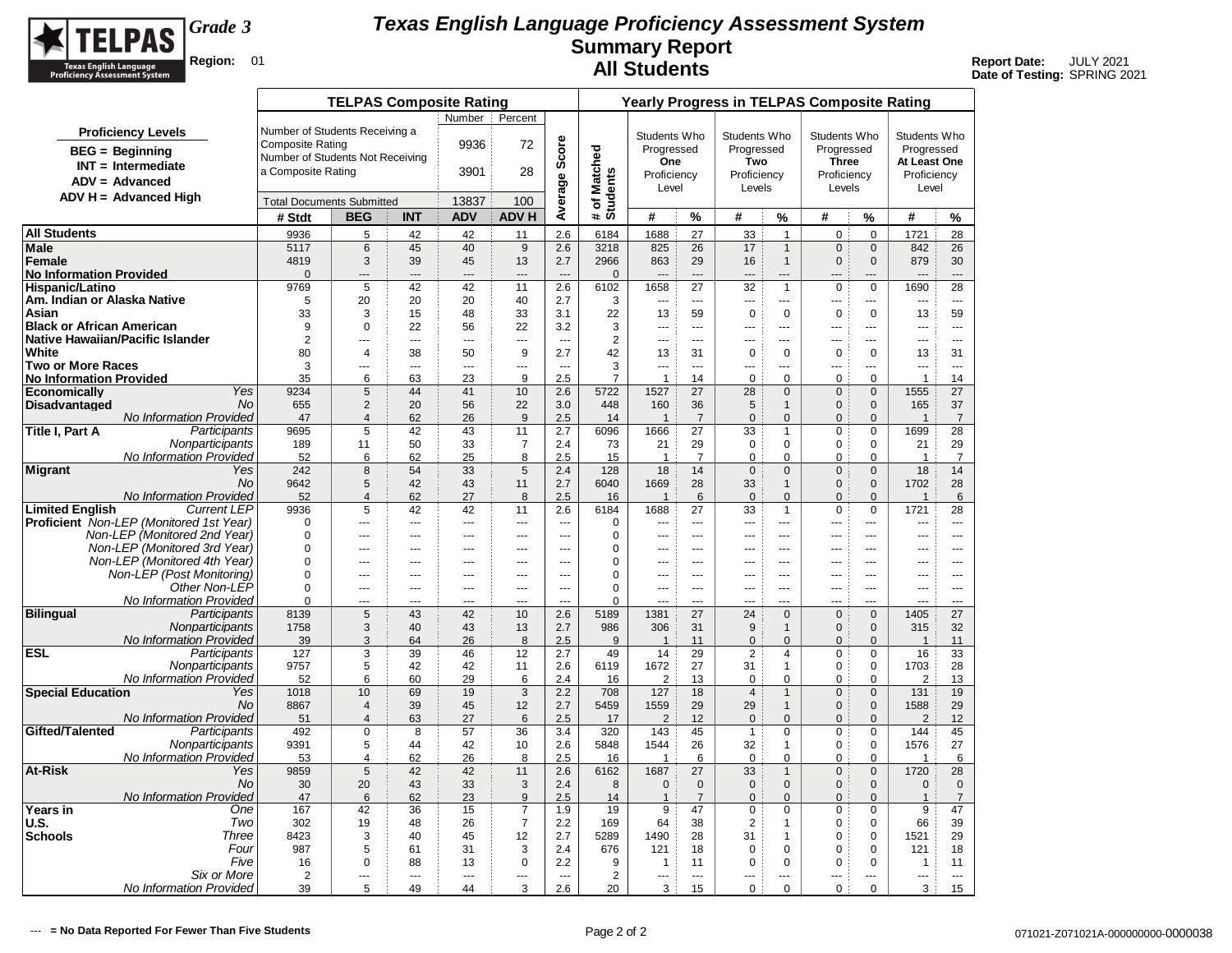

|                                   |                                                                         |                                  | <b>TELPAS Composite Rating</b>   |                |                |                       |                                 |                          |                        |                          |                            |                               | <b>Yearly Progress in TELPAS Composite Rating</b> |                                |                       |                          |
|-----------------------------------|-------------------------------------------------------------------------|----------------------------------|----------------------------------|----------------|----------------|-----------------------|---------------------------------|--------------------------|------------------------|--------------------------|----------------------------|-------------------------------|---------------------------------------------------|--------------------------------|-----------------------|--------------------------|
|                                   |                                                                         |                                  |                                  |                | Number :       | Percent               |                                 |                          |                        |                          |                            |                               |                                                   |                                |                       |                          |
|                                   | <b>Proficiency Levels</b>                                               | Number of Students Receiving a   |                                  |                |                |                       |                                 |                          | Students Who           |                          | Students Who               |                               | Students Who                                      |                                | Students Who          |                          |
|                                   | <b>BEG</b> = Beginning                                                  | <b>Composite Rating</b>          |                                  |                | 9936           | 72                    | Score                           |                          | Progressed             |                          | Progressed                 |                               | Progressed                                        |                                | Progressed            |                          |
|                                   | $INT = Intermediate$                                                    | Number of Students Not Receiving |                                  |                |                |                       |                                 |                          | One                    |                          | Two                        |                               | <b>Three</b>                                      |                                | At Least One          |                          |
|                                   | $ADV = Advanced$                                                        | a Composite Rating               |                                  |                | 3901           | 28                    |                                 |                          | Proficiency            |                          | Proficiency                |                               | Proficiency                                       |                                | Proficiency           |                          |
|                                   | $ADV H = Advanced High$                                                 |                                  |                                  |                |                |                       |                                 |                          | Level                  |                          | Levels                     |                               | Levels                                            |                                | Level                 |                          |
|                                   |                                                                         | <b>Total Documents Submitted</b> |                                  |                | 13837          | 100                   | Average                         | # of Matched<br>Students |                        |                          |                            |                               |                                                   |                                |                       |                          |
|                                   |                                                                         | # Stdt                           | <b>BEG</b>                       | <b>INT</b>     | <b>ADV</b>     | <b>ADV H</b>          |                                 |                          | #                      | %                        | #                          | $\%$                          | #                                                 | %                              | #                     | %                        |
| <b>All Students</b>               |                                                                         | 9936                             | 5                                | 42             | 42             | 11                    | 2.6                             | 6184                     | 1688                   | 27                       | 33                         | $\overline{1}$                | $\mathbf 0$                                       | $\mathbf 0$                    | 1721                  | 28                       |
| Male<br>Female                    |                                                                         | 5117<br>4819                     | 6<br>3                           | 45<br>39       | 40<br>45       | 9<br>13               | 2.6<br>2.7                      | 3218<br>2966             | 825<br>863             | 26<br>29                 | 17<br>16                   | $\mathbf{1}$<br>$\mathbf{1}$  | $\mathbf 0$<br>$\mathbf{0}$                       | $\mathbf 0$<br>$\mathbf{0}$    | 842<br>879            | 26<br>30                 |
| <b>No Information Provided</b>    |                                                                         | $\Omega$                         | $---$                            | ---            | $\overline{a}$ | ---                   | $\overline{a}$                  | $\mathbf{0}$             |                        | $\sim$                   | $\overline{a}$             | $\overline{a}$                | $\overline{a}$                                    | ---                            | Щ.                    | $\overline{a}$           |
| <b>Hispanic/Latino</b>            |                                                                         | 9769                             | 5                                | 42             | 42             | 11                    | 2.6                             | 6102                     | 1658                   | 27                       | 32                         | $\overline{1}$                | $\mathbf 0$                                       | $\mathbf 0$                    | 1690                  | 28                       |
| Am. Indian or Alaska Native       |                                                                         | 5                                | 20                               | 20             | 20             | 40                    | 2.7                             | 3                        | ---                    | $\overline{\phantom{a}}$ | $\overline{a}$             | ---                           | $\overline{a}$                                    | ---                            | ---                   | $\overline{\phantom{a}}$ |
| Asian                             |                                                                         | 33                               | 3                                | 15             | 48             | 33                    | 3.1                             | 22                       | 13                     | 59                       | $\pmb{0}$                  | $\mathbf 0$                   | $\pmb{0}$                                         | $\mathbf 0$                    | 13                    | 59                       |
| <b>Black or African American</b>  |                                                                         | 9                                | $\mathbf 0$                      | 22             | 56             | 22                    | 3.2                             | 3                        | $\overline{a}$         | $\sim$                   | $\overline{a}$             | $---$                         | $\overline{a}$                                    | <u></u>                        | ---                   | $---$                    |
| Native Hawaiian/Pacific Islander  |                                                                         | $\overline{2}$                   | $---$                            | $\overline{a}$ | $\overline{a}$ | $\sim$                | $\sim$                          | $\overline{2}$           | $\overline{a}$         | $- - -$                  | $---$                      | $---$                         | $- - -$                                           | $---$                          | $\overline{a}$        | $- - -$                  |
| White<br><b>Two or More Races</b> |                                                                         | 80<br>3                          | $\overline{4}$<br>---            | 38<br>---      | 50<br>---      | 9<br>---              | 2.7<br>$\overline{\phantom{a}}$ | 42<br>3                  | 13<br>---              | 31<br>$\sim$             | $\mathbf 0$<br>---         | $\mathbf 0$<br>$\overline{a}$ | $\mathbf 0$<br>$\overline{a}$                     | $\mathbf 0$<br>---             | 13<br>---             | 31<br>$\overline{a}$     |
| <b>No Information Provided</b>    |                                                                         | 35                               | 6                                | 63             | 23             | 9                     | 2.5                             | $\overline{7}$           | $\mathbf{1}$           | 14                       | $\mathbf 0$                | $\mathbf 0$                   | $\mathbf 0$                                       | $\mathbf 0$                    | $\mathbf{1}$          | 14                       |
| <b>Economically</b>               | Yes                                                                     | 9234                             | $5\phantom{.0}$                  | 44             | 41             | 10                    | 2.6                             | 5722                     | 1527                   | 27                       | 28                         | $\mathbf{0}$                  | $\mathbf 0$                                       | $\overline{0}$                 | 1555                  | 27                       |
| <b>Disadvantaged</b>              | <b>No</b>                                                               | 655                              | 2                                | 20             | 56             | 22                    | 3.0                             | 448                      | 160                    | 36                       | 5                          | $\mathbf{1}$                  | $\mathbf{0}$                                      | $\overline{0}$                 | 165                   | 37                       |
|                                   | No Information Provided                                                 | 47                               | $\overline{4}$                   | 62             | 26             | 9                     | 2.5                             | 14                       | $\overline{1}$         | $\overline{7}$           | $\pmb{0}$                  | $\mathbf{0}$                  | $\mathbf{0}$                                      | $\Omega$                       | $\overline{1}$        | $\overline{7}$           |
| Title I, Part A                   | Participants                                                            | 9695                             | 5                                | 42             | 43             | 11                    | 2.7                             | 6096                     | 1666                   | 27                       | 33                         | $\mathbf{1}$                  | $\mathbf 0$                                       | $\mathbf 0$                    | 1699                  | 28                       |
|                                   | Nonparticipants<br><b>No Information Provided</b>                       | 189<br>52                        | 11<br>6                          | 50<br>62       | 33<br>25       | $\overline{7}$<br>8   | 2.4<br>2.5                      | 73<br>15                 | 21<br>$\overline{1}$   | 29<br>$\overline{7}$     | $\mathbf 0$<br>$\mathbf 0$ | $\mathbf 0$<br>$\mathbf 0$    | $\mathbf 0$<br>$\mathbf 0$                        | $\mathbf 0$<br>$\mathbf 0$     | 21<br>$\overline{1}$  | 29<br>$\overline{7}$     |
| Migrant                           | Yes                                                                     | 242                              | 8                                | 54             | 33             | 5                     | 2.4                             | 128                      | 18                     | 14                       | $\mathbf 0$                | $\mathbf{0}$                  | $\mathbf{0}$                                      | $\mathbf{0}$                   | 18                    | 14                       |
|                                   | <b>No</b>                                                               | 9642                             | 5                                | 42             | 43             | 11                    | 2.7                             | 6040                     | 1669                   | 28                       | 33                         | $\mathbf{1}$                  | $\mathbf{0}$                                      | $\overline{0}$                 | 1702                  | 28                       |
|                                   | No Information Provided                                                 | 52                               | $\overline{4}$                   | 62             | 27             | 8                     | 2.5                             | 16                       | $\overline{1}$         | 6                        | $\mathbf{0}$               | $\mathbf{0}$                  | $\Omega$                                          | $\mathbf{0}$                   | $\overline{1}$        | 6                        |
| <b>Limited English</b>            | <b>Current LEP</b>                                                      | 9936                             | 5                                | 42             | 42             | 11                    | 2.6                             | 6184                     | 1688                   | 27                       | 33                         | $\overline{1}$                | 0                                                 | $\mathbf 0$                    | 1721                  | 28                       |
|                                   | Proficient Non-LEP (Monitored 1st Year)<br>Non-LEP (Monitored 2nd Year) | $\Omega$<br>$\Omega$             | $\overline{a}$                   |                | $\overline{a}$ | ---                   | $\overline{a}$                  | $\mathbf 0$<br>0         | ---                    | $\sim$                   | $\overline{a}$             | $\overline{a}$                | $\sim$                                            |                                | ---                   | $\overline{a}$<br>$---$  |
|                                   | Non-LEP (Monitored 3rd Year)                                            | $\Omega$                         | ---<br>÷÷.                       | ---<br>---     | ---<br>---     | ---<br>---            | $\overline{a}$<br>---           | 0                        | ---<br>---             | $---$<br>$\sim$          | ---<br>---                 | ---<br>---                    | ---<br>---                                        | ---<br>---                     | ---<br>---            | $\sim$                   |
|                                   | Non-LEP (Monitored 4th Year)                                            | $\Omega$                         | $\overline{a}$                   | ---            | $\overline{a}$ | $\sim$                | $\sim$                          | $\mathbf 0$              |                        | $\sim$                   | $\overline{a}$             | $\overline{a}$                | $-$                                               |                                |                       | $\sim$                   |
|                                   | Non-LEP (Post Monitoring)                                               | $\mathbf 0$                      | $\overline{a}$                   | ---            | $\overline{a}$ | $\overline{a}$        | $\overline{a}$                  | $\mathbf 0$              | ---                    | $---$                    | ---                        | $\overline{a}$                | $\overline{a}$                                    | ---                            | ---                   | $---$                    |
|                                   | Other Non-LEP                                                           | $\Omega$                         | $---$                            | ---            | $---$          | $\overline{a}$        | $\sim$                          | $\Omega$                 | $\sim$                 | $---$                    | $---$                      | $- - -$                       | $- - -$                                           | $\overline{a}$                 | $\overline{a}$        | $- - -$                  |
|                                   | No Information Provided                                                 | $\Omega$                         | $\overline{a}$                   | $\overline{a}$ | $\overline{a}$ | $\sim$                | $\sim$                          | $\Omega$                 | $\sim$                 | $\sim$                   | $- - -$                    | $\overline{a}$                | $\overline{a}$                                    | $\overline{a}$                 | $\overline{a}$        | $-$                      |
| <b>Bilingual</b>                  | Participants<br>Nonparticipants                                         | 8139<br>1758                     | $5\phantom{.0}$                  | 43<br>40       | 42<br>43       | 10                    | 2.6                             | 5189<br>986              | 1381<br>306            | 27                       | 24                         | $\Omega$<br>$\mathbf{1}$      | $\mathbf 0$<br>$\Omega$                           | $\Omega$<br>$\Omega$           | 1405                  | 27<br>32                 |
|                                   | No Information Provided                                                 | 39                               | 3<br>3                           | 64             | 26             | 13<br>8               | 2.7<br>2.5                      | 9                        | $\overline{1}$         | 31<br>11                 | 9<br>$\pmb{0}$             | $\Omega$                      | $\pmb{0}$                                         | $\Omega$                       | 315<br>$\overline{1}$ | 11                       |
| <b>ESL</b>                        | Participants                                                            | 127                              | 3                                | 39             | 46             | 12                    | 2.7                             | 49                       | 14                     | 29                       | $\overline{2}$             | 4                             | $\mathbf 0$                                       | 0                              | 16                    | 33                       |
|                                   | Nonparticipants                                                         | 9757                             | 5                                | 42             | 42             | 11                    | 2.6                             | 6119                     | 1672                   | 27                       | 31                         | $\mathbf{1}$                  | $\pmb{0}$                                         | 0                              | 1703                  | 28                       |
|                                   | <b>No Information Provided</b>                                          | 52                               | 6                                | 60             | 29             | 6                     | 2.4                             | 16                       | $\overline{2}$         | 13                       | $\pmb{0}$                  | $\Omega$                      | $\Omega$                                          | $\Omega$                       | $\overline{2}$        | 13                       |
| <b>Special Education</b>          | Yes                                                                     | 1018                             | 10                               | 69             | 19             | 3                     | 2.2                             | 708                      | 127                    | 18                       | $\overline{4}$             | $\mathbf{1}$                  | $\mathbf 0$                                       | $\mathbf 0$                    | 131                   | 19                       |
|                                   | No<br>No Information Provided                                           | 8867<br>51                       | $\overline{4}$<br>$\overline{4}$ | 39<br>63       | 45<br>27       | 12<br>$6\phantom{1}6$ | 2.7<br>2.5                      | 5459<br>17               | 1559<br>$\overline{2}$ | 29<br>12                 | 29<br>$\mathbf 0$          | $\mathbf{1}$<br>$\mathbf{0}$  | $\mathbf{0}$<br>$\mathbf{0}$                      | $\mathbf{0}$<br>$\overline{0}$ | 1588<br>2             | 29<br>12                 |
| Gifted/Talented                   | Participants                                                            | 492                              | 0                                | 8              | 57             | 36                    | 3.4                             | 320                      | 143                    | 45                       | $\mathbf{1}$               | 0                             | 0                                                 | 0                              | 144                   | 45                       |
|                                   | Nonparticipants                                                         | 9391                             | 5                                | 44             | 42             | 10                    | 2.6                             | 5848                     | 1544                   | 26                       | 32                         | $\mathbf{1}$                  | $\mathbf 0$                                       | $\mathbf 0$                    | 1576                  | 27                       |
|                                   | No Information Provided                                                 | 53                               | 4                                | 62             | 26             | 8                     | 2.5                             | 16                       | $\mathbf{1}$           | 6                        | $\mathbf 0$                | $\mathbf 0$                   | 0                                                 | $\mathbf 0$                    | $\mathbf{1}$          | 6                        |
| <b>At-Risk</b>                    | Yes                                                                     | 9859                             | $\sqrt{5}$                       | 42             | 42             | 11                    | 2.6                             | 6162                     | 1687                   | 27                       | 33                         | $\mathbf{1}$                  | $\mathbf 0$                                       | $\mathbf{0}$                   | 1720                  | 28                       |
|                                   | <b>No</b>                                                               | 30                               | 20                               | 43             | 33             | 3                     | 2.4                             | 8                        | $\mathbf 0$            | $\mathbf 0$              | $\mathbf 0$                | $\mathbf{0}$                  | $\mathbf{0}$                                      | $\mathbf{0}$                   | $\mathbf 0$           | $\mathbf 0$              |
| <b>Years in</b>                   | No Information Provided<br>One                                          | 47<br>167                        | 6<br>42                          | 62<br>36       | 23<br>15       | 9<br>$\overline{7}$   | 2.5<br>1.9                      | 14<br>19                 | $\overline{1}$<br>9    | $\overline{7}$<br>47     | $\mathbf{0}$<br>$\pmb{0}$  | $\mathbf{0}$<br>$\mathbf 0$   | $\mathbf{0}$<br>0                                 | $\mathbf{0}$<br>$\mathbf 0$    | $\overline{1}$<br>9   | $\overline{7}$<br>47     |
| <b>U.S.</b>                       | Two                                                                     | 302                              | 19                               | 48             | 26             | $\overline{7}$        | 2.2                             | 169                      | 64                     | 38                       | $\overline{2}$             | $\mathbf{1}$                  | $\mathbf 0$                                       | $\mathbf 0$                    | 66                    | 39                       |
| <b>Schools</b>                    | Three                                                                   | 8423                             | 3                                | 40             | 45             | 12                    | 2.7                             | 5289                     | 1490                   | 28                       | 31                         | $\overline{1}$                | $\mathbf 0$                                       | $\mathbf 0$                    | 1521                  | 29                       |
|                                   | Four                                                                    | 987                              | 5                                | 61             | 31             | 3                     | 2.4                             | 676                      | 121                    | 18                       | 0                          | $\mathbf 0$                   | 0                                                 | 0                              | 121                   | 18                       |
|                                   | Five                                                                    | 16                               | 0                                | 88             | 13             | $\mathbf 0$           | 2.2                             | 9                        | $\mathbf{1}$           | 11                       | $\mathbf 0$                | $\mathbf 0$                   | 0                                                 | $\mathbf 0$                    | $\mathbf{1}$          | 11                       |
|                                   | Six or More                                                             | 2                                | ---                              | ---            | $\overline{a}$ | ---                   | $\overline{\phantom{a}}$        | $\overline{2}$           | ---                    | $\overline{a}$           | ---                        | ---                           |                                                   | ---                            | ---                   | $\overline{a}$           |
|                                   | No Information Provided                                                 | 39                               | 5                                | 49             | 44             | 3                     | 2.6                             | 20                       | 3                      | 15                       | 0                          | $\mathbf 0$                   | $\mathbf 0$                                       | $\mathbf 0$                    | 3                     | 15                       |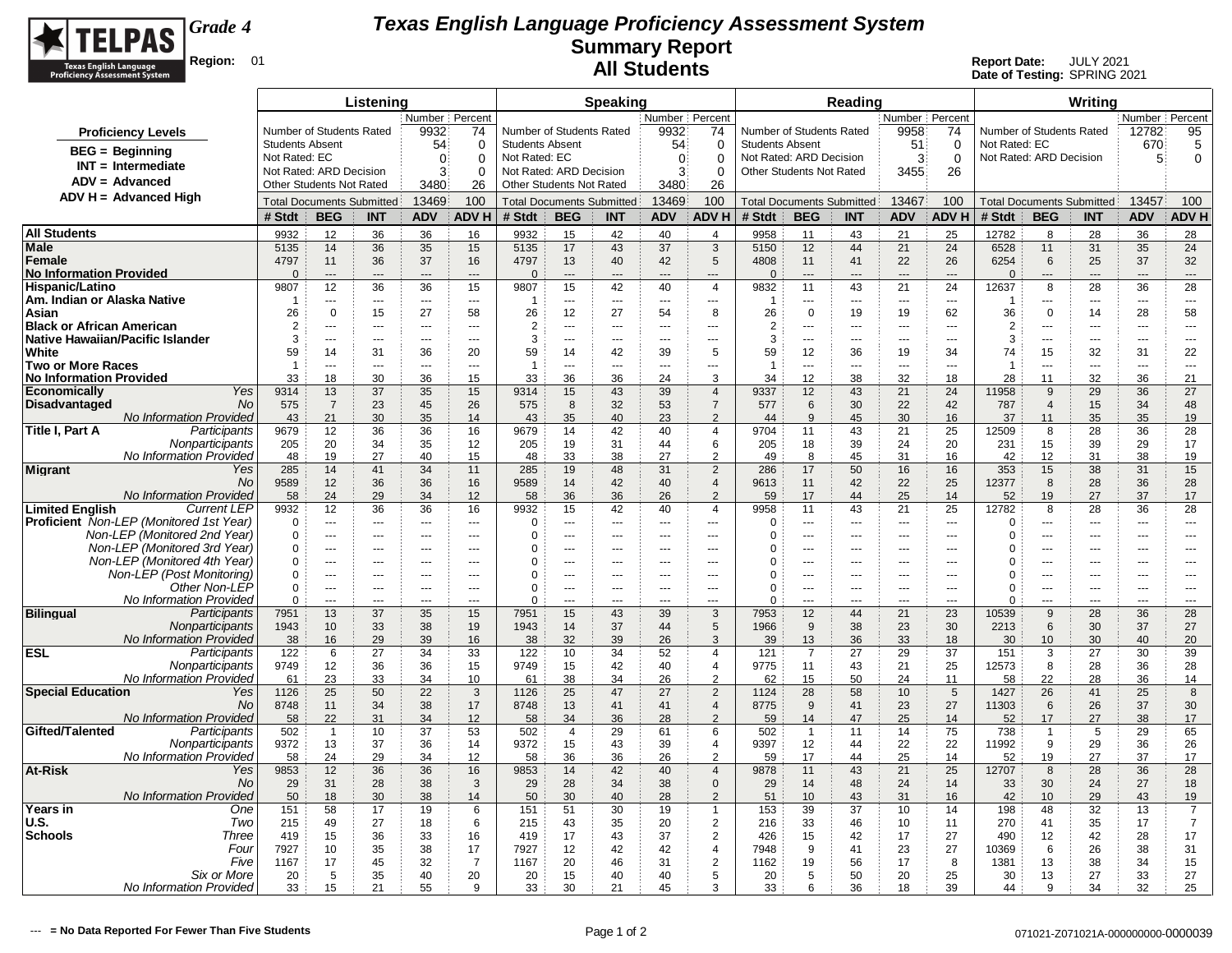

|                                                                         |                                         |                                  | Listening                |                                  |                          |                                         |                                  | Speaking                                     |                                |                                  |                                                   |                          | Reading                          |                                |                          |                                          |                      | Writing                          |                          |                          |
|-------------------------------------------------------------------------|-----------------------------------------|----------------------------------|--------------------------|----------------------------------|--------------------------|-----------------------------------------|----------------------------------|----------------------------------------------|--------------------------------|----------------------------------|---------------------------------------------------|--------------------------|----------------------------------|--------------------------------|--------------------------|------------------------------------------|----------------------|----------------------------------|--------------------------|--------------------------|
|                                                                         |                                         |                                  |                          | Number Percent                   |                          |                                         |                                  |                                              | Number Percent                 |                                  |                                                   |                          |                                  | Number Percent                 |                          |                                          |                      |                                  | Number Percent           |                          |
| <b>Proficiency Levels</b>                                               | Number of Students Rated                |                                  |                          | 9932                             | 74                       | Number of Students Rated                |                                  |                                              | 9932                           | 74                               | Number of Students Rated                          |                          |                                  | 9958                           | 74                       | Number of Students Rated                 |                      |                                  | 12782                    | 95                       |
| $BEG =$ Beginning                                                       | <b>Students Absent</b><br>Not Rated: EC |                                  |                          | 54<br>$\Omega$                   | $\Omega$<br>$\Omega$     | <b>Students Absent</b><br>Not Rated: EC |                                  |                                              | 54                             | $\Omega$<br>$\Omega$             | <b>Students Absent</b><br>Not Rated: ARD Decision |                          |                                  | 51<br>3                        | $\mathbf 0$              | Not Rated: EC<br>Not Rated: ARD Decision |                      |                                  | 670<br>5                 | 5                        |
| $INT = Intermediate$                                                    | Not Rated: ARD Decision                 |                                  |                          | 3                                | $\Omega$                 | Not Rated: ARD Decision                 |                                  |                                              | $\mathbf{0}$<br>3 <sup>3</sup> | $\Omega$                         | Other Students Not Rated                          |                          |                                  | 3455                           | $\mathbf 0$<br>26        |                                          |                      |                                  |                          | $\mathbf 0$              |
| ADV = Advanced                                                          | Other Students Not Rated                |                                  |                          | 3480                             | 26                       | Other Students Not Rated                |                                  |                                              | 3480                           | 26                               |                                                   |                          |                                  |                                |                          |                                          |                      |                                  |                          |                          |
| $ADV H = Advanced High$                                                 | <b>Total Documents Submitted</b>        |                                  |                          | 13469                            | 100                      |                                         | <b>Total Documents Submitted</b> |                                              | 13469                          | 100                              |                                                   |                          | <b>Total Documents Submitted</b> | 13467                          | 100                      | <b>Total Documents Submitted</b>         |                      |                                  | 13457                    | 100                      |
|                                                                         | # Stdt                                  | <b>BEG</b>                       | <b>INT</b>               | <b>ADV</b>                       | <b>ADVH</b>              | # Stdt                                  | <b>BEG</b>                       | <b>INT</b>                                   | <b>ADV</b>                     | <b>ADV H</b>                     | # Stdt                                            | <b>BEG</b>               | <b>INT</b>                       | <b>ADV</b>                     | <b>ADVH</b>              | # Stdt                                   | <b>BEG</b>           | <b>INT</b>                       | <b>ADV</b>               | <b>ADVH</b>              |
| <b>All Students</b>                                                     | 9932                                    | 12                               | 36                       | 36                               | 16                       | 9932                                    | 15                               | 42                                           | 40                             | $\overline{4}$                   | 9958                                              | 11                       | 43                               | 21                             | 25                       | 12782                                    | 8                    | 28                               | 36                       | 28                       |
| <b>Male</b>                                                             | 5135                                    | 14                               | 36                       | 35                               | 15                       | 5135                                    | 17                               | 43                                           | 37                             | 3                                | 5150                                              | 12                       | 44                               | 21                             | 24                       | 6528                                     | 11                   | 31                               | 35                       | 24                       |
| Female                                                                  | 4797                                    | 11                               | 36                       | 37                               | 16                       | 4797                                    | 13                               | 40                                           | 42                             | $5\phantom{.0}$                  | 4808                                              | 11                       | 41                               | 22                             | 26                       | 6254                                     | 6                    | 25                               | 37                       | 32                       |
| <b>No Information Provided</b><br>Hispanic/Latino                       | $\Omega$                                | $\overline{a}$<br>12             | $\overline{a}$           | $---$                            | $\overline{a}$           | $\Omega$                                | $\overline{a}$                   | ---                                          | $\overline{a}$                 | $\overline{a}$                   | $\Omega$                                          | $\overline{a}$           | $\overline{a}$                   | $---$                          | $\overline{a}$           | $\Omega$                                 | $\overline{a}$       | ---                              | ---                      | $\overline{a}$           |
| Am. Indian or Alaska Native                                             | 9807<br>$\overline{1}$                  | $---$                            | 36<br>$--$               | 36<br>$---$                      | 15<br>---                | 9807<br>-1                              | 15<br>$\overline{a}$             | 42<br>$\overline{a}$                         | 40<br>---                      | $\overline{4}$<br>$\overline{a}$ | 9832<br>-1                                        | 11<br>$\overline{a}$     | 43<br>$  \sim$                   | 21<br>$\overline{\phantom{a}}$ | 24<br>---                | 12637<br>-1                              | 8<br>---             | 28<br>---                        | 36<br>$---$              | 28<br>---                |
| Asian                                                                   | 26                                      | $\Omega$                         | 15                       | 27                               | 58                       | 26                                      | 12                               | 27                                           | 54                             | 8                                | 26                                                | $\mathbf 0$              | 19                               | 19                             | 62                       | 36                                       | $\mathbf 0$          | 14                               | 28                       | 58                       |
| <b>Black or African American</b>                                        | $\overline{2}$                          |                                  | ---                      | $\overline{a}$                   | $\overline{a}$           | $\overline{2}$                          | Щ,                               | ---                                          | $\overline{a}$                 | ---                              | $\overline{2}$                                    | ---                      | ---                              | ---                            | $\overline{a}$           | $\overline{2}$                           | Ξ.                   | ---                              | ---                      | $\overline{a}$           |
| Native Hawaiian/Pacific Islander                                        | 3                                       | $\overline{a}$                   | $\overline{\phantom{a}}$ | $\sim$ $\sim$ $\sim$             | $\rightarrow$            | 3                                       | ---                              | ---                                          | $\overline{\phantom{a}}$       | ---                              | 3                                                 | $\overline{\phantom{a}}$ | $\overline{\phantom{a}}$         | $\overline{\phantom{a}}$       | $\overline{\phantom{a}}$ | 3                                        | ---                  | ---                              | ---                      | $\sim$                   |
| White                                                                   | 59                                      | 14                               | 31                       | 36                               | 20                       | 59                                      | 14                               | 42                                           | 39                             | 5                                | 59                                                | 12                       | 36                               | 19                             | 34                       | 74                                       | 15                   | 32                               | 31                       | 22                       |
| <b>Two or More Races</b><br><b>No Information Provided</b>              | $\overline{1}$<br>33                    | $\sim$ $\sim$<br>18              | ---<br>30                | $---$<br>36                      | ---<br>15                | $\overline{1}$<br>33                    | $-$<br>36                        | $\sim$<br>36                                 | $- - -$<br>24                  | ---<br>3                         | $\overline{1}$<br>34                              | $\overline{a}$<br>12     | $  \sim$<br>38                   | $\sim$ $\sim$<br>32            | $-$<br>18                | $\overline{1}$<br>28                     | $\overline{a}$<br>11 | $\overline{a}$<br>32             | $\overline{a}$<br>36     | $- - -$<br>21            |
| Yes<br><b>Economically</b>                                              | 9314                                    | 13                               | 37                       | 35                               | 15                       | 9314                                    | 15                               | 43                                           | 39                             | $\overline{4}$                   | 9337                                              | 12                       | 43                               | 21                             | 24                       | 11958                                    | 9                    | 29                               | 36                       | 27                       |
| <b>No</b><br><b>Disadvantaged</b>                                       | 575                                     | $\overline{7}$                   | 23                       | 45                               | 26                       | 575                                     | 8                                | 32                                           | 53                             | $\overline{7}$                   | 577                                               | 6                        | 30                               | 22                             | 42                       | 787                                      | $\overline{4}$       | 15                               | 34                       | 48                       |
| No Information Provided                                                 | 43                                      | 21                               | 30                       | 35                               | 14                       | 43                                      | 35                               | 40                                           | 23                             | $\mathcal{P}$                    | 44                                                | 9                        | 45                               | 30                             | 16                       | 37                                       | 11                   | 35                               | 35                       | 19                       |
| Title I, Part A<br>Participants                                         | 9679                                    | 12                               | 36                       | 36                               | 16                       | 9679                                    | 14                               | 42                                           | 40                             | $\overline{4}$                   | 9704                                              | 11                       | 43                               | 21                             | 25                       | 12509                                    | 8                    | 28                               | 36                       | 28                       |
| Nonparticipants<br>No Information Provided                              | 205                                     | 20                               | 34                       | 35                               | 12                       | 205                                     | 19                               | 31                                           | 44<br>27                       | 6<br>$\overline{2}$              | 205                                               | 18<br>8                  | 39<br>45                         | 24                             | 20                       | 231                                      | 15                   | 39                               | 29                       | 17                       |
| <b>Migrant</b><br>Yes                                                   | 48<br>285                               | 19<br>14                         | 27<br>41                 | 40<br>34                         | 15<br>11                 | 48<br>285                               | 33<br>19                         | 38<br>48                                     | 31                             | $\overline{2}$                   | 49<br>286                                         | 17                       | 50                               | 31<br>16                       | 16<br>16                 | 42<br>353                                | 12<br>15             | 31<br>38                         | 38<br>31                 | 19<br>15                 |
| No                                                                      | 9589                                    | 12                               | 36                       | 36                               | 16                       | 9589                                    | 14                               | 42                                           | 40                             | $\overline{4}$                   | 9613                                              | 11                       | 42                               | 22                             | 25                       | 12377                                    | 8                    | 28                               | 36                       | 28                       |
| No Information Provided                                                 | 58                                      | 24                               | 29                       | 34                               | 12                       | 58                                      | 36                               | 36                                           | 26                             | $\overline{2}$                   | 59                                                | 17                       | 44                               | 25                             | 14                       | 52                                       | 19                   | 27                               | 37                       | 17                       |
| <b>Limited English</b><br><b>Current LEP</b>                            | 9932                                    | 12                               | 36                       | 36                               | 16                       | 9932                                    | 15                               | 42                                           | 40                             | $\overline{4}$                   | 9958                                              | 11                       | 43                               | 21                             | 25                       | 12782                                    | 8                    | 28                               | 36                       | 28                       |
| Proficient Non-LEP (Monitored 1st Year)<br>Non-LEP (Monitored 2nd Year) | $\mathbf 0$                             | $\overline{a}$<br>$\overline{a}$ | $\overline{a}$           | $\overline{a}$<br>$\overline{a}$ | $\overline{a}$<br>$---$  | $\mathbf 0$<br>0                        | $\overline{a}$<br>$\overline{a}$ | $\sim$                                       | $\sim$                         | $\overline{a}$                   | $\Omega$<br>$\Omega$                              | $\overline{a}$<br>$---$  | $\sim$                           | $\sim$ $\sim$                  | $\overline{a}$<br>$\sim$ | 0<br>$\Omega$                            | ---<br>              | $\overline{a}$<br>$\overline{a}$ | $\overline{a}$           | $\overline{a}$           |
| Non-LEP (Monitored 3rd Year)                                            | $\mathbf 0$<br>0                        | $\overline{a}$                   | $-$<br>$-$               | $-$                              | $- - -$                  | 0                                       | $\overline{a}$                   | $\sim$ $\sim$ $\sim$<br>$\sim$ $\sim$ $\sim$ | $- - -$<br>$- - -$             | $---$<br>$---$                   | 0                                                 | $- - -$                  | $\overline{a}$<br>$--$           | $\sim$ $\sim$<br>$- - -$       | $\overline{a}$           | 0                                        | ---                  | $---$                            | $- - -$<br>$- - -$       | $---$<br>$- - -$         |
| Non-LEP (Monitored 4th Year)                                            | $\mathbf 0$                             | $\sim$ $\sim$                    | $-$                      | ---                              | $\overline{\phantom{a}}$ | 0                                       | ---                              | $\overline{\phantom{a}}$                     | ---                            | ---                              | $\Omega$                                          | $---$                    | $\sim$                           | $---$                          | $\overline{\phantom{a}}$ | $\Omega$                                 | ---                  | ---                              | $\overline{\phantom{a}}$ | $\overline{\phantom{a}}$ |
| Non-LEP (Post Monitoring)                                               | $\mathbf 0$                             | $\sim$                           |                          | $-$                              | $\sim$                   | 0                                       | ÷-                               | ---                                          | ---                            | ---                              | $\Omega$                                          | ---                      | $\overline{a}$                   | ---                            | $\overline{a}$           | $\Omega$                                 | ---                  | ---                              |                          | ---                      |
| Other Non-LEP                                                           | $\mathbf 0$                             | $\scriptstyle\cdots$             | ---                      | $\overline{\phantom{a}}$         | $\rightarrow$            | $\Omega$                                | ---                              | $\overline{\phantom{a}}$                     | ---                            | ---                              | $\Omega$                                          | ---                      | $\overline{\phantom{a}}$         | $\overline{\phantom{a}}$       | $\overline{\phantom{a}}$ | $\Omega$                                 | ---                  | ---                              | $\overline{\phantom{a}}$ | ---                      |
| No Information Provided                                                 | $\mathbf 0$                             | $-$                              | $-$                      | $\sim$                           | $\sim$                   | $\Omega$                                | $\overline{a}$                   | $\overline{a}$                               | $\overline{a}$                 | $-$                              | $\Omega$                                          | $\overline{\phantom{a}}$ | $\overline{a}$                   | $-$                            | $-$                      | 0                                        | $\overline{a}$       | ---                              | ---                      | ---                      |
| <b>Bilingual</b><br>Participants<br>Nonparticipants                     | 7951<br>1943                            | 13<br>10                         | 37<br>33                 | 35<br>38                         | 15<br>19                 | 7951<br>1943                            | 15<br>14                         | 43<br>37                                     | 39<br>44                       | 3<br>5                           | 7953<br>1966                                      | 12<br>9                  | 44<br>38                         | 21<br>23                       | 23<br>30                 | 10539<br>2213                            | $9\,$<br>6           | 28<br>30                         | 36<br>37                 | 28<br>27                 |
| <b>No Information Provided</b>                                          | 38                                      | 16                               | 29                       | 39                               | 16                       | 38                                      | 32                               | 39                                           | 26                             | 3                                | 39                                                | 13                       | 36                               | 33                             | 18                       | 30                                       | 10 <sup>1</sup>      | 30                               | 40                       | 20                       |
| ESL<br>Participants                                                     | 122                                     | 6                                | 27                       | 34                               | 33                       | 122                                     | 10                               | 34                                           | 52                             | $\overline{4}$                   | 121                                               | $\overline{7}$           | 27                               | 29                             | 37                       | 151                                      | 3                    | 27                               | 30                       | 39                       |
| Nonparticipants                                                         | 9749                                    | 12                               | 36                       | 36                               | 15                       | 9749                                    | 15                               | 42                                           | 40                             | $\overline{4}$                   | 9775                                              | 11                       | 43                               | 21                             | 25                       | 12573                                    | 8                    | 28                               | 36                       | 28                       |
| <b>No Information Provided</b><br><b>Special Education</b><br>Yes       | 61<br>1126                              | 23<br>25                         | 33<br>50                 | 34<br>22                         | 10<br>3                  | 61<br>1126                              | 38<br>25                         | 34<br>47                                     | 26<br>27                       | $\overline{2}$<br>2              | 62<br>1124                                        | 15<br>28                 | 50<br>58                         | 24<br>10                       | 11<br>5                  | 58<br>1427                               | 22<br>26             | 28<br>41                         | 36<br>25                 | 14<br>8                  |
| No.                                                                     | 8748                                    | 11                               | 34                       | 38                               | 17                       | 8748                                    | 13                               | 41                                           | 41                             | $\overline{4}$                   | 8775                                              | 9                        | 41                               | 23                             | 27                       | 11303                                    | 6                    | 26                               | 37                       | 30                       |
| <b>No Information Provided</b>                                          | 58                                      | 22                               | 31                       | 34                               | 12                       | 58                                      | 34                               | 36                                           | 28                             | $\overline{2}$                   | 59                                                | 14                       | 47                               | 25                             | 14                       | 52                                       | 17                   | 27                               | 38                       | 17                       |
| Gifted/Talented<br>Participants                                         | 502                                     | $\overline{1}$                   | 10                       | 37                               | 53                       | 502                                     | $\overline{4}$                   | 29                                           | 61                             | 6                                | 502                                               | $\overline{1}$           | 11                               | 14                             | 75                       | 738                                      | $\mathbf{1}$         | 5                                | 29                       | 65                       |
| Nonparticipants                                                         | 9372                                    | 13                               | 37                       | 36                               | 14                       | 9372                                    | 15                               | 43                                           | 39                             | $\overline{4}$                   | 9397                                              | 12                       | 44                               | 22                             | 22                       | 11992                                    | 9                    | 29                               | 36                       | 26                       |
| No Information Provided<br>At-Risk<br>Yes                               | 58<br>9853                              | 24<br>12                         | 29<br>36                 | 34<br>36                         | 12<br>16                 | 58<br>9853                              | 36<br>14                         | 36<br>42                                     | 26<br>40                       | $\overline{2}$<br>$\overline{4}$ | 59<br>9878                                        | 17<br>11                 | 44<br>43                         | 25<br>21                       | 14<br>25                 | 52<br>12707                              | 19<br>8              | 27<br>28                         | 37<br>36                 | 17<br>28                 |
| <b>No</b>                                                               | 29                                      | 31                               | 28                       | 38                               | 3                        | 29                                      | 28                               | 34                                           | 38                             | $\mathbf{0}$                     | 29                                                | 14                       | 48                               | 24                             | 14                       | 33                                       | 30                   | 24                               | 27                       | 18                       |
| <b>No Information Provided</b>                                          | 50                                      | 18                               | 30                       | 38                               | 14                       | 50                                      | 30                               | 40                                           | 28                             | $\overline{2}$                   | 51                                                | 10 <sup>10</sup>         | 43                               | 31                             | 16                       | 42                                       | 10                   | 29                               | 43                       | 19                       |
| Years in<br>One                                                         | 151                                     | 58                               | 17                       | 19                               | 6                        | 151                                     | 51                               | 30                                           | 19                             | $\overline{1}$                   | 153                                               | 39                       | 37                               | 10                             | 14                       | 198                                      | 48                   | 32                               | 13                       | $\overline{7}$           |
| Two<br>U.S.                                                             | 215                                     | 49                               | 27                       | 18                               | 6                        | 215                                     | 43                               | 35                                           | 20                             | $\overline{2}$                   | 216                                               | 33                       | 46                               | 10                             | 11                       | 270                                      | 41                   | 35                               | 17                       | $\overline{7}$           |
| Three<br><b>Schools</b><br>Four                                         | 419<br>7927                             | 15<br>10                         | 36<br>35                 | 33<br>38                         | 16<br>17                 | 419<br>7927                             | 17<br>12                         | 43<br>42                                     | 37<br>42                       | $\overline{2}$<br>$\overline{4}$ | 426<br>7948                                       | 15<br>9                  | 42<br>41                         | 17<br>23                       | 27<br>27                 | 490<br>10369                             | 12<br>6              | 42<br>26                         | 28<br>38                 | 17<br>31                 |
| Five                                                                    | 1167                                    | 17                               | 45                       | 32                               | $\overline{7}$           | 1167                                    | 20                               | 46                                           | 31                             | $\overline{2}$                   | 1162                                              | 19                       | 56                               | 17                             | 8                        | 1381                                     | 13                   | 38                               | 34                       | 15                       |
| Six or More                                                             | 20                                      | 5                                | 35                       | 40                               | 20                       | 20                                      | 15                               | 40                                           | 40                             | 5                                | 20                                                | 5                        | 50                               | 20                             | 25                       | 30                                       | 13                   | 27                               | 33                       | 27                       |
| No Information Provided                                                 | 33                                      | 15                               | 21                       | 55                               | q                        | 33                                      | 30                               | 21                                           | 45                             | 3                                | 33                                                | 6                        | 36                               | 18                             | 39                       | 44                                       | 9                    | 34                               | 32                       | 25                       |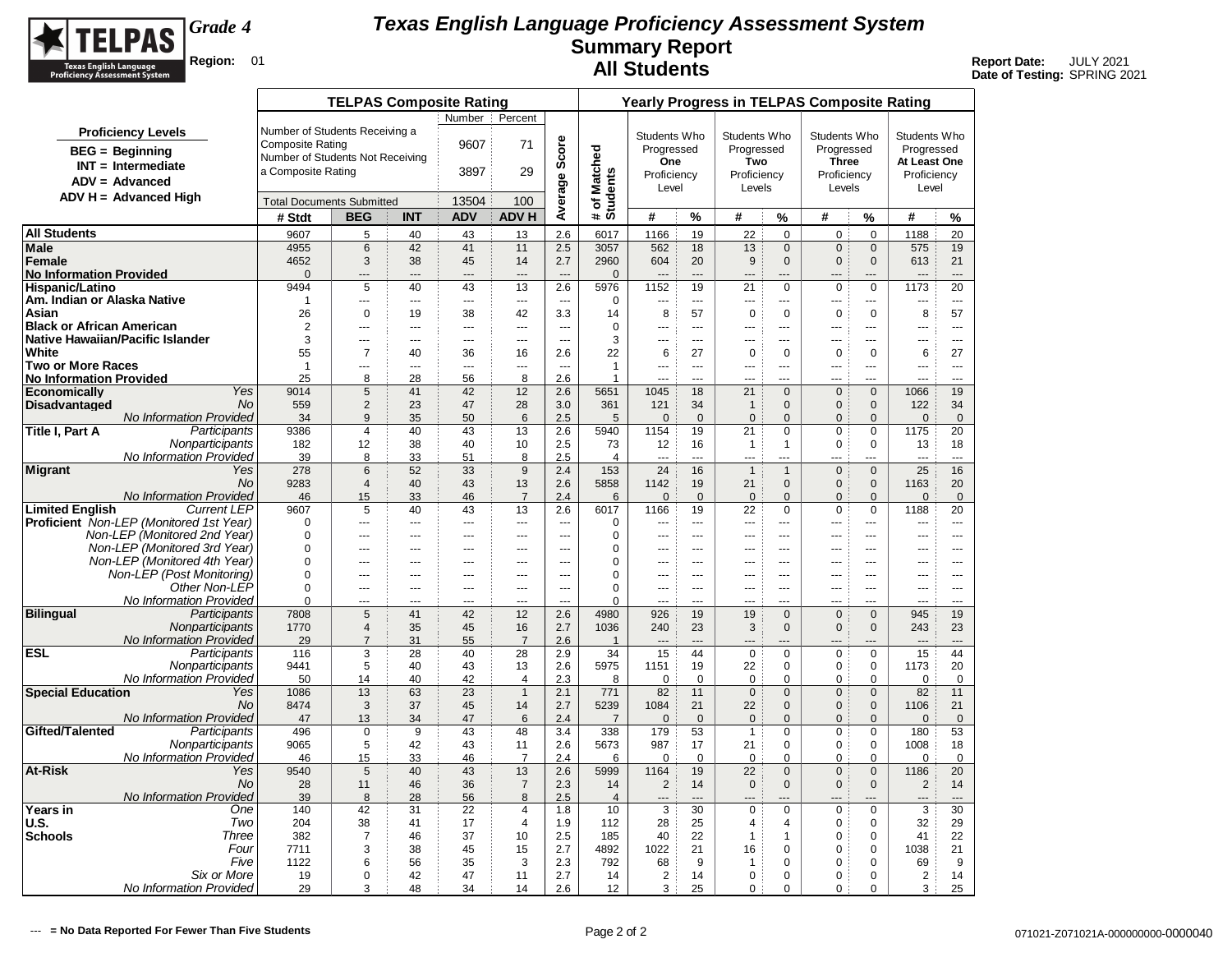

|                                   |                                                              |                                  | <b>TELPAS Composite Rating</b>   |                      |                          |                      |                                 |                          |                    |                                |                             |                               | <b>Yearly Progress in TELPAS Composite Rating</b> |                             |                     |                                |
|-----------------------------------|--------------------------------------------------------------|----------------------------------|----------------------------------|----------------------|--------------------------|----------------------|---------------------------------|--------------------------|--------------------|--------------------------------|-----------------------------|-------------------------------|---------------------------------------------------|-----------------------------|---------------------|--------------------------------|
|                                   |                                                              |                                  |                                  |                      | Number                   | Percent              |                                 |                          |                    |                                |                             |                               |                                                   |                             |                     |                                |
|                                   | <b>Proficiency Levels</b>                                    | Number of Students Receiving a   |                                  |                      |                          |                      |                                 |                          | Students Who       |                                | Students Who                |                               | Students Who                                      |                             | Students Who        |                                |
|                                   | <b>BEG</b> = Beginning                                       | <b>Composite Rating</b>          |                                  |                      | 9607                     | 71                   | Score                           |                          | Progressed         |                                | Progressed                  |                               | Progressed                                        |                             | Progressed          |                                |
|                                   | $INT = Intermediate$                                         | Number of Students Not Receiving |                                  |                      |                          |                      |                                 |                          | One                |                                | Two                         |                               | <b>Three</b>                                      |                             | At Least One        |                                |
|                                   | $ADV = Advanced$                                             | a Composite Rating               |                                  |                      | 3897                     | 29                   |                                 |                          | Proficiency        |                                | Proficiency                 |                               | Proficiency                                       |                             | Proficiency         |                                |
|                                   | $ADV H = Advanced High$                                      |                                  |                                  |                      |                          |                      |                                 |                          | Level              |                                | Levels                      |                               | Levels                                            |                             | Level               |                                |
|                                   |                                                              | <b>Total Documents Submitted</b> |                                  |                      | 13504                    | 100                  | Average                         | # of Matched<br>Students |                    |                                |                             |                               |                                                   |                             |                     |                                |
|                                   |                                                              | # Stdt                           | <b>BEG</b>                       | <b>INT</b>           | <b>ADV</b>               | <b>ADV H</b>         |                                 |                          | #                  | %                              | #                           | $\%$                          | #                                                 | %                           | #                   | %                              |
| <b>All Students</b>               |                                                              | 9607                             | 5                                | 40                   | 43                       | 13                   | 2.6                             | 6017                     | 1166               | 19                             | 22                          | $\mathbf 0$                   | $\mathbf 0$                                       | $\mathbf 0$                 | 1188                | 20                             |
| <b>Male</b><br>Female             |                                                              | 4955<br>4652                     | 6<br>3                           | 42<br>38             | 41<br>45                 | 11<br>14             | 2.5<br>2.7                      | 3057<br>2960             | 562<br>604         | 18<br>20                       | 13<br>9                     | $\mathbf 0$<br>$\mathbf{0}$   | $\mathbf 0$<br>$\mathbf 0$                        | $\mathbf 0$<br>$\mathbf{0}$ | 575<br>613          | 19<br>21                       |
| <b>No Information Provided</b>    |                                                              | $\Omega$                         | $---$                            | ---                  | $---$                    | $\overline{a}$       | $\overline{a}$                  | $\mathbf{0}$             | $\overline{a}$     | $\overline{a}$                 | $---$                       | ---                           | $\overline{a}$                                    | ---                         | ---                 | $\overline{a}$                 |
| Hispanic/Latino                   |                                                              | 9494                             | 5                                | 40                   | 43                       | 13                   | 2.6                             | 5976                     | 1152               | 19                             | 21                          | $\mathbf 0$                   | $\mathbf 0$                                       | $\mathbf 0$                 | 1173                | 20                             |
| Am. Indian or Alaska Native       |                                                              | $\mathbf{1}$                     | ---                              | ---                  | ---                      | ---                  | $\overline{a}$                  | $\mathbf 0$              | ---                | ---                            | $\overline{a}$              | ---                           | $\overline{a}$                                    | ---                         | ---                 | $\overline{a}$                 |
| Asian                             |                                                              | 26                               | $\mathbf 0$                      | 19                   | 38                       | 42                   | 3.3                             | 14                       | 8                  | 57                             | $\pmb{0}$                   | $\mathbf 0$                   | $\mathbf 0$                                       | $\mathbf 0$                 | 8                   | 57                             |
| <b>Black or African American</b>  |                                                              | $\overline{2}$                   | $\overline{a}$                   | $\overline{a}$       | $\overline{a}$           | $\sim$               | $\sim$                          | $\mathbf 0$              | $\sim$             | $---$                          | $\overline{a}$              | $\overline{a}$                | $\overline{a}$                                    | <u></u>                     | $\overline{a}$      | $\overline{a}$                 |
| Native Hawaiian/Pacific Islander  |                                                              | 3                                | ---                              | $---$                | $---$                    | $\sim$ $\sim$        | $\sim$                          | 3                        | $\sim$             | $  -$                          | $---$                       | $---$                         | $- - -$                                           | $\overline{a}$              | ---                 | $\sim$ $\sim$                  |
| White<br><b>Two or More Races</b> |                                                              | 55<br>$\mathbf{1}$               | $\overline{7}$<br>---            | 40<br>$\overline{a}$ | 36<br>---                | 16<br>---            | 2.6<br>$\overline{\phantom{a}}$ | 22<br>$\mathbf{1}$       | 6<br>---           | 27<br>$\overline{\phantom{a}}$ | $\mathbf 0$<br>---          | $\mathbf 0$<br>$\overline{a}$ | $\mathbf 0$<br>$\overline{a}$                     | 0<br>---                    | 6<br>---            | 27<br>$\overline{\phantom{a}}$ |
| <b>No Information Provided</b>    |                                                              | 25                               | 8                                | 28                   | 56                       | 8                    | 2.6                             | 1                        |                    | ---                            |                             |                               |                                                   | ---                         | ---                 | ---                            |
| <b>Economically</b>               | Yes                                                          | 9014                             | $\sqrt{5}$                       | 41                   | 42                       | 12                   | 2.6                             | 5651                     | 1045               | 18                             | 21                          | $\mathbf{0}$                  | $\mathbf 0$                                       | $\mathbf{0}$                | 1066                | 19                             |
| <b>Disadvantaged</b>              | <b>No</b>                                                    | 559                              | $\overline{2}$                   | 23                   | 47                       | 28                   | 3.0                             | 361                      | 121                | 34                             | $\mathbf{1}$                | $\mathbf{0}$                  | $\mathbf{0}$                                      | $\mathbf{0}$                | 122                 | 34                             |
|                                   | No Information Provided                                      | 34                               | 9                                | 35                   | 50                       | 6                    | 2.5                             | 5                        | $\overline{0}$     | $\mathbf 0$                    | $\Omega$                    | $\mathbf{0}$                  | $\mathbf{0}$                                      | $\Omega$                    | $\mathbf 0$         | $\mathbf 0$                    |
| Title I, Part A                   | Participants                                                 | 9386                             | $\overline{4}$                   | 40                   | 43                       | 13                   | 2.6                             | 5940                     | 1154               | 19                             | 21                          | $\mathbf 0$                   | $\mathbf 0$                                       | $\mathbf 0$                 | 1175                | 20                             |
|                                   | Nonparticipants<br><b>No Information Provided</b>            | 182<br>39                        | 12<br>8                          | 38<br>33             | 40<br>51                 | 10<br>8              | 2.5<br>2.5                      | 73<br>4                  | 12<br>---          | 16<br>$\sim$                   | $\mathbf{1}$<br>---         | $\mathbf{1}$<br>              | $\mathbf 0$<br>---                                | $\Omega$<br>---             | 13<br>---           | 18<br>$\overline{a}$           |
| <b>Migrant</b>                    | Yes                                                          | 278                              | 6                                | 52                   | 33                       | 9                    | 2.4                             | 153                      | 24                 | 16                             | $\mathbf{1}$                | $\mathbf{1}$                  | $\mathbf{0}$                                      | $\mathbf{0}$                | 25                  | 16                             |
|                                   | <b>No</b>                                                    | 9283                             | $\overline{4}$                   | 40                   | 43                       | 13                   | 2.6                             | 5858                     | 1142               | 19                             | 21                          | $\mathbf{0}$                  | $\mathbf{0}$                                      | $\mathbf 0$                 | 1163                | 20                             |
|                                   | No Information Provided                                      | 46                               | 15                               | 33                   | 46                       | $\overline{7}$       | 2.4                             | 6                        | $\mathbf{0}$       | $\overline{0}$                 | $\overline{0}$              | $\mathbf{0}$                  | $\mathbf{0}$                                      | $\mathbf{0}$                | $\mathbf{0}$        | $\mathbf{0}$                   |
| <b>Limited English</b>            | <b>Current LEP</b>                                           | 9607                             | $\sqrt{5}$                       | 40                   | 43                       | 13                   | 2.6                             | 6017                     | 1166               | 19                             | 22                          | $\mathbf 0$                   | $\mathbf 0$                                       | $\mathbf 0$                 | 1188                | 20                             |
|                                   | <b>Proficient</b> Non-LEP (Monitored 1st Year)               | $\Omega$                         |                                  | ---                  | $\overline{a}$           | ---                  | $\overline{a}$                  | 0                        | ---                | $\sim$                         | $\overline{a}$              | $\overline{a}$                | $\overline{a}$                                    |                             | ---                 | $\overline{a}$                 |
|                                   | Non-LEP (Monitored 2nd Year)<br>Non-LEP (Monitored 3rd Year) | $\Omega$<br>$\Omega$             | ---                              | ---                  | ---                      | $\overline{a}$       | $\sim$                          | 0<br>0                   | ---                | $\overline{a}$<br>$\sim$       | $---$                       | $---$                         | ---                                               | ---                         | ---                 | $- - -$<br>$\sim$              |
|                                   | Non-LEP (Monitored 4th Year)                                 | $\Omega$                         | ---<br>---                       | ---<br>---           | $\overline{a}$<br>$\sim$ | ---<br>$\sim$        | ---<br>$\sim$                   | 0                        | ---<br>            | $\sim$                         | $\overline{a}$              | ÷÷<br>$-$                     | ---<br>$-$                                        | ---<br>                     | ---<br>---          | $\sim$                         |
|                                   | Non-LEP (Post Monitoring)                                    | $\mathbf 0$                      | ---                              | ---                  | ---                      | $\overline{a}$       | $\sim$                          | 0                        | ---                | $---$                          | ---                         | ---                           | $\overline{a}$                                    | ---                         | ---                 | $\overline{a}$                 |
|                                   | Other Non-LEP                                                | $\Omega$                         | $\overline{a}$                   | ---                  | $---$                    | $\overline{a}$       | $\sim$                          | $\Omega$                 | $\sim$             | $---$                          | $---$                       | $---$                         | $- - -$                                           | $\overline{a}$              | $\overline{a}$      | $- - -$                        |
|                                   | No Information Provided                                      | $\Omega$                         | ---                              | $\overline{a}$       | $\overline{a}$           | $\sim$               | $\sim$                          | $\Omega$                 | $\sim$             | $-$                            | $---$                       | $\overline{a}$                | $\sim$                                            | $\overline{a}$              | $\overline{a}$      | $-$                            |
| <b>Bilingual</b>                  | Participants                                                 | 7808                             | 5                                | 41                   | 42                       | 12                   | 2.6                             | 4980                     | 926                | 19                             | 19                          | $\Omega$                      | $\mathbf 0$                                       | $\Omega$                    | 945                 | 19                             |
|                                   | Nonparticipants<br>No Information Provided                   | 1770<br>29                       | $\overline{4}$<br>$\overline{7}$ | 35<br>31             | 45<br>55                 | 16<br>$\overline{7}$ | 2.7<br>2.6                      | 1036                     | 240                | 23<br>$-$ --                   | 3                           | $\Omega$                      | $\mathbf 0$                                       | $\Omega$                    | 243<br>$---$        | 23<br>$---$                    |
| <b>ESL</b>                        | Participants                                                 | 116                              | 3                                | 28                   | 40                       | 28                   | 2.9                             | 1<br>34                  | 15                 | 44                             | $\pmb{0}$                   | $\pmb{0}$                     | $\pmb{0}$                                         | 0                           | 15                  | 44                             |
|                                   | Nonparticipants                                              | 9441                             | 5                                | 40                   | 43                       | 13                   | 2.6                             | 5975                     | 1151               | 19                             | 22                          | $\pmb{0}$                     | $\mathbf 0$                                       | 0                           | 1173                | 20                             |
|                                   | No Information Provided                                      | 50                               | 14                               | 40                   | 42                       | 4                    | 2.3                             | 8                        | $\Omega$           | $\Omega$                       | 0                           | $\Omega$                      | 0                                                 | $\Omega$                    | $\Omega$            | $\Omega$                       |
| <b>Special Education</b>          | Yes                                                          | 1086                             | 13                               | 63                   | 23                       | $\mathbf{1}$         | 2.1                             | 771                      | 82                 | 11                             | $\mathbf 0$                 | $\mathbf 0$                   | $\mathbf 0$                                       | $\mathbf 0$                 | 82                  | 11                             |
|                                   | No                                                           | 8474                             | 3                                | 37                   | 45                       | 14                   | 2.7                             | 5239                     | 1084               | 21                             | 22                          | $\mathbf{0}$                  | $\mathbf{0}$                                      | $\mathbf{0}$                | 1106                | 21                             |
| Gifted/Talented                   | No Information Provided<br>Participants                      | 47<br>496                        | 13<br>$\mathbf 0$                | 34<br>9              | 47<br>43                 | $\,6$<br>48          | 2.4<br>3.4                      | $\overline{7}$<br>338    | $\mathbf 0$<br>179 | $\mathsf{O}\xspace$<br>53      | $\mathbf 0$<br>$\mathbf{1}$ | $\mathbf{0}$<br>0             | $\mathbf{0}$<br>0                                 | $\mathbf{0}$<br>0           | $\mathbf{0}$<br>180 | $\mathbf 0$<br>53              |
|                                   | Nonparticipants                                              | 9065                             | 5                                | 42                   | 43                       | 11                   | 2.6                             | 5673                     | 987                | 17                             | 21                          | $\mathbf 0$                   | $\mathbf 0$                                       | $\mathbf 0$                 | 1008                | 18                             |
|                                   | No Information Provided                                      | 46                               | 15                               | 33                   | 46                       | $\overline{7}$       | 2.4                             | 6                        | $\mathbf 0$        | $\mathbf 0$                    | $\mathbf 0$                 | $\mathbf 0$                   | $\mathbf 0$                                       | $\mathbf 0$                 | $\mathbf 0$         | $\mathbf 0$                    |
| <b>At-Risk</b>                    | Yes                                                          | 9540                             | 5                                | 40                   | 43                       | 13                   | 2.6                             | 5999                     | 1164               | 19                             | 22                          | $\mathbf 0$                   | $\mathbf 0$                                       | $\mathbf{0}$                | 1186                | 20                             |
|                                   | No.                                                          | 28                               | 11                               | 46                   | 36                       | $\overline{7}$       | 2.3                             | 14                       | 2                  | 14                             | $\mathbf 0$                 | $\mathbf{0}$                  | $\mathbf{0}$                                      | $\mathbf 0$                 | $\overline{c}$      | 14                             |
|                                   | No Information Provided                                      | 39                               | 8                                | 28                   | 56                       | 8                    | 2.5                             | $\overline{4}$           |                    | $\overline{a}$                 |                             |                               |                                                   |                             |                     | $---$                          |
| Years in                          | One                                                          | 140                              | 42                               | 31                   | 22                       | 4                    | 1.8                             | 10                       | 3                  | 30                             | 0                           | $\pmb{0}$                     | $\pmb{0}$                                         | 0                           | 3                   | 30                             |
| <b>U.S.</b><br><b>Schools</b>     | Two<br>Three                                                 | 204<br>382                       | 38<br>$\overline{7}$             | 41<br>46             | 17<br>37                 | $\overline{4}$<br>10 | 1.9<br>2.5                      | 112<br>185               | 28<br>40           | 25<br>22                       | 4<br>$\mathbf{1}$           | 4<br>$\mathbf{1}$             | $\mathbf 0$<br>$\mathbf 0$                        | $\mathbf 0$<br>$\mathbf 0$  | 32<br>41            | 29<br>22                       |
|                                   | Four                                                         | 7711                             | 3                                | 38                   | 45                       | 15                   | 2.7                             | 4892                     | 1022               | 21                             | 16                          | 0                             | 0                                                 | 0                           | 1038                | 21                             |
|                                   | Five                                                         | 1122                             | 6                                | 56                   | 35                       | 3                    | 2.3                             | 792                      | 68                 | 9                              | 1                           | $\mathbf 0$                   | $\mathbf 0$                                       | $\Omega$                    | 69                  | 9                              |
|                                   | Six or More                                                  | 19                               | $\mathbf 0$                      | 42                   | 47                       | 11                   | 2.7                             | 14                       | $\overline{2}$     | 14                             | 0                           | 0                             | $\mathbf 0$                                       | $\mathbf 0$                 | 2                   | 14                             |
|                                   | No Information Provided                                      | 29                               | 3                                | 48                   | 34                       | 14                   | 2.6                             | 12                       | 3                  | 25                             | 0                           | $\mathbf 0$                   | $\mathbf 0$                                       | 0                           | 3                   | 25                             |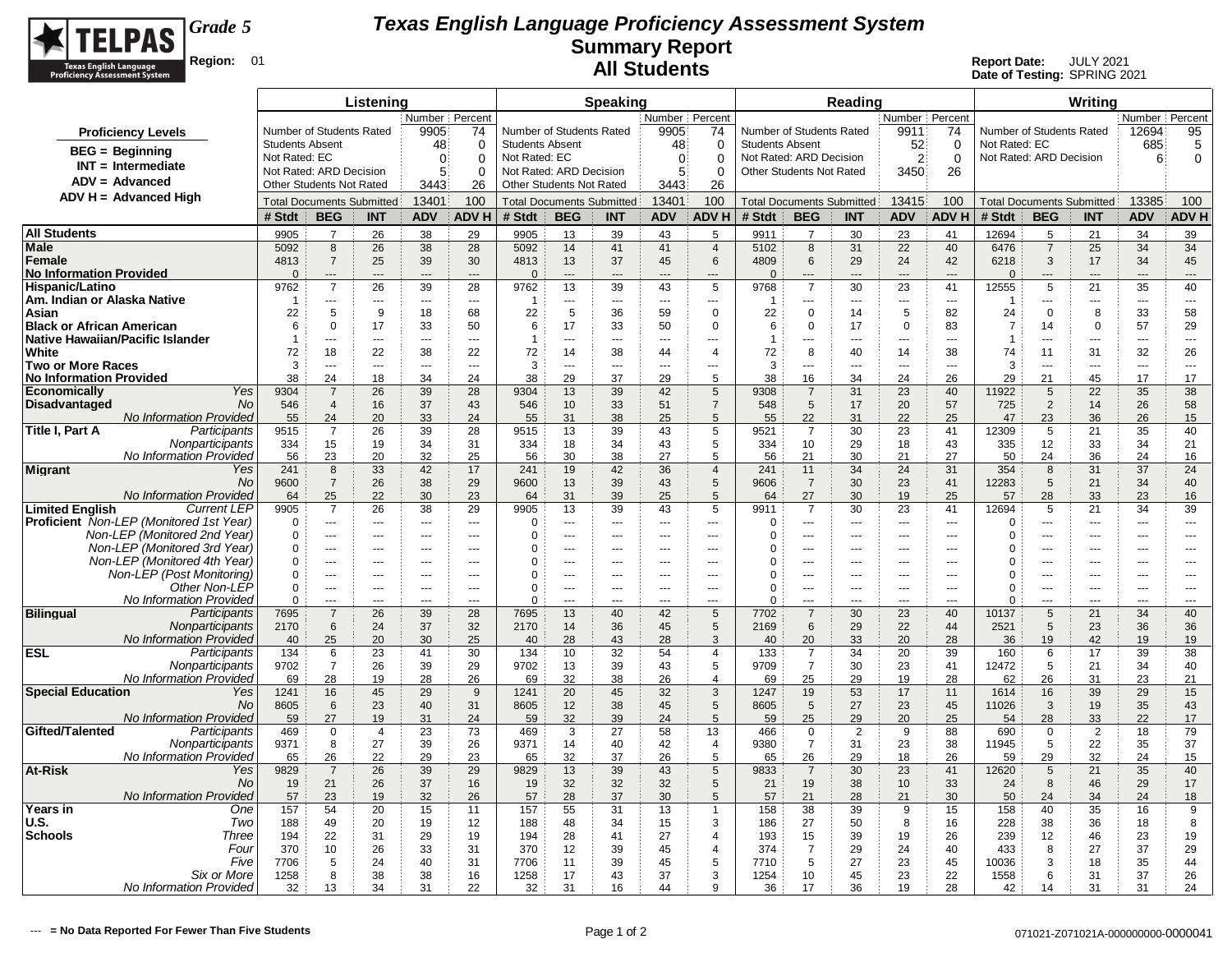

|                                                                                |                                            |                                                      | Listening            |                      |                         |                        |                                                     | <b>Speaking</b>       |                      |                               |                                            |                           | Reading              |                          |                                  |                                            |                     | Writing             |                      |                      |
|--------------------------------------------------------------------------------|--------------------------------------------|------------------------------------------------------|----------------------|----------------------|-------------------------|------------------------|-----------------------------------------------------|-----------------------|----------------------|-------------------------------|--------------------------------------------|---------------------------|----------------------|--------------------------|----------------------------------|--------------------------------------------|---------------------|---------------------|----------------------|----------------------|
|                                                                                |                                            |                                                      |                      | Number               | Percent                 |                        |                                                     |                       | Number Percent       |                               |                                            |                           |                      | Number Percent           |                                  |                                            |                     |                     | Number Percent       |                      |
| <b>Proficiency Levels</b>                                                      | Number of Students Rated                   |                                                      |                      | 9905                 | 74                      |                        | Number of Students Rated                            |                       | 9905                 | 74                            | Number of Students Rated                   |                           |                      | 9911                     | 74                               | Number of Students Rated                   |                     |                     | 12694                | 95                   |
| $BEG =$ Beginning                                                              | <b>Students Absent</b>                     |                                                      |                      | 48                   | $\Omega$                | <b>Students Absent</b> |                                                     |                       | 48                   | $\Omega$                      | <b>Students Absent</b>                     |                           |                      | 52                       | $\mathbf 0$                      | Not Rated: EC                              |                     |                     | 685                  | 5                    |
| $INT = Intermediate$                                                           | Not Rated: EC<br>Not Rated: ARD Decision   |                                                      |                      | $\Omega$             | $\Omega$                | Not Rated: EC          |                                                     |                       | $\mathbf 0$<br>5     | $\Omega$                      | Not Rated: ARD Decision                    |                           |                      | $\overline{2}$           | $\mathbf 0$                      | Not Rated: ARD Decision                    |                     |                     | 6                    | $\mathbf 0$          |
| ADV = Advanced                                                                 | Other Students Not Rated                   |                                                      |                      | 5<br>3443            | $\Omega$<br>26          |                        | Not Rated: ARD Decision<br>Other Students Not Rated |                       | 3443                 | $\Omega$<br>26                | Other Students Not Rated                   |                           |                      | 3450                     | 26                               |                                            |                     |                     |                      |                      |
| $ADV H = Advanced High$                                                        |                                            |                                                      |                      | 13401                | 100                     |                        |                                                     |                       | 13401                | 100                           |                                            |                           |                      | 13415                    | 100                              |                                            |                     |                     | 13385                | 100                  |
|                                                                                | <b>Total Documents Submitted</b><br># Stdt | <b>BEG</b>                                           | <b>INT</b>           | <b>ADV</b>           | <b>ADVH</b>             | # Stdt                 | <b>Total Documents Submitted</b><br><b>BEG</b>      | <b>INT</b>            | <b>ADV</b>           | <b>ADVH</b>                   | <b>Total Documents Submitted</b><br># Stdt | <b>BEG</b>                | <b>INT</b>           | <b>ADV</b>               | ADV H                            | <b>Total Documents Submitted</b><br># Stdt | <b>BEG</b>          | <b>INT</b>          | <b>ADV</b>           | <b>ADV H</b>         |
| <b>All Students</b>                                                            |                                            | $\overline{7}$                                       |                      |                      |                         |                        |                                                     |                       |                      |                               |                                            |                           |                      |                          |                                  |                                            |                     |                     |                      |                      |
| <b>Male</b>                                                                    | 9905<br>5092                               | 8                                                    | 26<br>26             | 38<br>38             | 29<br>28                | 9905<br>5092           | 13<br>14                                            | 39<br>41              | 43<br>41             | 5<br>$\overline{4}$           | 9911<br>5102                               | $\overline{7}$<br>$\bf 8$ | 30<br>31             | 23<br>22                 | 41<br>40                         | 12694<br>6476                              | 5<br>$\overline{7}$ | 21<br>25            | 34<br>34             | 39<br>34             |
| Female                                                                         | 4813                                       | $\overline{7}$                                       | 25                   | 39                   | 30                      | 4813                   | 13                                                  | 37                    | 45                   | 6                             | 4809                                       | $\,6\,$                   | 29                   | 24                       | 42                               | 6218                                       | 3                   | 17                  | 34                   | 45                   |
| <b>No Information Provided</b>                                                 | $\mathbf{0}$                               | $---$                                                | $-$                  | $---$                | $---$                   | $\overline{0}$         | $---$                                               | ---                   | $---$                | $---$                         | $\Omega$                                   | ---                       | $\sim$               | $---$                    | $---$                            | $\Omega$                                   | ---                 | ---                 | ---                  | ---                  |
| Hispanic/Latino                                                                | 9762                                       | $\overline{7}$                                       | 26                   | 39                   | 28                      | 9762                   | 13                                                  | 39                    | 43                   | 5                             | 9768                                       | $\overline{7}$            | 30                   | 23                       | 41                               | 12555                                      | 5                   | 21                  | 35                   | 40                   |
| Am. Indian or Alaska Native                                                    | $\overline{1}$                             | $\overline{\phantom{a}}$                             | $\sim$               | $\overline{a}$       | $---$                   | -1                     | $\overline{a}$                                      | $\overline{a}$        | $\sim$ $\sim$        | $\overline{a}$                | -1                                         | $---$                     | $  -$                | $\overline{a}$           | $\overline{\phantom{a}}$         | -1                                         | ---                 | $\overline{a}$      | $\overline{a}$       | $\overline{a}$       |
| Asian                                                                          | 22                                         | 5                                                    | 9                    | 18                   | 68                      | 22                     | 5                                                   | 36                    | 59                   | $\mathbf 0$                   | 22                                         | 0                         | 14                   | 5                        | 82                               | 24                                         | $\Omega$            | 8                   | 33                   | 58                   |
| <b>Black or African American</b><br>Native Hawaiian/Pacific Islander           | 6<br>$\overline{1}$                        | $\Omega$<br>---                                      | 17<br>$\overline{a}$ | 33<br>$\overline{a}$ | 50<br>$\overline{a}$    | 6<br>$\overline{1}$    | 17<br>Ξ.,                                           | 33<br>$\overline{a}$  | 50<br>$\overline{a}$ | $\mathbf 0$<br>$\overline{a}$ | 6<br>$\overline{1}$                        | $\mathbf 0$<br>---        | 17<br>$\overline{a}$ | $\mathbf 0$<br>---       | 83<br>$\overline{a}$             | $\overline{7}$<br>$\overline{1}$           | 14<br>Ξ.            | 0<br>$\overline{a}$ | 57<br>$\overline{a}$ | 29<br>$\overline{a}$ |
| White                                                                          | 72                                         | 18                                                   | 22                   | 38                   | 22                      | 72                     | 14                                                  | 38                    | 44                   | $\overline{4}$                | 72                                         | 8                         | 40                   | 14                       | 38                               | 74                                         | 11                  | 31                  | 32                   | 26                   |
| <b>Two or More Races</b>                                                       | 3                                          | ---                                                  | $\overline{a}$       | $\overline{a}$       | $\rightarrow$           | 3                      | Ξ.,                                                 | ---                   | $\overline{a}$       | ---                           | 3                                          | ---                       | ---                  | $\overline{a}$           | $\overline{a}$                   | 3                                          | ---                 | $\overline{a}$      | ---                  | ---                  |
| <b>No Information Provided</b>                                                 | 38                                         | 24                                                   | 18                   | 34                   | 24                      | 38                     | 29                                                  | 37                    | 29                   | 5                             | 38                                         | 16                        | 34                   | 24                       | 26                               | 29                                         | 21                  | 45                  | 17                   | 17                   |
| Yes<br>Economically                                                            | 9304                                       | $\overline{7}$                                       | 26                   | 39                   | 28                      | 9304                   | 13                                                  | 39                    | 42                   | 5                             | 9308                                       | $\overline{7}$            | 31                   | 23                       | 40                               | 11922                                      | 5                   | 22                  | 35                   | 38                   |
| <b>Disadvantaged</b><br>No.                                                    | 546                                        | $\overline{4}$                                       | 16                   | 37                   | 43                      | 546                    | 10                                                  | 33                    | 51                   | $\overline{7}$<br>5           | 548                                        | $\sqrt{5}$                | 17                   | 20                       | 57                               | 725                                        | $\overline{2}$      | 14                  | 26                   | 58                   |
| <b>No Information Provided</b><br>Title I, Part A<br>Participants              | 55<br>9515                                 | 24<br>$\overline{7}$                                 | 20<br>26             | 33<br>39             | 24<br>28                | 55<br>9515             | 31<br>13                                            | 38<br>39              | 25<br>43             | 5                             | 55<br>9521                                 | 22<br>$\overline{7}$      | 31<br>30             | 22<br>23                 | 25<br>41                         | 47<br>12309                                | 23<br>5             | 36<br>21            | 26<br>35             | 15<br>40             |
| Nonparticipants                                                                | 334                                        | 15                                                   | 19                   | 34                   | 31                      | 334                    | 18                                                  | 34                    | 43                   | 5                             | 334                                        | 10                        | 29                   | 18                       | 43                               | 335                                        | 12                  | 33                  | 34                   | 21                   |
| No Information Provided                                                        | 56                                         | 23                                                   | 20                   | 32                   | 25                      | 56                     | 30                                                  | 38                    | 27                   | 5                             | 56                                         | 21                        | 30                   | 21                       | 27                               | 50                                         | 24                  | 36                  | 24                   | 16                   |
| <b>Migrant</b><br>Yes                                                          | 241                                        | 8                                                    | 33                   | 42                   | 17                      | 241                    | 19                                                  | 42                    | 36                   | $\overline{4}$                | 241                                        | 11                        | 34                   | 24                       | 31                               | 354                                        | 8                   | 31                  | 37                   | 24                   |
| No                                                                             | 9600                                       | $\overline{7}$                                       | 26                   | 38                   | 29                      | 9600                   | 13                                                  | 39                    | 43                   | 5                             | 9606                                       | $\overline{7}$            | 30                   | 23                       | 41                               | 12283                                      | 5                   | 21                  | 34                   | 40                   |
| <b>No Information Provided</b><br><b>Limited English</b><br><b>Current LEP</b> | 64<br>9905                                 | 25<br>$\overline{7}$                                 | 22<br>26             | 30<br>38             | 23<br>29                | 64<br>9905             | 31<br>13                                            | 39<br>39              | 25<br>43             | $\sqrt{5}$<br>5               | 64<br>9911                                 | 27<br>$\overline{7}$      | 30<br>30             | 19<br>23                 | 25<br>41                         | 57<br>12694                                | 28<br>5             | 33<br>21            | 23<br>34             | 16<br>39             |
| Proficient Non-LEP (Monitored 1st Year)                                        | $\Omega$                                   |                                                      | $\sim$               | $\sim$               | $\rightarrow$           | $\mathbf 0$            | -−                                                  | $\sim$                | $\sim$               | ---                           | O                                          | ---                       | $\overline{a}$       | $\sim$                   | $\sim$                           | O                                          |                     | ---                 |                      | $\overline{a}$       |
| Non-LEP (Monitored 2nd Year)                                                   | 0                                          | $\scriptstyle\cdots$                                 |                      | $\overline{a}$       | $\sim$                  | $\mathbf 0$            | Щ,                                                  | $\sim$                | $\overline{a}$       | $\overline{a}$                | $\Omega$                                   | $\overline{a}$            | $\sim$               | $\overline{a}$           | $\overline{a}$                   | $\Omega$                                   | ---                 | ---                 | ---                  | $\overline{a}$       |
| Non-LEP (Monitored 3rd Year)                                                   | $\mathbf 0$                                | $\sim$                                               |                      | $\overline{a}$       | $\sim$                  | 0                      | -−                                                  | $-$                   | $\sim$               | $\overline{a}$                | $\Omega$                                   | $\sim$                    | $\overline{a}$       | $\sim$                   | $\overline{a}$                   | $\Omega$                                   |                     | ---                 | ---                  | $\overline{a}$       |
| Non-LEP (Monitored 4th Year)                                                   | 0                                          | $\sim$                                               | ---                  | $---$                | $\sim$                  | 0                      | $\overline{a}$                                      | ---                   | ---                  | ---                           | $\Omega$                                   | $\overline{a}$            | $\sim$               | $\overline{a}$           | $\overline{a}$                   | $\Omega$                                   | ÷÷.                 | ---                 | ---                  | ---                  |
| Non-LEP (Post Monitoring)<br>Other Non-LEP                                     | 0                                          | $\overline{\phantom{a}}$<br>$\overline{\phantom{a}}$ | $\overline{a}$       | $-$                  | $- - -$                 | 0<br>0                 | $\overline{a}$                                      | $\sim$ $\sim$ $\sim$  | $- - -$              | $---$                         | $\Omega$<br>$\Omega$                       | $- - -$                   | $  \sim$             | $\sim$ $\sim$            | $\overline{a}$<br>$\overline{a}$ | $\Omega$                                   | $\sim$              | $---$               | $- - -$              | $- - -$              |
| No Information Provided                                                        | 0<br>$\Omega$                              | $\overline{a}$                                       | $-$                  | $-$<br>$\sim$        | $---$<br>$\overline{a}$ | $\Omega$               | ---                                                 | $\overline{a}$<br>--- | $- - -$              | ---<br>$\overline{a}$         | $\Omega$                                   | $\cdots$<br>---           | $\sim$ $\sim$ $\sim$ | $\sim$ $\sim$<br>$- - -$ |                                  | 0<br>$\Omega$                              | ---<br>÷÷           | ---<br>---          | $---$<br>---         | ---<br>---           |
| <b>Bilingual</b><br>Participants                                               | 7695                                       | $\overline{7}$                                       | 26                   | 39                   | 28                      | 7695                   | 13                                                  | 40                    | 42                   | 5                             | 7702                                       | $\overline{7}$            | 30                   | 23                       | 40                               | 10137                                      | 5                   | 21                  | 34                   | 40                   |
| Nonparticipants                                                                | 2170                                       | 6                                                    | 24                   | 37                   | 32                      | 2170                   | 14                                                  | 36                    | 45                   | 5                             | 2169                                       | 6                         | 29                   | 22                       | 44                               | 2521                                       | 5                   | 23                  | 36                   | 36                   |
| <b>No Information Provided</b>                                                 | 40                                         | 25                                                   | 20                   | 30                   | 25                      | 40                     | 28                                                  | 43                    | 28                   | 3                             | 40                                         | 20                        | 33                   | 20                       | 28                               | 36                                         | 19                  | 42                  | 19                   | 19                   |
| ESL<br>Participants                                                            | 134                                        | 6                                                    | 23                   | 41                   | 30                      | 134                    | 10                                                  | 32                    | 54                   | $\overline{4}$                | 133                                        | $\overline{7}$            | 34                   | 20                       | 39                               | 160                                        | 6                   | 17                  | 39                   | 38                   |
| Nonparticipants<br>No Information Provided                                     | 9702<br>69                                 | $\overline{7}$<br>28                                 | 26<br>19             | 39<br>28             | 29<br>26                | 9702<br>69             | 13<br>32                                            | 39<br>38              | 43<br>26             | 5<br>$\overline{4}$           | 9709<br>69                                 | $\overline{7}$<br>25      | 30<br>29             | 23<br>19                 | 41<br>28                         | 12472<br>62                                | 5<br>26             | 21<br>31            | 34<br>23             | 40<br>21             |
| <b>Special Education</b><br>Yes                                                | 1241                                       | 16                                                   | 45                   | 29                   | 9                       | 1241                   | 20                                                  | 45                    | 32                   | 3                             | 1247                                       | 19                        | 53                   | 17                       | 11                               | 1614                                       | 16                  | 39                  | 29                   | 15                   |
| <b>No</b>                                                                      | 8605                                       | 6                                                    | 23                   | 40                   | 31                      | 8605                   | 12                                                  | 38                    | 45                   | $5\phantom{.0}$               | 8605                                       | 5                         | 27                   | 23                       | 45                               | 11026                                      | 3                   | 19                  | 35                   | 43                   |
| <b>No Information Provided</b>                                                 | 59                                         | 27                                                   | 19                   | 31                   | 24                      | 59                     | 32                                                  | 39                    | 24                   | 5                             | 59                                         | 25                        | 29                   | 20                       | 25                               | 54                                         | 28                  | 33                  | 22                   | 17                   |
| Gifted/Talented<br>Participants                                                | 469                                        | $\mathbf 0$                                          | $\overline{4}$       | 23                   | 73                      | 469                    | 3                                                   | 27                    | 58                   | 13                            | 466                                        | $\mathbf 0$               | 2                    | 9                        | 88                               | 690                                        | $\mathbf 0$         | 2                   | 18                   | 79                   |
| Nonparticipants<br>No Information Provided                                     | 9371<br>65                                 | 8<br>26                                              | 27<br>22             | 39<br>29             | 26<br>23                | 9371<br>65             | 14<br>32                                            | 40<br>37              | 42<br>26             | $\overline{4}$<br>5           | 9380<br>65                                 | $\overline{7}$<br>26      | 31<br>29             | 23<br>18                 | 38<br>26                         | 11945<br>59                                | 5<br>29             | 22<br>32            | 35<br>24             | 37<br>15             |
| At-Risk<br>Yes                                                                 | 9829                                       | $\overline{7}$                                       | 26                   | 39                   | 29                      | 9829                   | 13                                                  | 39                    | 43                   | 5                             | 9833                                       | $\overline{7}$            | 30                   | 23                       | 41                               | 12620                                      | 5                   | 21                  | 35                   | 40                   |
| No                                                                             | 19                                         | 21                                                   | 26                   | 37                   | 16                      | 19                     | 32                                                  | 32                    | 32                   | 5                             | 21                                         | 19                        | 38                   | 10                       | 33                               | 24                                         | 8                   | 46                  | 29                   | 17                   |
| <b>No Information Provided</b>                                                 | 57                                         | 23                                                   | 19                   | 32                   | 26                      | 57                     | 28                                                  | 37                    | 30                   | $\sqrt{5}$                    | 57                                         | 21                        | 28                   | 21                       | 30                               | 50                                         | 24                  | 34                  | 24                   | 18                   |
| Years in<br>One                                                                | 157                                        | 54                                                   | 20                   | 15                   | 11                      | 157                    | 55                                                  | 31                    | 13                   | $\overline{1}$                | 158                                        | 38                        | 39                   | 9                        | 15                               | 158                                        | 40                  | 35                  | 16                   | 9                    |
| U.S.<br>Two                                                                    | 188                                        | 49                                                   | 20                   | 19                   | 12                      | 188                    | 48                                                  | 34                    | 15                   | 3                             | 186                                        | 27                        | 50                   | 8                        | 16                               | 228                                        | 38                  | 36                  | 18                   | 8                    |
| <b>Schools</b><br>Three<br>Four                                                | 194<br>370                                 | 22<br>10                                             | 31<br>26             | 29<br>33             | 19<br>31                | 194<br>370             | 28<br>12                                            | 41<br>39              | 27<br>45             | 4<br>$\overline{4}$           | 193<br>374                                 | 15<br>$\overline{7}$      | 39<br>29             | 19<br>24                 | 26<br>40                         | 239<br>433                                 | 12<br>8             | 46<br>27            | 23<br>37             | 19<br>29             |
| Five                                                                           | 7706                                       | 5                                                    | 24                   | 40                   | 31                      | 7706                   | 11                                                  | 39                    | 45                   | 5                             | 7710                                       | 5                         | 27                   | 23                       | 45                               | 10036                                      | 3                   | 18                  | 35                   | 44                   |
| Six or More                                                                    | 1258                                       | 8                                                    | 38                   | 38                   | 16                      | 1258                   | 17                                                  | 43                    | 37                   | 3                             | 1254                                       | 10                        | 45                   | 23                       | 22                               | 1558                                       | 6                   | 31                  | 37                   | 26                   |
| No Information Provided                                                        | 32                                         | 13                                                   | 34                   | 31                   | 22                      | 32                     | 31                                                  | 16                    | 44                   | 9                             | 36                                         | 17                        | 36                   | 19                       | 28                               | 42                                         | 14                  | 31                  | 31                   | 24                   |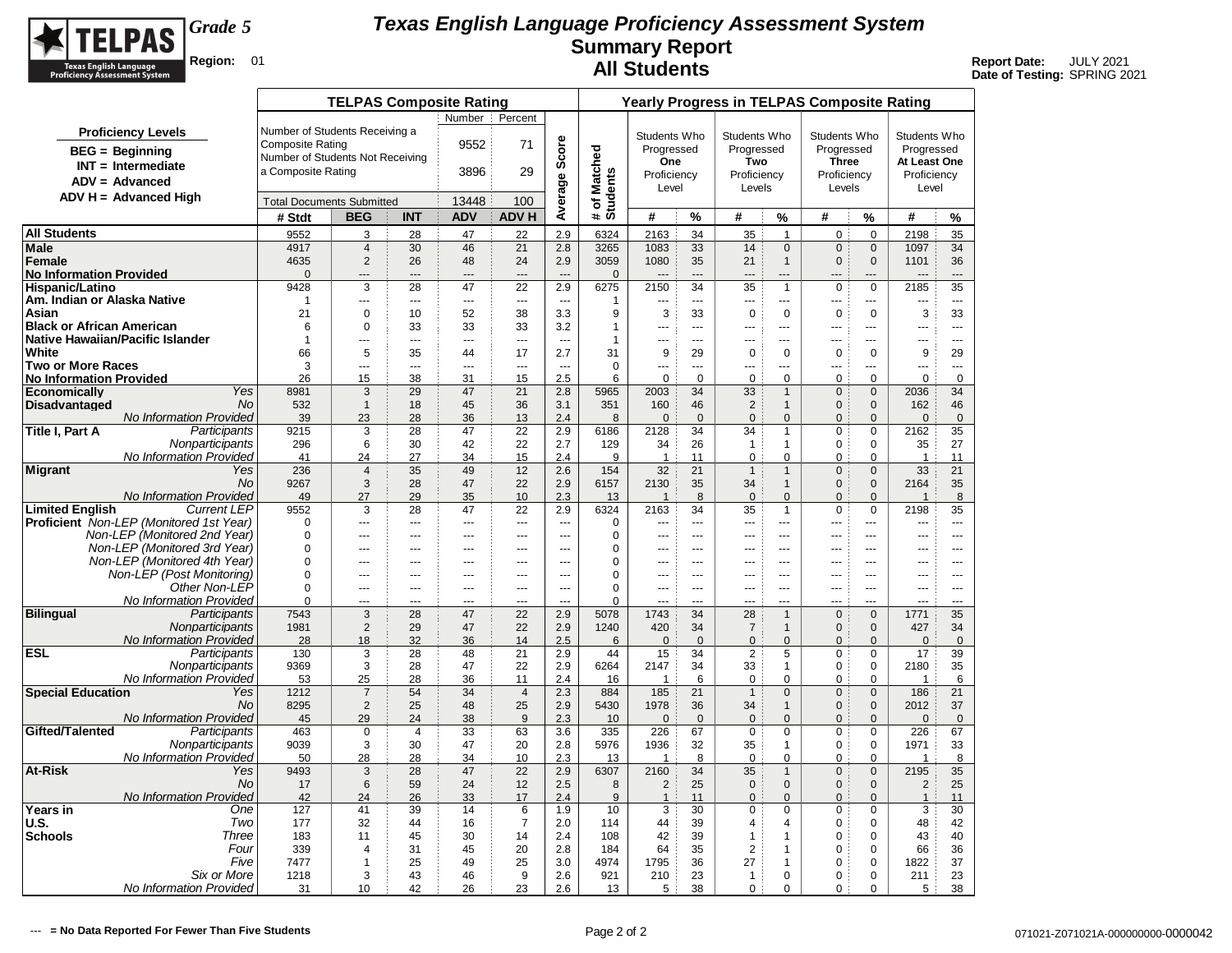

|                                                                   |                                  | <b>TELPAS Composite Rating</b> |                          |                |                                |                                 |                        |                   |                    | <b>Yearly Progress in TELPAS Composite Rating</b> |                              |                              |                              |                        |                |
|-------------------------------------------------------------------|----------------------------------|--------------------------------|--------------------------|----------------|--------------------------------|---------------------------------|------------------------|-------------------|--------------------|---------------------------------------------------|------------------------------|------------------------------|------------------------------|------------------------|----------------|
|                                                                   |                                  |                                |                          | Number         | Percent                        |                                 |                        |                   |                    |                                                   |                              |                              |                              |                        |                |
| <b>Proficiency Levels</b>                                         | Number of Students Receiving a   |                                |                          |                |                                |                                 |                        | Students Who      |                    | Students Who                                      |                              | Students Who                 |                              | Students Who           |                |
| <b>BEG</b> = Beginning                                            | <b>Composite Rating</b>          |                                |                          | 9552           | 71                             | Score                           |                        | Progressed        |                    | Progressed                                        |                              | Progressed                   |                              | Progressed             |                |
| $INT = Intermediate$                                              | Number of Students Not Receiving |                                |                          |                |                                |                                 |                        | One               |                    | Two                                               |                              | <b>Three</b>                 |                              | At Least One           |                |
| $ADV = Advanced$                                                  | a Composite Rating               |                                |                          | 3896           | 29                             |                                 | Matched                | Proficiency       |                    | Proficiency                                       |                              | Proficiency                  |                              | Proficiency            |                |
| $ADV H = Advanced High$                                           |                                  |                                |                          |                |                                |                                 |                        | Level             |                    | Levels                                            |                              | Levels                       |                              | Level                  |                |
|                                                                   | <b>Total Documents Submitted</b> |                                |                          | 13448          | 100                            | Average                         | # of Match<br>Students |                   |                    |                                                   |                              |                              |                              |                        |                |
|                                                                   | # Stdt                           | <b>BEG</b>                     | <b>INT</b>               | <b>ADV</b>     | <b>ADV H</b>                   |                                 |                        | #                 | %                  | #                                                 | %                            | #                            | %                            | #                      | %              |
| <b>All Students</b>                                               | 9552                             | 3                              | 28                       | 47             | 22                             | 2.9                             | 6324                   | 2163              | 34                 | 35                                                | $\mathbf{1}$                 | $\mathbf 0$                  | $\mathbf 0$                  | 2198                   | 35             |
| <b>Male</b><br>Female                                             | 4917<br>4635                     | $\overline{4}$<br>2            | 30<br>26                 | 46<br>48       | 21<br>24                       | 2.8<br>2.9                      | 3265<br>3059           | 1083<br>1080      | 33<br>35           | 14<br>21                                          | $\mathbf{0}$<br>$\mathbf{1}$ | $\mathbf{0}$<br>$\mathbf{0}$ | $\mathbf{0}$<br>$\mathbf{0}$ | 1097<br>1101           | 34<br>36       |
| <b>No Information Provided</b>                                    | $\Omega$                         | ---                            | ---                      | ---            | $\overline{a}$                 | $\overline{a}$                  | $\mathbf{0}$           | $\overline{a}$    |                    |                                                   |                              |                              |                              | ---                    | $---$          |
| <b>Hispanic/Latino</b>                                            | 9428                             | 3                              | 28                       | 47             | 22                             | 2.9                             | 6275                   | 2150              | 34                 | 35                                                | $\overline{1}$               | $\pmb{0}$                    | 0                            | 2185                   | 35             |
| Am. Indian or Alaska Native                                       | 1                                | ---                            | $\overline{\phantom{a}}$ | ---            | $\sim$ $\sim$                  | $\sim$ $\sim$                   | 1                      | ---               | $\overline{a}$     | $\sim$                                            | ---                          | ---                          | ---                          | ---                    | $\overline{a}$ |
| Asian                                                             | 21                               | $\mathbf 0$                    | 10                       | 52             | 38                             | 3.3                             | 9                      | 3                 | 33                 | $\mathbf 0$                                       | $\mathbf 0$                  | $\mathbf 0$                  | $\mathbf 0$                  | 3                      | 33             |
| <b>Black or African American</b>                                  | 6                                | $\mathbf 0$                    | 33                       | 33             | 33                             | 3.2                             | $\mathbf{1}$           |                   | $\sim$             |                                                   | $\overline{a}$               | $\overline{a}$               |                              | ---                    | $\sim$         |
| Native Hawaiian/Pacific Islander                                  | $\mathbf{1}$                     | ---                            | ---                      | $\overline{a}$ | $\overline{\phantom{a}}$       | $\sim$                          | 1                      |                   | $\overline{a}$     | ---                                               | $\overline{a}$               | $\overline{a}$               |                              | ---                    | $---$          |
| White                                                             | 66                               | 5                              | 35                       | 44             | 17                             | 2.7                             | 31                     | 9                 | 29                 | $\mathbf 0$                                       | $\mathbf 0$                  | $\mathbf 0$                  | $\mathbf 0$                  | 9                      | 29             |
| <b>Two or More Races</b><br><b>No Information Provided</b>        | 3<br>26                          | <br>15                         | ---<br>38                | ---<br>31      | $\overline{\phantom{a}}$<br>15 | $\overline{\phantom{a}}$<br>2.5 | $\mathbf 0$<br>6       | <br>$\mathbf 0$   | $\sim$<br>$\Omega$ | $\overline{a}$<br>0                               | ---<br>0                     | $\overline{a}$<br>0          | ---<br>$\mathbf 0$           | <br>$\mathbf 0$        | $\sim$<br>0    |
| Economically<br>Yes                                               | 8981                             | 3                              | 29                       | 47             | 21                             | 2.8                             | 5965                   | 2003              | 34                 | 33                                                | $\mathbf{1}$                 | $\mathbf 0$                  | $\mathbf{0}$                 | 2036                   | 34             |
| <b>Disadvantaged</b><br><b>No</b>                                 | 532                              | $\mathbf{1}$                   | 18                       | 45             | 36                             | 3.1                             | 351                    | 160               | 46                 | $\overline{2}$                                    | $\mathbf{1}$                 | $\mathbf{0}$                 | $\mathbf{0}$                 | 162                    | 46             |
| No Information Provided                                           | 39                               | 23                             | 28                       | 36             | 13                             | 2.4                             | 8                      | $\mathbf{0}$      | $\overline{0}$     | $\mathbf 0$                                       | $\mathbf{0}$                 | $\mathbf{0}$                 | $\Omega$                     | $\mathbf{0}$           | $\mathbf{0}$   |
| Title I, Part A<br>Participants                                   | 9215                             | 3                              | 28                       | 47             | 22                             | 2.9                             | 6186                   | 2128              | 34                 | 34                                                | $\overline{1}$               | $\Omega$                     | $\Omega$                     | 2162                   | 35             |
| Nonparticipants                                                   | 296                              | 6                              | 30                       | 42             | 22                             | 2.7                             | 129                    | 34                | 26                 | 1                                                 | $\mathbf{1}$                 | $\pmb{0}$                    | 0                            | 35                     | 27             |
| No Information Provided                                           | 41                               | 24                             | 27                       | 34             | 15                             | 2.4                             | 9                      | $\mathbf{1}$      | 11                 | 0                                                 | $\pmb{0}$                    | $\pmb{0}$                    | 0                            | $\mathbf{1}$           | 11             |
| <b>Migrant</b><br>Yes<br><b>No</b>                                | 236                              | $\overline{4}$                 | 35<br>28                 | 49<br>47       | 12<br>22                       | 2.6                             | 154<br>6157            | 32<br>2130        | 21<br>35           | $\mathbf{1}$<br>34                                | $\mathbf{1}$                 | $\mathbf 0$                  | $\mathbf 0$                  | 33                     | 21             |
| No Information Provided                                           | 9267<br>49                       | $\mathbf{3}$<br>27             | 29                       | 35             | 10                             | 2.9<br>2.3                      | 13                     | $\mathbf{1}$      | 8                  | $\mathbf 0$                                       | $\mathbf{1}$<br>$\mathbf 0$  | $\mathbf 0$<br>$\mathbf{0}$  | $\mathbf 0$<br>$\mathbf{0}$  | 2164<br>$\overline{1}$ | 35<br>8        |
| <b>Limited English</b><br><b>Current LEP</b>                      | 9552                             | 3                              | 28                       | 47             | 22                             | 2.9                             | 6324                   | 2163              | 34                 | 35                                                | $\overline{1}$               | 0                            | 0                            | 2198                   | 35             |
| <b>Proficient</b> Non-LEP (Monitored 1st Year)                    | 0                                | ---                            | $\overline{\phantom{a}}$ | ---            | $\sim$ $\sim$                  | $\sim$                          | 0                      | ---               | $\sim$             | $\overline{a}$                                    | ---                          | $\overline{a}$               | ---                          | ---                    | $\sim$         |
| Non-LEP (Monitored 2nd Year)                                      | $\mathbf 0$                      |                                | ---                      | $\overline{a}$ | $\overline{\phantom{a}}$       | $\overline{\phantom{a}}$        | 0                      |                   | $\sim$             |                                                   | ---                          | $-$                          |                              |                        | $\sim$         |
| Non-LEP (Monitored 3rd Year)                                      | $\mathbf 0$                      | ---                            | ---                      | $-$            | $\overline{a}$                 | $\sim$                          | 0                      | $\overline{a}$    | $-$                | $---$                                             | $\overline{a}$               | $\overline{a}$               | $\overline{a}$               | ---                    | $-$            |
| Non-LEP (Monitored 4th Year)                                      | $\Omega$                         | $\overline{a}$                 | $\overline{a}$           | $- - -$        | $\overline{a}$                 | $\sim$                          | 0                      | $\overline{a}$    | $-$                | $\overline{a}$                                    | $\overline{a}$               | $-$                          | $\overline{a}$               | $\overline{a}$         | $-$            |
| Non-LEP (Post Monitoring)<br>Other Non-LEP                        | 0                                | ---                            | ---                      | $---$          | $\overline{a}$                 | $\sim$                          | 0                      | $\sim$            | $\sim$             | $---$                                             | $\overline{a}$               | $\overline{a}$               |                              | $\overline{a}$         | $\overline{a}$ |
| No Information Provided                                           | $\mathbf 0$<br>$\Omega$          |                                | ---<br>---               | $\overline{a}$ | $\sim$<br>---                  | <br>---                         | 0<br>0                 | $\sim$            | $\sim$             | $\overline{a}$                                    | $\overline{a}$               | $\sim$                       | <br>÷.                       | ---                    | $\sim$         |
| <b>Bilingual</b><br>Participants                                  | 7543                             | 3                              | 28                       | 47             | 22                             | 2.9                             | 5078                   | 1743              | 34                 | 28                                                | $\mathbf{1}$                 | $\mathbf 0$                  | $\mathbf{0}$                 | 1771                   | 35             |
| Nonparticipants                                                   | 1981                             | 2                              | 29                       | 47             | 22                             | 2.9                             | 1240                   | 420               | 34                 | $\overline{7}$                                    | $\mathbf{1}$                 | $\mathbf{0}$                 | $\mathbf{0}$                 | 427                    | 34             |
| <b>No Information Provided</b>                                    | 28                               | 18                             | 32                       | 36             | 14                             | 2.5                             | 6                      | $\overline{0}$    | $\overline{0}$     | $\mathbf 0$                                       | $\mathbf{0}$                 | $\mathbf 0$                  | $\mathbf{0}$                 | $\mathbf{0}$           | $\mathbf{0}$   |
| <b>ESL</b><br>Participants                                        | 130                              | 3                              | 28                       | 48             | 21                             | 2.9                             | 44                     | 15                | 34                 | 2                                                 | 5                            | $\mathbf 0$                  | $\mathbf 0$                  | 17                     | 39             |
| Nonparticipants                                                   | 9369                             | 3                              | 28                       | 47             | 22                             | 2.9                             | 6264                   | 2147              | 34                 | 33                                                | $\mathbf{1}$                 | $\mathbf 0$                  | $\mathbf 0$                  | 2180                   | 35             |
| <b>No Information Provided</b><br><b>Special Education</b><br>Yes | 53                               | 25<br>$\overline{7}$           | 28<br>54                 | 36<br>34       | 11                             | 2.4<br>2.3                      | 16                     | $\mathbf{1}$      | 6<br>21            | $\mathbf 0$                                       | $\mathbf 0$                  | $\mathbf 0$<br>$\mathbf{0}$  | $\mathbf 0$                  | $\mathbf{1}$           | 6<br>21        |
| <b>No</b>                                                         | 1212<br>8295                     | 2                              | 25                       | 48             | $\overline{4}$<br>25           | 2.9                             | 884<br>5430            | 185<br>1978       | 36                 | $\mathbf{1}$<br>34                                | $\mathbf{0}$<br>$\mathbf{1}$ | $\mathbf{0}$                 | $\mathbf{0}$<br>$\mathbf{0}$ | 186<br>2012            | 37             |
| <b>No Information Provided</b>                                    | 45                               | 29                             | 24                       | 38             | 9                              | 2.3                             | 10                     | $\mathbf{0}$      | $\mathbf{0}$       | $\mathbf 0$                                       | $\mathbf{0}$                 | $\mathbf{0}$                 | $\mathbf{0}$                 | $\mathbf 0$            | $\mathbf{0}$   |
| Gifted/Talented<br>Participants                                   | 463                              | $\mathbf 0$                    | $\overline{4}$           | 33             | 63                             | 3.6                             | 335                    | 226               | 67                 | $\mathbf 0$                                       | $\mathbf 0$                  | $\pmb{0}$                    | $\mathbf 0$                  | 226                    | 67             |
| Nonparticipants                                                   | 9039                             | 3                              | 30                       | 47             | 20                             | 2.8                             | 5976                   | 1936              | 32                 | 35                                                | 1                            | $\mathbf 0$                  | $\Omega$                     | 1971                   | 33             |
| <b>No Information Provided</b>                                    | 50                               | 28                             | 28                       | 34             | 10                             | 2.3                             | 13                     | $\mathbf{1}$      | 8                  | $\mathbf 0$                                       | $\mathbf 0$                  | $\mathbf 0$                  | $\Omega$                     | $\mathbf{1}$           | 8              |
| <b>At-Risk</b><br>Yes                                             | 9493                             | 3                              | 28                       | 47             | 22                             | 2.9                             | 6307                   | 2160              | 34                 | 35                                                | $\mathbf{1}$                 | $\mathbf{0}$                 | $\mathbf{0}$                 | 2195                   | 35             |
| <b>No</b>                                                         | 17                               | 6                              | 59                       | 24             | 12                             | 2.5                             | 8                      | 2                 | 25                 | $\mathbf{0}$                                      | $\mathbf{0}$                 | $\mathbf{0}$                 | $\overline{0}$               | 2                      | 25             |
| No Information Provided<br>Years in<br>One                        | 42<br>127                        | 24<br>41                       | 26<br>39                 | 33<br>14       | 17<br>6                        | 2.4<br>1.9                      | 9<br>10                | $\mathbf{1}$<br>3 | 11<br>30           | $\overline{0}$<br>$\mathbf 0$                     | $\mathbf{0}$<br>$\mathbf 0$  | $\mathbf{0}$<br>$\mathbf 0$  | $\Omega$<br>$\mathbf 0$      | $\mathbf{1}$<br>3      | 11<br>30       |
| U.S.<br>Two                                                       | 177                              | 32                             | 44                       | 16             | $\overline{7}$                 | 2.0                             | 114                    | 44                | 39                 | 4                                                 | 4                            | 0                            | $\Omega$                     | 48                     | 42             |
| <b>Schools</b><br>Three                                           | 183                              | 11                             | 45                       | 30             | 14                             | 2.4                             | 108                    | 42                | 39                 | 1                                                 | $\overline{1}$               | $\Omega$                     | $\Omega$                     | 43                     | 40             |
| Four                                                              | 339                              | $\boldsymbol{\Delta}$          | 31                       | 45             | 20                             | 2.8                             | 184                    | 64                | 35                 | $\overline{2}$                                    | $\mathbf{1}$                 | $\mathbf 0$                  | $\Omega$                     | 66                     | 36             |
| Five                                                              | 7477                             | 1                              | 25                       | 49             | 25                             | 3.0                             | 4974                   | 1795              | 36                 | 27                                                | $\mathbf{1}$                 | $\mathbf 0$                  | $\mathbf 0$                  | 1822                   | 37             |
| Six or More                                                       | 1218                             | 3                              | 43                       | 46             | 9                              | 2.6                             | 921                    | 210               | 23                 | 1                                                 | $\pmb{0}$                    | $\pmb{0}$                    | $\Omega$                     | 211                    | 23             |
| No Information Provided                                           | 31                               | 10                             | 42                       | 26             | 23                             | 2.6                             | 13                     | 5                 | 38                 | 0                                                 | 0                            | 0                            | $\mathbf 0$                  | 5                      | 38             |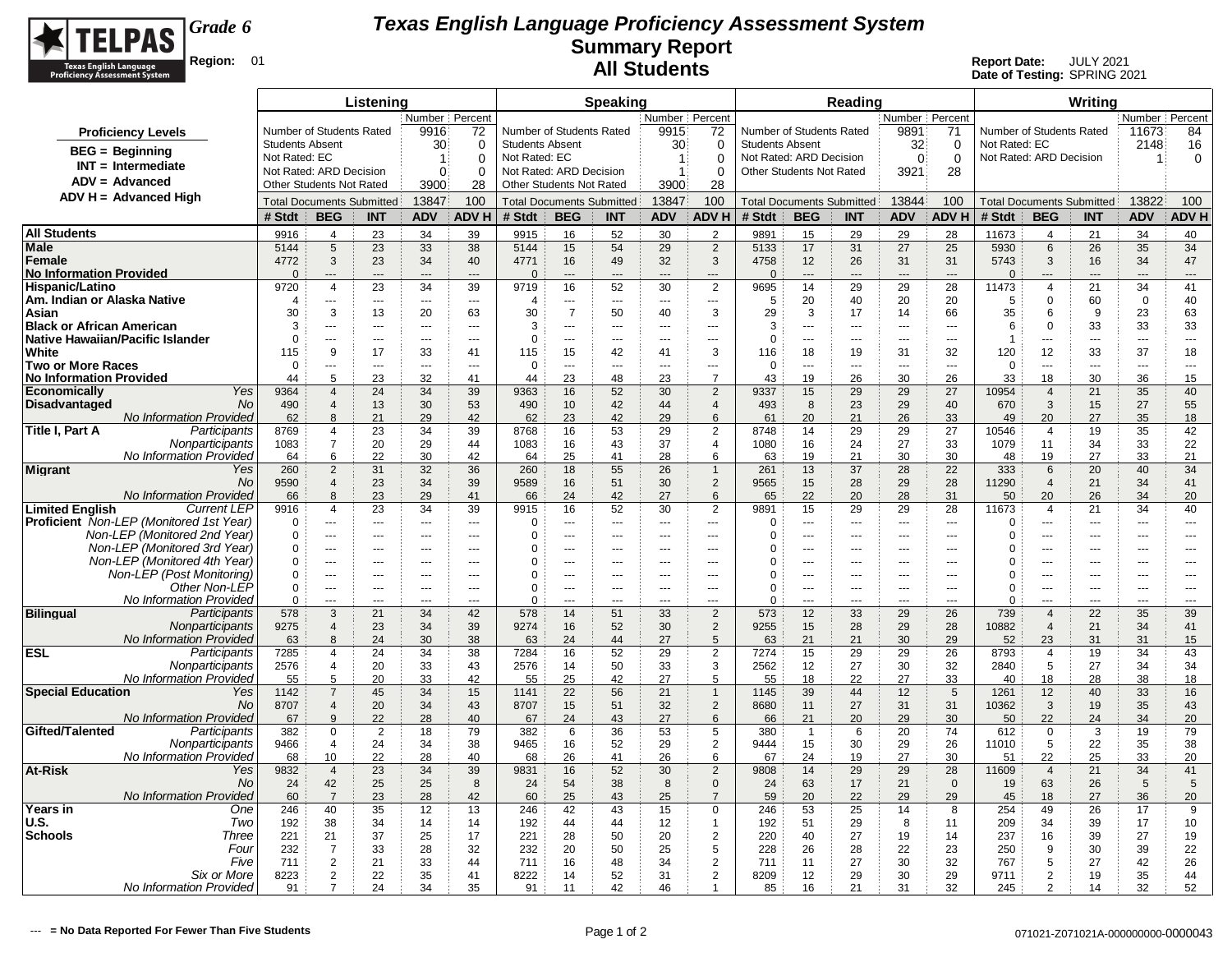

|                                                              |                                          |                                         | Listening           |                      |                      |                                          |                       | <b>Speaking</b>                  |                                              |                                  |                                                            |                       | Reading                  |                                 |                      |                          |                                  | Writing               |                       |                          |
|--------------------------------------------------------------|------------------------------------------|-----------------------------------------|---------------------|----------------------|----------------------|------------------------------------------|-----------------------|----------------------------------|----------------------------------------------|----------------------------------|------------------------------------------------------------|-----------------------|--------------------------|---------------------------------|----------------------|--------------------------|----------------------------------|-----------------------|-----------------------|--------------------------|
|                                                              |                                          |                                         |                     | Number   Percent     |                      |                                          |                       |                                  | Number   Percent                             |                                  |                                                            |                       |                          | Number Percent                  |                      |                          |                                  |                       | Number   Percent      |                          |
| <b>Proficiency Levels</b>                                    |                                          | Number of Students Rated                |                     | 9916                 | 72                   | Number of Students Rated                 |                       |                                  | 9915                                         | 72                               | Number of Students Rated                                   |                       |                          | 9891                            | 71                   | Number of Students Rated |                                  |                       | 11673                 | 84                       |
| $BEG = Beginning$                                            | <b>Students Absent</b>                   |                                         |                     | 30 <sub>3</sub>      | $\Omega$             | <b>Students Absent</b>                   |                       |                                  | 30                                           | $\Omega$                         | <b>Students Absent</b>                                     |                       |                          | 32                              | 0                    | Not Rated: EC            |                                  |                       | 2148                  | 16                       |
| $INT = Intermediate$                                         | Not Rated: EC<br>Not Rated: ARD Decision |                                         |                     | $\overline{1}$<br>0  | $\Omega$<br>$\Omega$ | Not Rated: EC<br>Not Rated: ARD Decision |                       |                                  | $\blacktriangleleft$<br>$\blacktriangleleft$ | $\Omega$<br>$\Omega$             | Not Rated: ARD Decision<br><b>Other Students Not Rated</b> |                       |                          | $\Omega$<br>3921                | $\Omega$<br>28       | Not Rated: ARD Decision  |                                  |                       | -1                    | 0                        |
| $ADV = Advanced$                                             | <b>Other Students Not Rated</b>          |                                         |                     | 3900                 | 28                   | <b>Other Students Not Rated</b>          |                       |                                  | 3900                                         | 28                               |                                                            |                       |                          |                                 |                      |                          |                                  |                       |                       |                          |
| $ADV H = Advanced High$                                      |                                          | <b>Total Documents Submitted</b>        |                     | 13847                | 100                  |                                          |                       | <b>Total Documents Submitted</b> | 13847                                        | 100                              | <b>Total Documents Submitted</b>                           |                       |                          | 13844                           | 100                  |                          | <b>Total Documents Submitted</b> |                       | 13822                 | 100                      |
|                                                              | # Stdt                                   | <b>BEG</b>                              | <b>INT</b>          | <b>ADV</b>           | <b>ADVH</b>          | # Stdt                                   | <b>BEG</b>            | <b>INT</b>                       | <b>ADV</b>                                   | <b>ADVH</b>                      | # Stdt                                                     | <b>BEG</b>            | <b>INT</b>               | <b>ADV</b>                      | <b>ADVH</b>          | # Stdt                   | <b>BEG</b>                       | <b>INT</b>            | <b>ADV</b>            | <b>ADV H</b>             |
| <b>All Students</b>                                          | 9916                                     | $\overline{4}$                          | 23                  | 34                   | 39                   | 9915                                     | 16                    | 52                               | 30                                           | $\overline{2}$                   | 9891                                                       | 15                    | 29                       | 29                              | 28                   | 11673                    | $\overline{4}$                   | 21                    | 34                    | 40                       |
| Male                                                         | 5144                                     | 5                                       | 23                  | 33                   | 38                   | 5144                                     | 15                    | 54                               | 29                                           | 2                                | 5133                                                       | 17                    | 31                       | 27                              | 25                   | 5930                     | 6                                | 26                    | 35                    | 34                       |
| Female                                                       | 4772                                     | 3                                       | 23                  | 34                   | 40                   | 4771                                     | 16                    | 49                               | 32                                           | 3                                | 4758                                                       | 12                    | 26                       | 31                              | 31                   | 5743                     | 3                                | 16                    | 34                    | 47                       |
| <b>No Information Provided</b>                               | $\Omega$                                 | ---                                     |                     | $\overline{a}$       | $\overline{a}$       | $\overline{0}$                           | $\overline{a}$        | $\overline{a}$                   | $\overline{a}$                               | $\overline{a}$                   | $\Omega$                                                   | ---                   | $\overline{\phantom{a}}$ | $\overline{a}$                  | $\overline{a}$       | $\Omega$                 | ---                              | ---                   | ---                   | ш.                       |
| Hispanic/Latino                                              | 9720                                     | 4                                       | 23                  | 34                   | 39                   | 9719                                     | 16                    | 52                               | 30                                           | 2                                | 9695                                                       | 14                    | 29                       | 29                              | 28                   | 11473                    | $\overline{\mathcal{A}}$         | 21                    | 34                    | 41                       |
| Am. Indian or Alaska Native                                  | $\overline{4}$                           | ---<br>3                                | $\sim$              | $\overline{a}$       | ---                  | 4                                        | ---<br>$\overline{7}$ | $\sim$                           | ---                                          | $\cdots$                         | 5                                                          | 20                    | 40<br>17                 | 20                              | 20                   | 5                        | $\Omega$                         | 60                    | $\mathbf 0$           | 40                       |
| Asian<br><b>Black or African American</b>                    | 30<br>3                                  | $\overline{a}$                          | 13<br>$\sim$ $\sim$ | 20<br>$\overline{a}$ | 63<br>$\overline{a}$ | 30<br>3                                  | ---                   | 50<br>$---$                      | 40<br>$- - -$                                | 3<br>$\overline{a}$              | 29<br>3                                                    | 3<br>$\overline{a}$   | $-$                      | 14<br>$\sim$ $\sim$             | 66<br>$\overline{a}$ | 35<br>6                  | 6<br>$\Omega$                    | 9<br>33               | 23<br>33              | 63<br>33                 |
| Native Hawaiian/Pacific Islander                             | $\Omega$                                 | $- - -$                                 | $- - -$             | ---                  | ---                  | $\Omega$                                 | ÷÷                    | $\sim$                           | ---                                          | $\overline{a}$                   | $\Omega$                                                   | ---                   | $\overline{a}$           | $\overline{\phantom{a}}$        | $\overline{a}$       | 1                        | ÷÷.                              | ---                   | $\sim$                | ---                      |
| White                                                        | 115                                      | $\mathbf{q}$                            | 17                  | 33                   | 41                   | 115                                      | 15                    | 42                               | 41                                           | 3                                | 116                                                        | 18                    | 19                       | 31                              | 32                   | 120                      | 12                               | 33                    | 37                    | 18                       |
| <b>Two or More Races</b>                                     | 0                                        |                                         |                     | $\sim$               |                      | 0                                        | ÷÷                    | ---                              | ---                                          | ---                              | $\mathbf 0$                                                | ---                   | $\overline{a}$           | $\sim$                          | $\overline{a}$       | 0                        | ---                              | ---                   | ---                   | ---                      |
| No Information Provided                                      | 44                                       | 5                                       | 23                  | 32                   | 41                   | 44                                       | 23                    | 48                               | 23                                           | $\overline{7}$                   | 43                                                         | 19                    | 26                       | 30                              | 26                   | 33                       | 18                               | 30                    | 36                    | 15                       |
| Yes<br><b>Economically</b><br>No<br><b>Disadvantaged</b>     | 9364<br>490                              | $\overline{4}$<br>$\overline{4}$        | 24<br>13            | 34<br>30             | 39<br>53             | 9363<br>490                              | 16<br>10              | 52<br>42                         | 30<br>44                                     | $\overline{2}$<br>$\overline{4}$ | 9337<br>493                                                | 15<br>8               | 29<br>23                 | 29<br>29                        | 27<br>40             | 10954<br>670             | $\overline{4}$<br>3              | 21<br>15              | 35<br>27              | 40<br>55                 |
| <b>No Information Provided</b>                               | 62                                       | 8                                       | 21                  | 29                   | 42                   | 62                                       | 23                    | 42                               | 29                                           | 6                                | 61                                                         | 20                    | 21                       | 26                              | 33                   | 49                       | 20                               | 27                    | 35                    | 18                       |
| Participants<br>Title I, Part A                              | 8769                                     | 4                                       | 23                  | 34                   | 39                   | 8768                                     | 16                    | 53                               | 29                                           | 2                                | 8748                                                       | 14                    | 29                       | 29                              | 27                   | 10546                    | $\overline{4}$                   | 19                    | 35                    | 42                       |
| Nonparticipants                                              | 1083                                     | $\overline{7}$                          | 20                  | 29                   | 44                   | 1083                                     | 16                    | 43                               | 37                                           | 4                                | 1080                                                       | 16                    | 24                       | 27                              | 33                   | 1079                     | 11                               | 34                    | 33                    | 22                       |
| No Information Provided                                      | 64                                       | 6                                       | 22                  | 30                   | 42                   | 64                                       | 25                    | 41                               | 28                                           | 6                                | 63                                                         | 19                    | 21                       | 30                              | 30                   | 48                       | 19                               | 27                    | 33                    | 21                       |
| <b>Migrant</b><br>Yes<br>No                                  | 260<br>9590                              | $\overline{2}$<br>$\overline{4}$        | 31<br>23            | 32<br>34             | 36<br>39             | 260<br>9589                              | 18<br>16              | 55<br>51                         | 26<br>30                                     | $\mathbf{1}$<br>2                | 261<br>9565                                                | 13<br>15              | 37<br>28                 | 28<br>29                        | 22<br>28             | 333<br>11290             | 6<br>$\overline{4}$              | 20<br>21              | 40<br>34              | 34<br>41                 |
| No Information Provided                                      | 66                                       | 8                                       | 23                  | 29                   | 41                   | 66                                       | 24                    | 42                               | 27                                           | 6                                | 65                                                         | 22                    | 20                       | 28                              | 31                   | 50                       | 20                               | 26                    | 34                    | 20                       |
| <b>Limited Enalish</b><br><b>Current LEP</b>                 | 9916                                     | 4                                       | 23                  | 34                   | 39                   | 9915                                     | 16                    | 52                               | 30                                           | 2                                | 9891                                                       | 15 <sup>15</sup>      | 29                       | 29                              | 28                   | 11673                    | $\overline{4}$                   | 21                    | 34                    | 40                       |
| <b>Proficient</b> Non-LEP (Monitored 1st Year)               | $\Omega$                                 | ---                                     | $\sim$              | $\overline{a}$       | ---                  | $\Omega$                                 | ---                   | $\sim$                           | ---                                          | $\overline{a}$                   | 0                                                          | ---                   | ---                      | $\sim$                          | $\overline{a}$       | 0                        | ÷÷.                              | ---                   | ---                   | ---                      |
| Non-LEP (Monitored 2nd Year)                                 | 0                                        | $\overline{a}$                          | $\overline{a}$      | $\overline{a}$       | ---                  | $\Omega$                                 | ÷÷                    | ---                              | ---                                          | $\overline{a}$                   | $\Omega$                                                   | ---                   | $\overline{a}$           | $\overline{a}$                  | $\overline{a}$       | $\Omega$                 | ---                              | ---                   | ---                   | ---                      |
| Non-LEP (Monitored 3rd Year)<br>Non-LEP (Monitored 4th Year) | 0<br>0                                   | $\overline{\phantom{a}}$<br>$-$         | $\sim$              | ---<br>$- - -$       | ---<br>$---$         | $\Omega$<br>$\Omega$                     | ---<br>$\overline{a}$ | ---<br>$\sim$ $\sim$ $\sim$      | ---<br>$\overline{a}$                        | ---<br>$---$                     | $\Omega$<br>$\Omega$                                       | ---<br>$\overline{a}$ | ---<br>$-$               | $\overline{a}$<br>$\sim$ $\sim$ | ---<br>$-$           | $\Omega$<br>$\Omega$     | ÷÷.<br>÷÷                        | ---<br>$\overline{a}$ | ---<br>$- - -$        | ---<br>$---$             |
| Non-LEP (Post Monitoring)                                    | 0                                        | $\overline{a}$                          | $- - -$             | ---                  | $\overline{a}$       | $\Omega$                                 | ---                   | $\sim$                           | $- - -$                                      | ---                              | $\Omega$                                                   | $\overline{a}$        | $-$                      | $\sim$                          | $\sim$               | 0                        | ---                              | ---                   | $\overline{a}$        | $\overline{\phantom{a}}$ |
| Other Non-LEP                                                | $\mathbf 0$                              | $\overline{a}$                          | $- - -$             | ---                  | $---$                | $\Omega$                                 | ---                   | $\sim$ $\sim$ $\sim$             | $\sim$                                       | $\overline{a}$                   | $\mathbf 0$                                                | ---                   | $\overline{a}$           | $\overline{\phantom{a}}$        | $\sim$               | 0                        | ÷÷                               | ---                   | $\sim$                | ---                      |
| No Information Provided                                      | $\mathbf 0$                              | $\overline{a}$                          |                     | $\sim$ $\sim$        | $\overline{a}$       | $\Omega$                                 | ---                   | ---                              | $\overline{a}$                               | ---                              | $\Omega$                                                   | ---                   | $-$                      | $\sim$                          |                      | $\Omega$                 |                                  | ---                   | ---                   |                          |
| <b>Bilingual</b><br>Participants                             | 578                                      | 3                                       | 21                  | 34                   | 42                   | 578                                      | 14                    | 51                               | 33                                           | $\overline{2}$                   | 573                                                        | 12                    | 33                       | 29                              | 26                   | 739                      | $\overline{4}$                   | 22                    | 35                    | 39                       |
| Nonparticipants<br>No Information Provided                   | 9275<br>63                               | $\overline{4}$<br>8                     | 23<br>24            | 34<br>30             | 39<br>38             | 9274<br>63                               | 16<br>24              | 52<br>44                         | 30<br>27                                     | 2<br>5                           | 9255<br>63                                                 | 15<br>21              | 28<br>21                 | 29<br>30                        | 28<br>29             | 10882<br>52              | $\overline{4}$<br>23             | 21<br>31              | 34<br>31              | 41<br>15                 |
| <b>ESL</b><br>Participants                                   | 7285                                     | 4                                       | 24                  | 34                   | 38                   | 7284                                     | 16                    | 52                               | 29                                           | $\overline{2}$                   | 7274                                                       | 15                    | 29                       | 29                              | 26                   | 8793                     | 4                                | 19                    | 34                    | 43                       |
| Nonparticipants                                              | 2576                                     | 4                                       | 20                  | 33                   | 43                   | 2576                                     | 14                    | 50                               | 33                                           | 3                                | 2562                                                       | 12                    | 27                       | 30                              | 32                   | 2840                     | 5                                | 27                    | 34                    | 34                       |
| No Information Provided                                      | 55                                       | 5                                       | 20                  | 33                   | 42                   | 55                                       | 25                    | 42                               | 27                                           | 5                                | 55                                                         | 18                    | 22                       | 27                              | 33                   | 40                       | 18                               | 28                    | 38                    | 18                       |
| <b>Special Education</b><br>Yes                              | 1142                                     | $\overline{7}$                          | 45                  | 34                   | 15                   | 1141                                     | 22                    | 56                               | 21                                           | $\mathbf{1}$                     | 1145                                                       | 39                    | 44                       | 12                              | 5                    | 1261                     | 12                               | 40                    | 33                    | 16                       |
| No<br>No Information Provided                                | 8707<br>67                               | $\overline{4}$<br>9                     | 20<br>22            | 34<br>28             | 43<br>40             | 8707<br>67                               | 15<br>24              | 51<br>43                         | 32<br>27                                     | 2<br>6                           | 8680<br>66                                                 | 11<br>21              | 27<br>20                 | 31<br>29                        | 31<br>30             | 10362<br>50              | 3<br>22                          | 19<br>24              | 35<br>34              | 43<br>20                 |
| Gifted/Talented<br>Participants                              | 382                                      | $\mathbf 0$                             | $\overline{2}$      | 18                   | 79                   | 382                                      | 6                     | 36                               | 53                                           | 5                                | 380                                                        | $\overline{1}$        | 6                        | 20                              | 74                   | 612                      | $\Omega$                         | 3                     | 19                    | 79                       |
| Nonparticipants                                              | 9466                                     | $\overline{4}$                          | 24                  | 34                   | 38                   | 9465                                     | 16                    | 52                               | 29                                           | $\overline{2}$                   | 9444                                                       | 15                    | 30                       | 29                              | 26                   | 11010                    | 5                                | 22                    | 35                    | 38                       |
| No Information Provided                                      | 68                                       | 10                                      | 22                  | 28                   | 40                   | 68                                       | 26                    | 41                               | 26                                           | 6                                | 67                                                         | 24                    | 19                       | 27                              | 30                   | 51                       | 22                               | 25                    | 33                    | 20                       |
| <b>At-Risk</b><br>Yes                                        | 9832                                     | $\overline{4}$                          | 23                  | 34                   | 39                   | 9831                                     | 16                    | 52                               | 30                                           | $\mathbf 2$                      | 9808                                                       | 14                    | 29                       | 29                              | 28                   | 11609                    | $\overline{4}$                   | 21                    | 34                    | 41                       |
| No<br><b>No Information Provided</b>                         | 24<br>60                                 | 42<br>$\overline{7}$                    | 25<br>23            | 25<br>28             | 8<br>42              | 24<br>60                                 | 54<br>25              | 38<br>43                         | $\bf8$<br>25                                 | $\overline{0}$<br>$\overline{7}$ | 24<br>59                                                   | 63<br>20              | 17<br>22                 | 21<br>29                        | $\mathbf 0$<br>29    | 19<br>45                 | 63<br>18                         | 26<br>27              | $5\phantom{.0}$<br>36 | 5<br>20                  |
| Years in<br>One                                              | 246                                      | 40                                      | 35                  | 12                   | 13                   | 246                                      | 42                    | 43                               | 15                                           | $\mathbf 0$                      | 246                                                        | 53                    | 25                       | 14                              | 8                    | 254                      | 49                               | 26                    | 17                    | 9                        |
| Two<br>U.S.                                                  | 192                                      | 38                                      | 34                  | 14                   | 14                   | 192                                      | 44                    | 44                               | 12                                           | $\mathbf{1}$                     | 192                                                        | 51                    | 29                       | 8                               | 11                   | 209                      | 34                               | 39                    | 17                    | 10                       |
| Three<br><b>Schools</b>                                      | 221                                      | 21                                      | 37                  | 25                   | 17                   | 221                                      | 28                    | 50                               | 20                                           | $\overline{2}$                   | 220                                                        | 40                    | 27                       | 19                              | 14                   | 237                      | 16                               | 39                    | 27                    | 19                       |
| Four                                                         | 232                                      | $\overline{7}$                          | 33                  | 28                   | 32                   | 232                                      | 20                    | 50                               | 25                                           | 5                                | 228                                                        | 26                    | 28                       | 22                              | 23                   | 250                      | 9                                | 30                    | 39                    | 22                       |
| Five                                                         | 711                                      | $\overline{2}$                          | 21                  | 33                   | 44                   | 711                                      | 16                    | 48                               | 34                                           | $\overline{2}$                   | 711                                                        | 11                    | 27                       | 30                              | 32                   | 767                      | 5                                | 27                    | 42                    | 26                       |
| Six or More<br><b>No Information Provided</b>                | 8223<br>91                               | $\mathbf{2}^{\prime}$<br>$\overline{7}$ | 22<br>24            | 35<br>34             | 41<br>35             | 8222<br>91                               | 14<br>11              | 52<br>42                         | 31<br>46                                     | 2                                | 8209<br>85                                                 | 12<br>16              | 29<br>21                 | 30<br>31                        | 29<br>32             | 9711<br>245              | $\overline{2}$<br>$\mathfrak{p}$ | 19<br>14              | 35<br>32              | 44<br>52                 |
|                                                              |                                          |                                         |                     |                      |                      |                                          |                       |                                  |                                              |                                  |                                                            |                       |                          |                                 |                      |                          |                                  |                       |                       |                          |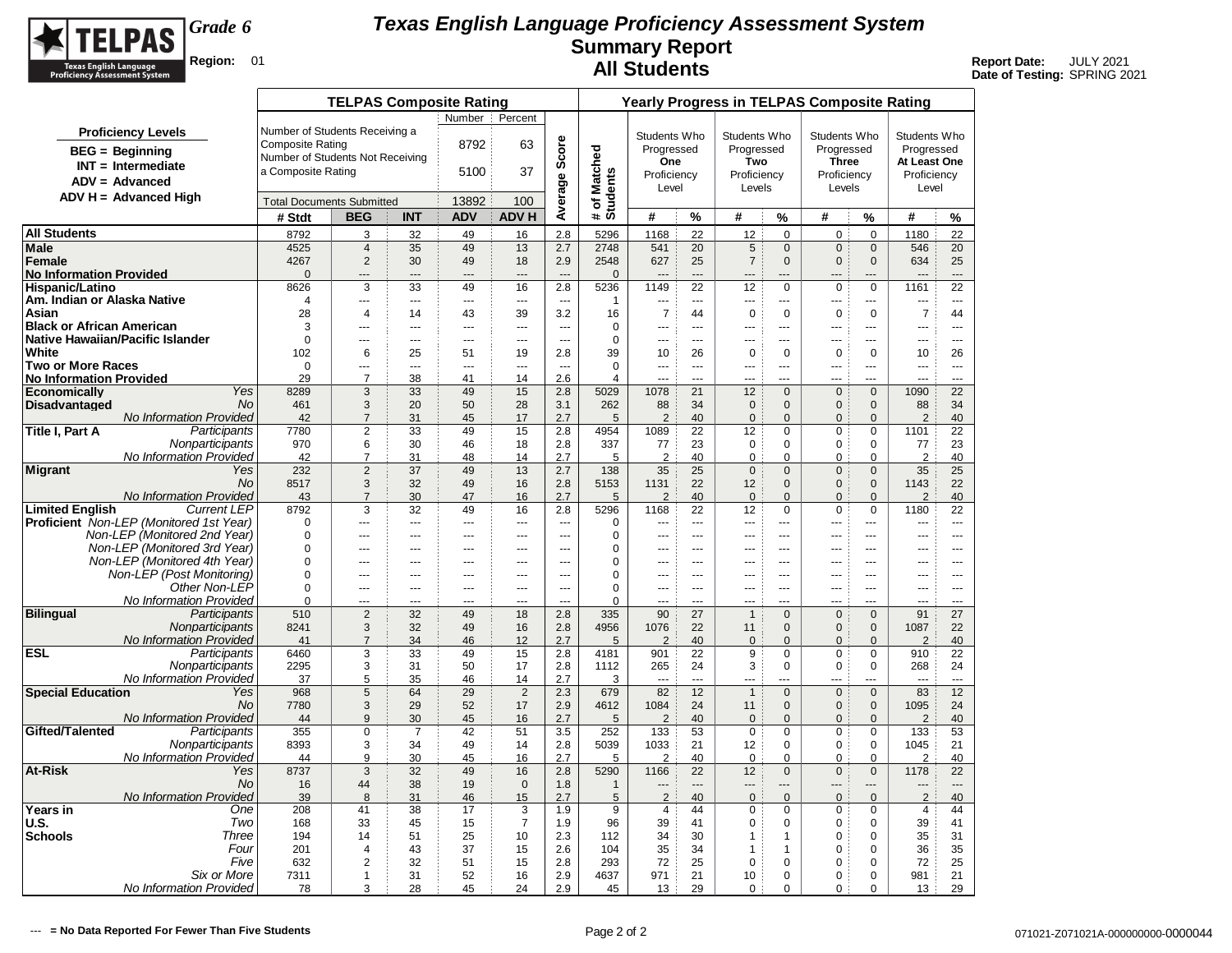

|                                           |                                                |                                  | <b>TELPAS Composite Rating</b>   |                       |                         |                          |                          |                          |                        |                |                      |                                | <b>Yearly Progress in TELPAS Composite Rating</b> |                                  |                                  |                          |
|-------------------------------------------|------------------------------------------------|----------------------------------|----------------------------------|-----------------------|-------------------------|--------------------------|--------------------------|--------------------------|------------------------|----------------|----------------------|--------------------------------|---------------------------------------------------|----------------------------------|----------------------------------|--------------------------|
|                                           |                                                |                                  |                                  |                       | Number                  | Percent                  |                          |                          |                        |                |                      |                                |                                                   |                                  |                                  |                          |
|                                           | <b>Proficiency Levels</b>                      | Number of Students Receiving a   |                                  |                       |                         |                          |                          |                          | Students Who           |                | Students Who         |                                | Students Who                                      |                                  | Students Who                     |                          |
|                                           | <b>BEG</b> = Beginning                         | <b>Composite Rating</b>          |                                  |                       | 8792                    | 63                       | Score                    |                          | Progressed             |                | Progressed           |                                | Progressed                                        |                                  | Progressed                       |                          |
|                                           | $INT = Intermediate$                           | Number of Students Not Receiving |                                  |                       |                         |                          |                          |                          | One                    |                | Two                  |                                | <b>Three</b>                                      |                                  | At Least One                     |                          |
|                                           | $ADV = Advanced$                               | a Composite Rating               |                                  |                       | 5100                    | 37                       |                          |                          | Proficiency            |                | Proficiency          |                                | Proficiency                                       |                                  | Proficiency                      |                          |
|                                           | $ADV H = Advanced High$                        |                                  |                                  |                       |                         |                          |                          |                          | Level                  |                | Levels               |                                | Levels                                            |                                  | Level                            |                          |
|                                           |                                                | <b>Total Documents Submitted</b> |                                  |                       | 13892                   | 100                      | Average                  | # of Matched<br>Students |                        |                |                      |                                |                                                   |                                  |                                  |                          |
|                                           |                                                | # Stdt                           | <b>BEG</b>                       | <b>INT</b>            | <b>ADV</b>              | <b>ADV H</b>             |                          |                          | #                      | %              | #                    | $\%$                           | #                                                 | %                                | #                                | %                        |
| <b>All Students</b>                       |                                                | 8792                             | 3                                | 32                    | 49                      | 16                       | 2.8                      | 5296                     | 1168                   | 22             | 12                   | $\mathbf 0$                    | $\mathbf 0$                                       | $\mathbf 0$                      | 1180                             | 22                       |
| <b>Male</b><br>Female                     |                                                | 4525<br>4267                     | $\overline{4}$<br>$\overline{2}$ | 35<br>30              | 49<br>49                | 13<br>18                 | 2.7<br>2.9               | 2748<br>2548             | 541<br>627             | 20<br>25       | 5<br>$\overline{7}$  | $\mathbf 0$<br>$\mathbf{0}$    | $\mathbf 0$<br>$\mathbf 0$                        | $\mathbf 0$<br>$\mathbf{0}$      | 546<br>634                       | 20<br>25                 |
| <b>No Information Provided</b>            |                                                | $\Omega$                         | $\overline{a}$                   | ---                   | $---$                   | $\overline{a}$           | $\overline{a}$           | $\mathbf{0}$             | $\overline{a}$         | $\overline{a}$ | $---$                | ---                            | $\overline{a}$                                    | ---                              | ---                              | $\overline{a}$           |
| Hispanic/Latino                           |                                                | 8626                             | 3                                | 33                    | 49                      | 16                       | 2.8                      | 5236                     | 1149                   | 22             | 12                   | $\mathbf 0$                    | $\mathbf 0$                                       | $\mathbf 0$                      | 1161                             | 22                       |
| Am. Indian or Alaska Native               |                                                | $\overline{4}$                   | ---                              | ---                   | ---                     | ---                      | $\overline{a}$           | 1                        | ---                    | ---            | $\overline{a}$       | ---                            | $\overline{a}$                                    | ---                              | ---                              | ---                      |
| Asian                                     |                                                | 28                               | $\overline{4}$                   | 14                    | 43                      | 39                       | 3.2                      | 16                       | $\overline{7}$         | 44             | $\pmb{0}$            | $\mathbf 0$                    | $\mathbf 0$                                       | $\mathbf 0$                      | $\overline{7}$                   | 44                       |
| <b>Black or African American</b>          |                                                | 3                                | $\overline{a}$                   | $\overline{a}$        | $\overline{a}$          | $\sim$                   | $\sim$                   | $\mathbf 0$              | $\overline{a}$         | $\sim$         | $\overline{a}$       | $\overline{a}$                 | $\overline{a}$                                    | <u></u>                          | $\overline{a}$                   | $\overline{a}$           |
| Native Hawaiian/Pacific Islander<br>White |                                                | $\Omega$<br>102                  | ---<br>6                         | $---$<br>25           | $---$<br>51             | $\sim$ $\sim$<br>19      | $\sim$<br>2.8            | $\mathbf 0$<br>39        | $\sim$<br>10           | $--$<br>26     | $---$<br>$\mathbf 0$ | $---$<br>$\mathbf 0$           | $- - -$<br>$\mathbf 0$                            | $\overline{a}$<br>$\mathbf 0$    | ---<br>10                        | $- - -$<br>26            |
| <b>Two or More Races</b>                  |                                                | $\Omega$                         | ---                              | ---                   | ---                     | $\overline{\phantom{a}}$ | $\overline{\phantom{a}}$ | $\Omega$                 | ---                    | $\sim$         | ---                  | $\overline{a}$                 | $\overline{a}$                                    | ---                              | ---                              | $\overline{\phantom{a}}$ |
| <b>No Information Provided</b>            |                                                | 29                               | $\overline{7}$                   | 38                    | 41                      | 14                       | 2.6                      | 4                        |                        | $\overline{a}$ |                      |                                |                                                   | ---                              | ---                              |                          |
| <b>Economically</b>                       | Yes                                            | 8289                             | 3                                | 33                    | 49                      | 15                       | 2.8                      | 5029                     | 1078                   | 21             | 12                   | $\mathbf{0}$                   | $\mathbf 0$                                       | $\mathbf{0}$                     | 1090                             | 22                       |
| <b>Disadvantaged</b>                      | <b>No</b>                                      | 461                              | 3                                | 20                    | 50                      | 28                       | 3.1                      | 262                      | 88                     | 34             | $\mathbf 0$          | $\mathbf{0}$                   | $\mathbf{0}$                                      | $\mathbf{0}$                     | 88                               | 34                       |
| Title I, Part A                           | No Information Provided<br>Participants        | 42                               | $\overline{7}$<br>2              | 31<br>33              | 45<br>49                | 17<br>15                 | 2.7                      | 5<br>4954                | $\overline{2}$<br>1089 | 40<br>22       | 0                    | $\mathbf{0}$<br>$\mathbf 0$    | $\mathbf{0}$<br>$\mathbf 0$                       | $\Omega$<br>$\mathbf 0$          | 2<br>1101                        | 40<br>22                 |
|                                           | Nonparticipants                                | 7780<br>970                      | 6                                | 30                    | 46                      | 18                       | 2.8<br>2.8               | 337                      | 77                     | 23             | 12<br>$\mathbf 0$    | $\mathbf 0$                    | $\mathbf 0$                                       | $\Omega$                         | 77                               | 23                       |
|                                           | <b>No Information Provided</b>                 | 42                               | $\overline{7}$                   | 31                    | 48                      | 14                       | 2.7                      | 5                        | $\overline{2}$         | 40             | $\mathbf 0$          | $\mathbf 0$                    | $\mathbf 0$                                       | $\mathbf 0$                      | 2                                | 40                       |
| <b>Migrant</b>                            | Yes                                            | 232                              | 2                                | 37                    | 49                      | 13                       | 2.7                      | 138                      | 35                     | 25             | $\overline{0}$       | $\mathbf{0}$                   | $\mathbf{0}$                                      | $\mathbf{0}$                     | 35                               | 25                       |
|                                           | <b>No</b>                                      | 8517                             | 3                                | 32                    | 49                      | 16                       | 2.8                      | 5153                     | 1131                   | 22             | 12                   | $\mathbf{0}$                   | $\mathbf{0}$                                      | $\mathbf{0}$                     | 1143                             | 22                       |
|                                           | No Information Provided<br><b>Current LEP</b>  | 43                               | $\overline{7}$                   | 30                    | 47                      | 16                       | 2.7                      | 5<br>5296                | $\overline{2}$         | 40             | $\mathbf{0}$         | $\mathbf{0}$                   | $\mathbf{0}$                                      | $\mathbf{0}$                     | $\overline{2}$                   | 40                       |
| <b>Limited English</b>                    | <b>Proficient</b> Non-LEP (Monitored 1st Year) | 8792<br>$\Omega$                 | 3<br>                            | 32<br>---             | 49<br>$\overline{a}$    | 16<br>---                | 2.8<br>$\overline{a}$    | $\mathbf 0$              | 1168<br>---            | 22<br>$\sim$   | 12<br>$\overline{a}$ | $\mathbf 0$<br>$\overline{a}$  | $\pmb{0}$<br>$\sim$                               | $\mathbf 0$<br>                  | 1180<br>---                      | 22<br>$\overline{a}$     |
|                                           | Non-LEP (Monitored 2nd Year)                   | $\Omega$                         | ---                              | ---                   | ---                     | $\overline{a}$           | $\sim$                   | $\Omega$                 | ---                    | $\overline{a}$ | $---$                | ---                            | ---                                               | ---                              | ---                              | $- - -$                  |
|                                           | Non-LEP (Monitored 3rd Year)                   | $\Omega$                         | ---                              | ---                   | ---                     | ---                      | ---                      | 0                        | ---                    | $\sim$         |                      | ÷÷                             | ---                                               | ---                              | ---                              | $\sim$                   |
|                                           | Non-LEP (Monitored 4th Year)                   | $\Omega$                         | ---                              | ---                   | $\sim$                  | $\sim$                   | $\sim$                   | 0                        |                        | $\sim$         | $\overline{a}$       | $-$                            | $\sim$                                            |                                  | ---                              | $\sim$                   |
|                                           | Non-LEP (Post Monitoring)                      | $\mathbf 0$                      | ---                              | ---                   | ---                     | $\overline{a}$           | $\sim$                   | 0                        | ---                    | $---$          | ---                  | ---                            | $\overline{a}$                                    | ---                              | ---                              | $\overline{a}$           |
|                                           | Other Non-LEP<br>No Information Provided       | $\Omega$<br>$\Omega$             | $\overline{a}$<br>$\overline{a}$ | ---<br>$\overline{a}$ | $---$<br>$\overline{a}$ | $\overline{a}$<br>$\sim$ | $\sim$<br>$\sim$         | $\Omega$<br>$\Omega$     | $\sim$<br>$\sim$       | $---$<br>$-$   | $---$<br>$---$       | $---$<br>$\overline{a}$        | $- - -$<br>$\sim$                                 | $\overline{a}$<br>$\overline{a}$ | $\overline{a}$<br>$\overline{a}$ | $- - -$<br>$---$         |
| <b>Bilingual</b>                          | Participants                                   | 510                              | 2                                | 32                    | 49                      | 18                       | 2.8                      | 335                      | 90                     | 27             | $\mathbf{1}$         | $\Omega$                       | $\mathsf 0$                                       | $\Omega$                         | 91                               | 27                       |
|                                           | Nonparticipants                                | 8241                             | 3                                | 32                    | 49                      | 16                       | 2.8                      | 4956                     | 1076                   | 22             | 11                   | $\Omega$                       | $\mathbf 0$                                       | $\Omega$                         | 1087                             | 22                       |
|                                           | No Information Provided                        | 41                               | $\overline{7}$                   | 34                    | 46                      | 12                       | 2.7                      | 5                        | $\overline{2}$         | 40             | $\mathbf 0$          | $\Omega$                       | $\mathbf 0$                                       | $\Omega$                         | $\overline{2}$                   | 40                       |
| <b>ESL</b>                                | Participants                                   | 6460                             | 3                                | 33                    | 49                      | 15                       | 2.8                      | 4181                     | 901                    | 22             | 9                    | $\pmb{0}$                      | $\mathbf 0$                                       | 0                                | 910                              | 22                       |
|                                           | Nonparticipants<br>No Information Provided     | 2295<br>37                       | 3<br>5                           | 31<br>35              | 50<br>46                | 17<br>14                 | 2.8<br>2.7               | 1112<br>3                | 265<br>                | 24<br>$\sim$   | 3<br>---             | $\pmb{0}$<br><u></u>           | $\mathbf 0$<br><u></u>                            | 0<br>---                         | 268<br>                          | 24<br>$---$              |
| <b>Special Education</b>                  | Yes                                            | 968                              | $\overline{5}$                   | 64                    | 29                      | $\overline{2}$           | 2.3                      | 679                      | 82                     | 12             | $\mathbf{1}$         | $\mathbf 0$                    | $\mathbf 0$                                       | $\mathbf 0$                      | 83                               | 12                       |
|                                           | No.                                            | 7780                             | 3                                | 29                    | 52                      | 17                       | 2.9                      | 4612                     | 1084                   | 24             | 11                   | $\mathbf{0}$                   | $\mathbf{0}$                                      | $\mathbf{0}$                     | 1095                             | 24                       |
|                                           | No Information Provided                        | 44                               | 9                                | 30                    | 45                      | 16                       | 2.7                      | 5                        | 2                      | 40             | $\mathbf 0$          | $\mathbf{0}$                   | $\mathbf{0}$                                      | $\mathbf{0}$                     | 2                                | 40                       |
| Gifted/Talented                           | Participants                                   | 355                              | $\mathbf 0$                      | $\overline{7}$        | 42                      | 51                       | 3.5                      | 252                      | 133                    | 53             | $\mathbf 0$          | $\mathbf 0$                    | 0                                                 | 0                                | 133                              | 53                       |
|                                           | Nonparticipants<br>No Information Provided     | 8393<br>44                       | 3<br>9                           | 34                    | 49                      | 14                       | 2.8<br>2.7               | 5039                     | 1033<br>$\overline{2}$ | 21             | 12                   | $\mathbf 0$                    | $\mathbf 0$                                       | $\mathbf 0$<br>$\mathbf 0$       | 1045<br>2                        | 21                       |
| <b>At-Risk</b>                            | Yes                                            | 8737                             | 3                                | 30<br>32              | 45<br>49                | 16<br>16                 | 2.8                      | 5<br>5290                | 1166                   | 40<br>22       | $\mathbf 0$<br>12    | $\mathbf 0$<br>$\mathbf{0}$    | $\mathbf 0$<br>$\mathbf 0$                        | $\mathbf{0}$                     | 1178                             | 40<br>22                 |
|                                           | No.                                            | 16                               | 44                               | 38                    | 19                      | $\mathbf 0$              | 1.8                      | $\mathbf{1}$             |                        | $\overline{a}$ | ---                  | ---                            | $-$                                               | ---                              |                                  | $\overline{a}$           |
|                                           | <b>No Information Provided</b>                 | 39                               | 8                                | 31                    | 46                      | 15                       | 2.7                      | 5                        | $\overline{2}$         | 40             | $\overline{0}$       | $\mathbf{0}$                   | $\mathbf{0}$                                      | $\mathbf{0}$                     | $\overline{2}$                   | 40                       |
| Years in                                  | One                                            | 208                              | 41                               | 38                    | 17                      | 3                        | 1.9                      | 9                        | 4                      | 44             | 0                    | $\mathbf 0$                    | $\mathbf 0$                                       | 0                                | 4                                | 44                       |
| <b>U.S.</b>                               | Two                                            | 168                              | 33                               | 45                    | 15                      | $\overline{7}$           | 1.9                      | 96                       | 39                     | 41             | $\mathbf 0$          | $\mathbf 0$                    | $\mathbf 0$                                       | $\mathbf 0$                      | 39                               | 41                       |
| <b>Schools</b>                            | Three<br>Four                                  | 194<br>201                       | 14<br>$\overline{4}$             | 51<br>43              | 25<br>37                | 10<br>15                 | 2.3<br>2.6               | 112<br>104               | 34<br>35               | 30<br>34       | $\mathbf{1}$<br>1    | $\overline{1}$<br>$\mathbf{1}$ | $\mathbf 0$<br>0                                  | $\mathbf 0$<br>0                 | 35<br>36                         | 31<br>35                 |
|                                           | Five                                           | 632                              | $\overline{2}$                   | 32                    | 51                      | 15                       | 2.8                      | 293                      | 72                     | 25             | $\mathbf 0$          | $\mathbf 0$                    | $\mathbf 0$                                       | $\Omega$                         | 72                               | 25                       |
|                                           | Six or More                                    | 7311                             | $\mathbf{1}$                     | 31                    | 52                      | 16                       | 2.9                      | 4637                     | 971                    | 21             | 10                   | $\mathbf 0$                    | $\mathbf 0$                                       | $\mathbf 0$                      | 981                              | 21                       |
|                                           | No Information Provided                        | 78                               | 3                                | 28                    | 45                      | 24                       | 2.9                      | 45                       | 13                     | 29             | 0                    | $\mathbf 0$                    | $\mathbf 0$                                       | 0                                | 13                               | 29                       |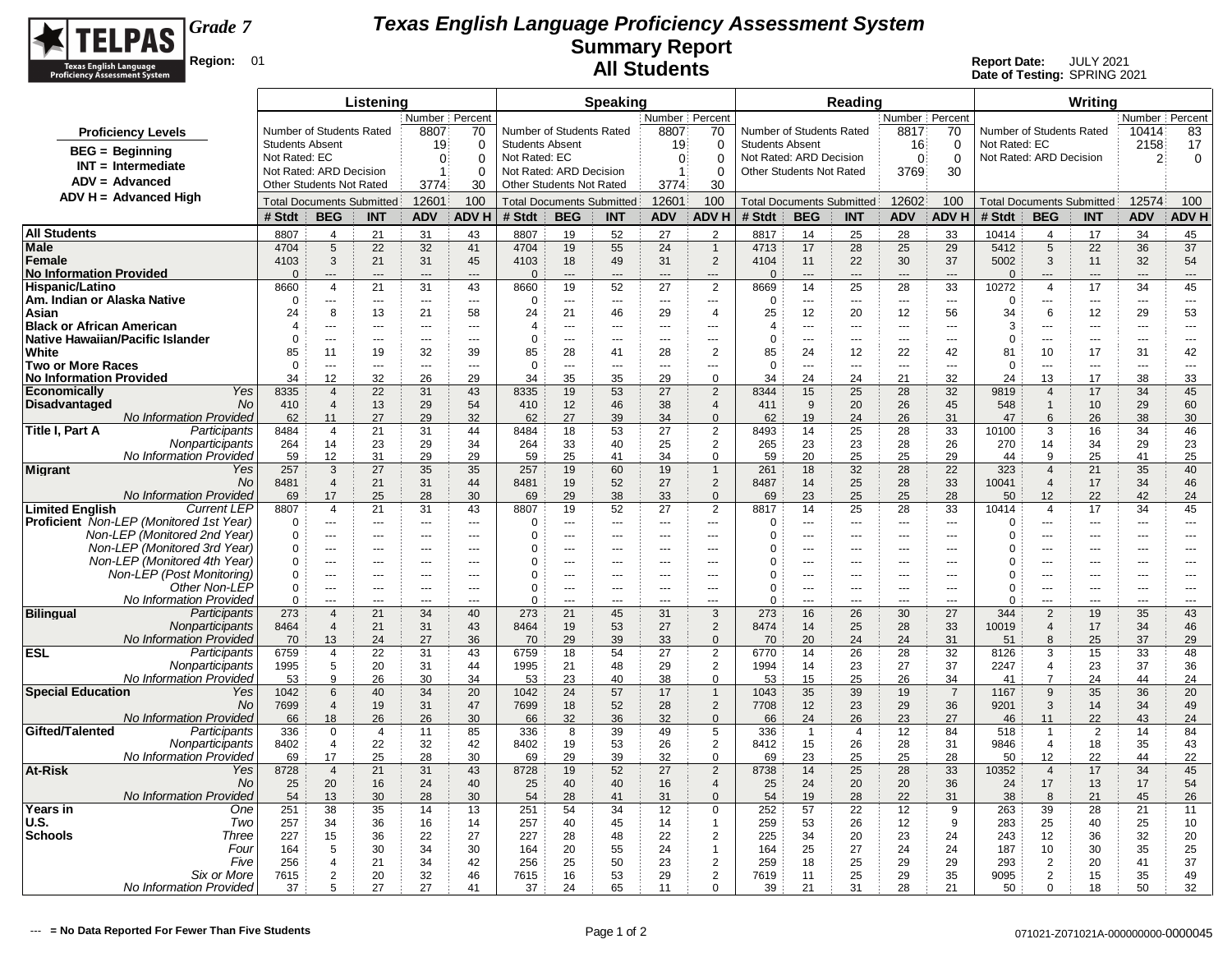

|                                                                                         |                        |                                  | Listening            |                          |                          |                        |                                  | <b>Speaking</b>      |                      |                                  |                                  |                      | Reading              |                          |                      |                         |                                  | Writing    |                |                |
|-----------------------------------------------------------------------------------------|------------------------|----------------------------------|----------------------|--------------------------|--------------------------|------------------------|----------------------------------|----------------------|----------------------|----------------------------------|----------------------------------|----------------------|----------------------|--------------------------|----------------------|-------------------------|----------------------------------|------------|----------------|----------------|
|                                                                                         |                        |                                  |                      | Number Percent           |                          |                        |                                  |                      | Number Percent       |                                  |                                  |                      |                      | Number Percent           |                      |                         |                                  |            | Number Percent |                |
| <b>Proficiency Levels</b>                                                               |                        | Number of Students Rated         |                      | 8807                     | 70                       |                        | Number of Students Rated         |                      | 8807                 | 70                               | Number of Students Rated         |                      |                      | 8817                     | 70                   |                         | Number of Students Rated         |            | 10414          | 83             |
| $BEG =$ Beginning                                                                       | <b>Students Absent</b> |                                  |                      | 19                       | 0                        | <b>Students Absent</b> |                                  |                      | 19                   | 0                                | <b>Students Absent</b>           |                      |                      | 16                       | 0                    | Not Rated: EC           |                                  |            | 2158           | 17             |
| $INT = Intermediate$                                                                    | Not Rated: EC          |                                  |                      | $\Omega$                 | $\Omega$                 | Not Rated: EC          |                                  |                      | $\Omega$             | $\Omega$                         | Not Rated: ARD Decision          |                      |                      | $\Omega$                 | $\overline{0}$       | Not Rated: ARD Decision |                                  |            | $\overline{2}$ | 0              |
| $ADV = Advanced$                                                                        |                        | Not Rated: ARD Decision          |                      | 1                        | $\Omega$                 |                        | Not Rated: ARD Decision          |                      | $\mathbf{1}$         | 0                                | <b>Other Students Not Rated</b>  |                      |                      | 3769                     | 30                   |                         |                                  |            |                |                |
| $ADV H = Advanced High$                                                                 |                        | <b>Other Students Not Rated</b>  |                      | 3774                     | 30                       |                        | Other Students Not Rated         |                      | 3774                 | 30                               |                                  |                      |                      |                          |                      |                         |                                  |            |                |                |
|                                                                                         |                        | <b>Total Documents Submitted</b> |                      | 12601                    | 100                      |                        | <b>Total Documents Submitted</b> |                      | 12601                | 100                              | <b>Total Documents Submitted</b> |                      |                      | 12602                    | 100                  |                         | <b>Total Documents Submitted</b> |            | 12574          | 100            |
|                                                                                         | # Stdt                 | <b>BEG</b>                       | <b>INT</b>           | <b>ADV</b>               | <b>ADVH</b>              | # Stdt                 | <b>BEG</b>                       | <b>INT</b>           | <b>ADV</b>           | <b>ADVH</b>                      | # Stdt                           | <b>BEG</b>           | <b>INT</b>           | <b>ADV</b>               | <b>ADVH</b>          | # Stdt                  | <b>BEG</b>                       | <b>INT</b> | <b>ADV</b>     | <b>ADVH</b>    |
| <b>All Students</b>                                                                     | 8807                   | 4                                | 21                   | 31                       | 43                       | 8807                   | 19                               | 52                   | 27                   | $\overline{2}$                   | 8817                             | 14                   | 25                   | 28                       | 33                   | 10414                   | 4                                | 17         | 34             | 45             |
| Male                                                                                    | 4704                   | 5                                | 22                   | 32                       | 41                       | 4704                   | 19                               | 55                   | 24                   | $\mathbf{1}$                     | 4713                             | 17                   | 28                   | 25                       | 29                   | 5412                    | $\sqrt{5}$                       | 22         | 36             | 37             |
| Female                                                                                  | 4103<br>$\Omega$       | 3<br>$\overline{a}$              | 21<br>$\overline{a}$ | 31<br>$\overline{a}$     | 45<br>$---$              | 4103<br>$\Omega$       | 18<br>---                        | 49<br>$\overline{a}$ | 31<br>$\overline{a}$ | $\overline{2}$<br>$\overline{a}$ | 4104<br>$\Omega$                 | 11<br>$\overline{a}$ | 22<br>$\overline{a}$ | 30<br>$\overline{a}$     | 37<br>$\overline{a}$ | 5002<br>$\Omega$        | 3<br>$---$                       | 11<br>---  | 32<br>$---$    | 54<br>---      |
| <b>No Information Provided</b><br>Hispanic/Latino                                       | 8660                   | $\overline{4}$                   | 21                   | 31                       | 43                       | 8660                   | 19                               | 52                   | 27                   | $\overline{2}$                   | 8669                             | 14                   | 25                   | 28                       | 33                   | 10272                   | $\overline{4}$                   | 17         | 34             | 45             |
| Am. Indian or Alaska Native                                                             | $\Omega$               | ---                              | $\sim$               | $\overline{\phantom{a}}$ | $\overline{\phantom{a}}$ | $\Omega$               | ---                              | ---                  | ---                  | $\overline{\phantom{a}}$         | $\Omega$                         | ---                  | $\overline{a}$       | $\overline{\phantom{a}}$ | $\overline{a}$       | $\Omega$                | ---                              | ---        | ---            | ---            |
| Asian                                                                                   | 24                     | 8                                | 13                   | 21                       | 58                       | 24                     | 21                               | 46                   | 29                   | $\overline{4}$                   | 25                               | 12                   | 20                   | 12                       | 56                   | 34                      | 6                                | 12         | 29             | 53             |
| <b>Black or African American</b>                                                        | $\overline{4}$         | $-$                              | $\overline{a}$       | $\sim$ $\sim$            | $\sim$                   | $\overline{4}$         | $\overline{a}$                   | ---                  | ---                  | $\overline{a}$                   | $\overline{4}$                   | ---                  | $-$                  | $\overline{a}$           | $\sim$               | 3                       | ---                              | ---        | ---            | ---            |
| Native Hawaiian/Pacific Islander                                                        | $\mathbf 0$            | $\overline{a}$                   | $\sim$               | $\overline{a}$           | $\overline{a}$           | $\mathbf 0$            | ÷÷                               | $\sim$               | $\overline{a}$       | $\overline{a}$                   | $\mathbf 0$                      | ---                  | ---                  | $\overline{a}$           | $\overline{a}$       | $\Omega$                | ---                              | ---        | $\sim$         | ---            |
| White                                                                                   | 85                     | 11                               | 19                   | 32                       | 39                       | 85                     | 28                               | 41                   | 28                   | $\boldsymbol{2}$                 | 85                               | 24                   | 12                   | 22                       | 42                   | 81                      | 10                               | 17         | 31             | 42             |
| <b>Two or More Races</b>                                                                | $\overline{0}$         | ---                              |                      | $\overline{a}$           | $\overline{a}$           | $\mathbf 0$            | Щ,                               | $\overline{a}$       | ---                  | $\overline{a}$                   | $\Omega$                         | ---                  | ---                  | $\overline{a}$           | ---                  | $\Omega$                | Ξ.                               |            | $\overline{a}$ | ---            |
| No Information Provided                                                                 | 34                     | 12                               | 32                   | 26                       | 29                       | 34                     | 35                               | 35                   | 29                   | $\mathbf 0$                      | 34                               | 24                   | 24                   | 21                       | 32                   | 24                      | 13                               | 17         | 38             | 33             |
| Yes<br>Economicallv<br><b>Disadvantaged</b><br>No                                       | 8335<br>410            | $\overline{4}$<br>$\overline{4}$ | 22<br>13             | 31<br>29                 | 43<br>54                 | 8335<br>410            | 19<br>12                         | 53<br>46             | 27<br>38             | $\overline{2}$<br>$\overline{4}$ | 8344<br>411                      | 15<br>9              | 25<br>20             | 28<br>26                 | 32<br>45             | 9819<br>548             | $\overline{4}$<br>$\mathbf{1}$   | 17<br>10   | 34<br>29       | 45<br>60       |
| <b>No Information Provided</b>                                                          | 62                     | 11                               | 27                   | 29                       | 32                       | 62                     | 27                               | 39                   | 34                   | $\Omega$                         | 62                               | 19                   | 24                   | 26                       | 31                   | 47                      | 6                                | 26         | 38             | 30             |
| Participants<br>Title I, Part A                                                         | 8484                   | 4                                | 21                   | 31                       | 44                       | 8484                   | 18                               | 53                   | 27                   | $\overline{2}$                   | 8493                             | 14                   | 25                   | 28                       | 33                   | 10100                   | 3                                | 16         | 34             | 46             |
| Nonparticipants                                                                         | 264                    | 14                               | 23                   | 29                       | 34                       | 264                    | 33                               | 40                   | 25                   | $\overline{2}$                   | 265                              | 23                   | 23                   | 28                       | 26                   | 270                     | 14                               | 34         | 29             | 23             |
| No Information Provided                                                                 | 59                     | 12                               | 31                   | 29                       | 29                       | 59                     | 25                               | 41                   | 34                   | $\mathbf 0$                      | 59                               | 20                   | 25                   | 25                       | 29                   | 44                      | 9                                | 25         | 41             | 25             |
| <b>Migrant</b><br>Yes                                                                   | 257                    | 3                                | 27                   | 35                       | 35                       | 257                    | 19                               | 60                   | 19                   | $\overline{1}$                   | 261                              | 18                   | 32                   | 28                       | 22                   | 323                     | $\overline{4}$                   | 21         | 35             | 40             |
| <b>No</b>                                                                               | 8481                   | $\overline{4}$                   | 21                   | 31                       | 44                       | 8481                   | 19                               | 52                   | 27                   | $\boldsymbol{2}$                 | 8487                             | 14                   | 25                   | 28                       | 33                   | 10041                   | $\overline{a}$                   | 17         | 34             | 46             |
| No Information Provided                                                                 | 69                     | 17                               | 25                   | 28                       | 30                       | 69                     | 29                               | 38                   | 33                   | $\mathbf 0$                      | 69                               | 23                   | 25                   | 25                       | 28                   | 50                      | 12                               | 22         | 42             | 24             |
| <b>Limited English</b><br><b>Current LEP</b><br>Proficient Non-LEP (Monitored 1st Year) | 8807<br>$\Omega$       | $\overline{4}$<br>$\overline{a}$ | 21<br>$\overline{a}$ | 31<br>$\sim$             | 43<br>$\overline{a}$     | 8807<br>$\Omega$       | 19<br>---                        | 52<br>---            | 27<br>---            | $\overline{2}$<br>$\overline{a}$ | 8817<br>$\Omega$                 | 14<br>$-$            | 25<br>$\overline{a}$ | 28<br>$\sim$             | 33<br>$\overline{a}$ | 10414<br>$\Omega$       | $\overline{4}$<br>---            | 17<br>---  | 34<br>---      | 45<br>$---$    |
| Non-LEP (Monitored 2nd Year)                                                            | $\Omega$               | ---                              | ---                  | $\overline{a}$           | $---$                    | $\Omega$               | ---                              | ---                  | ---                  | $\overline{a}$                   | C                                | ---                  | ---                  | $\overline{a}$           | ---                  | $\Omega$                | ---                              | ---        | $\overline{a}$ | $\overline{a}$ |
| Non-LEP (Monitored 3rd Year)                                                            | $\Omega$               |                                  | $\overline{a}$       |                          |                          | 0                      | $\overline{a}$                   | $- -$                |                      | $\overline{a}$                   | ſ                                | ---                  | $\overline{a}$       |                          | $\overline{a}$       | 0                       |                                  | ---        |                | ---            |
| Non-LEP (Monitored 4th Year)                                                            | 0                      | $\overline{a}$                   | $\overline{a}$       | ---                      | $---$                    | $\Omega$               | ÷÷                               | $\sim$               | ---                  | $\overline{a}$                   | $\Omega$                         | ---                  | $\overline{a}$       | $\overline{a}$           | $\overline{a}$       | $\Omega$                | ---                              | ---        | $\overline{a}$ | $\overline{a}$ |
| Non-LEP (Post Monitoring)                                                               | $\Omega$               | $\overline{a}$                   | $---$                | $- - -$                  | $- - -$                  | $\Omega$               | $---$                            | $\overline{a}$       | $---$                | $-$                              | $\Omega$                         | $---$                | $---$                | $-$                      | $-$                  | $\Omega$                | ---                              | $---$      | $- - -$        | $---$          |
| Other Non-LEP                                                                           | 0                      | $\overline{a}$                   | $\sim$ $\sim$        | $- - -$                  | $- - -$                  | 0                      | ---                              | $- - -$              | $- - -$              | $-$                              | $\mathbf 0$                      | $---$                | $---$                | $\sim$ $\sim$            | $\overline{a}$       | 0                       | ---                              | $---$      | $- - -$        | $\sim$ $\sim$  |
| No Information Provided                                                                 | $\Omega$               | $\overline{a}$                   |                      | $\overline{a}$           | $\overline{a}$           | $\Omega$               | ---                              | ---                  | ---                  | ---                              | $\Omega$                         | $-$                  | ---                  | $\overline{a}$           | $\overline{a}$       | 0                       | ÷÷                               | ---        | ---            | ---            |
| <b>Bilingual</b><br>Participants<br>Nonparticipants                                     | 273<br>8464            | $\overline{4}$<br>$\overline{4}$ | 21<br>21             | 34<br>31                 | 40<br>43                 | 273<br>8464            | 21<br>19                         | 45<br>53             | 31<br>27             | 3<br>$\overline{2}$              | 273<br>8474                      | 16<br>14             | 26<br>25             | 30<br>28                 | 27<br>33             | 344<br>10019            | $\overline{2}$<br>4              | 19<br>17   | 35<br>34       | 43<br>46       |
| No Information Provided                                                                 | 70                     | 13                               | 24                   | 27                       | 36                       | 70                     | 29                               | 39                   | 33                   | $\mathbf 0$                      | 70                               | 20                   | 24                   | 24                       | 31                   | 51                      | 8                                | 25         | 37             | 29             |
| ESL<br>Participants                                                                     | 6759                   | 4                                | 22                   | 31                       | 43                       | 6759                   | 18                               | 54                   | 27                   | $\overline{2}$                   | 6770                             | 14                   | 26                   | 28                       | 32                   | 8126                    | 3                                | 15         | 33             | 48             |
| Nonparticipants                                                                         | 1995                   | 5                                | 20                   | 31                       | 44                       | 1995                   | 21                               | 48                   | 29                   | $\overline{2}$                   | 1994                             | 14                   | 23                   | 27                       | 37                   | 2247                    | $\Delta$                         | 23         | 37             | 36             |
| No Information Provided                                                                 | 53                     | 9                                | 26                   | 30                       | 34                       | 53                     | 23                               | 40                   | 38                   | $\mathbf 0$                      | 53                               | 15                   | 25                   | 26                       | 34                   | 41                      | $\overline{7}$                   | 24         | 44             | 24             |
| <b>Special Education</b><br>Yes                                                         | 1042                   | 6                                | 40                   | 34                       | 20                       | 1042                   | 24                               | 57                   | 17                   | $\overline{1}$                   | 1043                             | 35                   | 39                   | 19                       | $\overline{7}$       | 1167                    | 9                                | 35         | 36             | 20             |
| No.                                                                                     | 7699                   | $\overline{4}$                   | 19                   | 31                       | 47                       | 7699                   | 18                               | 52                   | 28                   | $\overline{2}$                   | 7708                             | 12                   | 23                   | 29                       | 36                   | 9201                    | 3                                | 14         | 34             | 49             |
| <b>No Information Provided</b><br>Gifted/Talented<br>Participants                       | 66<br>336              | 18<br>$\mathbf 0$                | 26<br>$\overline{4}$ | 26<br>11                 | 30<br>85                 | 66<br>336              | 32<br>8                          | 36<br>39             | 32<br>49             | $\mathbf{0}$<br>5                | 66<br>336                        | 24<br>$\mathbf{1}$   | 26<br>$\overline{4}$ | 23<br>12                 | 27<br>84             | 46<br>518               | 11<br>$\overline{1}$             | 22<br>2    | 43<br>14       | 24<br>84       |
| Nonparticipants                                                                         | 8402                   | $\overline{4}$                   | 22                   | 32                       | 42                       | 8402                   | 19                               | 53                   | 26                   | $\overline{2}$                   | 8412                             | 15                   | 26                   | 28                       | 31                   | 9846                    | $\overline{4}$                   | 18         | 35             | 43             |
| No Information Provided                                                                 | 69                     | 17                               | 25                   | 28                       | 30                       | 69                     | 29                               | 39                   | 32                   | $\mathbf 0$                      | 69                               | 23                   | 25                   | 25                       | 28                   | 50                      | 12                               | 22         | 44             | 22             |
| At-Risk<br>Yes                                                                          | 8728                   | $\overline{4}$                   | 21                   | 31                       | 43                       | 8728                   | 19                               | 52                   | 27                   | $\overline{2}$                   | 8738                             | 14                   | 25                   | 28                       | 33                   | 10352                   | $\overline{4}$                   | 17         | 34             | 45             |
| <b>No</b>                                                                               | 25                     | 20                               | 16                   | 24                       | 40                       | 25                     | 40                               | 40                   | 16                   | $\overline{4}$                   | 25                               | 24                   | 20                   | 20                       | 36                   | 24                      | 17                               | 13         | 17             | 54             |
| No Information Provided                                                                 | 54                     | 13                               | 30                   | 28                       | 30                       | 54                     | 28                               | 41                   | 31                   | $\mathbf{0}$                     | 54                               | 19                   | 28                   | 22                       | 31                   | 38                      | 8                                | 21         | 45             | 26             |
| Years in<br>One                                                                         | 251                    | 38                               | 35                   | 14                       | 13                       | 251                    | 54                               | 34                   | 12                   | $\mathbf 0$                      | 252                              | 57                   | 22                   | 12                       | 9                    | 263                     | 39                               | 28         | 21             | 11             |
| U.S.<br>Two                                                                             | 257                    | 34                               | 36                   | 16                       | 14                       | 257                    | 40                               | 45                   | 14                   | $\overline{1}$                   | 259                              | 53                   | 26                   | 12                       | 9                    | 283                     | 25                               | 40         | 25             | 10             |
| Three<br>Schools<br>Four                                                                | 227<br>164             | 15<br>5                          | 36<br>30             | 22<br>34                 | 27<br>30                 | 227<br>164             | 28                               | 48                   | 22<br>24             | $\overline{2}$<br>$\mathbf{1}$   | 225<br>164                       | 34<br>25             | 20<br>27             | 23<br>24                 | 24<br>24             | 243<br>187              | 12<br>10                         | 36<br>30   | 32<br>35       | 20<br>25       |
| Five                                                                                    | 256                    | 4                                | 21                   | 34                       | 42                       | 256                    | 20<br>25                         | 55<br>50             | 23                   | $\overline{2}$                   | 259                              | 18                   | 25                   | 29                       | 29                   | 293                     | 2                                | 20         | 41             | 37             |
| Six or More                                                                             | 7615                   | $\overline{2}$                   | 20                   | 32                       | 46                       | 7615                   | 16                               | 53                   | 29                   | $\overline{2}$                   | 7619                             | 11                   | 25                   | 29                       | 35                   | 9095                    | 2                                | 15         | 35             | 49             |
| No Information Provided                                                                 | 37                     | 5                                | 27                   | 27                       | 41                       | 37                     | 24                               | 65                   | 11                   | $\mathbf 0$                      | 39                               | 21                   | 31                   | 28                       | 21                   | 50                      | $\Omega$                         | 18         | 50             | 32             |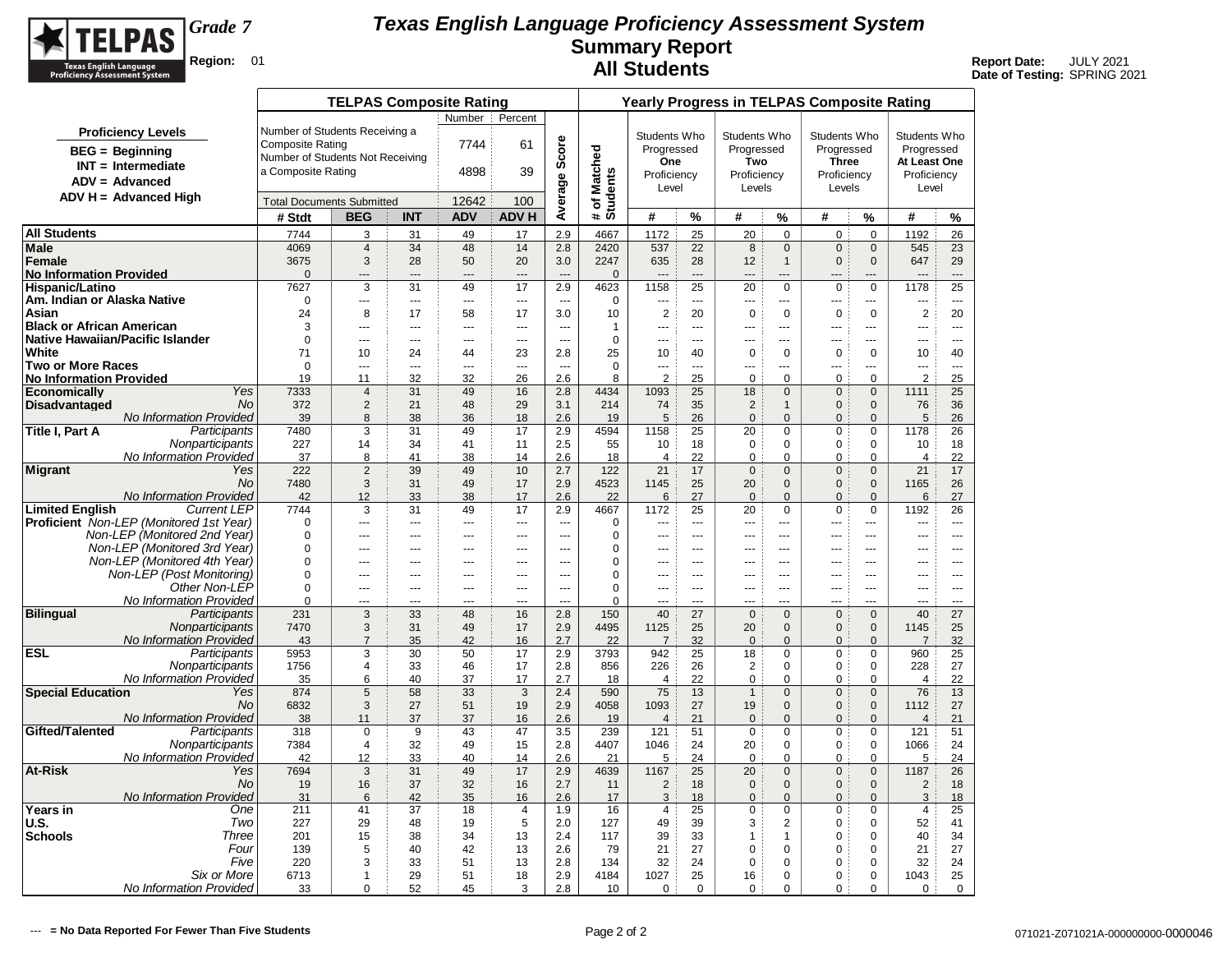

|                                           |                                                                         |                                  | <b>TELPAS Composite Rating</b> |                      |                      |                     |                          |                          |                        |                          | <b>Yearly Progress in TELPAS Composite Rating</b> |                               |                               |                               |                      |                          |
|-------------------------------------------|-------------------------------------------------------------------------|----------------------------------|--------------------------------|----------------------|----------------------|---------------------|--------------------------|--------------------------|------------------------|--------------------------|---------------------------------------------------|-------------------------------|-------------------------------|-------------------------------|----------------------|--------------------------|
|                                           |                                                                         |                                  |                                |                      | Number :             | Percent             |                          |                          |                        |                          |                                                   |                               |                               |                               |                      |                          |
|                                           | <b>Proficiency Levels</b>                                               | Number of Students Receiving a   |                                |                      |                      |                     |                          |                          | Students Who           |                          | Students Who                                      |                               | Students Who                  |                               | Students Who         |                          |
|                                           | <b>BEG</b> = Beginning                                                  | <b>Composite Rating</b>          |                                |                      | 7744                 | 61                  | Score                    |                          | Progressed             |                          | Progressed                                        |                               | Progressed                    |                               | Progressed           |                          |
|                                           | $INT = Intermediate$                                                    | Number of Students Not Receiving |                                |                      |                      |                     |                          |                          | One                    |                          | Two                                               |                               | <b>Three</b>                  |                               | At Least One         |                          |
|                                           | $ADV = Advanced$                                                        | a Composite Rating               |                                |                      | 4898                 | 39                  |                          |                          | Proficiency            |                          | Proficiency                                       |                               | Proficiency                   |                               | Proficiency          |                          |
|                                           | $ADV H = Advanced High$                                                 |                                  |                                |                      |                      |                     |                          |                          | Level                  |                          | Levels                                            |                               | Levels                        |                               | Level                |                          |
|                                           |                                                                         | <b>Total Documents Submitted</b> |                                |                      | 12642                | 100                 | Average                  | # of Matched<br>Students | #                      |                          |                                                   |                               |                               |                               |                      |                          |
|                                           |                                                                         | # Stdt                           | <b>BEG</b>                     | <b>INT</b>           | <b>ADV</b>           | <b>ADV H</b>        |                          |                          |                        | %                        | #                                                 | $\%$                          | #                             | %                             | #                    | %                        |
| <b>All Students</b>                       |                                                                         | 7744                             | 3                              | 31                   | 49                   | 17                  | 2.9                      | 4667                     | 1172                   | 25                       | 20                                                | $\mathbf 0$                   | $\mathbf 0$                   | $\mathbf 0$                   | 1192                 | 26                       |
| <b>Male</b><br>Female                     |                                                                         | 4069<br>3675                     | $\overline{4}$<br>3            | 34<br>28             | 48<br>50             | 14<br>20            | 2.8<br>3.0               | 2420<br>2247             | 537<br>635             | 22<br>28                 | 8<br>12                                           | $\mathbf 0$<br>$\mathbf{1}$   | $\mathbf 0$<br>$\mathbf{0}$   | $\mathbf 0$<br>$\mathbf{0}$   | 545<br>647           | 23<br>29                 |
| <b>No Information Provided</b>            |                                                                         | $\Omega$                         | $---$                          | ---                  | $---$                | $\sim$              | $\overline{a}$           | $\mathbf{0}$             |                        |                          | $---$                                             | ---                           | $\overline{a}$                | ---                           | ---                  | $\overline{a}$           |
| <b>Hispanic/Latino</b>                    |                                                                         | 7627                             | 3                              | 31                   | 49                   | 17                  | 2.9                      | 4623                     | 1158                   | 25                       | 20                                                | $\mathbf 0$                   | $\mathbf 0$                   | $\mathbf 0$                   | 1178                 | 25                       |
| Am. Indian or Alaska Native               |                                                                         | $\mathbf 0$                      | $\overline{a}$                 | ---                  | ---                  | ---                 | $\overline{a}$           | $\mathbf 0$              | ---                    | $\overline{\phantom{a}}$ | $\overline{a}$                                    | $\overline{a}$                | $\overline{a}$                | ---                           | ---                  | $\overline{\phantom{a}}$ |
| Asian                                     |                                                                         | 24                               | 8                              | 17                   | 58                   | 17                  | 3.0                      | 10                       | $\overline{2}$         | 20                       | $\mathbf 0$                                       | $\mathbf 0$                   | $\mathbf 0$                   | $\mathbf 0$                   | $\overline{2}$       | 20                       |
| <b>Black or African American</b>          |                                                                         | 3                                | $\overline{a}$                 | ---                  | $\overline{a}$       | $\overline{a}$      | $\sim$                   | $\mathbf{1}$             | $\overline{a}$         | $---$                    | $\overline{a}$                                    | $---$                         | $\overline{a}$                | <u></u>                       | $\overline{a}$       | $\overline{a}$           |
| Native Hawaiian/Pacific Islander<br>White |                                                                         | $\Omega$<br>71                   | $---$<br>10                    | ---<br>24            | $---$<br>44          | $\sim$ $\sim$<br>23 | $\sim$<br>2.8            | $\mathbf 0$<br>25        | $\overline{a}$<br>10   | $- - -$<br>40            | $---$<br>$\mathbf 0$                              | $---$<br>$\mathbf 0$          | $- - -$<br>$\mathbf 0$        | $\overline{a}$<br>$\mathbf 0$ | ---<br>10            | $- - -$<br>40            |
| <b>Two or More Races</b>                  |                                                                         | $\Omega$                         | ---                            | ---                  | ---                  | ---                 | $\overline{\phantom{a}}$ | $\Omega$                 | ---                    | $\sim$                   | ---                                               | $\overline{a}$                | $\overline{a}$                | ---                           | ---                  | $\overline{a}$           |
| <b>No Information Provided</b>            |                                                                         | 19                               | 11                             | 32                   | 32                   | 26                  | 2.6                      | 8                        | $\overline{2}$         | 25                       | $\mathbf 0$                                       | $\mathbf 0$                   | $\mathbf 0$                   | $\mathbf 0$                   | $\overline{2}$       | 25                       |
| <b>Economically</b>                       | Yes                                                                     | 7333                             | $\overline{4}$                 | 31                   | 49                   | 16                  | 2.8                      | 4434                     | 1093                   | 25                       | 18                                                | $\mathbf{0}$                  | $\mathbf 0$                   | $\overline{0}$                | 1111                 | 25                       |
| <b>Disadvantaged</b>                      | <b>No</b>                                                               | 372                              | $\overline{2}$                 | 21                   | 48                   | 29                  | 3.1                      | 214                      | 74                     | 35                       | $\overline{2}$                                    | $\mathbf{1}$                  | $\mathbf{0}$                  | $\mathbf{0}$                  | 76                   | 36                       |
|                                           | No Information Provided                                                 | 39                               | 8                              | 38                   | 36                   | 18                  | 2.6                      | 19                       | 5                      | 26                       | $\pmb{0}$                                         | $\mathbf{0}$                  | $\mathbf{0}$                  | $\Omega$                      | 5                    | 26                       |
| Title I, Part A                           | Participants<br>Nonparticipants                                         | 7480<br>227                      | 3<br>14                        | 31<br>34             | 49<br>41             | 17<br>11            | 2.9<br>2.5               | 4594<br>55               | 1158<br>10             | 25<br>18                 | 20<br>$\mathbf 0$                                 | $\mathbf 0$<br>$\mathbf 0$    | $\mathbf 0$<br>$\mathbf 0$    | $\mathbf 0$<br>$\Omega$       | 1178<br>10           | 26<br>18                 |
|                                           | <b>No Information Provided</b>                                          | 37                               | 8                              | 41                   | 38                   | 14                  | 2.6                      | 18                       | $\overline{4}$         | 22                       | $\mathbf 0$                                       | $\mathbf 0$                   | $\mathbf 0$                   | $\mathbf 0$                   | $\overline{4}$       | 22                       |
| Migrant                                   | Yes                                                                     | 222                              | $\overline{2}$                 | 39                   | 49                   | 10                  | 2.7                      | 122                      | 21                     | 17                       | $\mathbf 0$                                       | $\mathbf{0}$                  | $\mathbf{0}$                  | $\mathbf{0}$                  | 21                   | 17                       |
|                                           | <b>No</b>                                                               | 7480                             | 3                              | 31                   | 49                   | 17                  | 2.9                      | 4523                     | 1145                   | 25                       | 20                                                | $\mathbf{0}$                  | $\mathbf{0}$                  | $\mathbf 0$                   | 1165                 | 26                       |
|                                           | No Information Provided                                                 | 42                               | 12                             | 33                   | 38                   | 17                  | 2.6                      | 22                       | 6                      | 27                       | $\mathbf{0}$                                      | $\mathbf{0}$                  | $\Omega$                      | $\mathbf{0}$                  | 6                    | 27                       |
| <b>Limited English</b>                    | <b>Current LEP</b>                                                      | 7744<br>$\Omega$                 | 3<br>$\overline{a}$            | 31<br>               | 49<br>$\overline{a}$ | 17<br>---           | 2.9<br>$\overline{a}$    | 4667<br>$\mathbf 0$      | 1172<br>---            | 25<br>$\sim$             | 20<br>$\overline{a}$                              | $\mathbf 0$<br>$\overline{a}$ | $\pmb{0}$<br>$\sim$           | $\mathbf 0$<br>               | 1192<br>---          | 26<br>$\overline{a}$     |
|                                           | Proficient Non-LEP (Monitored 1st Year)<br>Non-LEP (Monitored 2nd Year) | $\Omega$                         | ---                            | ---                  | ---                  | ---                 | $\overline{a}$           | 0                        | ---                    | $\overline{a}$           | $---$                                             | ---                           | ---                           | ---                           | ---                  | $- - -$                  |
|                                           | Non-LEP (Monitored 3rd Year)                                            | $\Omega$                         | ÷÷.                            | ---                  | ---                  | ---                 | ---                      | 0                        | ---                    | $\sim$                   |                                                   | ---                           | ---                           | ---                           | ---                  | $\sim$                   |
|                                           | Non-LEP (Monitored 4th Year)                                            | $\Omega$                         | $\overline{a}$                 | ---                  | $\overline{a}$       | $\sim$              | $\sim$                   | $\mathbf 0$              |                        | $\sim$                   | $\overline{a}$                                    | $\overline{a}$                | $-$                           |                               | ---                  | $\sim$                   |
|                                           | Non-LEP (Post Monitoring)                                               | $\mathbf 0$                      | $\overline{a}$                 | ---                  | $\overline{a}$       | $\overline{a}$      | $\overline{a}$           | $\mathbf 0$              | ---                    | $---$                    | ---                                               | $\overline{a}$                | $\overline{a}$                | ---                           | ---                  | $\overline{a}$           |
|                                           | Other Non-LEP                                                           | $\Omega$                         | $---$                          | ---                  | $---$                | $\overline{a}$      | $\sim$                   | $\Omega$                 | $\sim$                 | $---$                    | $---$                                             | $- - -$                       | $- - -$                       | $\overline{a}$                | $\overline{a}$       | $- - -$                  |
| <b>Bilingual</b>                          | No Information Provided<br>Participants                                 | $\Omega$<br>231                  | $\overline{a}$<br>3            | $\overline{a}$<br>33 | $\overline{a}$<br>48 | $\sim$<br>16        | $\sim$<br>2.8            | $\Omega$<br>150          | $\sim$<br>40           | $-$<br>27                | $- - -$<br>$\mathbf 0$                            | $\overline{a}$<br>$\Omega$    | $\overline{a}$<br>$\mathsf 0$ | $\overline{a}$<br>$\Omega$    | $\overline{a}$<br>40 | $-$<br>27                |
|                                           | Nonparticipants                                                         | 7470                             | 3                              | 31                   | 49                   | 17                  | 2.9                      | 4495                     | 1125                   | 25                       | 20                                                | $\Omega$                      | $\mathbf 0$                   | $\Omega$                      | 1145                 | 25                       |
|                                           | No Information Provided                                                 | 43                               | $\overline{7}$                 | 35                   | 42                   | 16                  | 2.7                      | 22                       | $\overline{7}$         | 32                       | $\mathbf 0$                                       | $\Omega$                      | $\pmb{0}$                     | $\Omega$                      | $\overline{7}$       | 32                       |
| <b>ESL</b>                                | Participants                                                            | 5953                             | 3                              | 30                   | 50                   | 17                  | 2.9                      | 3793                     | 942                    | 25                       | 18                                                | 0                             | 0                             | 0                             | 960                  | 25                       |
|                                           | Nonparticipants                                                         | 1756                             | $\overline{4}$                 | 33                   | 46                   | 17                  | 2.8                      | 856                      | 226                    | 26                       | $\overline{2}$                                    | $\mathsf 0$                   | $\pmb{0}$                     | 0                             | 228                  | 27                       |
| <b>Special Education</b>                  | <b>No Information Provided</b><br>Yes                                   | 35                               | 6                              | 40                   | 37                   | 17                  | 2.7                      | 18                       | $\overline{4}$         | 22                       | $\pmb{0}$                                         | $\Omega$                      | $\Omega$                      | $\Omega$                      | $\overline{4}$       | 22                       |
|                                           | No                                                                      | 874<br>6832                      | $\sqrt{5}$<br>3                | 58<br>27             | 33<br>51             | 3<br>19             | 2.4<br>2.9               | 590<br>4058              | 75<br>1093             | 13<br>27                 | $\mathbf{1}$<br>19                                | $\mathbf 0$<br>$\mathbf{0}$   | $\mathbf 0$<br>$\mathbf{0}$   | $\mathbf 0$<br>$\mathbf{0}$   | 76<br>1112           | 13<br>27                 |
|                                           | No Information Provided                                                 | 38                               | 11                             | 37                   | 37                   | 16                  | 2.6                      | 19                       | $\overline{4}$         | 21                       | $\mathbf 0$                                       | $\mathbf{0}$                  | $\overline{0}$                | $\overline{0}$                | $\overline{4}$       | 21                       |
| Gifted/Talented                           | Participants                                                            | 318                              | $\mathbf 0$                    | 9                    | 43                   | 47                  | 3.5                      | 239                      | 121                    | 51                       | $\mathbf 0$                                       | 0                             | 0                             | 0                             | 121                  | 51                       |
|                                           | Nonparticipants                                                         | 7384                             | $\overline{4}$                 | 32                   | 49                   | 15                  | 2.8                      | 4407                     | 1046                   | 24                       | 20                                                | $\mathbf 0$                   | 0                             | $\mathbf 0$                   | 1066                 | 24                       |
|                                           | No Information Provided                                                 | 42                               | 12                             | 33                   | 40                   | 14                  | 2.6                      | 21                       | 5                      | 24                       | $\mathbf 0$                                       | $\mathbf 0$                   | 0                             | $\mathbf 0$                   | 5                    | 24                       |
| <b>At-Risk</b>                            | Yes<br><b>No</b>                                                        | 7694<br>19                       | 3<br>16                        | 31<br>37             | 49<br>32             | 17<br>16            | 2.9<br>2.7               | 4639<br>11               | 1167<br>$\overline{2}$ | 25<br>18                 | 20<br>$\mathbf 0$                                 | $\mathbf{0}$<br>$\mathbf{0}$  | $\mathbf 0$<br>$\mathbf{0}$   | $\mathbf{0}$<br>$\mathbf{0}$  | 1187<br>2            | 26<br>18                 |
|                                           | <b>No Information Provided</b>                                          | 31                               | 6                              | 42                   | 35                   | 16                  | 2.6                      | 17                       | 3                      | 18                       | $\mathbf 0$                                       | $\mathbf{0}$                  | $\mathbf{0}$                  | $\mathbf{0}$                  | 3                    | 18                       |
| <b>Years in</b>                           | One                                                                     | 211                              | 41                             | 37                   | 18                   | 4                   | 1.9                      | 16                       | 4                      | 25                       | 0                                                 | $\mathsf 0$                   | 0                             | $\mathbf 0$                   | 4                    | 25                       |
| <b>U.S.</b>                               | Two                                                                     | 227                              | 29                             | 48                   | 19                   | 5                   | 2.0                      | 127                      | 49                     | 39                       | 3                                                 | $\overline{2}$                | $\mathbf 0$                   | $\mathbf 0$                   | 52                   | 41                       |
| <b>Schools</b>                            | Three                                                                   | 201                              | 15                             | 38                   | 34                   | 13                  | 2.4                      | 117                      | 39                     | 33                       | $\mathbf{1}$                                      | $\mathbf{1}$                  | $\mathbf 0$                   | $\mathbf 0$                   | 40                   | 34                       |
|                                           | Four                                                                    | 139                              | 5                              | 40                   | 42                   | 13                  | 2.6                      | 79                       | 21                     | 27                       | 0                                                 | $\mathbf 0$                   | 0                             | 0                             | 21                   | 27                       |
|                                           | Five<br>Six or More                                                     | 220<br>6713                      | 3<br>$\mathbf{1}$              | 33<br>29             | 51<br>51             | 13<br>18            | 2.8<br>2.9               | 134<br>4184              | 32<br>1027             | 24<br>25                 | $\mathbf 0$<br>16                                 | $\mathbf 0$<br>0              | 0<br>0                        | $\Omega$<br>$\mathbf 0$       | 32<br>1043           | 24<br>25                 |
|                                           | No Information Provided                                                 | 33                               | 0                              | 52                   | 45                   | 3                   | 2.8                      | 10                       | $\mathbf 0$            | $\mathbf 0$              | $\mathbf 0$                                       | 0                             | $\mathbf 0$                   | 0                             | $\mathbf 0$          | $\mathbf 0$              |
|                                           |                                                                         |                                  |                                |                      |                      |                     |                          |                          |                        |                          |                                                   |                               |                               |                               |                      |                          |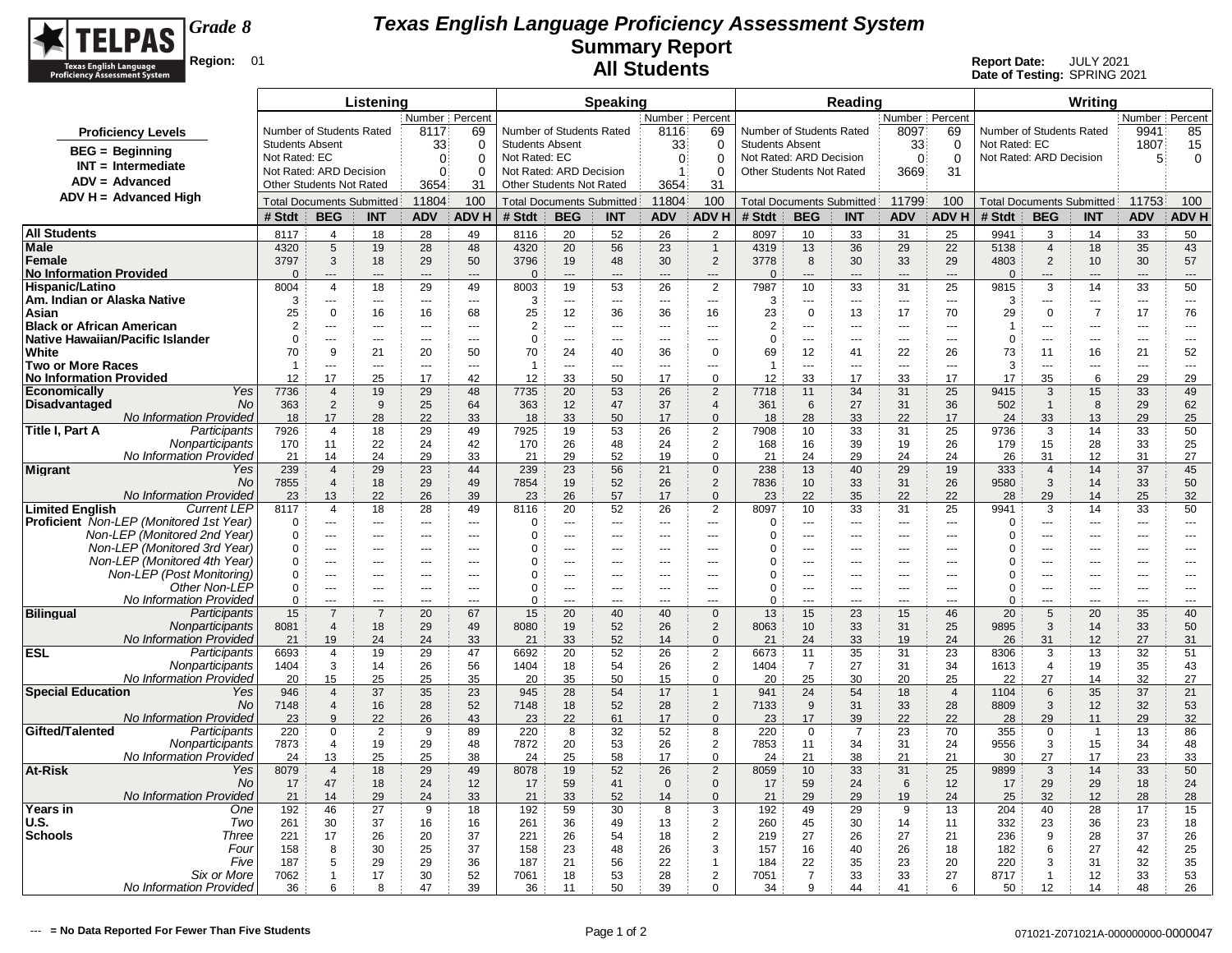

|                                                                         |                               |                                                | Listening                |                          |                          |                        |                                                     | <b>Speaking</b>           |                       |                                  |                                            |                   | Reading              |                                  |                          |                          |                                                | Writing              |                          |                        |
|-------------------------------------------------------------------------|-------------------------------|------------------------------------------------|--------------------------|--------------------------|--------------------------|------------------------|-----------------------------------------------------|---------------------------|-----------------------|----------------------------------|--------------------------------------------|-------------------|----------------------|----------------------------------|--------------------------|--------------------------|------------------------------------------------|----------------------|--------------------------|------------------------|
|                                                                         |                               |                                                |                          | Number Percent           |                          |                        |                                                     |                           | Number Percent        |                                  |                                            |                   |                      | Number Percent                   |                          |                          |                                                |                      | Number Percent           |                        |
| <b>Proficiency Levels</b>                                               |                               | Number of Students Rated                       |                          | 8117                     | 69                       |                        | Number of Students Rated                            |                           | 8116                  | 69                               | Number of Students Rated                   |                   |                      | 8097                             | 69                       | Number of Students Rated |                                                |                      | 9941                     | 85                     |
| $BEG =$ Beginning                                                       | <b>Students Absent</b>        |                                                |                          | 33                       | 0                        | <b>Students Absent</b> |                                                     |                           | 33                    | 0                                | <b>Students Absent</b>                     |                   |                      | 33                               | 0                        | Not Rated: EC            |                                                |                      | 1807                     | 15                     |
| $INT = Intermediate$                                                    | Not Rated: EC                 |                                                |                          | $\Omega$                 | $\Omega$                 | Not Rated: EC          |                                                     |                           | $\overline{0}$        | $\Omega$                         | Not Rated: ARD Decision                    |                   |                      | $\Omega$                         | $\overline{0}$           | Not Rated: ARD Decision  |                                                |                      | 5                        | 0                      |
| $ADV = Advanced$                                                        | Not Rated: ARD Decision       | <b>Other Students Not Rated</b>                |                          | $\Omega$<br>3654         | $\Omega$<br>31           |                        | Not Rated: ARD Decision<br>Other Students Not Rated |                           | $\mathbf{1}$<br>3654  | 0<br>31                          | <b>Other Students Not Rated</b>            |                   |                      | 3669                             | 31                       |                          |                                                |                      |                          |                        |
| $ADV H = Advanced High$                                                 |                               |                                                |                          |                          | 100                      |                        |                                                     |                           |                       | 100                              |                                            |                   |                      |                                  | 100                      |                          |                                                |                      |                          | 100                    |
|                                                                         | # Stdt                        | <b>Total Documents Submitted</b><br><b>BEG</b> | <b>INT</b>               | 11804<br><b>ADV</b>      | <b>ADVH</b>              | # Stdt                 | <b>Total Documents Submitted</b><br><b>BEG</b>      | <b>INT</b>                | 11804<br><b>ADV</b>   | <b>ADVH</b>                      | <b>Total Documents Submitted</b><br># Stdt | <b>BEG</b>        | <b>INT</b>           | 11799<br><b>ADV</b>              | <b>ADVH</b>              | # Stdt                   | <b>Total Documents Submitted</b><br><b>BEG</b> | <b>INT</b>           | 11753<br><b>ADV</b>      | <b>ADV H</b>           |
|                                                                         |                               |                                                |                          |                          |                          |                        |                                                     |                           |                       |                                  |                                            |                   |                      |                                  |                          |                          |                                                |                      |                          |                        |
| <b>All Students</b><br>Male                                             | 8117<br>4320                  | 4<br>5                                         | 18<br>19                 | 28<br>28                 | 49<br>48                 | 8116<br>4320           | 20<br>20                                            | 52<br>56                  | 26<br>23              | $\overline{2}$<br>$\mathbf{1}$   | 8097<br>4319                               | 10<br>13          | 33<br>36             | 31<br>29                         | 25<br>22                 | 9941<br>5138             | 3<br>$\overline{4}$                            | 14<br>18             | 33<br>35                 | 50<br>43               |
| Female                                                                  | 3797                          | 3                                              | 18                       | 29                       | 50                       | 3796                   | 19                                                  | 48                        | 30                    | $\overline{2}$                   | 3778                                       | 8                 | 30                   | 33                               | 29                       | 4803                     | $\overline{2}$                                 | 10                   | 30                       | 57                     |
| <b>No Information Provided</b>                                          | $\Omega$                      | $\overline{a}$                                 | $\overline{a}$           | $\overline{a}$           | $---$                    | $\overline{0}$         | ---                                                 | $\overline{a}$            | $\overline{a}$        | $\overline{a}$                   | $\Omega$                                   | $\overline{a}$    | ---                  | $\overline{a}$                   | $\overline{\phantom{a}}$ | $\Omega$                 | $---$                                          | ---                  | $---$                    | ---                    |
| Hispanic/Latino                                                         | 8004                          | $\overline{4}$                                 | 18                       | 29                       | 49                       | 8003                   | 19                                                  | 53                        | 26                    | $\overline{2}$                   | 7987                                       | 10                | 33                   | 31                               | 25                       | 9815                     | 3                                              | 14                   | 33                       | 50                     |
| Am. Indian or Alaska Native                                             | 3                             | ---                                            | $\overline{a}$           | $\overline{\phantom{a}}$ | $---$                    | 3                      | ---                                                 | $\overline{\phantom{a}}$  | ---                   | $\overline{\phantom{a}}$         | 3                                          | ---               | $\overline{a}$       | $\overline{\phantom{a}}$         | $\overline{\phantom{a}}$ | 3                        | ---                                            | ---                  | ---                      | ---                    |
| Asian                                                                   | 25                            | $\mathbf 0$                                    | 16                       | 16                       | 68                       | 25                     | 12                                                  | 36                        | 36                    | 16                               | 23                                         | $\mathbf 0$       | 13                   | 17                               | 70                       | 29                       | $\mathbf 0$                                    | $\overline{7}$       | 17                       | 76                     |
| <b>Black or African American</b><br>Native Hawaiian/Pacific Islander    | $\overline{2}$<br>$\mathbf 0$ | $-$<br>---                                     | $\overline{a}$<br>$\sim$ | $-$<br>$\overline{a}$    | $\sim$<br>$\overline{a}$ | $\overline{2}$<br>0    | ÷÷<br>Щ,                                            | $\sim$<br>$\sim$          | ---<br>$\overline{a}$ | $\overline{a}$<br>$\overline{a}$ | $\overline{2}$<br>$\mathbf 0$              | ---<br>---        | $-$<br>---           | $\overline{a}$<br>$\overline{a}$ | $\sim$<br>$\overline{a}$ | 1<br>$\mathbf 0$         | ---<br>---                                     | ---<br>---           | $\overline{a}$<br>$\sim$ | ---<br>---             |
| White                                                                   | 70                            | 9                                              | 21                       | 20                       | 50                       | 70                     | 24                                                  | 40                        | 36                    | $\mathbf 0$                      | 69                                         | 12                | 41                   | 22                               | 26                       | 73                       | 11                                             | 16                   | 21                       | 52                     |
| <b>Two or More Races</b>                                                | $\overline{1}$                | ---                                            |                          | $\overline{a}$           | $\overline{a}$           | $\overline{1}$         | Щ,                                                  | $\overline{a}$            | ---                   | $\overline{a}$                   | -1                                         | ---               | ---                  | $\overline{a}$                   | ---                      | 3                        | ---                                            |                      | ---                      | ---                    |
| No Information Provided                                                 | 12                            | 17                                             | 25                       | 17                       | 42                       | 12                     | 33                                                  | 50                        | 17                    | $\mathbf 0$                      | 12                                         | 33                | 17                   | 33                               | 17                       | 17                       | 35                                             | 6                    | 29                       | 29                     |
| <b>Economically</b><br>Yes                                              | 7736                          | $\overline{4}$                                 | 19                       | 29                       | 48                       | 7735                   | 20                                                  | 53                        | 26                    | $\overline{2}$                   | 7718                                       | 11                | 34                   | 31                               | 25                       | 9415                     | 3                                              | 15                   | 33                       | 49                     |
| <b>Disadvantaged</b><br>No                                              | 363                           | 2                                              | 9                        | 25<br>22                 | 64                       | 363                    | 12                                                  | 47                        | 37                    | $\overline{4}$<br>$\Omega$       | 361                                        | 6                 | 27                   | 31                               | 36                       | 502                      | $\overline{1}$                                 | 8                    | 29                       | 62                     |
| <b>No Information Provided</b><br>Participants<br>Title I, Part A       | 18<br>7926                    | 17<br>4                                        | 28<br>18                 | 29                       | 33<br>49                 | 18<br>7925             | 33<br>19                                            | 50<br>53                  | 17<br>26              | $\overline{2}$                   | 18<br>7908                                 | 28<br>10          | 33<br>33             | 22<br>31                         | 17<br>25                 | 24<br>9736               | 33<br>3                                        | 13<br>14             | 29<br>33                 | 25<br>50               |
| Nonparticipants                                                         | 170                           | 11                                             | 22                       | 24                       | 42                       | 170                    | 26                                                  | 48                        | 24                    | $\overline{2}$                   | 168                                        | 16                | 39                   | 19                               | 26                       | 179                      | 15                                             | 28                   | 33                       | 25                     |
| No Information Provided                                                 | 21                            | 14                                             | 24                       | 29                       | 33                       | 21                     | 29                                                  | 52                        | 19                    | $\mathbf 0$                      | 21                                         | 24                | 29                   | 24                               | 24                       | 26                       | 31                                             | 12                   | 31                       | 27                     |
| <b>Migrant</b><br>Yes                                                   | 239                           | $\overline{4}$                                 | 29                       | 23                       | 44                       | 239                    | 23                                                  | 56                        | 21                    | $\mathbf 0$                      | 238                                        | 13                | 40                   | 29                               | 19                       | 333                      | $\overline{4}$                                 | 14                   | 37                       | 45                     |
| <b>No</b>                                                               | 7855                          | $\overline{4}$                                 | 18                       | 29                       | 49                       | 7854                   | 19                                                  | 52                        | 26                    | $\boldsymbol{2}$                 | 7836                                       | 10                | 33                   | 31                               | 26                       | 9580                     | 3                                              | 14                   | 33                       | 50                     |
| No Information Provided<br><b>Limited English</b><br><b>Current LEP</b> | 23<br>8117                    | 13<br>$\overline{4}$                           | 22<br>18                 | 26<br>28                 | 39<br>49                 | 23<br>8116             | 26<br>20                                            | 57<br>52                  | 17<br>26              | $\mathbf{0}$<br>$\overline{2}$   | 23<br>8097                                 | 22<br>10          | 35<br>33             | 22<br>31                         | 22<br>25                 | 28<br>9941               | 29<br>3                                        | 14<br>14             | 25<br>33                 | 32<br>50               |
| Proficient Non-LEP (Monitored 1st Year)                                 | $\Omega$                      | $\overline{a}$                                 | $\overline{a}$           | $\overline{a}$           | $\overline{a}$           | $\Omega$               | ---                                                 | ---                       | ---                   | $\overline{a}$                   | $\Omega$                                   | $-$               | $\overline{a}$       | $\sim$                           | $\overline{\phantom{a}}$ | $\Omega$                 | ---                                            | ---                  | ---                      | $\overline{a}$         |
| Non-LEP (Monitored 2nd Year)                                            | $\Omega$                      | ---                                            | ---                      | $\overline{a}$           | $---$                    | $\Omega$               | ---                                                 | ---                       | ---                   | $\overline{a}$                   | $\Omega$                                   | ---               | ---                  | $\overline{a}$                   | ---                      | $\Omega$                 | ---                                            | ---                  | ---                      | $\overline{a}$         |
| Non-LEP (Monitored 3rd Year)                                            | $\Omega$                      |                                                | $\overline{a}$           |                          | $- -$                    | $\Omega$               | $\overline{a}$                                      | $- -$                     |                       | $\overline{a}$                   | ſ                                          | ---               | $\overline{a}$       |                                  | $\overline{a}$           | 0                        |                                                | ---                  |                          | ---                    |
| Non-LEP (Monitored 4th Year)                                            | 0                             | $\overline{a}$                                 | $\overline{a}$           | ---                      | $---$                    | $\Omega$               | ÷÷                                                  | $\sim$                    | ---                   | $\overline{a}$                   | $\Omega$                                   | $\sim$            | $\overline{a}$       | $\overline{a}$                   | $\overline{a}$           | $\Omega$                 | ---                                            | ---                  | $\overline{a}$           | $\overline{a}$         |
| Non-LEP (Post Monitoring)<br>Other Non-LEP                              | $\Omega$<br>0                 | $\overline{a}$<br>$\overline{\phantom{a}}$     | $---$<br>$---$           | $- - -$<br>$- - -$       | $- - -$<br>$- - -$       | $\Omega$<br>0          | $\overline{a}$<br>---                               | $\overline{a}$<br>$- - -$ | $---$<br>$- - -$      | $-$<br>$-$                       | $\Omega$<br>0                              | $---$<br>$---$    | $---$<br>$---$       | $-$<br>$- - -$                   | $-$<br>$\overline{a}$    | $\Omega$<br>0            | ---<br>---                                     | $---$<br>---         | $- - -$<br>$- - -$       | $---$<br>$\sim$ $\sim$ |
| No Information Provided                                                 | $\mathbf 0$                   | $\overline{a}$                                 | ---                      |                          | $- -$                    | $\Omega$               | ---                                                 | ---                       |                       |                                  | $\Omega$                                   | $\overline{a}$    | ---                  | $\overline{a}$                   |                          | 0                        | ÷÷                                             | ---                  | ---                      | ---                    |
| <b>Bilingual</b><br>Participants                                        | 15                            | $\overline{7}$                                 | $\overline{7}$           | 20                       | 67                       | 15                     | 20                                                  | 40                        | 40                    | $\mathbf 0$                      | 13                                         | 15                | 23                   | 15                               | 46                       | 20                       | 5                                              | 20                   | 35                       | 40                     |
| Nonparticipants                                                         | 8081                          | 4                                              | 18                       | 29                       | 49                       | 8080                   | 19                                                  | 52                        | 26                    | $\overline{2}$                   | 8063                                       | 10                | 33                   | 31                               | 25                       | 9895                     | 3                                              | 14                   | 33                       | 50                     |
| No Information Provided                                                 | 21                            | 19                                             | 24                       | 24                       | 33                       | 21                     | 33                                                  | 52                        | 14                    | $\mathbf 0$                      | 21                                         | 24                | 33                   | 19                               | 24                       | 26                       | 31                                             | 12                   | 27                       | 31                     |
| ESL<br>Participants<br>Nonparticipants                                  | 6693<br>1404                  | $\overline{4}$<br>3                            | 19<br>14                 | 29<br>26                 | 47<br>56                 | 6692<br>1404           | 20<br>18                                            | 52<br>54                  | 26<br>26              | $\overline{2}$<br>$\overline{2}$ | 6673<br>1404                               | 11<br>7           | 35<br>27             | 31<br>31                         | 23<br>34                 | 8306<br>1613             | 3<br>$\overline{4}$                            | 13<br>19             | 32<br>35                 | 51<br>43               |
| No Information Provided                                                 | 20                            | 15                                             | 25                       | 25                       | 35                       | 20                     | 35                                                  | 50                        | 15                    | $\mathbf 0$                      | 20                                         | 25                | 30                   | 20                               | 25                       | 22                       | 27                                             | 14                   | 32                       | 27                     |
| <b>Special Education</b><br>Yes                                         | 946                           | $\overline{4}$                                 | 37                       | 35                       | 23                       | 945                    | 28                                                  | 54                        | 17                    | $\overline{1}$                   | 941                                        | 24                | 54                   | 18                               | $\overline{4}$           | 1104                     | 6                                              | 35                   | 37                       | 21                     |
| No.                                                                     | 7148                          | $\overline{4}$                                 | 16                       | 28                       | 52                       | 7148                   | 18                                                  | 52                        | 28                    | $\overline{2}$                   | 7133                                       | 9                 | 31                   | 33                               | 28                       | 8809                     | 3                                              | 12                   | 32                       | 53                     |
| <b>No Information Provided</b>                                          | 23                            | 9                                              | 22                       | 26                       | 43                       | 23                     | 22                                                  | 61                        | 17                    | $\mathbf{0}$                     | 23                                         | 17                | 39                   | 22                               | 22                       | 28                       | 29                                             | 11                   | 29                       | 32                     |
| Gifted/Talented<br>Participants<br>Nonparticipants                      | 220<br>7873                   | $\Omega$<br>$\overline{4}$                     | $\overline{2}$<br>19     | 9<br>29                  | 89<br>48                 | 220<br>7872            | 8<br>20                                             | 32<br>53                  | 52<br>26              | 8<br>$\overline{2}$              | 220<br>7853                                | $\mathbf 0$<br>11 | $\overline{7}$<br>34 | 23<br>31                         | 70<br>24                 | 355<br>9556              | $\mathbf 0$<br>3                               | $\overline{1}$<br>15 | 13<br>34                 | 86<br>48               |
| No Information Provided                                                 | 24                            | 13                                             | 25                       | 25                       | 38                       | 24                     | 25                                                  | 58                        | 17                    | $\mathbf 0$                      | 24                                         | 21                | 38                   | 21                               | 21                       | 30                       | 27                                             | 17                   | 23                       | 33                     |
| At-Risk<br>Yes                                                          | 8079                          | $\overline{4}$                                 | 18                       | 29                       | 49                       | 8078                   | 19                                                  | 52                        | 26                    | $\overline{2}$                   | 8059                                       | 10                | 33                   | 31                               | 25                       | 9899                     | 3                                              | 14                   | 33                       | 50                     |
| <b>No</b>                                                               | 17                            | 47                                             | 18                       | 24                       | 12                       | 17                     | 59                                                  | 41                        | $\overline{0}$        | $\mathbf{0}$                     | 17                                         | 59                | 24                   | 6                                | 12                       | 17                       | 29                                             | 29                   | 18                       | 24                     |
| No Information Provided                                                 | 21                            | 14                                             | 29                       | 24                       | 33                       | 21                     | 33                                                  | 52                        | 14                    | $\mathbf{0}$                     | 21                                         | 29                | 29                   | 19                               | 24                       | 25                       | 32                                             | 12                   | 28                       | 28                     |
| Years in<br>One                                                         | 192                           | 46                                             | 27                       | 9                        | 18                       | 192                    | 59                                                  | 30                        | 8                     | 3                                | 192                                        | 49                | 29                   | 9                                | 13                       | 204                      | 40                                             | 28                   | 17                       | 15                     |
| U.S.<br>Two<br>Three<br>Schools                                         | 261<br>221                    | 30<br>17                                       | 37<br>26                 | 16<br>20                 | 16<br>37                 | 261<br>221             | 36<br>26                                            | 49<br>54                  | 13<br>18              | $\overline{2}$<br>$\overline{2}$ | 260<br>219                                 | 45<br>27          | 30<br>26             | 14<br>27                         | 11<br>21                 | 332<br>236               | 23<br>9                                        | 36<br>28             | 23<br>37                 | 18<br>26               |
| Four                                                                    | 158                           | 8                                              | 30                       | 25                       | 37                       | 158                    | 23                                                  | 48                        | 26                    | 3                                | 157                                        | 16                | 40                   | 26                               | 18                       | 182                      | 6                                              | 27                   | 42                       | 25                     |
| Five                                                                    | 187                           | 5                                              | 29                       | 29                       | 36                       | 187                    | 21                                                  | 56                        | 22                    | $\overline{1}$                   | 184                                        | 22                | 35                   | 23                               | 20                       | 220                      | 3                                              | 31                   | 32                       | 35                     |
| Six or More                                                             | 7062                          | 1                                              | 17                       | 30                       | 52                       | 7061                   | 18                                                  | 53                        | 28                    | $\overline{2}$                   | 7051                                       | $\overline{7}$    | 33                   | 33                               | 27                       | 8717                     | $\overline{1}$                                 | 12                   | 33                       | 53                     |
| No Information Provided                                                 | 36                            | 6                                              | 8                        | 47                       | 39                       | 36                     | 11                                                  | 50                        | 39                    | $\mathbf 0$                      | 34                                         | 9                 | 44                   | 41                               | 6                        | 50                       | 12                                             | 14                   | 48                       | 26                     |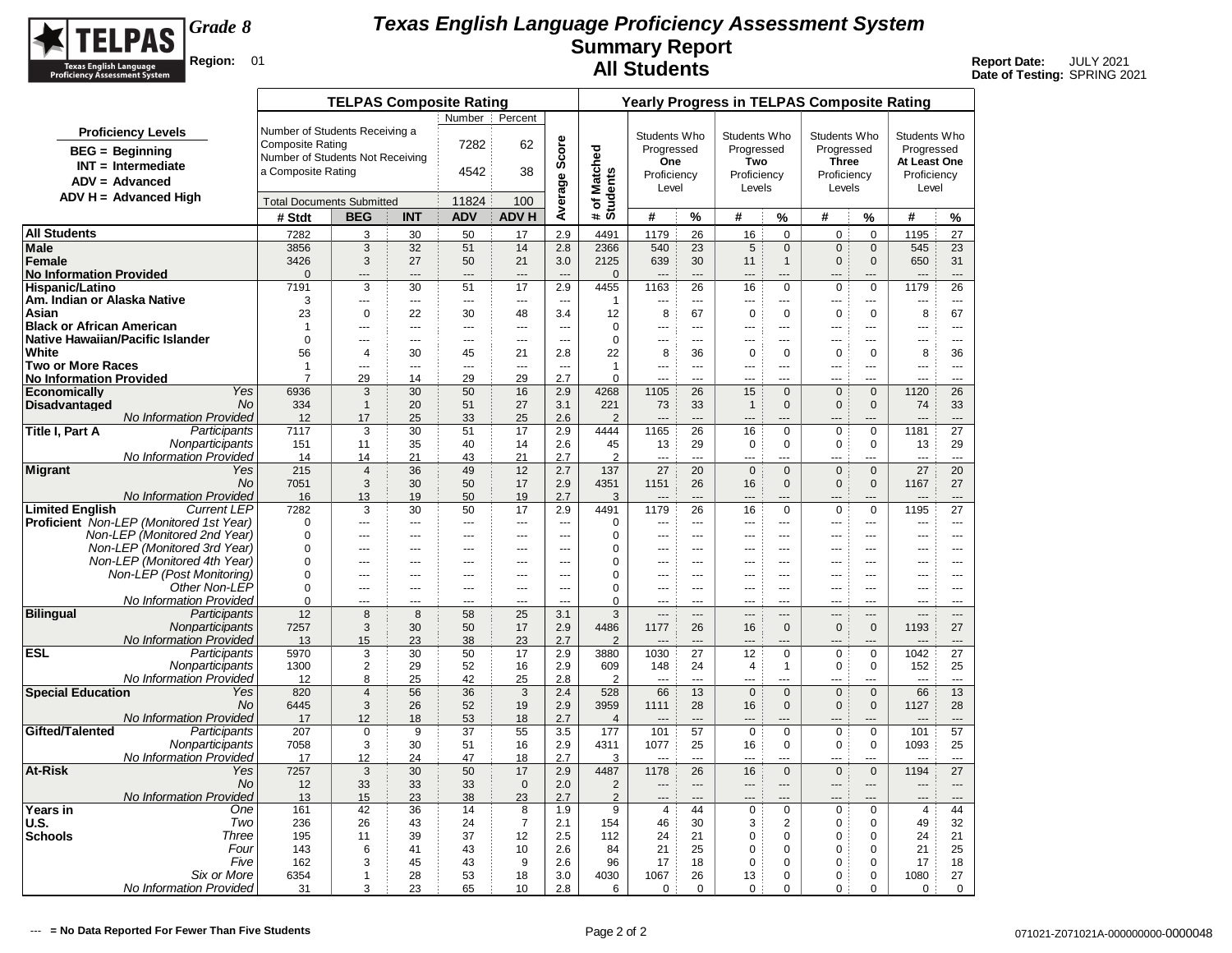

|                                                       |                                               |                                  | <b>TELPAS Composite Rating</b> |                     |                |                      |                          |                          |                                  |                      |                               |                            | <b>Yearly Progress in TELPAS Composite Rating</b> |                                    |                                  |                          |
|-------------------------------------------------------|-----------------------------------------------|----------------------------------|--------------------------------|---------------------|----------------|----------------------|--------------------------|--------------------------|----------------------------------|----------------------|-------------------------------|----------------------------|---------------------------------------------------|------------------------------------|----------------------------------|--------------------------|
|                                                       |                                               |                                  |                                |                     | Number :       | Percent              |                          |                          |                                  |                      |                               |                            |                                                   |                                    |                                  |                          |
|                                                       | <b>Proficiency Levels</b>                     | Number of Students Receiving a   |                                |                     |                |                      |                          |                          | Students Who                     |                      | Students Who                  |                            | Students Who                                      |                                    | Students Who                     |                          |
|                                                       | <b>BEG</b> = Beginning                        | <b>Composite Rating</b>          |                                |                     | 7282           | 62                   | Score                    |                          | Progressed                       |                      | Progressed                    |                            | Progressed                                        |                                    | Progressed                       |                          |
|                                                       | $INT = Intermediate$                          | Number of Students Not Receiving |                                |                     |                |                      |                          |                          | One                              |                      | Two                           |                            | <b>Three</b>                                      |                                    | At Least One                     |                          |
|                                                       | $ADV = Advanced$                              | a Composite Rating               |                                |                     | 4542           | 38                   |                          |                          | Proficiency                      |                      | Proficiency                   |                            | Proficiency                                       |                                    | Proficiency                      |                          |
|                                                       | $ADV H = Advanced High$                       |                                  |                                |                     |                |                      |                          |                          | Level                            |                      | Levels                        |                            | Levels                                            |                                    | Level                            |                          |
|                                                       |                                               | <b>Total Documents Submitted</b> |                                |                     | 11824          | 100                  | Average                  | # of Matched<br>Students |                                  |                      |                               |                            |                                                   |                                    |                                  |                          |
|                                                       |                                               | # Stdt                           | <b>BEG</b>                     | <b>INT</b>          | <b>ADV</b>     | <b>ADV H</b>         |                          |                          | #                                | %                    | #                             | $\%$                       | #                                                 | %                                  | #                                | %                        |
| <b>All Students</b>                                   |                                               | 7282                             | 3                              | 30                  | 50             | 17                   | 2.9                      | 4491                     | 1179                             | 26                   | 16                            | $\mathbf 0$                | $\mathbf 0$                                       | $\mathbf 0$                        | 1195                             | 27                       |
| <b>Male</b>                                           |                                               | 3856                             | 3                              | 32                  | 51             | 14                   | 2.8                      | 2366                     | 540                              | 23                   | 5                             | $\mathbf 0$                | $\mathbf 0$                                       | $\mathbf 0$                        | 545                              | 23                       |
| Female<br><b>No Information Provided</b>              |                                               | 3426<br>$\Omega$                 | 3                              | 27<br>---           | 50<br>$---$    | 21<br>$\overline{a}$ | 3.0<br>$\overline{a}$    | 2125                     | 639                              | 30                   | 11<br>$\overline{a}$          | $\mathbf{1}$<br>---        | $\mathbf{0}$<br>$---$                             | $\mathbf{0}$<br>---                | 650<br>---                       | 31<br>$\overline{a}$     |
| <b>Hispanic/Latino</b>                                |                                               | 7191                             | $---$<br>3                     | 30                  | 51             | 17                   | 2.9                      | $\mathbf{0}$<br>4455     | 1163                             | 26                   | 16                            | $\mathbf 0$                | $\mathbf 0$                                       | $\mathbf 0$                        | 1179                             | 26                       |
| Am. Indian or Alaska Native                           |                                               | 3                                | $\overline{a}$                 | ---                 | ---            | ---                  | $\overline{a}$           | $\mathbf{1}$             | ---                              | ---                  | $\overline{a}$                | $\overline{a}$             | $\overline{a}$                                    | ---                                | ---                              | $\overline{a}$           |
| Asian                                                 |                                               | 23                               | $\mathbf 0$                    | 22                  | 30             | 48                   | 3.4                      | 12                       | 8                                | 67                   | $\mathbf 0$                   | $\mathbf 0$                | $\mathbf 0$                                       | $\mathbf 0$                        | 8                                | 67                       |
| <b>Black or African American</b>                      |                                               | $\overline{1}$                   | $\overline{a}$                 | ---                 | $\overline{a}$ | $\sim$               | $\sim$                   | $\mathbf 0$              | $\overline{a}$                   | $---$                | $\overline{a}$                | $---$                      | $\overline{a}$                                    | <u></u>                            | ---                              | $\overline{a}$           |
| Native Hawaiian/Pacific Islander                      |                                               | $\Omega$                         | $---$                          | ---                 | $---$          | $\sim$ $\sim$        | $\sim$                   | $\mathbf 0$              | $\sim$                           | $- - -$              | $---$                         | $---$                      | $- - -$                                           | $\overline{a}$                     | ---                              | $\sim$ $\sim$            |
| White                                                 |                                               | 56                               | 4                              | 30                  | 45             | 21                   | 2.8                      | 22                       | 8                                | 36                   | $\mathbf 0$                   | $\mathbf 0$                | $\mathbf 0$                                       | $\mathbf 0$                        | 8                                | 36                       |
| <b>Two or More Races</b>                              |                                               | $\mathbf{1}$                     | ---                            | ---                 | ---            | ---                  | $\overline{\phantom{a}}$ | $\mathbf{1}$             | ---                              | ---                  | ---                           | $\overline{a}$             | $\overline{a}$                                    | ---                                | ---                              | $\overline{\phantom{a}}$ |
| <b>No Information Provided</b><br><b>Economically</b> | Yes                                           | 7<br>6936                        | 29<br>3                        | 14<br>30            | 29<br>50       | 29<br>16             | 2.7<br>2.9               | $\Omega$<br>4268         | <br>1105                         | ---<br>26            | 15                            | $\mathbf{0}$               | $\mathsf 0$                                       | ---<br>$\mathbf{0}$                | ---<br>1120                      | <br>26                   |
| <b>Disadvantaged</b>                                  | <b>No</b>                                     | 334                              | $\mathbf{1}$                   | 20                  | 51             | 27                   | 3.1                      | 221                      | 73                               | 33                   | $\mathbf{1}$                  | $\mathbf{0}$               | $\mathbf{0}$                                      | $\mathbf{0}$                       | 74                               | 33                       |
|                                                       | No Information Provided                       | 12                               | 17                             | 25                  | 33             | 25                   | 2.6                      | $\overline{2}$           | $\overline{a}$                   | $\overline{a}$       |                               | $---$                      | $---$                                             | ---                                | $---$                            | $---$                    |
| Title I, Part A                                       | Participants                                  | 7117                             | 3                              | 30                  | 51             | 17                   | 2.9                      | 4444                     | 1165                             | 26                   | 16                            | $\mathbf 0$                | $\mathbf 0$                                       | $\mathbf 0$                        | 1181                             | 27                       |
|                                                       | Nonparticipants                               | 151                              | 11                             | 35                  | 40             | 14                   | 2.6                      | 45                       | 13                               | 29                   | 0                             | $\mathbf 0$                | $\mathbf 0$                                       | $\Omega$                           | 13                               | 29                       |
|                                                       | <b>No Information Provided</b>                | 14                               | 14                             | 21                  | 43             | 21                   | 2.7                      | $\overline{2}$           | ---                              | $\sim$               | ---                           | ---                        | ---                                               |                                    | ---                              | $\overline{a}$           |
| Migrant                                               | Yes                                           | 215                              | $\overline{4}$                 | 36                  | 49             | 12                   | 2.7                      | 137                      | 27                               | 20                   | $\mathbf 0$                   | $\mathbf{0}$               | $\mathbf{0}$                                      | $\mathbf{0}$                       | 27                               | 20                       |
|                                                       | <b>No</b>                                     | 7051                             | 3                              | 30                  | 50             | 17                   | 2.9                      | 4351                     | 1151                             | 26                   | 16                            | $\mathbf{0}$               | $\mathbf{0}$                                      | $\mathbf 0$                        | 1167                             | 27                       |
| <b>Limited English</b>                                | No Information Provided<br><b>Current LEP</b> | 16<br>7282                       | 13<br>3                        | 19<br>30            | 50<br>50       | 19<br>17             | 2.7<br>2.9               | 3<br>4491                | $---$<br>1179                    | $\overline{a}$<br>26 | 16                            | ---<br>$\mathsf 0$         | ---<br>$\mathbf 0$                                | ---<br>$\mathbf 0$                 | ---<br>1195                      | $---$<br>27              |
|                                                       | Proficient Non-LEP (Monitored 1st Year)       | $\Omega$                         | $\overline{a}$                 |                     | $\overline{a}$ | ---                  | $\overline{a}$           | $\mathbf 0$              | ---                              | $\sim$               | $\overline{a}$                | $\overline{a}$             | $\overline{a}$                                    |                                    | ---                              | $\overline{a}$           |
|                                                       | Non-LEP (Monitored 2nd Year)                  | $\Omega$                         | ---                            | ---                 | ---            | ---                  | $\overline{a}$           | 0                        | ---                              | $\overline{a}$       | $---$                         | ---                        | ---                                               | ---                                | ---                              | $\cdots$                 |
|                                                       | Non-LEP (Monitored 3rd Year)                  | $\Omega$                         | ÷÷.                            | ---                 | $\overline{a}$ | ---                  | ---                      | 0                        | ---                              | $\sim$               |                               | ---                        |                                                   | ---                                | ---                              | $\sim$                   |
|                                                       | Non-LEP (Monitored 4th Year)                  | $\Omega$                         | $\overline{a}$                 | ---                 | $\overline{a}$ | $\sim$               | $\sim$                   | $\mathbf 0$              |                                  | $\sim$               | $\overline{a}$                | ---                        | ---                                               |                                    | ---                              | $\sim$                   |
|                                                       | Non-LEP (Post Monitoring)                     | $\mathbf 0$                      | ---                            | ---                 | $\overline{a}$ | $\overline{a}$       | $\overline{a}$           | $\mathbf 0$              | ---                              | $---$                | ---                           | $\overline{a}$             | ---                                               | ---                                | ---                              | $\overline{a}$           |
|                                                       | Other Non-LEP                                 | $\Omega$                         | $---$                          | $---$               | $---$          | $\overline{a}$       | $\sim$                   | 0                        | $\sim$                           | $---$                | $---$                         | $---$                      | $- - -$                                           | $\overline{a}$                     | $\overline{a}$                   | $- - -$                  |
|                                                       | No Information Provided                       | $\Omega$                         | $\overline{a}$                 | $\overline{a}$<br>8 | $\overline{a}$ | $\sim$               | $\sim$                   | $\Omega$                 | $\overline{a}$                   | $- - -$              | ---                           | ---                        | $-$                                               | $\sim$<br>$\overline{\phantom{0}}$ | $\overline{a}$                   | $\overline{a}$           |
| <b>Bilingual</b>                                      | Participants<br>Nonparticipants               | 12<br>7257                       | 8<br>3                         | 30                  | 58<br>50       | 25<br>17             | 3.1<br>2.9               | 3<br>4486                | $\overline{\phantom{a}}$<br>1177 | $\overline{a}$<br>26 | $---$                         | $---$<br>$\Omega$          | $---$<br>$\mathbf 0$                              | $\Omega$                           | $\overline{\phantom{a}}$<br>1193 | $\overline{a}$           |
|                                                       | No Information Provided                       | 13                               | 15                             | 23                  | 38             | 23                   | 2.7                      | $\overline{\phantom{0}}$ |                                  |                      | 16                            |                            |                                                   |                                    |                                  | 27<br>$---$              |
| <b>ESL</b>                                            | Participants                                  | 5970                             | 3                              | 30                  | 50             | 17                   | 2.9                      | 3880                     | 1030                             | 27                   | 12                            | 0                          | $\pmb{0}$                                         | 0                                  | 1042                             | 27                       |
|                                                       | Nonparticipants                               | 1300                             | $\mathbf{2}$                   | 29                  | 52             | 16                   | 2.9                      | 609                      | 148                              | 24                   | 4                             | $\mathbf{1}$               | $\mathbf 0$                                       | 0                                  | 152                              | 25                       |
|                                                       | <b>No Information Provided</b>                | 12                               | 8                              | 25                  | 42             | 25                   | 2.8                      | $\overline{2}$           |                                  | $\sim$               | $\overline{a}$                |                            | <u></u>                                           | ---                                |                                  | $\sim$ $\sim$            |
| <b>Special Education</b>                              | Yes                                           | 820                              | $\overline{4}$                 | 56                  | 36             | 3                    | 2.4                      | 528                      | 66                               | 13                   | $\mathbf 0$                   | $\mathbf 0$                | $\mathbf 0$                                       | $\mathbf 0$                        | 66                               | 13                       |
|                                                       | No                                            | 6445                             | 3                              | 26                  | 52             | 19                   | 2.9                      | 3959                     | 1111                             | 28                   | 16                            | $\mathbf{0}$               | $\mathbf{0}$                                      | $\mathbf{0}$                       | 1127                             | 28                       |
| Gifted/Talented                                       | No Information Provided<br>Participants       | 17<br>207                        | 12<br>$\mathbf 0$              | 18<br>9             | 53<br>37       | 18<br>55             | 2.7<br>3.5               | $\overline{4}$<br>177    | $\overline{a}$<br>101            | $---$<br>57          | $\overline{a}$<br>$\mathbf 0$ | $---$<br>$\mathbf 0$       | $\overline{a}$<br>$\pmb{0}$                       | ---<br>0                           | $---$<br>101                     | $---$<br>57              |
|                                                       | Nonparticipants                               | 7058                             | 3                              | 30                  | 51             | 16                   | 2.9                      | 4311                     | 1077                             | 25                   | 16                            | $\mathbf 0$                | $\mathbf 0$                                       | 0                                  | 1093                             | 25                       |
|                                                       | No Information Provided                       | 17                               | 12                             | 24                  | 47             | 18                   | 2.7                      | 3                        | $\overline{a}$                   | $-$                  | $\overline{a}$                | $\overline{a}$             | $\overline{a}$                                    | $\overline{a}$                     | $\overline{a}$                   | $\sim$                   |
| <b>At-Risk</b>                                        | Yes                                           | 7257                             | 3                              | 30                  | 50             | 17                   | 2.9                      | 4487                     | 1178                             | 26                   | 16                            | $\mathbf{0}$               | $\mathbf 0$                                       | $\mathbf{0}$                       | 1194                             | 27                       |
|                                                       | <b>No</b>                                     | 12                               | 33                             | 33                  | 33             | $\mathbf 0$          | 2.0                      | $\overline{2}$           | $\overline{a}$                   | $\overline{a}$       | $---$                         | ---                        | $---$                                             | ---                                | ---                              | $---$                    |
|                                                       | No Information Provided                       | 13                               | 15                             | 23                  | 38             | 23                   | 2.7                      | $\overline{2}$           |                                  | ---                  | ---                           |                            |                                                   |                                    |                                  | $---$                    |
| <b>Years in</b>                                       | One                                           | 161                              | 42                             | 36                  | 14             | 8                    | 1.9                      | 9                        | $\overline{4}$                   | 44                   | 0                             | $\mathbf 0$                | $\mathbf 0$                                       | 0                                  | 4                                | 44                       |
| <b>U.S.</b>                                           | Two                                           | 236                              | 26                             | 43                  | 24             | $\overline{7}$       | 2.1                      | 154                      | 46                               | 30                   | 3                             | $\overline{2}$             | $\mathbf 0$                                       | $\mathbf 0$                        | 49                               | 32                       |
| <b>Schools</b>                                        | Three                                         | 195                              | 11                             | 39                  | 37             | 12                   | 2.5                      | 112                      | 24                               | 21                   | 0                             | $\mathbf 0$                | $\mathbf 0$                                       | $\mathbf 0$                        | 24                               | 21                       |
|                                                       | Four<br>Five                                  | 143<br>162                       | 6<br>3                         | 41<br>45            | 43<br>43       | 10<br>9              | 2.6<br>2.6               | 84<br>96                 | 21<br>17                         | 25<br>18             | 0<br>$\mathbf 0$              | $\mathbf 0$<br>$\mathbf 0$ | 0<br>0                                            | 0<br>$\Omega$                      | 21<br>17                         | 25<br>18                 |
|                                                       | Six or More                                   | 6354                             | $\mathbf{1}$                   | 28                  | 53             | 18                   | 3.0                      | 4030                     | 1067                             | 26                   | 13                            | 0                          | 0                                                 | $\mathbf 0$                        | 1080                             | 27                       |
|                                                       | No Information Provided                       | 31                               | 3                              | 23                  | 65             | 10                   | 2.8                      | 6                        | $\mathbf 0$                      | $\mathbf 0$          | $\mathbf 0$                   | 0                          | $\mathbf 0$                                       | 0                                  | $\mathbf 0$                      | 0                        |
|                                                       |                                               |                                  |                                |                     |                |                      |                          |                          |                                  |                      |                               |                            |                                                   |                                    |                                  |                          |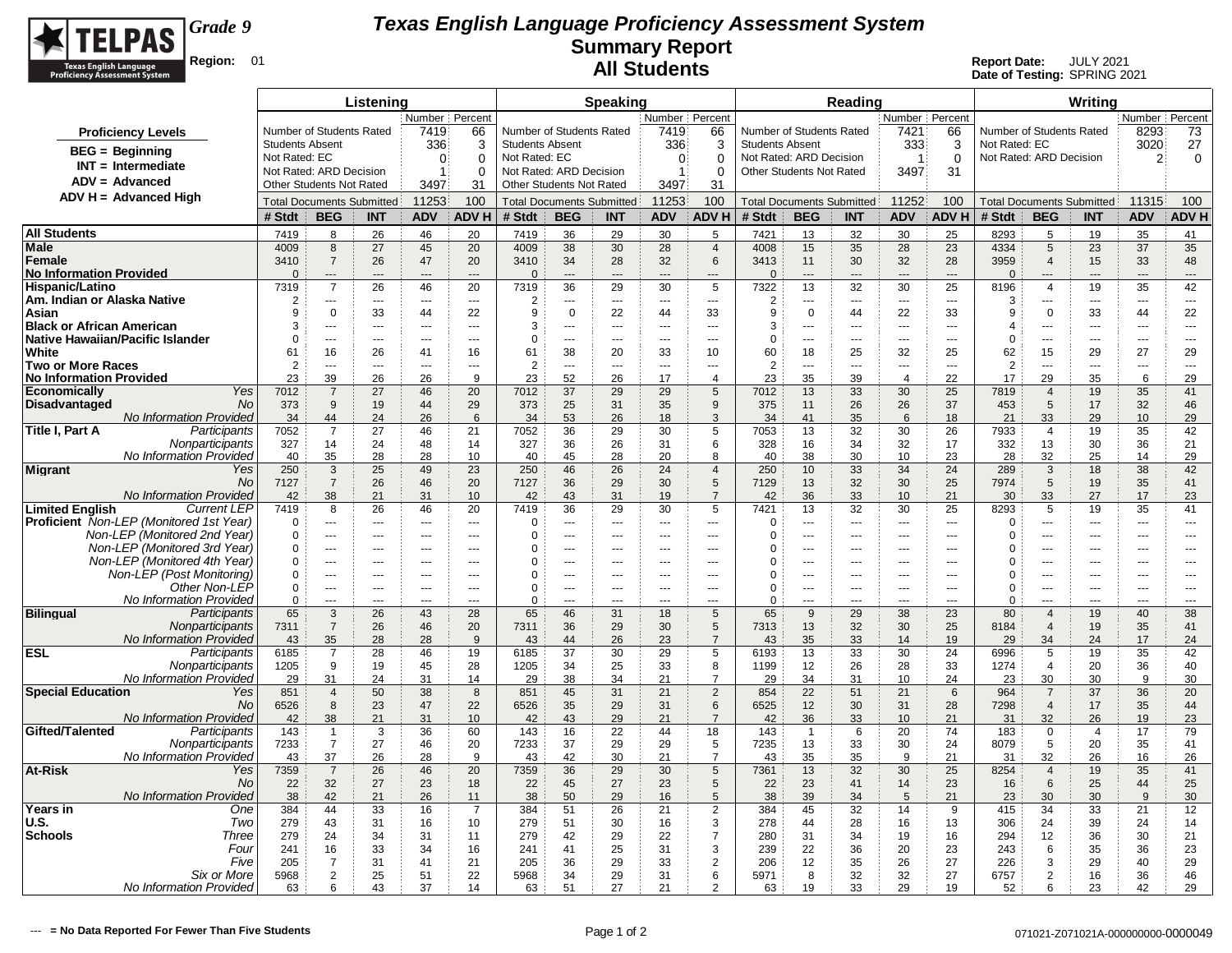

|                                                                                                |                        |                                            | Listening            |                                  |                          |                        |                                  | <b>Speaking</b> |                  |                                                      |                                  |                      | Reading        |                                           |                          |                                  |                         | Writina              |                          |                      |
|------------------------------------------------------------------------------------------------|------------------------|--------------------------------------------|----------------------|----------------------------------|--------------------------|------------------------|----------------------------------|-----------------|------------------|------------------------------------------------------|----------------------------------|----------------------|----------------|-------------------------------------------|--------------------------|----------------------------------|-------------------------|----------------------|--------------------------|----------------------|
|                                                                                                |                        |                                            |                      | Number   Percent                 |                          |                        |                                  |                 | Number   Percent |                                                      |                                  |                      |                | Number Percent                            |                          |                                  |                         |                      | Number   Percent         |                      |
| <b>Proficiency Levels</b>                                                                      |                        | Number of Students Rated                   |                      | 7419                             | 66                       |                        | Number of Students Rated         |                 | 7419             | 66                                                   | Number of Students Rated         |                      |                | 7421                                      | 66                       | Number of Students Rated         |                         |                      | 8293                     | 73                   |
| $BEG = Beginning$                                                                              | <b>Students Absent</b> |                                            |                      | 336                              | 3                        | <b>Students Absent</b> |                                  |                 | 336              | 3                                                    | <b>Students Absent</b>           |                      |                | 333                                       | 3                        | Not Rated: EC                    |                         |                      | 3020                     | 27                   |
| $INT = Intermediate$                                                                           | Not Rated: EC          |                                            |                      | $\Omega$                         | 0                        | Not Rated: EC          |                                  |                 | $\Omega$         | $\Omega$                                             | Not Rated: ARD Decision          |                      |                | $\overline{1}$                            | $\Omega$                 | Not Rated: ARD Decision          |                         |                      | $\overline{2}$           | $\mathbf 0$          |
| ADV = Advanced                                                                                 |                        | Not Rated: ARD Decision                    |                      | $\mathbf{1}$                     | 0                        |                        | Not Rated: ARD Decision          |                 | $\mathbf{1}$     | 0                                                    | Other Students Not Rated         |                      |                | 3497                                      | 31                       |                                  |                         |                      |                          |                      |
| $ADV H = Advanced High$                                                                        |                        | Other Students Not Rated                   |                      | 3497                             | 31                       |                        | Other Students Not Rated         |                 | 3497             | 31                                                   |                                  |                      |                |                                           |                          |                                  |                         |                      |                          |                      |
|                                                                                                |                        | <b>Total Documents Submitted</b>           |                      | 11253                            | 100                      |                        | <b>Total Documents Submitted</b> |                 | 11253            | 100                                                  | <b>Total Documents Submitted</b> |                      |                | 11252                                     | 100                      | <b>Total Documents Submitted</b> |                         |                      | 11315                    | 100                  |
|                                                                                                | # Stdt                 | <b>BEG</b>                                 | <b>INT</b>           | <b>ADV</b>                       | <b>ADVH</b>              | # Stdt                 | <b>BEG</b>                       | <b>INT</b>      | <b>ADV</b>       | <b>ADVH</b>                                          | # Stdt                           | <b>BEG</b>           | <b>INT</b>     | <b>ADV</b>                                | <b>ADVH</b>              | # Stdt                           | <b>BEG</b>              | <b>INT</b>           | <b>ADV</b>               | <b>ADVH</b>          |
| <b>All Students</b>                                                                            | 7419                   | 8                                          | 26                   | 46                               | 20                       | 7419                   | 36                               | 29              | 30               | 5                                                    | 7421                             | 13                   | 32             | 30                                        | 25                       | 8293                             | 5                       | 19                   | 35                       | 41                   |
| Male                                                                                           | 4009                   | 8                                          | 27                   | 45                               | 20                       | 4009                   | 38                               | 30              | 28               | $\overline{4}$                                       | 4008                             | 15                   | 35             | 28                                        | 23                       | 4334                             | $5\phantom{.0}$         | 23                   | 37                       | 35                   |
| <b>Female</b>                                                                                  | 3410                   | $\overline{7}$                             | 26                   | 47                               | 20                       | 3410                   | 34                               | 28              | 32               | $\,6$                                                | 3413                             | 11                   | 30             | 32                                        | 28                       | 3959                             | $\overline{4}$          | 15                   | 33                       | 48                   |
| <b>No Information Provided</b>                                                                 | $\Omega$               | $\overline{\phantom{a}}$<br>$\overline{7}$ |                      | $\overline{a}$                   |                          | $\Omega$               | $---$                            | $---$           | $\sim$           | ---<br>5                                             | $\Omega$                         | $\overline{a}$       | ---<br>32      | $\overline{a}$                            | $\overline{a}$<br>25     | $\Omega$                         | $---$<br>$\overline{a}$ | ---                  | $---$                    | ---                  |
| Hispanic/Latino<br>Am. Indian or Alaska Native                                                 | 7319<br>$\overline{2}$ | ---                                        | 26<br>$\overline{a}$ | 46<br>$\overline{a}$             | 20<br>$\sim$             | 7319<br>2              | 36<br>---                        | 29<br>$\sim$    | 30<br>$\sim$     | $\sim$                                               | 7322<br>$\overline{2}$           | 13<br>$\overline{a}$ | $\sim$         | 30<br>$\overline{a}$                      | $\sim$                   | 8196<br>3                        | $\sim$                  | 19<br>$\overline{a}$ | 35<br>$\sim$             | 42<br>$\sim$         |
| Asian                                                                                          | 9                      | $\mathbf 0$                                | 33                   | 44                               | 22                       | 9                      | $\mathbf 0$                      | 22              | 44               | 33                                                   | 9                                | $\mathbf 0$          | 44             | 22                                        | 33                       | 9                                | $\mathbf 0$             | 33                   | 44                       | 22                   |
| <b>Black or African American</b>                                                               | 3                      | $-$                                        | $-$                  | $\sim$                           | $-$                      | 3                      | $\overline{a}$                   |                 | $-$              | $-$                                                  | 3                                | $\overline{a}$       | $-$            | $\sim$                                    | $\sim$                   | $\boldsymbol{\Delta}$            | $\overline{a}$          | $\overline{a}$       | $\overline{a}$           | $-$                  |
| <b>Native Hawaiian/Pacific Islander</b>                                                        | $\Omega$               | ---                                        | ---                  | $---$                            | $\sim$                   | $\Omega$               | ---                              | $\sim$          | $\overline{a}$   | $\overline{a}$                                       | $\Omega$                         | ---                  | $\overline{a}$ | $\overline{\phantom{a}}$                  | $\overline{a}$           | $\Omega$                         | ---                     | $\overline{a}$       | $\overline{a}$           | ---                  |
| White                                                                                          | 61                     | 16                                         | 26                   | 41                               | 16                       | 61                     | 38                               | 20              | 33               | 10                                                   | 60                               | 18                   | 25             | 32                                        | 25                       | 62                               | 15                      | 29                   | 27                       | 29                   |
| <b>Two or More Races</b>                                                                       | 2                      | ---                                        | Щ,                   | $\overline{a}$                   | $\overline{a}$           | $\overline{2}$         | $\overline{a}$                   | ---             | $\overline{a}$   | $\overline{a}$                                       | $\overline{2}$                   | ---                  | ---            | $\overline{a}$                            | $\overline{a}$           | 2                                | $\overline{a}$          |                      | $\overline{a}$           | $\overline{a}$       |
| <b>No Information Provided</b>                                                                 | 23                     | 39                                         | 26                   | 26                               | 9                        | 23                     | 52                               | 26              | 17               | $\overline{4}$                                       | 23                               | 35                   | 39             | $\overline{4}$                            | 22                       | 17                               | 29                      | 35                   | 6                        | 29                   |
| Yes<br><b>Economically</b>                                                                     | 7012                   | $\overline{7}$                             | 27                   | 46                               | 20                       | 7012                   | 37                               | 29              | 29               | 5                                                    | 7012                             | 13                   | 33             | 30                                        | 25                       | 7819                             | $\overline{4}$          | 19                   | 35                       | 41                   |
| <b>Disadvantaged</b><br>No<br><b>No Information Provided</b>                                   | 373<br>34              | 9<br>44                                    | 19<br>24             | 44<br>26                         | 29<br>6                  | 373<br>34              | 25<br>53                         | 31<br>26        | 35<br>18         | 9<br>3                                               | 375<br>34                        | 11<br>41             | 26<br>35       | 26<br>6                                   | 37<br>18                 | 453<br>21                        | 5<br>33                 | 17<br>29             | 32<br>10                 | 46<br>29             |
| Participants<br>Title I, Part A                                                                | 7052                   | $\overline{7}$                             | 27                   | 46                               | 21                       | 7052                   | 36                               | 29              | 30               | 5                                                    | 7053                             | 13                   | 32             | 30                                        | 26                       | 7933                             | 4                       | 19                   | 35                       | 42                   |
| Nonparticipants                                                                                | 327                    | 14                                         | 24                   | 48                               | 14                       | 327                    | 36                               | 26              | 31               | 6                                                    | 328                              | 16                   | 34             | 32                                        | 17                       | 332                              | 13                      | 30                   | 36                       | 21                   |
| No Information Provideo                                                                        | 40                     | 35                                         | 28                   | 28                               | 10                       | 40                     | 45                               | 28              | 20               | 8                                                    | 40                               | 38                   | 30             | 10                                        | 23                       | 28                               | 32                      | 25                   | 14                       | 29                   |
| <b>Migrant</b><br>Yes                                                                          | 250                    | 3                                          | 25                   | 49                               | 23                       | 250                    | 46                               | 26              | 24               | $\overline{4}$                                       | 250                              | 10                   | 33             | 34                                        | 24                       | 289                              | 3                       | 18                   | 38                       | 42                   |
| No                                                                                             | 7127                   | $\overline{7}$                             | 26                   | 46                               | 20                       | 7127                   | 36                               | 29              | 30               | 5                                                    | 7129                             | 13                   | 32             | 30                                        | 25                       | 7974                             | 5                       | 19                   | 35                       | 41                   |
| No Information Provided                                                                        | 42                     | 38                                         | 21                   | 31                               | 10                       | 42                     | 43                               | 31              | 19               | $\overline{7}$                                       | 42                               | 36                   | 33             | 10                                        | 21                       | 30                               | 33                      | 27                   | 17                       | 23                   |
| <b>Limited English</b><br><b>Current LEP</b><br><b>Proficient</b> Non-LEP (Monitored 1st Year) | 7419                   | 8<br>---                                   | 26<br>Щ,             | 46                               | 20<br>$\overline{a}$     | 7419<br>$\Omega$       | 36<br>$\overline{a}$             | 29<br>---       | 30               | 5                                                    | 7421                             | 13<br>---            | 32<br>---      | 30                                        | 25<br>$\overline{a}$     | 8293<br>$\Omega$                 | 5<br>$\overline{a}$     | 19<br>               | 35<br>---                | 41                   |
| Non-LEP (Monitored 2nd Year)                                                                   | $\Omega$<br>0          | ---                                        | $\overline{a}$       | $\overline{a}$<br>$\overline{a}$ | $\overline{\phantom{a}}$ | 0                      | ---                              | ---             | ---<br>---       | $\overline{\phantom{a}}$<br>$\overline{\phantom{a}}$ | 0<br>0                           | ---                  | $\overline{a}$ | $\overline{\phantom{a}}$<br>$\sim$ $\sim$ | $\overline{\phantom{a}}$ | $\Omega$                         | ---                     | ---                  | ---                      | ---<br>$\sim$ $\sim$ |
| Non-LEP (Monitored 3rd Year)                                                                   | 0                      | ---                                        | ---                  | $---$                            | ---                      | 0                      | $\overline{a}$                   | ---             | ---              | ---                                                  | 0                                | ---                  | ---            | $\overline{a}$                            | $\overline{a}$           | 0                                | $\overline{a}$          |                      | ---                      | ---                  |
| Non-LEP (Monitored 4th Year)                                                                   | 0                      | $---$                                      | $- - -$              | $- - -$                          | $- - -$                  | 0                      | $\overline{a}$                   | $\overline{a}$  | $- - -$          | $---$                                                | $\Omega$                         | $---$                | $- - -$        | $\sim$ $\sim$                             | $\sim$ $\sim$            | 0                                | $---$                   | ---                  | ---                      | $- - -$              |
| Non-LEP (Post Monitoring)                                                                      | $\Omega$               | $\overline{a}$                             | $\cdots$             | $\cdots$                         | $---$                    | 0                      | ---                              | ---             | $---$            | $---$                                                | $\Omega$                         | ---                  | $\cdots$       | $--$                                      | $\overline{\phantom{a}}$ | $\Omega$                         | ---                     | ---                  | $\overline{\phantom{a}}$ | $\cdots$             |
| Other Non-LEP                                                                                  | $\Omega$               | ---                                        | $\cdots$             | $---$                            | $---$                    | $\mathbf 0$            | ---                              | ---             | ---              | ---                                                  | $\Omega$                         | ---                  | $\cdots$       | $---$                                     | $\sim$                   | $\Omega$                         | ---                     | ---                  | ---                      | $---$                |
| No Information Provideo                                                                        | $\Omega$               | ---                                        |                      |                                  |                          | $\Omega$               |                                  | ÷÷.             |                  | ---                                                  | $\Omega$                         | ---                  |                |                                           |                          | $\Omega$                         |                         | ---                  |                          | ---                  |
| <b>Bilingual</b><br>Participants                                                               | 65                     | 3                                          | 26                   | 43                               | 28                       | 65                     | 46                               | 31              | 18               | 5                                                    | 65                               | 9                    | 29             | 38                                        | 23                       | 80                               | $\overline{4}$          | 19                   | 40                       | 38                   |
| Nonparticipants<br>No Information Provideo                                                     | 7311<br>43             | $\overline{7}$<br>35                       | 26<br>28             | 46<br>28                         | 20<br>9                  | 7311<br>43             | 36<br>44                         | 29<br>26        | 30<br>23         | 5<br>$\overline{7}$                                  | 7313<br>43                       | 13<br>35             | 32<br>33       | 30<br>14                                  | 25<br>19                 | 8184<br>29                       | 4<br>34                 | 19<br>24             | 35<br>17                 | 41<br>24             |
| <b>ESL</b><br>Participants                                                                     | 6185                   | $\overline{7}$                             | 28                   | 46                               | 19                       | 6185                   | 37                               | 30              | 29               | 5                                                    | 6193                             | 13                   | 33             | 30                                        | 24                       | 6996                             | 5                       | 19                   | 35                       | 42                   |
| Nonparticipants                                                                                | 1205                   | 9                                          | 19                   | 45                               | 28                       | 1205                   | 34                               | 25              | 33               | 8                                                    | 1199                             | 12                   | 26             | 28                                        | 33                       | 1274                             | $\overline{4}$          | 20                   | 36                       | 40                   |
| No Information Provided                                                                        | 29                     | 31                                         | 24                   | 31                               | 14                       | 29                     | 38                               | 34              | 21               | $\overline{7}$                                       | 29                               | 34                   | 31             | 10                                        | 24                       | 23                               | 30                      | 30                   | 9                        | 30                   |
| <b>Special Education</b><br>Yes                                                                | 851                    | $\overline{4}$                             | 50                   | 38                               | 8                        | 851                    | 45                               | 31              | 21               | $\overline{2}$                                       | 854                              | 22                   | 51             | 21                                        | 6                        | 964                              | $\overline{7}$          | 37                   | 36                       | 20                   |
| No                                                                                             | 6526                   | 8                                          | 23                   | 47                               | 22                       | 6526                   | 35                               | 29              | 31               | 6                                                    | 6525                             | 12                   | 30             | 31                                        | 28                       | 7298                             | $\overline{4}$          | 17                   | 35                       | 44                   |
| <b>No Information Provided</b>                                                                 | 42                     | 38                                         | 21                   | 31                               | 10                       | 42                     | 43                               | 29              | 21               | $\overline{7}$                                       | 42                               | 36                   | 33             | 10                                        | 21                       | 31                               | 32                      | 26                   | 19                       | 23                   |
| Gifted/Talented<br>Participants                                                                | 143                    | $\mathbf{1}$<br>$\overline{7}$             | 3                    | 36                               | 60                       | 143                    | 16                               | 22              | 44               | 18                                                   | 143                              | $\overline{1}$       | 6              | 20                                        | 74                       | 183                              | $\mathbf 0$             | $\overline{4}$       | 17                       | 79                   |
| Nonparticipants<br>No Information Provideo                                                     | 7233<br>43             | 37                                         | 27<br>26             | 46<br>28                         | 20<br>9                  | 7233<br>43             | 37<br>42                         | 29<br>30        | 29<br>21         | 5<br>$\overline{7}$                                  | 7235<br>43                       | 13<br>35             | 33<br>35       | 30<br>9                                   | 24<br>21                 | 8079<br>31                       | 5<br>32                 | 20<br>26             | 35<br>16                 | 41<br>26             |
| <b>At-Risk</b><br>Yes                                                                          | 7359                   | $\overline{7}$                             | 26                   | 46                               | 20                       | 7359                   | 36                               | 29              | 30               | $\overline{5}$                                       | 7361                             | 13                   | 32             | 30                                        | 25                       | 8254                             | $\overline{4}$          | 19                   | 35                       | 41                   |
| No                                                                                             | 22                     | 32                                         | 27                   | 23                               | 18                       | 22                     | 45                               | 27              | 23               | $\overline{5}$                                       | 22                               | 23                   | 41             | 14                                        | 23                       | 16                               | 6                       | 25                   | 44                       | 25                   |
| No Information Provideo                                                                        | 38                     | 42                                         | 21                   | 26                               | 11                       | 38                     | 50                               | 29              | 16               | 5                                                    | 38                               | 39                   | 34             | 5                                         | 21                       | 23                               | 30                      | 30                   | 9                        | 30                   |
| Years in<br>One                                                                                | 384                    | 44                                         | 33                   | 16                               | $\overline{7}$           | 384                    | 51                               | 26              | 21               | $\overline{2}$                                       | 384                              | 45                   | 32             | 14                                        | 9                        | 415                              | 34                      | 33                   | 21                       | 12                   |
| U.S.<br>Two                                                                                    | 279                    | 43                                         | 31                   | 16                               | 10                       | 279                    | 51                               | 30              | 16               | 3                                                    | 278                              | 44                   | 28             | 16                                        | 13                       | 306                              | 24                      | 39                   | 24                       | 14                   |
| <b>Schools</b><br>Three                                                                        | 279                    | 24                                         | 34                   | 31                               | 11                       | 279                    | 42                               | 29              | 22               | $\overline{7}$                                       | 280                              | 31                   | 34             | 19                                        | 16                       | 294                              | 12                      | 36                   | 30                       | 21                   |
| Four<br>Five                                                                                   | 241<br>205             | 16<br>$\overline{7}$                       | 33<br>31             | 34<br>41                         | 16<br>21                 | 241<br>205             | 41<br>36                         | 25<br>29        | 31<br>33         | 3<br>$\overline{2}$                                  | 239<br>206                       | 22<br>12             | 36<br>35       | 20<br>26                                  | 23<br>27                 | 243<br>226                       | 6<br>3                  | 35<br>29             | 36<br>40                 | 23<br>29             |
| Six or More                                                                                    | 5968                   | 2                                          | 25                   | 51                               | 22                       | 5968                   | 34                               | 29              | 31               | 6                                                    | 5971                             | 8                    | 32             | 32                                        | 27                       | 6757                             | $\overline{2}$          | 16                   | 36                       | 46                   |
| No Information Provided                                                                        | 63                     | 6                                          | 43                   | 37                               | 14                       | 63                     | 51                               | 27              | 21               | $\overline{2}$                                       | 63                               | 19                   | 33             | 29                                        | 19                       | 52                               | 6                       | 23                   | 42                       | 29                   |
|                                                                                                |                        |                                            |                      |                                  |                          |                        |                                  |                 |                  |                                                      |                                  |                      |                |                                           |                          |                                  |                         |                      |                          |                      |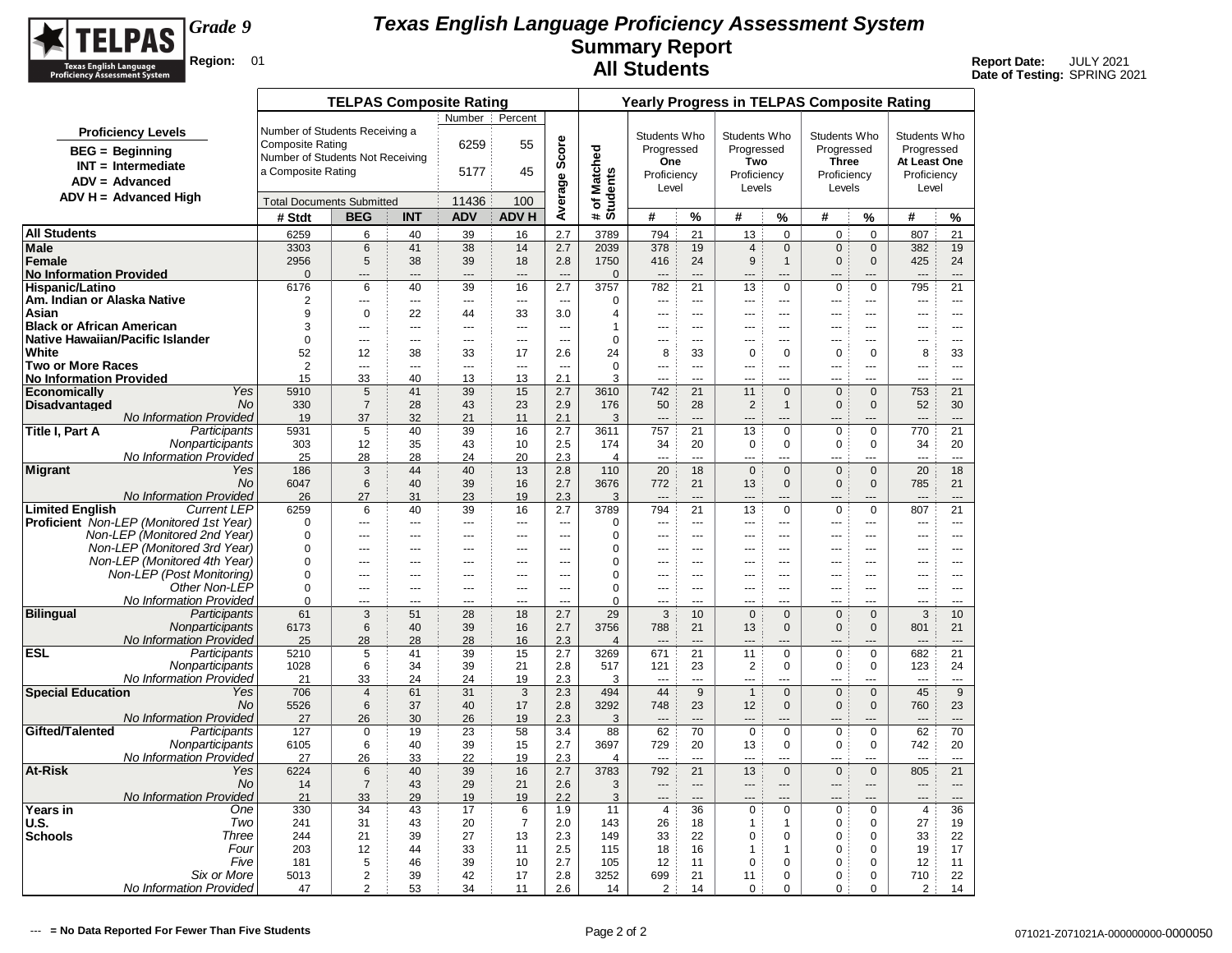

|                                                   |                                                |                                  | <b>TELPAS Composite Rating</b>    |                |                      |                |                          |                                   |                       |                          | Yearly Progress in TELPAS Composite Rating |                                |                               |                                |                |                      |
|---------------------------------------------------|------------------------------------------------|----------------------------------|-----------------------------------|----------------|----------------------|----------------|--------------------------|-----------------------------------|-----------------------|--------------------------|--------------------------------------------|--------------------------------|-------------------------------|--------------------------------|----------------|----------------------|
|                                                   |                                                |                                  |                                   |                | Number               | Percent        |                          |                                   |                       |                          |                                            |                                |                               |                                |                |                      |
|                                                   | <b>Proficiency Levels</b>                      | Number of Students Receiving a   |                                   |                |                      |                |                          |                                   | Students Who          |                          | Students Who                               |                                | Students Who                  |                                | Students Who   |                      |
| $BEG = Beginning$                                 |                                                | <b>Composite Rating</b>          |                                   |                | 6259                 | 55             | Score                    |                                   | Progressed            |                          | Progressed                                 |                                | Progressed                    |                                | Progressed     |                      |
|                                                   | $INT = Intermediate$                           | Number of Students Not Receiving |                                   |                |                      |                |                          |                                   | One                   |                          | Two                                        |                                | <b>Three</b>                  |                                | At Least One   |                      |
| $ADV = Advanced$                                  |                                                | a Composite Rating               |                                   |                | 5177                 | 45             |                          |                                   | Proficiency           |                          | Proficiency                                |                                | Proficiency                   |                                | Proficiency    |                      |
|                                                   |                                                |                                  |                                   |                |                      |                | Average                  | Matched<br># of Match<br>Students | Level                 |                          | Levels                                     |                                | Levels                        |                                | Level          |                      |
|                                                   | $ADV H = Advanced High$                        | <b>Total Documents Submitted</b> |                                   |                | 11436                | 100            |                          |                                   |                       |                          |                                            |                                |                               |                                |                |                      |
|                                                   |                                                | # Stdt                           | <b>BEG</b>                        | <b>INT</b>     | <b>ADV</b>           | <b>ADV H</b>   |                          |                                   | #                     | %                        | #                                          | %                              | #                             | %                              | #              | %                    |
| <b>All Students</b>                               |                                                | 6259                             | 6                                 | 40             | 39                   | 16             | 2.7                      | 3789                              | 794                   | 21                       | 13                                         | $\mathbf 0$                    | $\mathbf 0$                   | 0                              | 807            | 21                   |
| <b>Male</b>                                       |                                                | 3303                             | $\,6\,$                           | 41             | 38                   | 14             | 2.7                      | 2039                              | 378                   | 19                       | $\overline{4}$                             | $\mathbf 0$                    | $\mathbf 0$                   | $\mathbf 0$                    | 382            | 19                   |
| <b>Female</b>                                     |                                                | 2956                             | 5                                 | 38             | 39                   | 18             | 2.8                      | 1750                              | 416                   | 24                       | 9                                          | $\mathbf{1}$                   | $\mathbf{0}$                  | $\mathbf{0}$                   | 425            | 24                   |
| <b>No Information Provided</b><br>Hispanic/Latino |                                                | $\Omega$<br>6176                 | 6                                 | ---<br>40      | 39                   | 16             | 2.7                      | $\Omega$<br>3757                  | 782                   | 21                       | 13                                         | $\mathbf 0$                    | $\mathbf 0$                   | $\mathbf 0$                    | 795            | 21                   |
| Am. Indian or Alaska Native                       |                                                | $\overline{2}$                   | ---                               | ---            | ---                  | $\sim$         | $\overline{\phantom{a}}$ | $\Omega$                          | ---                   | $\sim$                   | $\overline{a}$                             | ---                            | ---                           | ---                            | ---            | $\sim$               |
| Asian                                             |                                                | 9                                | $\mathbf 0$                       | 22             | 44                   | 33             | 3.0                      | $\overline{4}$                    | $\overline{a}$        | $\overline{a}$           | $---$                                      | $\overline{a}$                 | $\overline{a}$                | ---                            | $\overline{a}$ | $-$                  |
| <b>Black or African American</b>                  |                                                | 3                                | $\overline{a}$                    | $\overline{a}$ | $---$                | $\overline{a}$ | $\sim$                   | 1                                 | $\sim$                | $---$                    | $---$                                      | $\overline{a}$                 | $\overline{a}$                | $\overline{a}$                 | ---            | $\overline{a}$       |
| Native Hawaiian/Pacific Islander                  |                                                | $\Omega$                         | $\overline{a}$                    | $\overline{a}$ | $\overline{a}$       | $\overline{a}$ | $\sim$                   | $\Omega$                          | $\sim$                | $  \sim$                 | $---$                                      | $---$                          | $- - -$                       | $\overline{a}$                 | $\overline{a}$ | $\sim$ $\sim$        |
| White                                             |                                                | 52                               | 12                                | 38             | 33                   | 17             | 2.6                      | 24                                | 8                     | 33                       | $\mathbf 0$                                | $\mathbf 0$                    | $\mathbf 0$                   | $\Omega$                       | 8              | 33                   |
| <b>Two or More Races</b>                          |                                                | $\overline{2}$                   |                                   | ---            | $\sim$               | $\sim$         | $\sim$                   | $\Omega$                          |                       | $\sim$                   | $\overline{a}$                             | $\overline{a}$                 | $\overline{a}$                |                                | ---            | $\sim$               |
| <b>No Information Provided</b>                    | Yes                                            | 15                               | 33                                | 40             | 13                   | 13             | 2.1                      | 3                                 | $\sim$                | $\sim$                   | $\sim$                                     | $\overline{a}$                 |                               | ---                            | $\overline{a}$ | $\overline{a}$       |
| Economically<br><b>Disadvantaged</b>              | <b>No</b>                                      | 5910<br>330                      | $5\phantom{.0}$<br>$\overline{7}$ | 41<br>28       | 39<br>43             | 15<br>23       | 2.7<br>2.9               | 3610<br>176                       | 742<br>50             | 21<br>28                 | 11<br>$\sqrt{2}$                           | $\mathbf{0}$<br>$\overline{1}$ | $\mathbf{0}$<br>$\mathbf{0}$  | $\mathbf{0}$<br>$\overline{0}$ | 753<br>52      | 21<br>30             |
|                                                   | No Information Provided                        | 19                               | 37                                | 32             | 21                   | 11             | 2.1                      | 3                                 | $\overline{a}$        | $---$                    |                                            | $\overline{a}$                 |                               |                                | $---$          | $---$                |
| Title I, Part A                                   | Participants                                   | 5931                             | $\sqrt{5}$                        | 40             | 39                   | 16             | 2.7                      | 3611                              | 757                   | 21                       | 13                                         | $\mathbf 0$                    | $\mathbf 0$                   | $\Omega$                       | 770            | 21                   |
|                                                   | Nonparticipants                                | 303                              | 12                                | 35             | 43                   | 10             | 2.5                      | 174                               | 34                    | 20                       | $\pmb{0}$                                  | $\mathbf 0$                    | $\mathbf 0$                   | $\Omega$                       | 34             | 20                   |
|                                                   | <b>No Information Provided</b>                 | 25                               | 28                                | 28             | 24                   | 20             | 2.3                      | $\overline{4}$                    | ---                   | $\sim$                   | $\overline{a}$                             | ---                            | ---                           | ---                            | $\overline{a}$ | $\sim$               |
| <b>Migrant</b>                                    | Yes                                            | 186                              | 3                                 | 44             | 40                   | 13             | 2.8                      | 110                               | 20                    | 18                       | $\mathbf{0}$                               | $\mathbf{0}$                   | $\mathbf{0}$                  | $\mathbf{0}$                   | 20             | 18                   |
|                                                   | <b>No</b>                                      | 6047                             | 6                                 | 40             | 39                   | 16             | 2.7                      | 3676                              | 772                   | 21                       | 13                                         | $\mathbf{0}$                   | $\mathbf{0}$                  | $\mathbf 0$                    | 785            | 21                   |
| <b>Limited Enalish</b>                            | No Information Provided<br><b>Current LEP</b>  | 26<br>6259                       | 27<br>6                           | 31<br>40       | 23<br>39             | 19<br>16       | 2.3<br>2.7               | 3<br>3789                         | $\overline{a}$<br>794 | $---$<br>21              | $---$<br>13                                | $---$<br>$\mathbf 0$           | $\overline{a}$<br>$\mathbf 0$ | ---<br>$\mathbf 0$             | $---$<br>807   | $---$<br>21          |
|                                                   | <b>Proficient</b> Non-LEP (Monitored 1st Year) | $\Omega$                         | ---                               | ---            | ---                  | $\overline{a}$ | $\sim$                   | 0                                 | ---                   | $\overline{a}$           | $---$                                      | ---                            | ---                           | ---                            | ---            | $\cdots$             |
|                                                   | Non-LEP (Monitored 2nd Year)                   | $\Omega$                         | ---                               | ---            | $\overline{a}$       | $\overline{a}$ | ---                      | 0                                 |                       | $\sim$                   | $---$                                      | $\overline{a}$                 | $\overline{a}$                | $\overline{a}$                 | $-$            | $---$                |
|                                                   | Non-LEP (Monitored 3rd Year)                   | $\Omega$                         | ---                               | ---            | $\overline{a}$       | ---            | ---                      | 0                                 |                       | ---                      | $\overline{a}$                             | ---                            | $\overline{a}$                | ---                            | ---            | ---                  |
|                                                   | Non-LEP (Monitored 4th Year)                   | $\Omega$                         | ---                               | ---            | ÷÷.                  | $\overline{a}$ |                          | 0                                 |                       |                          |                                            |                                |                               | ---                            |                | $- - -$              |
|                                                   | Non-LEP (Post Monitoring)                      | $\mathbf 0$                      | ---                               | ---            | $\overline{a}$       | $\overline{a}$ | $\overline{a}$           | 0                                 | ---                   | $\sim$                   | $\overline{a}$                             | $-$                            | $\sim$                        | $\overline{a}$                 | $\overline{a}$ | $-$                  |
|                                                   | Other Non-LEP                                  | $\Omega$                         | $\overline{a}$                    | $\overline{a}$ | $---$                | $\overline{a}$ | $\overline{a}$           | 0                                 |                       | $---$                    | $---$                                      | $---$                          | $- - -$                       | $\overline{a}$                 | $\overline{a}$ | $---$                |
|                                                   | No Information Provided                        | $\mathbf 0$<br>61                | ---                               | ---<br>51      | $\overline{a}$<br>28 | $\overline{a}$ | $\sim$<br>2.7            | $\Omega$<br>29                    | $\overline{a}$<br>3   | $\overline{a}$           |                                            | ---<br>$\Omega$                | $\overline{a}$                | $\overline{a}$                 | $\overline{a}$ | $---$                |
| <b>Bilingual</b>                                  | Participants<br>Nonparticipants                | 6173                             | 3<br>6                            | 40             | 39                   | 18<br>16       | 2.7                      | 3756                              | 788                   | 10<br>21                 | $\mathbf 0$<br>13                          | $\Omega$                       | $\mathbf{0}$<br>$\mathbf{0}$  | $\mathbf{0}$<br>$\Omega$       | 3<br>801       | 10<br>21             |
|                                                   | <b>No Information Provided</b>                 | 25                               | 28                                | 28             | 28                   | 16             | 2.3                      | $\overline{4}$                    |                       |                          |                                            |                                |                               |                                |                | $---$                |
| <b>ESL</b>                                        | Participants                                   | 5210                             | 5                                 | 41             | 39                   | 15             | 2.7                      | 3269                              | 671                   | 21                       | 11                                         | $\mathbf 0$                    | $\mathbf 0$                   | $\mathbf 0$                    | 682            | 21                   |
|                                                   | Nonparticipants                                | 1028                             | 6                                 | 34             | 39                   | 21             | 2.8                      | 517                               | 121                   | 23                       | $\overline{2}$                             | $\mathbf 0$                    | $\mathbf 0$                   | 0                              | 123            | 24                   |
|                                                   | <b>No Information Provided</b>                 | 21                               | 33                                | 24             | 24                   | 19             | 2.3                      | 3                                 | $\sim$                | $\sim$                   | $---$                                      | ---                            | $\overline{a}$                | ---                            | $\overline{a}$ | $\sim$               |
| <b>Special Education</b>                          | Yes                                            | 706                              | $\overline{4}$                    | 61             | 31                   | 3              | 2.3                      | 494                               | 44                    | 9                        | $\mathbf{1}$                               | $\mathbf{0}$                   | $\mathbf 0$                   | $\mathbf{0}$                   | 45             | 9                    |
|                                                   | No                                             | 5526                             | 6                                 | 37             | 40                   | 17             | 2.8                      | 3292                              | 748                   | 23                       | 12                                         | $\mathbf{0}$                   | $\mathbf{0}$                  | $\Omega$                       | 760            | 23                   |
| Gifted/Talented                                   | No Information Provided<br>Participants        | 27<br>127                        | 26<br>$\mathbf 0$                 | 30<br>19       | 26<br>23             | 19<br>58       | 2.3<br>3.4               | 3<br>88                           | $\overline{a}$<br>62  | $---$<br>70              | $\mathbf 0$                                | ---<br>$\mathbf 0$             | $\mathbf 0$                   | ш,<br>$\mathbf 0$              | 62             | $\overline{a}$<br>70 |
|                                                   | Nonparticipants                                | 6105                             | 6                                 | 40             | 39                   | 15             | 2.7                      | 3697                              | 729                   | 20                       | 13                                         | $\mathbf 0$                    | $\mathbf 0$                   | $\mathbf 0$                    | 742            | 20                   |
|                                                   | No Information Provided                        | 27                               | 26                                | 33             | 22                   | 19             | 2.3                      | $\overline{4}$                    | ---                   | $\sim$                   |                                            | ---                            | ---                           |                                | $---$          | $\overline{a}$       |
| <b>At-Risk</b>                                    | Yes                                            | 6224                             | 6                                 | 40             | 39                   | 16             | 2.7                      | 3783                              | 792                   | 21                       | 13                                         | $\mathbf{0}$                   | $\mathbf 0$                   | $\mathbf{0}$                   | 805            | 21                   |
|                                                   | <b>No</b>                                      | 14                               | $\overline{7}$                    | 43             | 29                   | 21             | 2.6                      | 3                                 | $\overline{a}$        | $\overline{\phantom{a}}$ | $---$                                      | $---$                          | $---$                         | ---                            | $\overline{a}$ | $\overline{a}$       |
|                                                   | No Information Provided                        | 21                               | 33                                | 29             | 19                   | 19             | 2.2                      | 3                                 | $\overline{a}$        | $\overline{a}$           | ---                                        |                                | ---                           |                                | ---            | $---$                |
| Years in                                          | One                                            | 330                              | 34                                | 43             | 17                   | 6              | 1.9                      | 11                                | $\overline{4}$        | 36                       | $\mathbf 0$                                | $\mathbf 0$                    | $\mathbf 0$                   | $\mathbf 0$                    | $\overline{4}$ | 36                   |
| U.S.<br><b>Schools</b>                            | Two<br>Three                                   | 241<br>244                       | 31<br>21                          | 43<br>39       | 20<br>27             | $\overline{7}$ | 2.0                      | 143<br>149                        | 26<br>33              | 18<br>22                 | 1<br>0                                     | $\mathbf{1}$<br>$\mathbf 0$    | $\mathbf 0$<br>$\mathbf 0$    | $\mathbf 0$<br>$\mathbf 0$     | 27             | 19<br>22             |
|                                                   | Four                                           | 203                              | 12                                | 44             | 33                   | 13<br>11       | 2.3<br>2.5               | 115                               | 18                    | 16                       | 1                                          | $\mathbf{1}$                   | $\mathbf 0$                   | $\mathbf 0$                    | 33<br>19       | 17                   |
|                                                   | Five                                           | 181                              | 5                                 | 46             | 39                   | 10             | 2.7                      | 105                               | 12                    | 11                       | $\mathbf 0$                                | $\mathbf 0$                    | $\mathbf 0$                   | $\Omega$                       | 12             | 11                   |
|                                                   | Six or More                                    | 5013                             | $\overline{2}$                    | 39             | 42                   | 17             | 2.8                      | 3252                              | 699                   | 21                       | 11                                         | $\mathbf 0$                    | 0                             | $\mathbf 0$                    | 710            | 22                   |
|                                                   | No Information Provided                        | 47                               | $\overline{2}$                    | 53             | 34                   | 11             | 2.6                      | 14                                | 2                     | 14                       | 0                                          | $\mathbf 0$                    | $\mathbf 0$                   | 0                              | 2              | 14                   |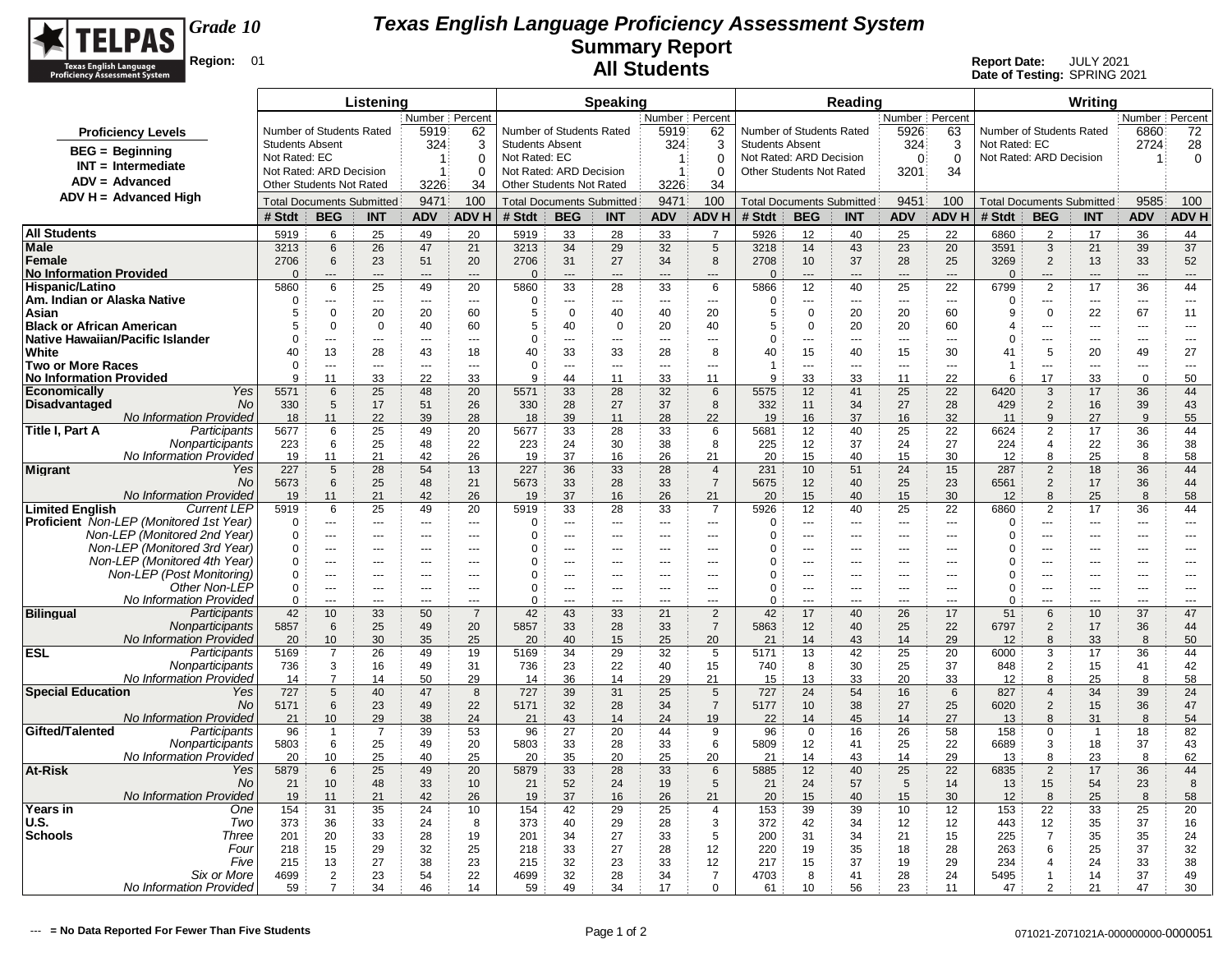

|                                                                         |                                          |                                  | Listening             |                                    |                                  |                                          |                                  | <b>Speaking</b>               |                       |                       |                                                     |                       | Reading              |                                            |                                                      |                                            |                                | Writing               |                                  |                       |
|-------------------------------------------------------------------------|------------------------------------------|----------------------------------|-----------------------|------------------------------------|----------------------------------|------------------------------------------|----------------------------------|-------------------------------|-----------------------|-----------------------|-----------------------------------------------------|-----------------------|----------------------|--------------------------------------------|------------------------------------------------------|--------------------------------------------|--------------------------------|-----------------------|----------------------------------|-----------------------|
|                                                                         |                                          |                                  |                       | Number   Percent                   |                                  |                                          |                                  |                               | Number   Percent      |                       |                                                     |                       |                      | Number Percent                             |                                                      |                                            |                                |                       | Number   Percent                 |                       |
| <b>Proficiency Levels</b>                                               |                                          | Number of Students Rated         |                       | 5919                               | 62                               | Number of Students Rated                 |                                  |                               | 5919                  | 62                    | Number of Students Rated                            |                       |                      | 5926                                       | 63                                                   | Number of Students Rated                   |                                |                       | 6860                             | 72                    |
| $BEG = Beginning$                                                       | <b>Students Absent</b>                   |                                  |                       | 324                                | 3                                | <b>Students Absent</b>                   |                                  |                               | 324                   | 3                     | <b>Students Absent</b>                              |                       |                      | 324                                        | 3                                                    | Not Rated: EC                              |                                |                       | 2724                             | 28                    |
| $INT = Intermediate$                                                    | Not Rated: EC<br>Not Rated: ARD Decision |                                  |                       | $\mathbf 1$<br>$\mathbf 1$         | $\Omega$<br>$\Omega$             | Not Rated: EC<br>Not Rated: ARD Decision |                                  |                               | -1<br>$\overline{1}$  | $\Omega$<br>$\Omega$  | Not Rated: ARD Decision<br>Other Students Not Rated |                       |                      | $\Omega$                                   | $\Omega$<br>34                                       | Not Rated: ARD Decision                    |                                |                       | -1                               | 0                     |
| $ADV = Advanced$                                                        | <b>Other Students Not Rated</b>          |                                  |                       | 3226                               | 34                               | <b>Other Students Not Rated</b>          |                                  |                               | 3226                  | 34                    |                                                     |                       |                      | 3201                                       |                                                      |                                            |                                |                       |                                  |                       |
| $ADV H = Advanced High$                                                 |                                          | <b>Total Documents Submitted</b> |                       | 9471                               | 100                              |                                          | <b>Total Documents Submitted</b> |                               | 9471                  | 100                   | <b>Total Documents Submitted</b>                    |                       |                      | 9451                                       | 100                                                  |                                            |                                |                       | 9585                             | 100                   |
|                                                                         | # Stdt                                   | <b>BEG</b>                       | <b>INT</b>            | <b>ADV</b>                         | <b>ADVH</b>                      | # Stdt                                   | <b>BEG</b>                       | <b>INT</b>                    | <b>ADV</b>            | <b>ADVH</b>           | # Stdt                                              | <b>BEG</b>            | <b>INT</b>           | <b>ADV</b>                                 | <b>ADV H</b>                                         | <b>Total Documents Submitted</b><br># Stdt | <b>BEG</b>                     | <b>INT</b>            | <b>ADV</b>                       | <b>ADV H</b>          |
|                                                                         |                                          |                                  |                       |                                    |                                  |                                          |                                  |                               |                       |                       |                                                     |                       |                      |                                            |                                                      |                                            |                                |                       |                                  |                       |
| <b>All Students</b><br>Male                                             | 5919<br>3213                             | 6<br>6                           | 25<br>26              | 49<br>47                           | 20<br>21                         | 5919<br>3213                             | 33<br>34                         | 28<br>29                      | 33<br>32              | $\overline{7}$<br>5   | 5926<br>3218                                        | 12<br>14              | 40<br>43             | 25<br>23                                   | 22<br>20                                             | 6860<br>3591                               | $\overline{2}$<br>3            | 17<br>21              | 36<br>39                         | 44<br>37              |
| Female                                                                  | 2706                                     | 6                                | 23                    | 51                                 | 20                               | 2706                                     | 31                               | 27                            | 34                    | 8                     | 2708                                                | 10                    | 37                   | 28                                         | 25                                                   | 3269                                       | $\overline{2}$                 | 13                    | 33                               | 52                    |
| <b>No Information Provided</b>                                          | $\Omega$                                 | ---                              |                       | $---$                              | $---$                            | $\mathbf{0}$                             | ---                              | ---                           | ---                   | $---$                 | $\Omega$                                            | ---                   | ---                  | $---$                                      | $\overline{\phantom{a}}$                             | $\Omega$                                   | ---                            | ---                   | ---                              | ---                   |
| Hispanic/Latino                                                         | 5860                                     | 6                                | 25                    | 49                                 | 20                               | 5860                                     | 33                               | 28                            | 33                    | 6                     | 5866                                                | 12                    | 40                   | 25                                         | 22                                                   | 6799                                       | $\overline{2}$                 | 17                    | 36                               | 44                    |
| Am. Indian or Alaska Native                                             | $\Omega$                                 | ---                              | $\overline{a}$        | $\sim$                             | $\overline{a}$                   | $\Omega$                                 | ---                              | $\overline{a}$                | $\overline{a}$        | $\overline{a}$        | $\Omega$                                            | ---                   | $---$                | $\overline{\phantom{a}}$                   | $\hspace{0.05cm} \ldots$                             | $\Omega$                                   | ---                            | $\overline{a}$        | $\overline{a}$                   | $---$                 |
| Asian                                                                   | 5                                        | 0                                | 20                    | 20                                 | 60                               | 5                                        | 0                                | 40                            | 40                    | 20                    | 5                                                   | 0                     | 20                   | 20                                         | 60                                                   | 9                                          | $\mathsf 0$                    | 22                    | 67                               | 11                    |
| <b>Black or African American</b><br>Native Hawaiian/Pacific Islander    | 5<br>$\Omega$                            | 0<br>---                         | $\mathbf 0$           | 40<br>$\sim$                       | 60<br>$\sim$                     | 5<br>0                                   | 40<br>÷÷                         | $\mathbf 0$<br>$\overline{a}$ | 20<br>$\overline{a}$  | 40<br>$\overline{a}$  | 5<br>$\mathbf 0$                                    | 0<br>---              | 20<br>$\overline{a}$ | 20<br>$\sim$                               | 60<br>$\overline{a}$                                 | $\overline{4}$<br>0                        | <br>                           | $\overline{a}$<br>--- | $---$<br>$\overline{a}$          | $---$<br>$---$        |
| White                                                                   | 40                                       | 13                               | 28                    | 43                                 | 18                               | 40                                       | 33                               | 33                            | 28                    | 8                     | 40                                                  | 15                    | 40                   | 15                                         | 30                                                   | 41                                         | 5                              | 20                    | 49                               | 27                    |
| <b>Two or More Races</b>                                                | $\Omega$                                 | ---                              | $\sim$                | $\sim$                             | $\overline{a}$                   | $\mathbf 0$                              | ÷÷.                              | $\overline{a}$                | $\overline{a}$        | ---                   | $\overline{1}$                                      | ---                   | $\overline{a}$       | $\sim$                                     | $\overline{\phantom{a}}$                             | $\mathbf 1$                                | ---                            | ---                   | ---                              | $\overline{a}$        |
| <b>No Information Provided</b>                                          | 9                                        | 11                               | 33                    | 22                                 | 33                               | 9                                        | 44                               | 11                            | 33                    | 11                    | 9                                                   | 33                    | 33                   | 11                                         | 22                                                   | 6                                          | 17                             | 33                    | $\mathbf 0$                      | 50                    |
| Yes<br>Economicallv                                                     | 5571                                     | 6                                | 25                    | 48                                 | 20                               | 5571                                     | 33                               | 28                            | 32                    | 6                     | 5575                                                | 12                    | 41                   | 25                                         | 22                                                   | 6420                                       | 3                              | 17                    | 36                               | 44                    |
| Disadvantaged<br>No.<br>No Information Provided                         | 330<br>18                                | 5<br>11                          | 17<br>22              | 51<br>39                           | 26<br>28                         | 330<br>18                                | 28<br>39                         | 27<br>11                      | 37<br>28              | 8<br>22               | 332<br>19                                           | 11<br>16              | 34<br>37             | 27<br>16                                   | 28<br>32                                             | 429<br>11                                  | $\overline{2}$<br>$\mathsf{Q}$ | 16<br>27              | 39<br>9                          | 43<br>55              |
| Participants<br>Title I, Part A                                         | 5677                                     | 6                                | 25                    | 49                                 | 20                               | 5677                                     | 33                               | 28                            | 33                    | 6                     | 5681                                                | 12                    | 40                   | 25                                         | 22                                                   | 6624                                       | $\overline{2}$                 | 17                    | 36                               | 44                    |
| Nonparticipants                                                         | 223                                      | 6                                | 25                    | 48                                 | 22                               | 223                                      | 24                               | 30                            | 38                    | 8                     | 225                                                 | 12                    | 37                   | 24                                         | 27                                                   | 224                                        | $\overline{\mathbf{4}}$        | 22                    | 36                               | 38                    |
| No Information Provided                                                 | 19                                       | 11                               | 21                    | 42                                 | 26                               | 19                                       | 37                               | 16                            | 26                    | 21                    | 20                                                  | 15                    | 40                   | 15                                         | 30                                                   | 12                                         | $\mathsf{R}$                   | 25                    | 8                                | 58                    |
| <b>Migrant</b><br>Yes                                                   | 227                                      | $\sqrt{5}$                       | 28                    | 54                                 | 13                               | 227                                      | 36                               | 33                            | 28                    | $\overline{4}$        | 231                                                 | 10                    | 51                   | 24                                         | 15                                                   | 287                                        | $\overline{2}$                 | 18                    | 36                               | 44                    |
| No                                                                      | 5673                                     | 6                                | 25                    | 48                                 | 21                               | 5673                                     | 33                               | 28                            | 33                    | $\overline{7}$        | 5675                                                | 12                    | 40                   | 25                                         | 23                                                   | 6561                                       | $\overline{2}$                 | 17                    | 36                               | 44                    |
| No Information Provided<br><b>Limited English</b><br><b>Current LEP</b> | 19<br>5919                               | 11<br>6                          | 21<br>25              | 42<br>49                           | 26<br>20                         | 19<br>5919                               | 37<br>33                         | 16<br>28                      | 26<br>33              | 21<br>$\overline{7}$  | 20<br>5926                                          | 15<br>12              | 40<br>40             | 15<br>25                                   | 30<br>22                                             | 12<br>6860                                 | 8<br>$\overline{2}$            | 25<br>17              | 8<br>36                          | 58<br>44              |
| <b>Proficient</b> Non-LEP (Monitored 1st Year)                          | $\Omega$                                 | ---                              | $\overline{a}$        | $\overline{a}$                     | $\sim$                           | $\mathbf 0$                              | ÷÷                               | ---                           | ---                   | ---                   | $\mathbf 0$                                         | ---                   | $\overline{a}$       | $\sim$                                     | $\overline{a}$                                       | $\Omega$                                   | ---                            | ---                   | ---                              | ---                   |
| Non-LEP (Monitored 2nd Year)                                            | $\mathbf 0$                              | $\sim$ $\sim$                    | $\sim$                | $\sim$                             | $\overline{a}$                   | 0                                        | ---                              | ---                           | $\overline{a}$        | $\overline{a}$        | $\mathbf 0$                                         | $\overline{a}$        | $\overline{a}$       | $\overline{a}$                             | $\overline{\phantom{a}}$                             | 0                                          | ---                            | ---                   | $\overline{a}$                   | $\overline{a}$        |
| Non-LEP (Monitored 3rd Year)                                            | $\Omega$                                 | $\overline{a}$                   | $---$                 | $- - -$                            | $\overline{a}$                   | $\Omega$                                 | ÷÷                               | $\sim$                        | ---                   | $\overline{a}$        | $\Omega$                                            | ---                   | $\overline{a}$       | $\overline{a}$                             | $\overline{a}$                                       | $\Omega$                                   |                                | $-$                   | $-$                              | $\overline{a}$        |
| Non-LEP (Monitored 4th Year)                                            | $\mathbf 0$                              | $\overline{a}$                   | $---$                 | $--$                               | $---$                            | 0                                        | ---                              | $\overline{a}$                | ---                   | $\cdots$              | 0                                                   | $\overline{a}$        | $---$                | $---$                                      | $\overline{\phantom{a}}$                             | 0                                          | ---                            | ---                   | $---$                            | $---$                 |
| Non-LEP (Post Monitoring)<br>Other Non-LEP                              | $\mathbf 0$<br>$\mathbf 0$               | $\overline{a}$<br>---            | $\overline{a}$<br>--- | $\sim$<br>$\overline{\phantom{a}}$ | $\overline{a}$<br>$\overline{a}$ | $\Omega$<br>$\Omega$                     | ---<br>Ξ.                        | $\overline{a}$<br>Ξ.          | $\overline{a}$<br>--- | $\overline{a}$<br>--- | $\Omega$<br>$\Omega$                                | $\overline{a}$<br>--- | ---<br>---           | $\overline{\phantom{a}}$<br>$\overline{a}$ | $\overline{\phantom{a}}$<br>$\overline{\phantom{a}}$ | $\Omega$<br>$\Omega$                       | ---<br>Ξ.                      | ---<br>               | $\overline{a}$<br>$\overline{a}$ | $\overline{a}$<br>--- |
| No Information Provided                                                 | $\mathbf 0$                              | ---                              | ---                   | $\overline{a}$                     | $\sim$                           | $\Omega$                                 | ÷÷.                              | ---                           | ---                   | ---                   | $\Omega$                                            | ---                   | $\overline{a}$       | $\overline{a}$                             | ---                                                  | $\Omega$                                   | ÷÷.                            | ---                   | ---                              | ---                   |
| <b>Bilingual</b><br>Participants                                        | 42                                       | 10                               | 33                    | 50                                 | $\overline{7}$                   | 42                                       | 43                               | 33                            | 21                    | $\overline{2}$        | 42                                                  | 17                    | 40                   | 26                                         | 17                                                   | 51                                         | 6                              | 10                    | 37                               | 47                    |
| <b>Nonparticipants</b>                                                  | 5857                                     | 6                                | 25                    | 49                                 | 20                               | 5857                                     | 33                               | 28                            | 33                    | $\overline{7}$        | 5863                                                | 12                    | 40                   | 25                                         | 22                                                   | 6797                                       | $\overline{2}$                 | 17                    | 36                               | 44                    |
| No Information Provided                                                 | 20                                       | 10 <sup>1</sup>                  | 30                    | 35                                 | 25                               | 20                                       | 40                               | 15                            | 25                    | 20                    | 21                                                  | 14                    | 43                   | 14                                         | 29                                                   | 12                                         | $\mathsf{R}$                   | 33                    | 8                                | 50                    |
| <b>ESL</b><br>Participants<br>Nonparticipants                           | 5169<br>736                              | $\overline{7}$<br>3              | 26<br>16              | 49<br>49                           | 19<br>31                         | 5169<br>736                              | 34<br>23                         | 29<br>22                      | 32<br>40              | 5<br>15               | 5171<br>740                                         | 13<br>8               | 42<br>30             | 25<br>25                                   | 20<br>37                                             | 6000<br>848                                | 3<br>$\overline{2}$            | 17<br>15              | 36<br>41                         | 44<br>42              |
| No Information Provided                                                 | 14                                       | $\overline{7}$                   | 14                    | 50                                 | 29                               | 14                                       | 36                               | 14                            | 29                    | 21                    | 15                                                  | 13                    | 33                   | 20                                         | 33                                                   | 12                                         | 8                              | 25                    | 8                                | 58                    |
| <b>Special Education</b><br>Yes                                         | 727                                      | 5                                | 40                    | 47                                 | 8                                | 727                                      | 39                               | 31                            | 25                    | 5                     | 727                                                 | 24                    | 54                   | 16                                         | 6                                                    | 827                                        | $\overline{4}$                 | 34                    | 39                               | 24                    |
| N <sub>O</sub>                                                          | 5171                                     | 6                                | 23                    | 49                                 | 22                               | 5171                                     | 32                               | 28                            | 34                    | $\overline{7}$        | 5177                                                | 10 <sup>1</sup>       | 38                   | 27                                         | 25                                                   | 6020                                       | $\overline{2}$                 | 15                    | 36                               | 47                    |
| No Information Provided                                                 | 21                                       | 10 <sup>1</sup>                  | 29                    | 38                                 | 24                               | 21                                       | 43                               | 14                            | 24                    | 19                    | 22                                                  | 14                    | 45                   | 14                                         | 27                                                   | 13                                         | 8                              | 31                    | 8                                | 54                    |
| Gifted/Talented<br>Participants<br>Nonparticipants                      | 96<br>5803                               | $\mathbf{1}$<br>6                | $\overline{7}$<br>25  | 39<br>49                           | 53<br>20                         | 96<br>5803                               | 27<br>33                         | 20<br>28                      | 44<br>33              | 9<br>6                | 96<br>5809                                          | $\mathbf 0$<br>12     | 16<br>41             | 26<br>25                                   | 58<br>22                                             | 158<br>6689                                | $\Omega$<br>3                  | $\overline{1}$<br>18  | 18<br>37                         | 82<br>43              |
| <b>No Information Provided</b>                                          | 20                                       | 10                               | 25                    | 40                                 | 25                               | 20                                       | 35                               | 20                            | 25                    | 20                    | 21                                                  | 14                    | 43                   | 14                                         | 29                                                   | 13                                         | 8                              | 23                    | 8                                | 62                    |
| At-Risk<br>Yes                                                          | 5879                                     | 6                                | 25                    | 49                                 | 20                               | 5879                                     | 33                               | 28                            | 33                    | 6                     | 5885                                                | 12                    | 40                   | 25                                         | 22                                                   | 6835                                       | $\overline{2}$                 | 17                    | 36                               | 44                    |
| <b>No</b>                                                               | 21                                       | 10                               | 48                    | 33                                 | 10                               | 21                                       | 52                               | 24                            | 19                    | $\sqrt{5}$            | 21                                                  | 24                    | 57                   | $5\phantom{.0}$                            | 14                                                   | 13                                         | 15                             | 54                    | 23                               | $\bf8$                |
| No Information Provided                                                 | 19                                       | 11                               | 21                    | 42                                 | 26                               | 19                                       | 37                               | 16                            | 26                    | 21                    | 20                                                  | 15                    | 40                   | 15                                         | 30                                                   | 12                                         | 8                              | 25                    | 8                                | 58                    |
| Years in<br>One<br>Two                                                  | 154                                      | 31                               | 35<br>33              | 24<br>24                           | 10                               | 154<br>373                               | 42                               | 29                            | 25                    | $\overline{4}$<br>3   | 153<br>372                                          | 39                    | 39                   | 10                                         | 12                                                   | 153<br>443                                 | 22<br>12                       | 33                    | 25<br>37                         | 20                    |
| U.S.<br><b>Schools</b><br>Three                                         | 373<br>201                               | 36<br>20                         | 33                    | 28                                 | 8<br>19                          | 201                                      | 40<br>34                         | 29<br>27                      | 28<br>33              | 5                     | 200                                                 | 42<br>31              | 34<br>34             | 12<br>21                                   | 12<br>15                                             | 225                                        | $\overline{7}$                 | 35<br>35              | 35                               | 16<br>24              |
| Four                                                                    | 218                                      | 15                               | 29                    | 32                                 | 25                               | 218                                      | 33                               | 27                            | 28                    | 12                    | 220                                                 | 19                    | 35                   | 18                                         | 28                                                   | 263                                        | 6                              | 25                    | 37                               | 32                    |
| Five                                                                    | 215                                      | 13                               | 27                    | 38                                 | 23                               | 215                                      | 32                               | 23                            | 33                    | 12                    | 217                                                 | 15                    | 37                   | 19                                         | 29                                                   | 234                                        | Δ                              | 24                    | 33                               | 38                    |
| Six or More                                                             | 4699                                     | $\overline{2}$                   | 23                    | 54                                 | 22                               | 4699                                     | 32                               | 28                            | 34                    | $\overline{7}$        | 4703                                                | 8                     | 41                   | 28                                         | 24                                                   | 5495                                       | $\mathbf{1}$                   | 14                    | 37                               | 49                    |
| No Information Provided                                                 | 59                                       | $\overline{7}$                   | 34                    | 46                                 | 14                               | 59                                       | 49                               | 34                            | 17                    | $\Omega$              | 61                                                  | 10                    | 56                   | 23                                         | 11                                                   | 47                                         | $\mathfrak{p}$                 | 21                    | 47                               | 30                    |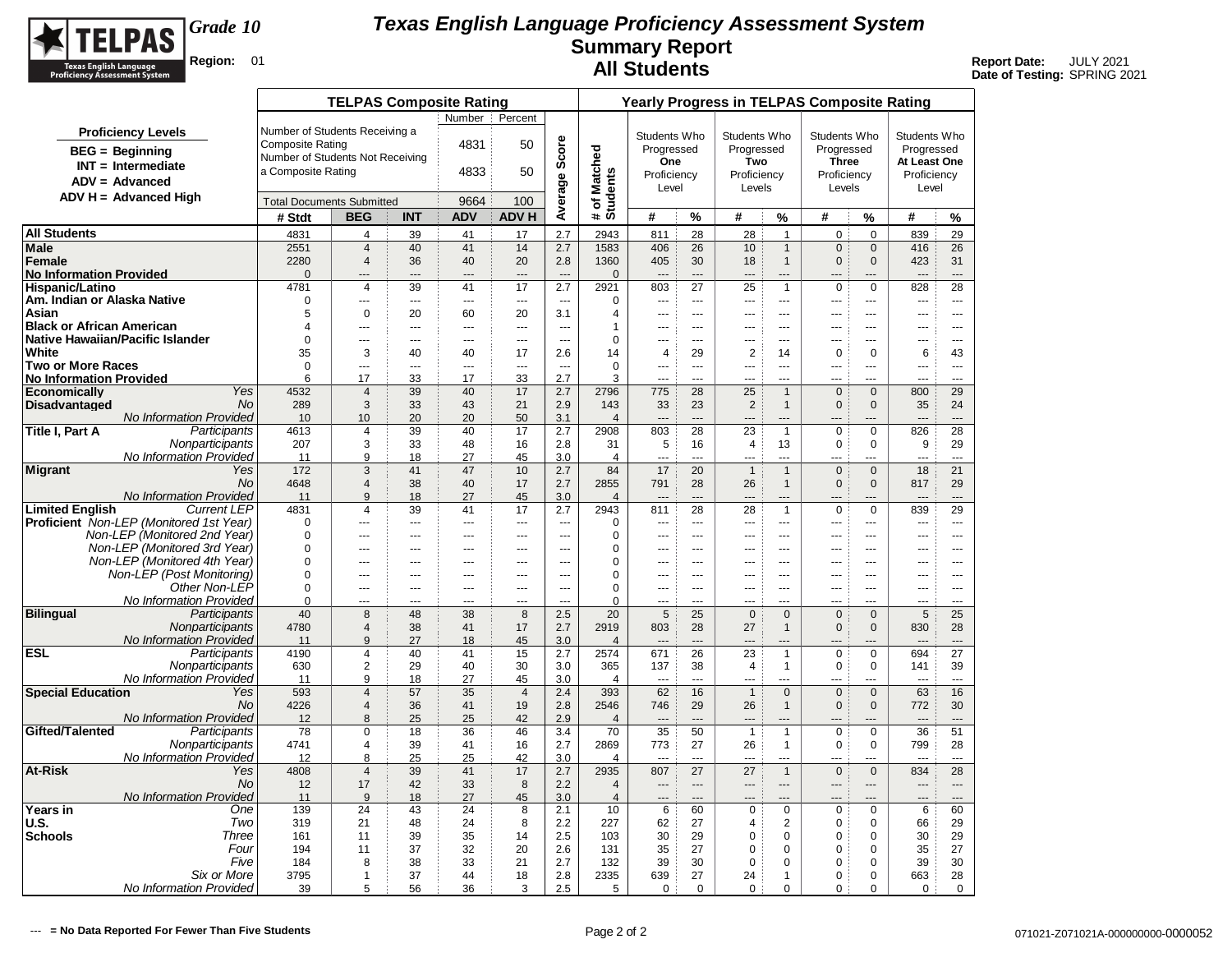

|                                      |                                                              |                                  | <b>TELPAS Composite Rating</b>   |                                |                |                            |                          |                        |                                 |                          | <b>Yearly Progress in TELPAS Composite Rating</b> |                                |                                |                                |                       |                           |
|--------------------------------------|--------------------------------------------------------------|----------------------------------|----------------------------------|--------------------------------|----------------|----------------------------|--------------------------|------------------------|---------------------------------|--------------------------|---------------------------------------------------|--------------------------------|--------------------------------|--------------------------------|-----------------------|---------------------------|
|                                      |                                                              |                                  |                                  |                                | Number         | Percent                    |                          |                        |                                 |                          |                                                   |                                |                                |                                |                       |                           |
|                                      | <b>Proficiency Levels</b>                                    | Number of Students Receiving a   |                                  |                                |                |                            |                          |                        | Students Who                    |                          | Students Who                                      |                                | Students Who                   |                                | Students Who          |                           |
|                                      | <b>BEG</b> = Beginning                                       | <b>Composite Rating</b>          |                                  |                                | 4831           | 50                         | Score                    |                        | Progressed                      |                          | Progressed                                        |                                | Progressed                     |                                | Progressed            |                           |
|                                      | $INT = Intermediate$                                         | Number of Students Not Receiving |                                  |                                |                |                            |                          | Matched                | One                             |                          | Two                                               |                                | <b>Three</b>                   |                                | At Least One          |                           |
|                                      | $ADV = Advanced$                                             | a Composite Rating               |                                  |                                | 4833           | 50                         |                          |                        | Proficiency                     |                          | Proficiency                                       |                                | Proficiency                    |                                | Proficiency           |                           |
|                                      |                                                              |                                  |                                  |                                |                |                            |                          |                        | Level                           |                          | Levels                                            |                                | Levels                         |                                | Level                 |                           |
|                                      | $ADV H = Advanced High$                                      | <b>Total Documents Submitted</b> |                                  |                                | 9664           | 100                        | Average                  | # of Match<br>Students |                                 |                          |                                                   |                                |                                |                                |                       |                           |
|                                      |                                                              | # Stdt                           | <b>BEG</b>                       | <b>INT</b>                     | <b>ADV</b>     | <b>ADV H</b>               |                          |                        | #                               | %                        | #                                                 | %                              | #                              | %                              | #                     | %                         |
| <b>All Students</b>                  |                                                              | 4831                             | 4                                | 39                             | 41             | 17                         | 2.7                      | 2943                   | 811                             | 28                       | 28                                                | $\mathbf{1}$                   | $\mathbf 0$                    | $\mathbf 0$                    | 839                   | 29                        |
| Male                                 |                                                              | 2551                             | $\overline{4}$                   | 40                             | 41             | 14                         | 2.7                      | 1583                   | 406                             | 26                       | 10                                                | $\mathbf{1}$                   | $\mathbf 0$                    | $\mathbf{0}$                   | 416                   | 26                        |
| <b>Female</b>                        |                                                              | 2280                             | $\overline{4}$                   | 36                             | 40             | 20                         | 2.8                      | 1360                   | 405                             | 30                       | 18                                                | $\overline{1}$                 | $\mathbf{0}$                   | $\mathbf{0}$                   | 423                   | 31                        |
| <b>No Information Provided</b>       |                                                              | $\Omega$                         |                                  | ---                            | $\overline{a}$ | $\overline{a}$             | $\overline{a}$           | $\mathbf{0}$           |                                 | $---$                    | $---$                                             | ---                            |                                |                                | $\overline{a}$        | ---                       |
| Hispanic/Latino                      |                                                              | 4781<br>$\Omega$                 | $\overline{4}$                   | 39                             | 41             | 17                         | 2.7                      | 2921                   | 803                             | 27                       | 25                                                | $\mathbf{1}$                   | $\mathbf 0$                    | $\mathbf 0$                    | 828                   | 28                        |
| Am. Indian or Alaska Native<br>Asian |                                                              | 5                                | ---<br>$\mathbf 0$               | $\overline{\phantom{a}}$<br>20 | ---<br>60      | $\scriptstyle\cdots$<br>20 | $\sim$ $\sim$<br>3.1     | $\mathbf 0$<br>4       | $\overline{\phantom{a}}$<br>--- | $\overline{a}$<br>$\sim$ | $\sim$<br>$-$                                     | ---<br>---                     | ---<br>$\overline{a}$          | ---<br>---                     | ---<br>$\overline{a}$ | $\overline{a}$<br>$- - -$ |
| <b>Black or African American</b>     |                                                              | 4                                | ---                              | $\overline{a}$                 | ---            | $\overline{a}$             | $\overline{a}$           | 1                      | ---                             | $\overline{a}$           | ---                                               | ---                            | ---                            | ---                            | ---                   | $\overline{a}$            |
|                                      | Native Hawaiian/Pacific Islander                             | $\Omega$                         | ---                              | ---                            | ---            | $\overline{a}$             | $\sim$                   | $\Omega$               | ---                             | $-$                      | $\overline{a}$                                    | $---$                          | $\overline{a}$                 | $\sim$                         | ---                   | $- - -$                   |
| White                                |                                                              | 35                               | 3                                | 40                             | 40             | 17                         | 2.6                      | 14                     | $\overline{4}$                  | 29                       | $\overline{2}$                                    | 14                             | $\mathbf 0$                    | $\mathbf 0$                    | 6                     | 43                        |
| <b>Two or More Races</b>             |                                                              | $\Omega$                         | ---                              | ---                            | ---            | $\overline{\phantom{a}}$   | $\overline{\phantom{a}}$ | $\mathbf 0$            | ---                             | ---                      | ---                                               | ---                            | $\overline{a}$                 | ---                            | ---                   | $\overline{a}$            |
| <b>No Information Provided</b>       |                                                              | 6                                | 17                               | 33                             | 17             | 33                         | 2.7                      | 3                      | L.                              | $\sim$                   | $\overline{a}$                                    | <u></u>                        | $-$                            | ---                            | $\sim$                | шL,                       |
| <b>Economically</b>                  | Yes                                                          | 4532                             | $\overline{4}$                   | 39                             | 40             | 17                         | 2.7                      | 2796                   | 775                             | 28                       | 25                                                | $\overline{1}$                 | $\mathbf 0$                    | $\mathbf{0}$                   | 800                   | 29                        |
| <b>Disadvantaged</b>                 | <b>No</b>                                                    | 289                              | 3                                | 33                             | 43             | 21                         | 2.9                      | 143                    | 33<br>                          | 23<br>$\overline{a}$     | $\overline{2}$                                    | $\overline{1}$                 | $\mathbf 0$                    | $\mathbf{0}$                   | 35                    | 24<br>$\overline{a}$      |
| Title I, Part A                      | No Information Provided<br>Participants                      | 10<br>4613                       | 10<br>$\overline{4}$             | 20<br>39                       | 20<br>40       | 50<br>17                   | 3.1<br>2.7               | $\overline{4}$<br>2908 | 803                             | 28                       | 23                                                | $\overline{1}$                 | $\mathbf 0$                    | $\Omega$                       | 826                   | 28                        |
|                                      | Nonparticipants                                              | 207                              | 3                                | 33                             | 48             | 16                         | 2.8                      | 31                     | 5                               | 16                       | 4                                                 | 13                             | $\mathbf 0$                    | $\mathbf 0$                    | 9                     | 29                        |
|                                      | No Information Provided                                      | 11                               | 9                                | 18                             | 27             | 45                         | 3.0                      | $\overline{4}$         |                                 | $-$ -                    |                                                   | $-$                            | $-$                            |                                |                       | $\sim$                    |
| <b>Migrant</b>                       | Yes                                                          | 172                              | 3                                | 41                             | 47             | 10                         | 2.7                      | 84                     | 17                              | 20                       | $\overline{1}$                                    | $\overline{1}$                 | $\mathbf{0}$                   | $\mathbf{0}$                   | 18                    | 21                        |
|                                      | <b>No</b>                                                    | 4648                             | $\overline{4}$                   | 38                             | 40             | 17                         | 2.7                      | 2855                   | 791                             | 28                       | 26                                                | $\mathbf{1}$                   | $\mathbf 0$                    | $\mathbf 0$                    | 817                   | 29                        |
|                                      | <b>No Information Provided</b>                               | 11                               | 9                                | 18                             | 27             | 45                         | 3.0                      | $\overline{4}$         | $\overline{a}$                  | $\overline{a}$           | $---$                                             | $---$                          | $---$                          | ---                            | $---$                 | $\overline{a}$            |
| <b>Limited English</b>               | <b>Current LEP</b>                                           | 4831                             | $\overline{4}$                   | 39                             | 41             | 17                         | 2.7                      | 2943                   | 811                             | 28                       | 28                                                | $\mathbf{1}$                   | $\mathbf 0$                    | $\mathbf 0$                    | 839                   | 29                        |
|                                      | Proficient Non-LEP (Monitored 1st Year)                      | $\mathbf 0$                      | ---                              | ---                            | ---            | $\overline{a}$             | ---                      | 0                      | ---                             | $\overline{a}$<br>$\sim$ | $\overline{a}$                                    | ---                            | $\overline{a}$                 | ---                            | $\overline{a}$        | $\overline{a}$<br>        |
|                                      | Non-LEP (Monitored 2nd Year)<br>Non-LEP (Monitored 3rd Year) | $\Omega$<br>$\Omega$             | ---<br>---                       | ---<br>$\overline{a}$          | ÷÷<br>---      | ---<br>$-$                 | ---<br>$\sim$            | $\mathbf 0$<br>0       | <br>---                         | $-$                      | $\overline{a}$                                    | ---<br>$-$                     | $-$                            | ---<br>$\overline{a}$          | ---<br>---            | $\sim$                    |
|                                      | Non-LEP (Monitored 4th Year)                                 | $\Omega$                         | ---                              | ---                            | $\overline{a}$ | $\overline{a}$             | $\overline{a}$           | $\mathbf 0$            | ---                             | $\overline{a}$           | $---$                                             | ---                            | ---                            | ---                            | ---                   | $\overline{a}$            |
|                                      | Non-LEP (Post Monitoring)                                    | $\Omega$                         | ---                              | $\sim$ $\sim$                  | ---            | $\sim$ $\sim$              | $\sim$                   | $\mathbf 0$            | ---                             | $- - -$                  | $---$                                             | $\overline{a}$                 | $- - -$                        | $\overline{a}$                 | ---                   | $\sim$ $\sim$             |
|                                      | Other Non-LEP                                                | $\Omega$                         | ---                              | $\overline{a}$                 | $\overline{a}$ | $---$                      | ---                      | $\Omega$               | ---                             | $\overline{a}$           | $---$                                             | $\overline{a}$                 | $- - -$                        | $\overline{a}$                 | $\overline{a}$        | $---$                     |
|                                      | No Information Provided                                      | $\Omega$                         | ---                              | ---                            | ---            | ---                        | $\sim$                   | $\Omega$               | ---                             | $\sim$                   | $\overline{a}$                                    | ---                            | $-$                            | ---                            | ---                   | $\overline{a}$            |
| <b>Bilingual</b>                     | Participants                                                 | 40                               | 8                                | 48                             | 38             | 8                          | 2.5                      | 20                     | 5                               | 25                       | $\mathbf 0$                                       | $\mathbf{0}$                   | $\mathbf{0}$                   | $\mathbf{0}$                   | 5                     | 25                        |
|                                      | Nonparticipants                                              | 4780                             | $\overline{4}$                   | 38                             | 41             | 17                         | 2.7                      | 2919                   | 803                             | 28                       | 27                                                | $\mathbf{1}$                   | $\mathbf{0}$                   | $\mathbf{0}$                   | 830                   | 28                        |
|                                      | No Information Provided                                      | 11                               | 9                                | 27                             | 18             | 45                         | 3.0                      | $\overline{4}$         | $\overline{a}$                  | $\overline{a}$           |                                                   | $---$                          | $-$                            |                                | $---$                 | $---$                     |
| <b>ESL</b>                           | Participants<br>Nonparticipants                              | 4190<br>630                      | $\overline{4}$<br>$\overline{2}$ | 40<br>29                       | 41<br>40       | 15<br>30                   | 2.7<br>3.0               | 2574<br>365            | 671<br>137                      | 26<br>38                 | 23<br>$\overline{\mathbf{4}}$                     | $\overline{1}$<br>$\mathbf{1}$ | $\mathbf 0$<br>$\mathbf 0$     | $\mathbf 0$<br>0               | 694<br>141            | 27<br>39                  |
|                                      | <b>No Information Provided</b>                               | 11                               | 9                                | 18                             | 27             | 45                         | 3.0                      | 4                      | ---                             | $\sim$                   | ---                                               |                                | $-$                            | ---                            | ---                   | $\overline{a}$            |
| <b>Special Education</b>             | Yes                                                          | 593                              | $\overline{4}$                   | 57                             | 35             | $\overline{4}$             | 2.4                      | 393                    | 62                              | 16                       | $\overline{1}$                                    | $\mathbf 0$                    | $\mathsf 0$                    | $\Omega$                       | 63                    | 16                        |
|                                      | No                                                           | 4226                             | 4                                | 36                             | 41             | 19                         | 2.8                      | 2546                   | 746                             | 29                       | 26                                                | $\mathbf{1}$                   | $\mathbf 0$                    | $\mathbf 0$                    | 772                   | 30                        |
|                                      | No Information Provided                                      | 12                               | 8                                | 25                             | 25             | 42                         | 2.9                      | $\overline{4}$         | $\overline{a}$                  | $---$                    | $---$                                             | $---$                          | $\overline{a}$                 | ---                            | $---$                 | $---$                     |
| Gifted/Talented                      | Participants                                                 | 78                               | $\pmb{0}$                        | 18                             | 36             | 46                         | 3.4                      | 70                     | 35                              | 50                       | $\mathbf{1}$                                      | $\overline{1}$                 | $\pmb{0}$                      | $\pmb{0}$                      | 36                    | 51                        |
|                                      | Nonparticipants                                              | 4741                             | 4                                | 39                             | 41             | 16                         | 2.7                      | 2869                   | 773                             | 27                       | 26                                                | $\overline{1}$                 | 0                              | $\Omega$                       | 799                   | 28                        |
|                                      | No Information Provided<br>Yes                               | 12                               | 8                                | 25<br>39                       | 25<br>41       | 42<br>17                   | 3.0                      | 4<br>2935              | $\sim$<br>807                   | $\sim$<br>27             | $\overline{a}$<br>27                              | $\sim$<br>$\overline{1}$       | $\overline{a}$<br>$\mathbf{0}$ | $\overline{a}$<br>$\mathbf{0}$ | $\sim$<br>834         | $\sim$<br>28              |
| <b>At-Risk</b>                       | No                                                           | 4808<br>12                       | $\overline{4}$<br>17             | 42                             | 33             | 8                          | 2.7<br>2.2               | 4                      | $---$                           | $---$                    | $---$                                             | $---$                          | $---$                          | ---                            | $---$                 | $\overline{a}$            |
|                                      | No Information Provided                                      | 11                               | 9                                | 18                             | 27             | 45                         | 3.0                      | $\overline{4}$         |                                 | $\sim$                   |                                                   |                                |                                |                                | ---                   |                           |
| Years in                             | One                                                          | 139                              | 24                               | 43                             | 24             | 8                          | 2.1                      | 10                     | 6                               | 60                       | $\mathbf 0$                                       | $\mathbf 0$                    | $\mathbf 0$                    | 0                              | 6                     | 60                        |
| U.S.                                 | Two                                                          | 319                              | 21                               | 48                             | 24             | 8                          | 2.2                      | 227                    | 62                              | 27                       | 4                                                 | 2                              | $\mathbf 0$                    | 0                              | 66                    | 29                        |
| <b>Schools</b>                       | Three                                                        | 161                              | 11                               | 39                             | 35             | 14                         | 2.5                      | 103                    | 30                              | 29                       | $\mathbf 0$                                       | $\mathbf 0$                    | $\mathbf 0$                    | 0                              | 30                    | 29                        |
|                                      | Four                                                         | 194                              | 11                               | 37                             | 32             | 20                         | 2.6                      | 131                    | 35                              | 27                       | $\mathbf 0$                                       | 0                              | 0                              | 0                              | 35                    | 27                        |
|                                      | Five                                                         | 184                              | 8                                | 38                             | 33             | 21                         | 2.7                      | 132                    | 39                              | 30                       | $\mathbf 0$                                       | 0                              | 0                              | 0                              | 39                    | 30                        |
|                                      | Six or More                                                  | 3795                             | $\mathbf{1}$                     | 37                             | 44             | 18                         | 2.8                      | 2335                   | 639                             | 27                       | 24                                                | $\mathbf{1}$                   | 0                              | $\mathbf 0$                    | 663                   | 28                        |
|                                      | No Information Provided                                      | 39                               | 5                                | 56                             | 36             | 3                          | 2.5                      | 5                      | $\mathbf 0$                     | $\mathbf 0$              | 0                                                 | $\mathbf 0$                    | 0                              | $\mathbf 0$                    | $\mathbf 0$           | $\mathbf 0$               |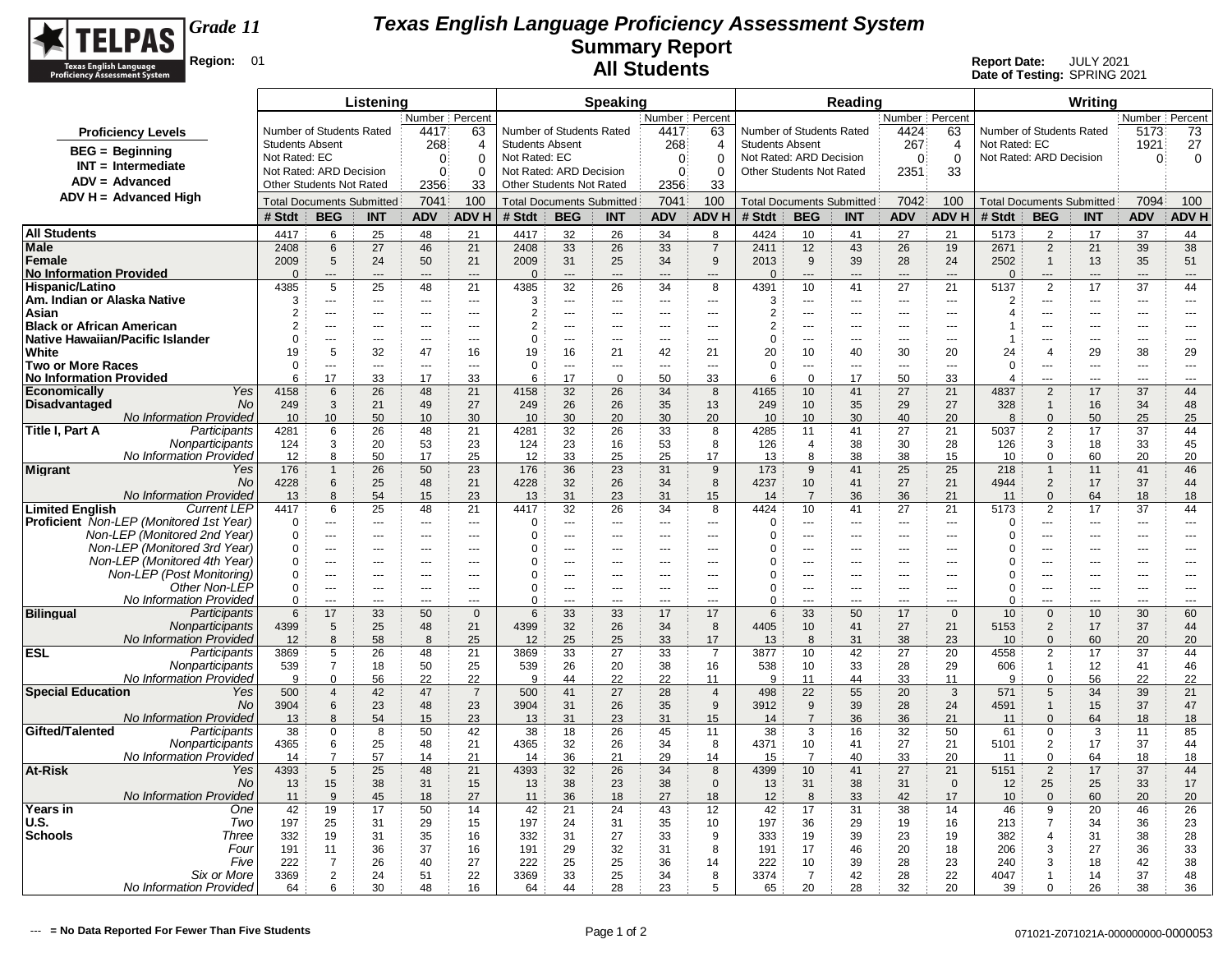

|                                                              |                                  |                                  | Listening          |                      |                      |                                          |                       | <b>Speaking</b>             |                              |                      |                                                            |                                    | Reading        |                                 |                       |                          |                                  | Writing               |                  |                          |
|--------------------------------------------------------------|----------------------------------|----------------------------------|--------------------|----------------------|----------------------|------------------------------------------|-----------------------|-----------------------------|------------------------------|----------------------|------------------------------------------------------------|------------------------------------|----------------|---------------------------------|-----------------------|--------------------------|----------------------------------|-----------------------|------------------|--------------------------|
|                                                              |                                  |                                  |                    | Number   Percent     |                      |                                          |                       |                             | Number   Percent             |                      |                                                            |                                    |                | Number Percent                  |                       |                          |                                  |                       | Number   Percent |                          |
| <b>Proficiency Levels</b>                                    |                                  | Number of Students Rated         |                    | 4417                 | 63                   | Number of Students Rated                 |                       |                             | 4417                         | 63                   | Number of Students Rated                                   |                                    |                | 4424                            | 63                    | Number of Students Rated |                                  |                       | 5173             | 73                       |
| $BEG = Beginning$                                            | <b>Students Absent</b>           |                                  |                    | 268                  | $\overline{4}$       | <b>Students Absent</b>                   |                       |                             | 268                          | $\overline{4}$       | <b>Students Absent</b>                                     |                                    |                | 267                             | 4                     | Not Rated: EC            |                                  |                       | 1921             | 27                       |
| $INT = Intermediate$                                         | Not Rated: EC                    | Not Rated: ARD Decision          |                    | $\mathbf{0}$         | $\Omega$<br>$\Omega$ | Not Rated: EC<br>Not Rated: ARD Decision |                       |                             | $\mathbf{0}$<br>$\mathbf{0}$ | $\Omega$             | Not Rated: ARD Decision<br><b>Other Students Not Rated</b> |                                    |                | $\mathbf{0}$                    | $\mathbf 0$           | Not Rated: ARD Decision  |                                  |                       | $\Omega$         | 0                        |
| $ADV = Advanced$                                             |                                  | <b>Other Students Not Rated</b>  |                    | $\mathbf{0}$<br>2356 | 33                   | <b>Other Students Not Rated</b>          |                       |                             | 2356                         | $\Omega$<br>33       |                                                            |                                    |                | 2351                            | 33                    |                          |                                  |                       |                  |                          |
| $ADV H = Advanced High$                                      |                                  | <b>Total Documents Submitted</b> |                    | 7041                 | 100                  | <b>Total Documents Submitted</b>         |                       |                             | 7041                         | 100                  | <b>Total Documents Submitted</b>                           |                                    |                | 7042                            | 100                   |                          | <b>Total Documents Submitted</b> |                       | 7094             | 100                      |
|                                                              | # Stdt                           | <b>BEG</b>                       | <b>INT</b>         | <b>ADV</b>           | <b>ADVH</b>          | # Stdt                                   | <b>BEG</b>            | <b>INT</b>                  | <b>ADV</b>                   | <b>ADVH</b>          | # Stdt                                                     | <b>BEG</b>                         | <b>INT</b>     | <b>ADV</b>                      | <b>ADV H</b>          | # Stdt                   | <b>BEG</b>                       | <b>INT</b>            | <b>ADV</b>       | <b>ADV H</b>             |
| <b>All Students</b>                                          |                                  |                                  |                    |                      |                      |                                          |                       |                             |                              |                      |                                                            |                                    |                |                                 |                       |                          | 2                                |                       |                  |                          |
| Male                                                         | 4417<br>2408                     | 6<br>6                           | 25<br>27           | 48<br>46             | 21<br>21             | 4417<br>2408                             | 32<br>33              | 26<br>26                    | 34<br>33                     | 8<br>$\overline{7}$  | 4424<br>2411                                               | 10<br>12                           | 41<br>43       | 27<br>26                        | 21<br>19              | 5173<br>2671             | $\overline{2}$                   | 17<br>21              | 37<br>39         | 44<br>38                 |
| Female                                                       | 2009                             | 5                                | 24                 | 50                   | 21                   | 2009                                     | 31                    | 25                          | 34                           | 9                    | 2013                                                       | 9                                  | 39             | 28                              | 24                    | 2502                     | $\mathbf{1}$                     | 13                    | 35               | 51                       |
| <b>No Information Provided</b>                               | $\Omega$                         | ---                              |                    | $\overline{a}$       | $\overline{a}$       | $\overline{0}$                           | $\overline{a}$        | $\overline{a}$              | $\overline{a}$               | $\overline{a}$       | $\Omega$                                                   | ---                                | $\overline{a}$ | $\overline{a}$                  | $\overline{a}$        | $\Omega$                 | $\overline{a}$                   | ---                   | ---              | ---                      |
| Hispanic/Latino                                              | 4385                             | 5                                | 25                 | 48                   | 21                   | 4385                                     | 32                    | 26                          | 34                           | 8                    | 4391                                                       | 10 <sup>°</sup>                    | 41             | 27                              | 21                    | 5137                     | $\overline{2}$                   | 17                    | 37               | 44                       |
| Am. Indian or Alaska Native                                  | 3                                | $\overline{a}$                   | $\sim$             | $\overline{a}$       | ---                  | 3                                        | ---                   | $\overline{\phantom{a}}$    | ---                          | $\overline{a}$       | 3                                                          | $\overline{a}$                     | $- - -$        | $\sim$ $\sim$                   | $\overline{a}$        | $\overline{2}$           | ---                              | ---                   | ---              | ---                      |
| Asian<br><b>Black or African American</b>                    | $\overline{2}$<br>$\overline{2}$ | $-$<br>$-$                       | $- - -$<br>$- - -$ | $- - -$<br>$- - -$   | $---$<br>$---$       | $\overline{2}$<br>$\overline{2}$         | ---<br>$\overline{a}$ | $---$<br>$- - -$            | $\overline{a}$<br>$- - -$    | $---$<br>$---$       | $\overline{2}$<br>$\overline{2}$                           | ---<br>$---$                       | $-$<br>$-$     | $\sim$ $\sim$<br>$\sim$ $\sim$  | $\overline{a}$<br>$-$ | $\overline{4}$           | ---<br>---                       | ---<br>---            | $---$<br>$- - -$ | $---$<br>$\sim$ $\sim$   |
| Native Hawaiian/Pacific Islander                             | $\mathbf 0$                      | $-$                              | $- - -$            | $---$                | ---                  | $\Omega$                                 | ---                   | $\overline{a}$              | $\overline{\phantom{a}}$     | ---                  | $\Omega$                                                   | ---                                | $- - -$        | $\overline{\phantom{a}}$        | $\overline{a}$        |                          | ---                              | ---                   | ---              | $---$                    |
| White                                                        | 19                               | 5                                | 32                 | 47                   | 16                   | 19                                       | 16                    | 21                          | 42                           | 21                   | 20                                                         | 10                                 | 40             | 30                              | 20                    | 24                       | $\overline{4}$                   | 29                    | 38               | 29                       |
| <b>Two or More Races</b>                                     | 0                                | $\overline{a}$                   | $\sim$             | $\sim$               |                      | 0                                        | ---                   | ---                         | ---                          | $\overline{a}$       | 0                                                          | ---                                | $\sim$         | $\sim$                          | $\overline{a}$        | $\mathbf 0$              | ÷÷.                              | ---                   | ---              | ---                      |
| No Information Provided                                      | 6                                | 17                               | 33                 | 17                   | 33                   | 6                                        | 17                    | $\mathbf 0$                 | 50                           | 33                   | 6                                                          | $\mathbf 0$                        | 17             | 50                              | 33                    | 4                        | $\overline{a}$                   | $\overline{a}$        | $\sim$           | $-$                      |
| Yes<br><b>Economically</b><br>No<br><b>Disadvantaged</b>     | 4158<br>249                      | 6<br>3                           | 26<br>21           | 48<br>49             | 21<br>27             | 4158<br>249                              | 32<br>26              | 26<br>26                    | 34<br>35                     | 8<br>13              | 4165<br>249                                                | 10 <sup>1</sup><br>10 <sup>°</sup> | 41<br>35       | 27<br>29                        | 21<br>27              | 4837<br>328              | $\overline{2}$<br>$\mathbf{1}$   | 17<br>16              | 37<br>34         | 44<br>48                 |
| <b>No Information Provided</b>                               | 10                               | 10                               | 50                 | 10                   | 30                   | 10                                       | 30                    | 20                          | 30                           | 20                   | 10                                                         | 10 <sup>1</sup>                    | 30             | 40                              | 20                    | 8                        | $\Omega$                         | 50                    | 25               | 25                       |
| Participants<br>Title I, Part A                              | 4281                             | 6                                | 26                 | 48                   | 21                   | 4281                                     | 32                    | 26                          | 33                           | 8                    | 4285                                                       | 11                                 | 41             | 27                              | 21                    | 5037                     | $\overline{2}$                   | 17                    | 37               | 44                       |
| Nonparticipants                                              | 124                              | 3                                | 20                 | 53                   | 23                   | 124                                      | 23                    | 16                          | 53                           | 8                    | 126                                                        | $\overline{4}$                     | 38             | 30                              | 28                    | 126                      | 3                                | 18                    | 33               | 45                       |
| No Information Provided                                      | 12                               | 8                                | 50                 | 17                   | 25                   | 12                                       | 33                    | 25                          | 25                           | 17                   | 13                                                         | 8                                  | 38             | 38                              | 15                    | 10                       | $\Omega$                         | 60                    | 20               | 20                       |
| <b>Migrant</b><br>Yes<br>No                                  | 176<br>4228                      | $\mathbf{1}$<br>6                | 26<br>25           | 50<br>48             | 23<br>21             | 176<br>4228                              | 36<br>32              | 23<br>26                    | 31<br>34                     | 9<br>8               | 173<br>4237                                                | 9<br>10 <sup>1</sup>               | 41<br>41       | 25<br>27                        | 25<br>21              | 218<br>4944              | $\mathbf{1}$<br>$\overline{2}$   | 11<br>17              | 41<br>37         | 46<br>44                 |
| No Information Provided                                      | 13                               | 8                                | 54                 | 15                   | 23                   | 13                                       | 31                    | 23                          | 31                           | 15                   | 14                                                         | $\overline{7}$                     | 36             | 36                              | 21                    | 11                       | $\Omega$                         | 64                    | 18               | 18                       |
| <b>Limited Enalish</b><br><b>Current LEP</b>                 | 4417                             | 6                                | 25                 | 48                   | 21                   | 4417                                     | 32                    | 26                          | 34                           | 8                    | 4424                                                       | 10                                 | 41             | 27                              | 21                    | 5173                     | 2                                | 17                    | 37               | 44                       |
| <b>Proficient</b> Non-LEP (Monitored 1st Year)               | $\Omega$                         | ---                              | $\sim$             | $\overline{a}$       |                      | $\Omega$                                 | ---                   | $\sim$                      | ---                          | $\overline{a}$       | 0                                                          | ---                                | ---            | $\sim$                          | $\overline{a}$        | $\Omega$                 | ÷÷.                              | ---                   | ---              | ---                      |
| Non-LEP (Monitored 2nd Year)                                 | 0                                | $\overline{\phantom{a}}$         | $\overline{a}$     | $\overline{a}$       | ---                  | $\Omega$                                 | ---                   | ---                         | ---                          | $\overline{a}$       | $\Omega$                                                   | ---                                | $- - -$        | $\overline{a}$                  | $\overline{a}$        | $\Omega$                 | ---                              | ---                   | ---              | $\overline{a}$           |
| Non-LEP (Monitored 3rd Year)<br>Non-LEP (Monitored 4th Year) | 0<br>0                           | $\overline{\phantom{a}}$<br>$-$  | $\sim$             | ---<br>$- - -$       | ---<br>$---$         | $\Omega$<br>$\Omega$                     | ---<br>$\overline{a}$ | ---<br>$\sim$ $\sim$ $\sim$ | ---<br>$\overline{a}$        | ---<br>$---$         | $\Omega$<br>$\Omega$                                       | ---<br>$\overline{a}$              | ---<br>$-$     | $\overline{a}$<br>$\sim$ $\sim$ | ---<br>$-$            | $\Omega$<br>$\Omega$     | ÷÷.<br>$\overline{a}$            | ---<br>$\overline{a}$ | ---<br>$- - -$   | ---<br>$---$             |
| Non-LEP (Post Monitoring)                                    | 0                                | $\overline{a}$                   | $- - -$            | ---                  | $\overline{a}$       | $\Omega$                                 | ---                   | $\sim$                      | $- - -$                      | ---                  | $\Omega$                                                   | $\overline{a}$                     | $-$            | $\sim$                          | $\overline{a}$        | 0                        | ---                              | ---                   | $\overline{a}$   | $\overline{\phantom{a}}$ |
| Other Non-LEP                                                | $\mathbf 0$                      | $\overline{a}$                   | $- - -$            | ---                  | $\overline{a}$       | $\Omega$                                 | ---                   | $\sim$                      | $\overline{a}$               | $\overline{a}$       | $\mathbf 0$                                                | ---                                | $\sim$         | $\overline{\phantom{a}}$        | $\overline{a}$        | 0                        | ÷÷                               | ---                   | $\sim$ $\sim$    | $---$                    |
| No Information Provided                                      | $\mathbf 0$                      | $\overline{a}$                   |                    | $\overline{a}$       | $\overline{a}$       | $\Omega$                                 | ---                   |                             | $\sim$                       | ---                  | $\Omega$                                                   | ---                                | $-$            | $\sim$                          | $\overline{a}$        | $\Omega$                 | $\overline{a}$                   | ---                   | ---              |                          |
| <b>Bilingual</b><br>Participants                             | 6                                | 17                               | 33                 | 50                   | $\mathbf{0}$         | 6                                        | 33                    | 33                          | 17                           | 17                   | 6                                                          | 33                                 | 50             | 17                              | $\mathbf{0}$          | 10                       | $\mathbf{0}$                     | 10                    | 30               | 60                       |
| Nonparticipants<br>No Information Provided                   | 4399<br>12                       | 5<br>8                           | 25<br>58           | 48<br>8              | 21<br>25             | 4399<br>12                               | 32<br>25              | 26<br>25                    | 34<br>33                     | 8<br>17              | 4405<br>13                                                 | 10<br>8                            | 41<br>31       | 27<br>38                        | 21<br>23              | 5153<br>10               | $\overline{2}$<br>$\Omega$       | 17<br>60              | 37<br>20         | 44<br>20                 |
| <b>ESL</b><br>Participants                                   | 3869                             | 5                                | 26                 | 48                   | 21                   | 3869                                     | 33                    | 27                          | 33                           | $\overline{7}$       | 3877                                                       | 10                                 | 42             | 27                              | 20                    | 4558                     | $\overline{2}$                   | 17                    | 37               | 44                       |
| Nonparticipants                                              | 539                              | $\overline{7}$                   | 18                 | 50                   | 25                   | 539                                      | 26                    | 20                          | 38                           | 16                   | 538                                                        | 10                                 | 33             | 28                              | 29                    | 606                      | $\mathbf{1}$                     | 12                    | 41               | 46                       |
| No Information Provided                                      | 9                                | $\Omega$                         | 56                 | 22                   | 22                   | 9                                        | 44                    | 22                          | 22                           | 11                   | $\mathbf{Q}$                                               | 11                                 | 44             | 33                              | 11                    | 9                        | $\Omega$                         | 56                    | 22               | 22                       |
| <b>Special Education</b><br>Yes                              | 500                              | $\overline{4}$                   | 42                 | 47                   | $\overline{7}$       | 500                                      | 41                    | 27                          | 28                           | $\overline{4}$       | 498                                                        | 22                                 | 55             | 20                              | 3                     | 571                      | 5                                | 34                    | 39               | 21                       |
| No<br>No Information Provided                                | 3904<br>13                       | 6<br>8                           | 23<br>54           | 48<br>15             | 23<br>23             | 3904<br>13                               | 31<br>31              | 26<br>23                    | 35<br>31                     | 9<br>15              | 3912<br>14                                                 | 9<br>$\overline{7}$                | 39<br>36       | 28<br>36                        | 24<br>21              | 4591<br>11               | $\mathbf{1}$<br>$\Omega$         | 15<br>64              | 37<br>18         | 47<br>18                 |
| Gifted/Talented<br>Participants                              | 38                               | $\mathbf 0$                      | 8                  | 50                   | 42                   | 38                                       | 18                    | 26                          | 45                           | 11                   | 38                                                         | 3                                  | 16             | 32                              | 50                    | 61                       | $\Omega$                         | 3                     | 11               | 85                       |
| Nonparticipants                                              | 4365                             | 6                                | 25                 | 48                   | 21                   | 4365                                     | 32                    | 26                          | 34                           | 8                    | 4371                                                       | 10                                 | 41             | 27                              | 21                    | 5101                     | $\overline{2}$                   | 17                    | 37               | 44                       |
| No Information Provided                                      | 14                               | $\overline{7}$                   | 57                 | 14                   | 21                   | 14                                       | 36                    | 21                          | 29                           | 14                   | 15                                                         | $\overline{7}$                     | 40             | 33                              | 20                    | 11                       | $\Omega$                         | 64                    | 18               | 18                       |
| <b>At-Risk</b><br>Yes                                        | 4393                             | 5                                | 25                 | 48                   | 21                   | 4393                                     | 32                    | 26                          | 34                           | 8                    | 4399                                                       | 10                                 | 41             | 27                              | 21                    | 5151                     | $\overline{2}$                   | 17                    | 37               | 44                       |
| No<br><b>No Information Provided</b>                         | 13<br>11                         | 15<br>9                          | 38<br>45           | 31<br>18             | 15<br>27             | 13<br>11                                 | 38<br>36              | 23<br>18                    | 38<br>27                     | $\overline{0}$<br>18 | 13<br>12                                                   | 31<br>8                            | 38<br>33       | 31<br>42                        | $\mathbf 0$<br>17     | 12<br>10                 | 25<br>$\Omega$                   | 25<br>60              | 33<br>20         | 17<br>20                 |
| Years in<br>One                                              | 42                               | 19                               | 17                 | 50                   | 14                   | 42                                       | 21                    | 24                          | 43                           | 12                   | 42                                                         | 17                                 | 31             | 38                              | 14                    | 46                       | 9                                | 20                    | 46               | 26                       |
| Two<br>U.S.                                                  | 197                              | 25                               | 31                 | 29                   | 15                   | 197                                      | 24                    | 31                          | 35                           | 10                   | 197                                                        | 36                                 | 29             | 19                              | 16                    | 213                      | 7                                | 34                    | 36               | 23                       |
| Three<br><b>Schools</b>                                      | 332                              | 19                               | 31                 | 35                   | 16                   | 332                                      | 31                    | 27                          | 33                           | 9                    | 333                                                        | 19                                 | 39             | 23                              | 19                    | 382                      | 4                                | 31                    | 38               | 28                       |
| Four                                                         | 191                              | 11                               | 36                 | 37                   | 16                   | 191                                      | 29                    | 32                          | 31                           | 8                    | 191                                                        | 17                                 | 46             | 20                              | 18                    | 206                      | 3                                | 27                    | 36               | 33                       |
| Five<br>Six or More                                          | 222<br>3369                      | $\overline{7}$<br>$\overline{2}$ | 26<br>24           | 40<br>51             | 27<br>22             | 222<br>3369                              | 25<br>33              | 25<br>25                    | 36<br>34                     | 14<br>8              | 222<br>3374                                                | 10<br>$\overline{7}$               | 39<br>42       | 28<br>28                        | 23<br>22              | 240<br>4047              | 3<br>$\mathbf{1}$                | 18<br>14              | 42<br>37         | 38<br>48                 |
| <b>No Information Provided</b>                               | 64                               | 6                                | 30                 | 48                   | 16                   | 64                                       | 44                    | 28                          | 23                           | 5                    | 65                                                         | 20                                 | 28             | 32                              | 20                    | 39                       | $\Omega$                         | 26                    | 38               | 36                       |
|                                                              |                                  |                                  |                    |                      |                      |                                          |                       |                             |                              |                      |                                                            |                                    |                |                                 |                       |                          |                                  |                       |                  |                          |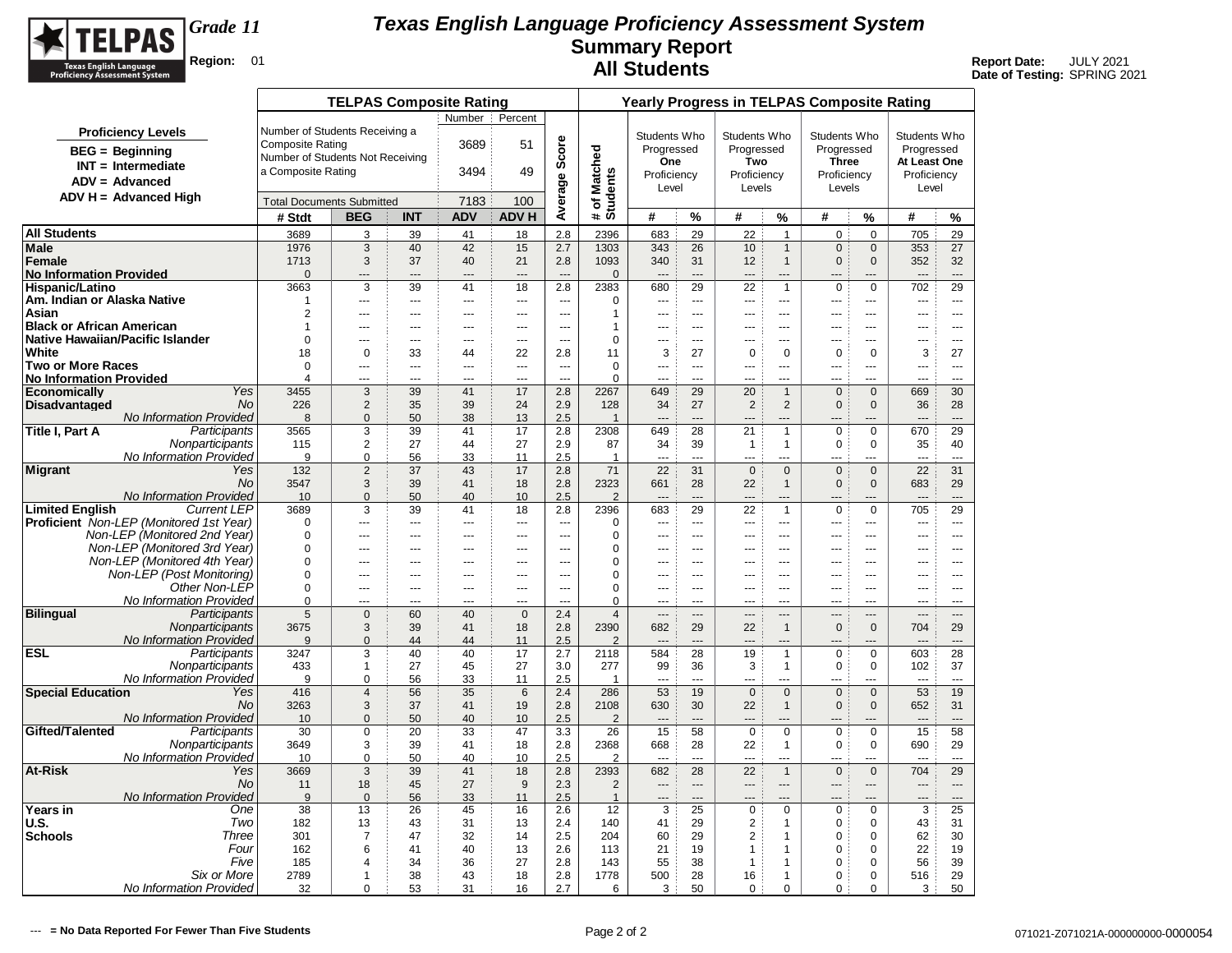

|                                                   |                                                |                                  | <b>TELPAS Composite Rating</b> |                |                |                      |                       |                          |                          |                      |                      |                                  | <b>Yearly Progress in TELPAS Composite Rating</b> |                                      |                          |                      |
|---------------------------------------------------|------------------------------------------------|----------------------------------|--------------------------------|----------------|----------------|----------------------|-----------------------|--------------------------|--------------------------|----------------------|----------------------|----------------------------------|---------------------------------------------------|--------------------------------------|--------------------------|----------------------|
|                                                   |                                                |                                  |                                |                | Number :       | Percent              |                       |                          |                          |                      |                      |                                  |                                                   |                                      |                          |                      |
|                                                   | <b>Proficiency Levels</b>                      | Number of Students Receiving a   |                                |                |                |                      |                       |                          | Students Who             |                      | Students Who         |                                  | Students Who                                      |                                      | Students Who             |                      |
|                                                   | <b>BEG</b> = Beginning                         | <b>Composite Rating</b>          |                                |                | 3689           | 51                   | Score                 |                          | Progressed               |                      | Progressed           |                                  | Progressed                                        |                                      | Progressed               |                      |
|                                                   | $INT = Intermediate$                           | Number of Students Not Receiving |                                |                |                |                      |                       |                          | One                      |                      | Two                  |                                  | <b>Three</b>                                      |                                      | At Least One             |                      |
|                                                   | $ADV = Advanced$                               | a Composite Rating               |                                |                | 3494           | 49                   |                       | # of Matched<br>Students | Proficiency              |                      | Proficiency          |                                  | Proficiency                                       |                                      | Proficiency              |                      |
|                                                   | $ADV H = Advanced High$                        |                                  |                                |                |                |                      |                       |                          | Level                    |                      | Levels               |                                  | Levels                                            |                                      | Level                    |                      |
|                                                   |                                                | <b>Total Documents Submitted</b> |                                |                | 7183           | 100                  | Average               |                          |                          |                      |                      |                                  |                                                   |                                      |                          |                      |
|                                                   |                                                | # Stdt                           | <b>BEG</b>                     | <b>INT</b>     | <b>ADV</b>     | <b>ADV H</b>         |                       |                          | #                        | %                    | #                    | $\%$                             | #                                                 | %                                    | #                        | %                    |
| <b>All Students</b>                               |                                                | 3689                             | 3                              | 39             | 41             | 18                   | 2.8                   | 2396                     | 683                      | 29                   | 22                   | $\overline{1}$                   | $\mathbf 0$                                       | $\mathbf 0$                          | 705                      | 29                   |
| Male                                              |                                                | 1976                             | 3                              | 40             | 42             | 15                   | 2.7                   | 1303                     | 343                      | 26                   | 10                   | $\mathbf{1}$                     | $\mathbf 0$                                       | $\mathbf 0$                          | 353                      | 27                   |
| Female                                            |                                                | 1713                             | 3                              | 37             | 40             | 21<br>$\overline{a}$ | 2.8<br>$\overline{a}$ | 1093                     | 340                      | 31<br>$\overline{a}$ | 12                   | $\overline{1}$                   | $\mathbf{0}$                                      | $\mathbf{0}$                         | 352<br>$\overline{a}$    | 32<br>$\overline{a}$ |
| <b>No Information Provided</b><br>Hispanic/Latino |                                                | $\Omega$<br>3663                 | ---<br>3                       | ---<br>39      | ---<br>41      | 18                   | 2.8                   | $\mathbf{0}$<br>2383     | $\overline{a}$<br>680    | 29                   | $\overline{a}$<br>22 | $\overline{a}$<br>$\overline{1}$ | $\overline{a}$<br>$\mathbf 0$                     | ---<br>$\mathbf 0$                   | 702                      | 29                   |
| Am. Indian or Alaska Native                       |                                                | 1                                | ---                            | ---            | ---            | $\scriptstyle\cdots$ | $\overline{a}$        | 0                        | $\overline{\phantom{a}}$ | $\overline{a}$       | $\overline{a}$       | ---                              | ---                                               | ---                                  | ---                      | $\overline{a}$       |
| Asian                                             |                                                | $\overline{2}$                   | ---                            | ---            | ---            | $\overline{a}$       | ---                   | 1                        | ---                      | $\sim$               | ---                  | ---                              | ---                                               | ---                                  | ---                      | <u></u>              |
| <b>Black or African American</b>                  |                                                | $\mathbf{1}$                     | ---                            | $\overline{a}$ | ---            | $\sim$               | $\sim$                | 1                        | ---                      | $---$                | $\overline{a}$       | $\overline{a}$                   | $\overline{a}$                                    | <u></u>                              | $\overline{a}$           | $\overline{a}$       |
| Native Hawaiian/Pacific Islander                  |                                                | $\Omega$                         | ---                            | $\sim$ $\sim$  | ---            | $\sim$ $\sim$        | $-$                   | $\mathbf 0$              | ---                      | $- - -$              | $---$                | $---$                            | $- - -$                                           | $---$                                | ---                      | $\sim$ $\sim$        |
| White                                             |                                                | 18                               | 0                              | 33             | 44             | 22                   | 2.8                   | 11                       | 3                        | 27                   | $\mathbf 0$          | $\mathbf 0$                      | 0                                                 | $\mathbf 0$                          | 3                        | 27                   |
| <b>Two or More Races</b>                          |                                                | $\Omega$                         |                                |                |                | $\sim$               | $\sim$                | $\Omega$                 | ---                      | $\sim$               | $\sim$               | $\overline{a}$                   | $\sim$                                            |                                      | $\overline{a}$           | $\sim$               |
| <b>No Information Provided</b>                    | Yes                                            | 4                                | ---                            | ---            | ---            | ---<br>17            | ---<br>2.8            | $\Omega$<br>2267         |                          | $\sim$<br>29         | ---                  | <br>$\overline{1}$               |                                                   | ---<br>$\mathbf{0}$                  |                          |                      |
| <b>Economically</b><br><b>Disadvantaged</b>       | <b>No</b>                                      | 3455<br>226                      | 3<br>2                         | 39<br>35       | 41<br>39       | 24                   | 2.9                   | 128                      | 649<br>34                | 27                   | 20<br>$\overline{2}$ | 2                                | $\mathbf 0$<br>$\mathbf{0}$                       | $\mathbf{0}$                         | 669<br>36                | 30<br>28             |
|                                                   | No Information Provided                        | 8                                | $\mathbf{0}$                   | 50             | 38             | 13                   | 2.5                   | $\overline{1}$           | $\overline{a}$           | $\overline{a}$       |                      | ---                              | $---$                                             | ---                                  | $---$                    | $\overline{a}$       |
| Title I, Part A                                   | Participants                                   | 3565                             | 3                              | 39             | 41             | 17                   | 2.8                   | 2308                     | 649                      | 28                   | 21                   | $\overline{1}$                   | $\mathbf 0$                                       | $\mathbf 0$                          | 670                      | 29                   |
|                                                   | Nonparticipants                                | 115                              | $\overline{2}$                 | 27             | 44             | 27                   | 2.9                   | 87                       | 34                       | 39                   | $\mathbf{1}$         | $\mathbf{1}$                     | $\mathbf 0$                                       | $\Omega$                             | 35                       | 40                   |
|                                                   | No Information Provided                        | 9                                | $\mathbf 0$                    | 56             | 33             | 11                   | 2.5                   | $\mathbf{1}$             | ---                      | $\sim$               | $\overline{a}$       |                                  | ---                                               | ---                                  | $\overline{a}$           | $\sim$               |
| <b>Migrant</b>                                    | Yes                                            | 132                              | 2                              | 37             | 43             | 17                   | 2.8                   | 71                       | 22                       | 31                   | $\mathbf 0$          | $\mathbf{0}$                     | $\mathbf{0}$                                      | $\mathbf{0}$                         | 22                       | 31                   |
|                                                   | <b>No</b>                                      | 3547                             | 3                              | 39             | 41             | 18                   | 2.8                   | 2323                     | 661                      | 28                   | 22                   | $\mathbf{1}$                     | $\mathbf{0}$                                      | $\mathbf 0$                          | 683                      | 29                   |
|                                                   | No Information Provided<br><b>Current LEP</b>  | 10<br>3689                       | $\mathbf{0}$                   | 50             | 40             | 10                   | 2.5                   | $\overline{2}$<br>2396   | $\overline{a}$<br>683    | $---$<br>29          | $---$                | ---<br>$\overline{1}$            | $-$<br>$\mathbf 0$                                | ---<br>$\mathbf 0$                   | $\overline{a}$<br>705    | $---$<br>29          |
| <b>Limited English</b>                            | <b>Proficient</b> Non-LEP (Monitored 1st Year) | $\Omega$                         | 3<br>---                       | 39<br>---      | 41<br>---      | 18<br>$\overline{a}$ | 2.8<br>$\overline{a}$ | 0                        | $\overline{a}$           | $\overline{a}$       | 22<br>---            | ---                              | ---                                               | ---                                  | $\overline{a}$           | $\overline{a}$       |
|                                                   | Non-LEP (Monitored 2nd Year)                   | $\Omega$                         | ---                            | $\overline{a}$ | ---            | $\sim$               | $\sim$                | 0                        | ---                      | $\sim$               | $---$                | $\overline{a}$                   | $\overline{a}$                                    | $\overline{a}$                       | $\overline{a}$           | $\overline{a}$       |
|                                                   | Non-LEP (Monitored 3rd Year)                   | $\Omega$                         | ---                            | $\overline{a}$ | ---            | $\sim$               | ---                   | 0                        | ---                      | $\sim$               | $\overline{a}$       | $-$                              | $-$                                               | ---                                  | ---                      | $\overline{a}$       |
|                                                   | Non-LEP (Monitored 4th Year)                   | $\Omega$                         | ---                            | ---            | ---            | ---                  | $\sim$                | $\pmb{0}$                |                          | $\sim$               |                      | ---                              |                                                   | ---                                  | ---                      | $- - -$              |
|                                                   | Non-LEP (Post Monitoring)                      | 0                                | ---                            | $\overline{a}$ | ---            | $\overline{a}$       | $\overline{a}$        | 0                        | ---                      | $---$                | $---$                | $-$                              | $\overline{a}$                                    | $\overline{a}$                       | ---                      | $\overline{a}$       |
|                                                   | Other Non-LEP                                  | $\Omega$                         | $\overline{a}$                 | $\overline{a}$ | ---            | $\overline{a}$       | $\sim$                | $\mathbf 0$              | $\sim$                   | $---$                | $---$                | $---$                            | $- - -$                                           | <u></u>                              | $\overline{a}$           | $\overline{a}$       |
|                                                   | No Information Provided                        | $\Omega$                         | ---                            | $\overline{a}$ | $\overline{a}$ | $-$                  | $\sim$                | $\Omega$                 | $\overline{a}$           | $-$                  |                      | $\overline{a}$                   | $\overline{a}$                                    | $\sim$                               | $\overline{a}$           | $- - -$              |
| <b>Bilingual</b>                                  | Participants<br>Nonparticipants                | 5                                | $\Omega$                       | 60<br>39       | 40<br>41       | $\Omega$             | 2.4                   | $\overline{4}$           | $\overline{a}$           | $\overline{a}$       | $---$                | ---<br>$\overline{1}$            | $\qquad \qquad -$                                 | $\overline{\phantom{a}}$<br>$\Omega$ | $\overline{\phantom{a}}$ | $\overline{a}$       |
|                                                   | No Information Provided                        | 3675<br>9                        | 3<br>$\Omega$                  | 44             | 44             | 18<br>11             | 2.8<br>2.5            | 2390<br>$\overline{2}$   | 682                      | 29                   | 22                   |                                  | $\mathbf 0$                                       |                                      | 704                      | 29<br>$\sim$         |
| <b>ESL</b>                                        | Participants                                   | 3247                             | 3                              | 40             | 40             | 17                   | 2.7                   | 2118                     | 584                      | 28                   | 19                   | 1                                | $\mathsf 0$                                       | 0                                    | 603                      | 28                   |
|                                                   | Nonparticipants                                | 433                              | $\mathbf{1}$                   | 27             | 45             | 27                   | 3.0                   | 277                      | 99                       | 36                   | 3                    | $\mathbf{1}$                     | $\mathsf 0$                                       | 0                                    | 102                      | 37                   |
|                                                   | No Information Provided                        | 9                                | $\Omega$                       | 56             | 33             | 11                   | 2.5                   | 1                        | $\overline{a}$           | $\sim$               | $\overline{a}$       | <u></u>                          | <u></u>                                           | $\overline{a}$                       | $\sim$                   | $\frac{1}{2}$        |
| <b>Special Education</b>                          | Yes                                            | 416                              | 4                              | 56             | 35             | $6\phantom{1}6$      | 2.4                   | 286                      | 53                       | 19                   | $\mathbf 0$          | $\mathbf 0$                      | $\mathbf 0$                                       | $\mathbf 0$                          | 53                       | 19                   |
|                                                   | No.                                            | 3263                             | 3                              | 37             | 41             | 19                   | 2.8                   | 2108                     | 630                      | 30                   | 22                   | $\mathbf{1}$                     | $\mathbf{0}$                                      | $\mathbf{0}$                         | 652                      | 31                   |
|                                                   | No Information Provided                        | 10                               | $\mathbf{0}$                   | 50             | 40             | 10                   | 2.5                   | 2                        | $\overline{a}$           | $---$                | $---$                | ---                              | $-$                                               | ---                                  | $\overline{a}$           | $---$                |
| Gifted/Talented                                   | Participants                                   | 30<br>3649                       | $\mathbf 0$<br>3               | 20<br>39       | 33<br>41       | 47<br>18             | 3.3<br>2.8            | 26<br>2368               | 15<br>668                | 58<br>28             | $\mathbf 0$<br>22    | $\mathbf 0$                      | $\mathbf 0$<br>$\mathbf 0$                        | $\mathbf 0$<br>0                     | 15<br>690                | 58<br>29             |
|                                                   | Nonparticipants<br>No Information Provided     | 10                               | $\mathbf 0$                    | 50             | 40             | 10                   | 2.5                   | 2                        | $\overline{a}$           | $-$                  | $-$                  | $\overline{1}$<br>$---$          | $\overline{a}$                                    | $\overline{a}$                       | $\overline{a}$           | $- - -$              |
| At-Risk                                           | Yes                                            | 3669                             | 3                              | 39             | 41             | 18                   | 2.8                   | 2393                     | 682                      | 28                   | 22                   | $\overline{1}$                   | $\mathbf 0$                                       | $\mathbf{0}$                         | 704                      | 29                   |
|                                                   | No.                                            | 11                               | 18                             | 45             | 27             | 9                    | 2.3                   | 2                        | $\overline{\phantom{a}}$ | $\overline{a}$       | $\overline{a}$       | ---                              | $---$                                             | ---                                  | ---                      | $\overline{a}$       |
|                                                   | <b>No Information Provided</b>                 | 9                                | $\mathbf 0$                    | 56             | 33             | 11                   | 2.5                   | $\mathbf{1}$             |                          | ---                  |                      |                                  |                                                   |                                      |                          | $---$                |
| Years in                                          | One                                            | 38                               | 13                             | 26             | 45             | 16                   | 2.6                   | 12                       | 3                        | 25                   | $\mathbf 0$          | $\mathbf 0$                      | $\mathbf 0$                                       | $\mathbf 0$                          | 3                        | 25                   |
| U.S.                                              | Two                                            | 182                              | 13                             | 43             | 31             | 13                   | 2.4                   | 140                      | 41                       | 29                   | $\overline{2}$       | $\mathbf{1}$                     | $\mathbf 0$                                       | $\mathbf 0$                          | 43                       | 31                   |
| <b>Schools</b>                                    | Three                                          | 301                              | $\overline{7}$                 | 47             | 32             | 14                   | 2.5                   | 204                      | 60                       | 29                   | 2                    | $\overline{1}$                   | $\mathbf 0$                                       | $\mathbf 0$                          | 62                       | 30                   |
|                                                   | Four                                           | 162                              | 6                              | 41             | 40             | 13                   | 2.6                   | 113                      | 21                       | 19                   | $\mathbf{1}$         | $\overline{1}$                   | 0                                                 | 0                                    | 22                       | 19                   |
|                                                   | Five<br>Six or More                            | 185                              | 4                              | 34<br>38       | 36<br>43       | 27<br>18             | 2.8<br>2.8            | 143                      | 55<br>500                | 38<br>28             | $\mathbf{1}$         | $\overline{1}$                   | $\mathbf 0$<br>$\mathbf 0$                        | $\Omega$<br>$\mathbf 0$              | 56                       | 39<br>29             |
|                                                   | No Information Provided                        | 2789<br>32                       | $\mathbf{1}$<br>0              | 53             | 31             | 16                   | 2.7                   | 1778<br>6                | 3                        | 50                   | 16<br>$\mathbf 0$    | $\mathbf{1}$<br>$\mathbf 0$      | $\mathbf 0$                                       | 0                                    | 516<br>3                 | 50                   |
|                                                   |                                                |                                  |                                |                |                |                      |                       |                          |                          |                      |                      |                                  |                                                   |                                      |                          |                      |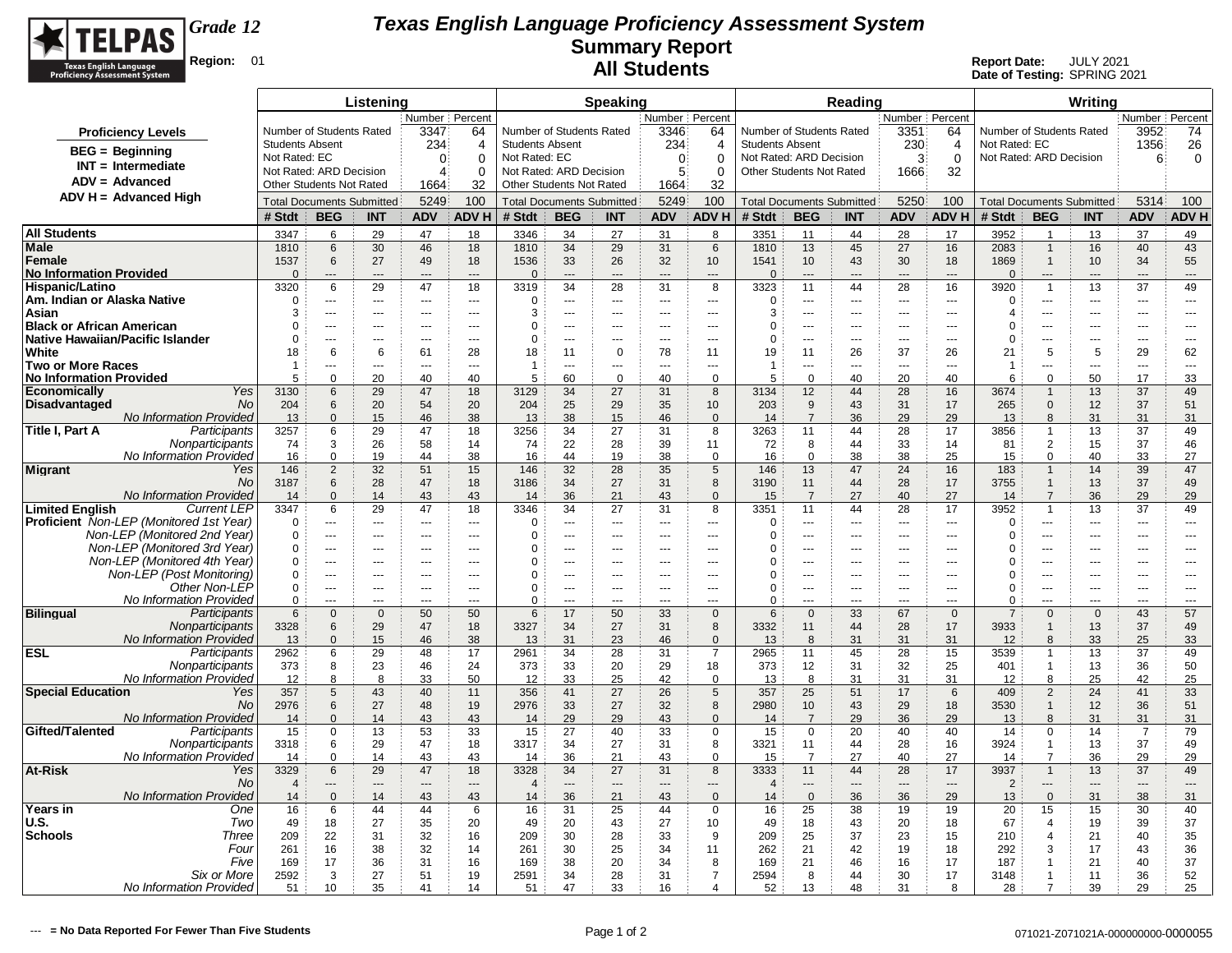

|                                                                         | Listening                        |                                                     |                   |                              |                                | <b>Speaking</b>                                     |                          |                                |                                |                       |                                  |                      | Reading                        |                                |                                | Writing                    |                                  |                   |                                |                                |
|-------------------------------------------------------------------------|----------------------------------|-----------------------------------------------------|-------------------|------------------------------|--------------------------------|-----------------------------------------------------|--------------------------|--------------------------------|--------------------------------|-----------------------|----------------------------------|----------------------|--------------------------------|--------------------------------|--------------------------------|----------------------------|----------------------------------|-------------------|--------------------------------|--------------------------------|
|                                                                         | Number Percent                   |                                                     |                   |                              |                                | Number Percent                                      |                          |                                |                                | Number Percent        |                                  |                      |                                |                                |                                |                            |                                  | Number Percent    |                                |                                |
| <b>Proficiency Levels</b>                                               |                                  | Number of Students Rated                            |                   | 3347                         | 64                             |                                                     | Number of Students Rated |                                | 3346                           | 64                    | Number of Students Rated         |                      |                                | 3351                           | 64                             | Number of Students Rated   |                                  |                   | 3952                           | 74                             |
| $BEG = Beginning$                                                       | <b>Students Absent</b>           |                                                     |                   | 234                          | $\overline{4}$                 |                                                     | <b>Students Absent</b>   |                                | 234                            | 4                     | <b>Students Absent</b>           |                      |                                | 230                            | 4                              | Not Rated: EC              |                                  |                   | 1356                           | 26                             |
| $INT = Intermediate$                                                    | Not Rated: EC                    |                                                     |                   | $\mathbf{0}$<br>$\Omega$     |                                | Not Rated: EC                                       |                          |                                | 0                              | $\Omega$              | Not Rated: ARD Decision          |                      |                                | 3                              | $\mathbf 0$                    | Not Rated: ARD Decision    |                                  |                   | 6                              | 0                              |
| ADV = Advanced                                                          |                                  | Not Rated: ARD Decision<br>Other Students Not Rated |                   | 4                            | $\Omega$                       | Not Rated: ARD Decision<br>Other Students Not Rated |                          |                                | $5^{\circ}$                    | $\Omega$              | Other Students Not Rated         |                      |                                | 1666                           | 32                             |                            |                                  |                   |                                |                                |
| $ADV H = Advanced High$                                                 |                                  |                                                     |                   | 32<br>1664                   |                                |                                                     |                          |                                | 1664                           | 32                    | <b>Total Documents Submitted</b> |                      |                                |                                |                                |                            |                                  |                   |                                |                                |
|                                                                         | <b>Total Documents Submitted</b> |                                                     |                   | 5249                         | 100                            | <b>Total Documents Submitted</b>                    |                          |                                | 5249                           | 100                   |                                  |                      |                                | 5250                           | 100                            |                            | <b>Total Documents Submitted</b> |                   | 5314                           | 100                            |
|                                                                         | # Stdt                           | <b>BEG</b>                                          | <b>INT</b>        | <b>ADV</b>                   | <b>ADVH</b>                    | # Stdt                                              | <b>BEG</b>               | <b>INT</b>                     | <b>ADV</b>                     | ADV H                 | # Stdt                           | <b>BEG</b>           | <b>INT</b>                     | <b>ADV</b>                     | ADV H                          | # Stdt                     | <b>BEG</b>                       | <b>INT</b>        | <b>ADV</b>                     | <b>ADVH</b>                    |
| <b>All Students</b>                                                     | 3347                             | 6                                                   | 29                | 47                           | 18                             | 3346                                                | 34                       | 27                             | 31                             | $\mathbf{a}$          | 3351                             | 11                   | 44                             | 28                             | 17                             | 3952                       | $\overline{1}$                   | 13                | 37                             | 49                             |
| Male<br>Female                                                          | 1810<br>1537                     | 6<br>6                                              | 30<br>27          | 46<br>49                     | 18<br>18                       | 1810<br>1536                                        | 34<br>33                 | 29<br>26                       | 31<br>32                       | 6<br>10               | 1810<br>1541                     | 13<br>10             | 45<br>43                       | 27<br>30                       | 16<br>18                       | 2083<br>1869               | $\mathbf{1}$<br>$\mathbf{1}$     | 16<br>10          | 40<br>34                       | 43<br>55                       |
| <b>No Information Provided</b>                                          | $\overline{0}$                   | ---                                                 |                   | $---$                        | $---$                          | $\overline{0}$                                      | ---                      | ---                            | $\overline{a}$                 | $---$                 | $\Omega$                         | ---                  | $\overline{a}$                 | $---$                          | $---$                          | $\Omega$                   | ---                              | ---               | ---                            | ---                            |
| Hispanic/Latino                                                         | 3320                             | 6                                                   | 29                | 47                           | 18                             | 3319                                                | 34                       | 28                             | 31                             | 8                     | 3323                             | 11                   | 44                             | 28                             | 16                             | 3920                       | $\mathbf{1}$                     | 13                | 37                             | 49                             |
| Am. Indian or Alaska Native                                             | $\overline{0}$                   | $-$                                                 | $\sim$            | $\overline{a}$               | $---$                          | $\mathbf 0$                                         | $-$                      | $\sim$                         | $---$                          | $\overline{a}$        | $\Omega$                         | $\overline{a}$       | $\sim$                         | $\sim$                         | $\overline{\phantom{a}}$       | $\mathbf 0$                | ---                              | $\overline{a}$    | $\overline{a}$                 | $-$                            |
| Asian                                                                   | 3                                | $\overline{a}$                                      | $-$               | $-$                          | $---$                          | 3                                                   | $-$                      | $\sim$ $\sim$ $\sim$           | $- - -$                        | $---$                 | 3                                | $---$                | $  \sim$                       | $\sim$ $\sim$                  | $\sim$                         | 4                          | $---$                            | $\overline{a}$    | $---$                          | $- - -$                        |
| <b>Black or African American</b>                                        | $\mathbf 0$                      | $\overline{a}$                                      | $\sim$            | $-$                          | $- - -$                        | 0                                                   | $-$                      | $\sim$ $\sim$ $\sim$           | $- - -$                        | $---$                 | $\Omega$                         | $- - -$              | $  \sim$                       | $\sim$ $\sim$                  | $\sim$                         | 0                          |                                  | $\overline{a}$    | $- - -$                        | $- - -$                        |
| Native Hawaiian/Pacific Islander<br>White                               | $\Omega$                         | $\overline{a}$<br>6                                 | $\sim$            | $\overline{a}$               | $\sim$                         | 0                                                   | $\overline{a}$           | $\sim$<br>$\Omega$             | $\sim$                         | $\overline{a}$        | $\Omega$                         | $\sim$               | $\sim$<br>26                   | $\overline{\phantom{a}}$       | $\sim$                         | $\Omega$                   | ÷÷                               | $\sim$<br>5       | $\sim$                         | $\overline{a}$                 |
| <b>Two or More Races</b>                                                | 18<br>-1                         | ---                                                 | 6<br>$\sim$       | 61<br>$\sim$                 | 28<br>$\overline{a}$           | 18<br>-1                                            | 11<br>$\overline{a}$     | ---                            | 78<br>$\overline{a}$           | 11<br>---             | 19<br>$\overline{1}$             | 11<br>$\overline{a}$ | $\sim$                         | 37<br>$\overline{a}$           | 26<br>$\overline{a}$           | 21<br>$\overline{1}$       | 5<br>---                         | $\overline{a}$    | 29<br>---                      | 62<br>$\overline{a}$           |
| <b>No Information Provided</b>                                          | 5                                | $\mathbf 0$                                         | 20                | 40                           | 40                             | 5                                                   | 60                       | $\mathbf 0$                    | 40                             | $\mathbf 0$           | 5                                | $\mathbf 0$          | 40                             | 20                             | 40                             | 6                          | $\mathbf 0$                      | 50                | 17                             | 33                             |
| Economically<br>Yes                                                     | 3130                             | 6                                                   | 29                | 47                           | 18                             | 3129                                                | 34                       | 27                             | 31                             | 8                     | 3134                             | 12                   | 44                             | 28                             | 16                             | 3674                       | $\mathbf{1}$                     | 13                | 37                             | 49                             |
| No.<br>Disadvantaged                                                    | 204                              | 6                                                   | 20                | 54                           | 20                             | 204                                                 | 25                       | 29                             | 35                             | 10                    | 203                              | 9                    | 43                             | 31                             | 17                             | 265                        | $\Omega$                         | 12                | 37                             | 51                             |
| No Information Provided                                                 | 13                               | $\Omega$                                            | 15                | 46                           | 38                             | 13                                                  | 38                       | 15                             | 46                             | $\Omega$              | 14                               | $\overline{7}$       | 36                             | 29                             | 29                             | 13                         | 8                                | 31                | 31                             | 31                             |
| Participants<br>Title I, Part A<br>Nonparticipants                      | 3257<br>74                       | 6<br>3                                              | 29<br>26          | 47<br>58                     | 18<br>14                       | 3256<br>74                                          | 34<br>22                 | 27<br>28                       | 31<br>39                       | 8<br>11               | 3263<br>72                       | 11<br>8              | 44<br>44                       | 28<br>33                       | 17<br>14                       | 3856<br>81                 | $\mathbf{1}$<br>$\overline{2}$   | 13<br>15          | 37<br>37                       | 49<br>46                       |
| No Information Provided                                                 | 16                               | $\mathbf 0$                                         | 19                | 44                           | 38                             | 16                                                  | 44                       | 19                             | 38                             | $\Omega$              | 16                               | $\mathbf 0$          | 38                             | 38                             | 25                             | 15                         | $\Omega$                         | 40                | 33                             | 27                             |
| <b>Migrant</b><br>Yes                                                   | 146                              | $\overline{2}$                                      | 32                | 51                           | 15                             | 146                                                 | 32                       | 28                             | 35                             | 5                     | 146                              | 13                   | 47                             | 24                             | 16                             | 183                        | $\mathbf{1}$                     | 14                | 39                             | 47                             |
| No                                                                      | 3187                             | 6                                                   | 28                | 47                           | 18                             | 3186                                                | 34                       | 27                             | 31                             | 8                     | 3190                             | 11                   | 44                             | 28                             | 17                             | 3755                       | $\mathbf{1}$                     | 13                | 37                             | 49                             |
| No Information Provided                                                 | 14                               | $\mathbf{0}$                                        | 14                | 43                           | 43                             | 14                                                  | 36                       | 21                             | 43                             | $\mathbf 0$           | 15                               | $\overline{7}$       | 27                             | 40                             | 27                             | 14                         | $\overline{7}$                   | 36                | 29                             | 29                             |
| <b>Limited English</b><br><b>Current LEP</b>                            | 3347                             | 6                                                   | 29                | 47                           | 18                             | 3346                                                | 34                       | 27                             | 31                             | 8                     | 3351                             | 11                   | 44                             | 28                             | 17                             | 3952                       | $\mathbf{1}$                     | 13                | 37                             | 49                             |
| Proficient Non-LEP (Monitored 1st Year)<br>Non-LEP (Monitored 2nd Year) | $\Omega$<br>$\mathbf 0$          | ---<br>$\sim$                                       | $\overline{a}$    | $\overline{a}$<br>$\cdots$   | $\sim$<br>$\cdots$             | $\Omega$<br>$\Omega$                                | ÷-<br>---                | ---<br>---                     | $\overline{a}$<br>---          | ---<br>$\cdots$       | $\Omega$<br>$\Omega$             | ---<br>$\cdots$      | $\sim$<br>$\overline{a}$       | $\sim$<br>$\cdots$             | ---<br>$\overline{a}$          | $\Omega$<br>$\Omega$       | <br>---                          | ---<br>---        | ---<br>---                     | $\overline{\phantom{a}}$       |
| Non-LEP (Monitored 3rd Year)                                            | $\mathbf 0$                      | $\sim$                                              |                   | $-$                          | $-$ - $-$                      | $\Omega$                                            | $\overline{a}$           | $-$                            | $\overline{a}$                 | $\overline{a}$        | $\Omega$                         | $\sim$               | $- - -$                        | $\sim$                         | $-$                            | $\Omega$                   | ÷÷                               | $\overline{a}$    | ---                            | $\overline{a}$                 |
| Non-LEP (Monitored 4th Year)                                            | $\mathbf 0$                      | $\sim$ $\sim$                                       | $-$               | $-$                          | $- - -$                        | $\Omega$                                            | $\overline{a}$           | $\sim$ $\sim$ $\sim$           | $- - -$                        | $---$                 | $\Omega$                         | $- - -$              | $--$                           | $\sim$ $\sim$                  | $-$                            | 0                          | $\overline{a}$                   | ---               | $---$                          | $\sim$ $\sim$                  |
| Non-LEP (Post Monitoring)                                               | $\mathbf 0$                      | $\sim$                                              | $---$             | $---$                        | $---$                          | 0                                                   | ---                      | $\overline{a}$                 | $---$                          | $---$                 | $\Omega$                         | $\cdots$             | ---                            | $\overline{\phantom{a}}$       | ---                            | 0                          | ---                              | $\overline{a}$    | $---$                          | $\cdots$                       |
| Other Non-LEP                                                           | $\mathbf 0$                      | $\overline{a}$                                      | ---               | $---$                        | $---$                          | 0                                                   | ---                      | $\overline{a}$                 | $\sim$ $\sim$                  | ---                   | $\Omega$                         | ---                  | $--$                           | $\sim$ $\sim$                  | $\overline{a}$                 | $\Omega$                   | ---                              | ---               | $---$                          | $---$                          |
| No Information Provided<br><b>Bilingual</b><br>Participants             | $\Omega$<br>6                    | $\Omega$                                            |                   | 50                           |                                | $\Omega$<br>6                                       | -−<br>17                 | ---                            |                                |                       | $\Omega$<br>6                    |                      | 33                             |                                |                                | $\Omega$<br>$\overline{7}$ | $\Omega$                         | ---               | 43                             | ---<br>57                      |
| Nonparticipants                                                         | 3328                             | 6                                                   | $\mathbf 0$<br>29 | 47                           | 50<br>18                       | 3327                                                | 34                       | 50<br>27                       | 33<br>31                       | $\Omega$<br>8         | 3332                             | $\mathbf 0$<br>11    | 44                             | 67<br>28                       | $\mathbf 0$<br>17              | 3933                       | $\mathbf{1}$                     | $\mathbf 0$<br>13 | 37                             | 49                             |
| No Information Provided                                                 | 13                               | $\mathbf 0$                                         | 15                | 46                           | 38                             | 13                                                  | 31                       | 23                             | 46                             | $\Omega$              | 13                               | 8                    | 31                             | 31                             | 31                             | 12                         | 8                                | 33                | 25                             | 33                             |
| <b>ESL</b><br>Participants                                              | 2962                             | 6                                                   | 29                | 48                           | 17                             | 2961                                                | 34                       | 28                             | 31                             | $\overline{7}$        | 2965                             | 11                   | 45                             | 28                             | 15                             | 3539                       | $\mathbf{1}$                     | 13                | 37                             | 49                             |
| Nonparticipants                                                         | 373                              | 8                                                   | 23                | 46                           | 24                             | 373                                                 | 33                       | 20                             | 29                             | 18                    | 373                              | 12                   | 31                             | 32                             | 25                             | 401                        | 1                                | 13                | 36                             | 50                             |
| No Information Provided                                                 | 12                               | 8                                                   | 8                 | 33                           | 50                             | 12                                                  | 33                       | 25                             | 42                             | 0                     | 13                               | 8                    | 31                             | 31                             | 31                             | 12                         | 8                                | 25                | 42                             | 25                             |
| <b>Special Education</b><br>Yes<br>No.                                  | 357<br>2976                      | 5<br>6                                              | 43<br>27          | 40<br>48                     | 11<br>19                       | 356<br>2976                                         | 41<br>33                 | 27<br>27                       | 26<br>32                       | 5<br>8                | 357<br>2980                      | 25<br>10             | 51<br>43                       | 17<br>29                       | 6<br>18                        | 409<br>3530                | $\overline{2}$<br>$\overline{1}$ | 24<br>12          | 41<br>36                       | 33<br>51                       |
| <b>No Information Provided</b>                                          | 14                               | $\Omega$                                            | 14                | 43                           | 43                             | 14                                                  | 29                       | 29                             | 43                             | $\Omega$              | 14                               | $\overline{7}$       | 29                             | 36                             | 29                             | 13                         | 8                                | 31                | 31                             | 31                             |
| Gifted/Talented<br>Participants                                         | 15                               | $\mathbf 0$                                         | 13                | 53                           | 33                             | 15                                                  | 27                       | 40                             | 33                             | $\mathbf 0$           | 15                               | 0                    | 20                             | 40                             | 40                             | 14                         | $\mathbf 0$                      | 14                | $\overline{7}$                 | 79                             |
| Nonparticipants                                                         | 3318                             | 6                                                   | 29                | 47                           | 18                             | 3317                                                | 34                       | 27                             | 31                             | 8                     | 3321                             | 11                   | 44                             | 28                             | 16                             | 3924                       | $\mathbf{1}$                     | 13                | 37                             | 49                             |
| <b>No Information Provided</b>                                          | 14                               | 0                                                   | 14                | 43                           | 43                             | 14                                                  | 36                       | 21                             | 43                             | $\Omega$              | 15                               | $\overline{7}$       | 27                             | 40                             | 27                             | 14                         | $\overline{7}$                   | 36                | 29                             | 29                             |
| At-Risk<br>Yes                                                          | 3329                             | 6                                                   | 29                | 47                           | 18                             | 3328                                                | 34                       | 27                             | 31                             | 8                     | 3333                             | 11                   | 44                             | 28                             | 17                             | 3937                       | $\mathbf{1}$                     | 13                | 37                             | 49                             |
| <b>No</b><br><b>No Information Provided</b>                             | $\overline{4}$<br>14             | ---<br>$\mathbf 0$                                  | $---$<br>14       | $\scriptstyle{\cdots}$<br>43 | $\hspace{0.05cm} \ldots$<br>43 | $\overline{4}$<br>14                                | $---$<br>36              | $\overline{\phantom{a}}$<br>21 | $\overline{\phantom{a}}$<br>43 | ---<br>$\overline{0}$ | $\overline{4}$<br>14             | ---<br>$\mathbf 0$   | $\hspace{0.05cm} \ldots$<br>36 | $\hspace{0.05cm} \ldots$<br>36 | $\overline{\phantom{a}}$<br>29 | $\overline{2}$<br>13       | ---<br>$\Omega$                  | ---<br>31         | $\overline{\phantom{a}}$<br>38 | $\overline{\phantom{a}}$<br>31 |
| Years in<br>One                                                         | 16                               | 6                                                   | 44                | 44                           | 6                              | 16                                                  | 31                       | 25                             | 44                             | $\mathbf 0$           | 16                               | 25                   | 38                             | 19                             | 19                             | 20                         | 15                               | 15                | 30                             | 40                             |
| U.S.<br>Two                                                             | 49                               | 18                                                  | 27                | 35                           | 20                             | 49                                                  | 20                       | 43                             | 27                             | 10                    | 49                               | 18                   | 43                             | 20                             | 18                             | 67                         | $\overline{\mathcal{A}}$         | 19                | 39                             | 37                             |
| <b>Schools</b><br>Three                                                 | 209                              | 22                                                  | 31                | 32                           | 16                             | 209                                                 | 30                       | 28                             | 33                             | 9                     | 209                              | 25                   | 37                             | 23                             | 15                             | 210                        | $\overline{4}$                   | 21                | 40                             | 35                             |
| Four                                                                    | 261                              | 16                                                  | 38                | 32                           | 14                             | 261                                                 | 30                       | 25                             | 34                             | 11                    | 262                              | 21                   | 42                             | 19                             | 18                             | 292                        | 3                                | 17                | 43                             | 36                             |
| Five                                                                    | 169                              | 17                                                  | 36                | 31                           | 16                             | 169                                                 | 38                       | 20                             | 34                             | 8                     | 169                              | 21                   | 46                             | 16                             | 17                             | 187                        | 1                                | 21                | 40                             | 37                             |
| Six or More<br>No Information Provided                                  | 2592                             | 3                                                   | 27                | 51                           | 19                             | 2591                                                | 34<br>47                 | 28                             | 31                             | $\overline{7}$        | 2594                             | 8                    | 44                             | 30                             | 17<br>8                        | 3148                       | $\mathbf{1}$<br>$\overline{7}$   | 11                | 36<br>29                       | 52                             |
|                                                                         | 51                               | 10                                                  | 35                | 41                           | 14                             | 51                                                  |                          | 33                             | 16                             | $\overline{4}$        | 52                               | 13                   | 48                             | 31                             |                                | 28                         |                                  | 39                |                                | 25                             |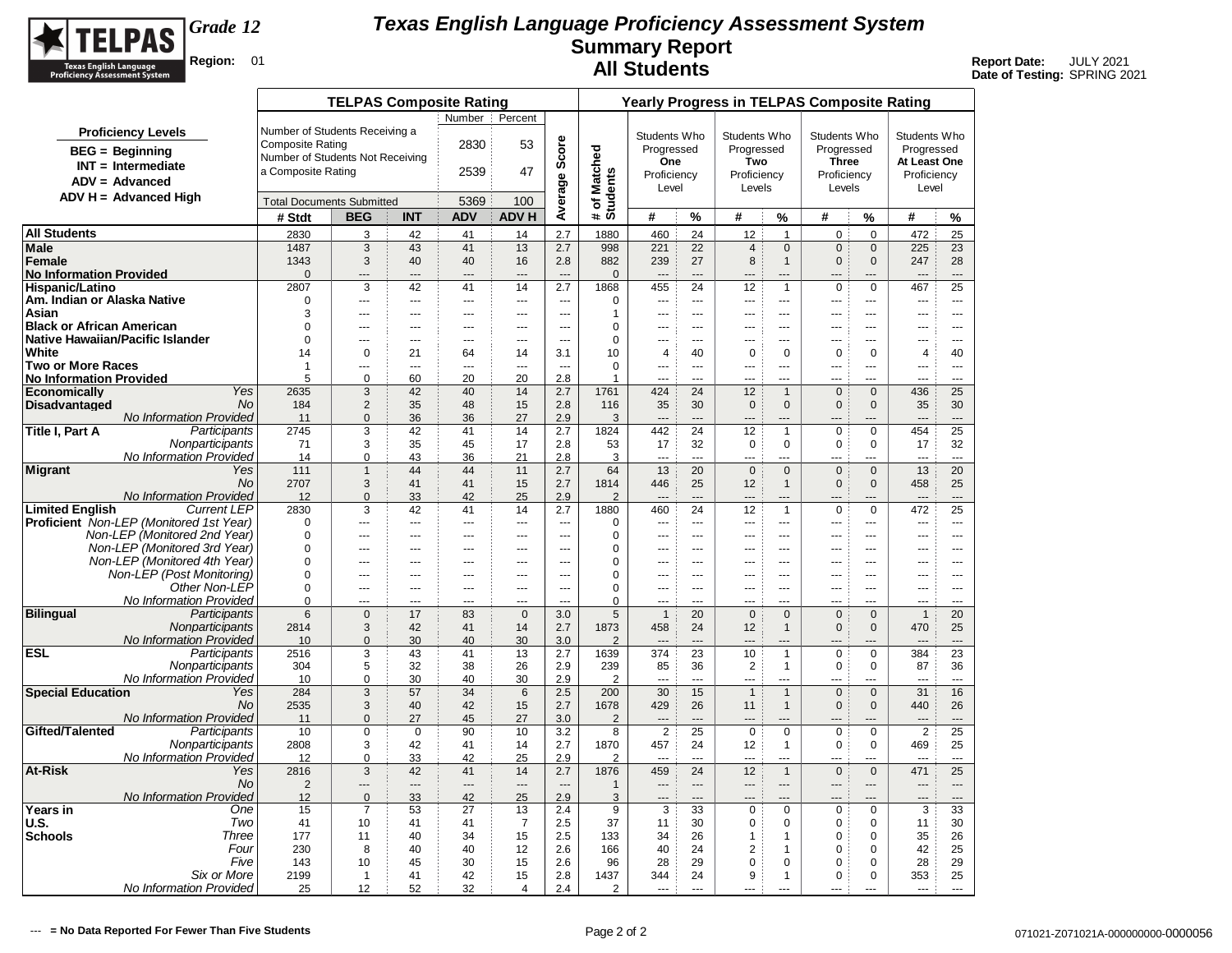

|                                          |                                                              |                                  | <b>TELPAS Composite Rating</b> |                       |                |                          |                          | <b>Yearly Progress in TELPAS Composite Rating</b> |                                  |                      |                               |                             |                            |                            |                       |                         |  |  |
|------------------------------------------|--------------------------------------------------------------|----------------------------------|--------------------------------|-----------------------|----------------|--------------------------|--------------------------|---------------------------------------------------|----------------------------------|----------------------|-------------------------------|-----------------------------|----------------------------|----------------------------|-----------------------|-------------------------|--|--|
|                                          |                                                              |                                  |                                |                       | Number :       | Percent                  |                          |                                                   |                                  |                      |                               |                             |                            |                            |                       |                         |  |  |
|                                          | <b>Proficiency Levels</b>                                    | Number of Students Receiving a   |                                |                       |                |                          |                          |                                                   | Students Who                     |                      | Students Who                  |                             | Students Who               |                            | Students Who          |                         |  |  |
|                                          | $BEG = Beginning$                                            | Composite Rating                 |                                |                       | 2830           | 53                       | Score                    |                                                   | Progressed                       |                      | Progressed                    |                             | Progressed                 |                            | Progressed            |                         |  |  |
|                                          | $INT = Intermediate$                                         | Number of Students Not Receiving |                                |                       |                |                          |                          |                                                   | One                              |                      | Two                           |                             | <b>Three</b>               |                            | At Least One          |                         |  |  |
|                                          | $ADV = Advanced$                                             | a Composite Rating               |                                |                       | 2539           | 47                       |                          |                                                   | Proficiency                      |                      | Proficiency                   |                             | Proficiency                |                            | Proficiency           |                         |  |  |
|                                          | $ADV H = Advanced High$                                      |                                  |                                |                       |                |                          | Average                  | # of Matched<br>Students                          | Level                            |                      | Levels                        |                             | Levels                     |                            | Level                 |                         |  |  |
|                                          |                                                              | <b>Total Documents Submitted</b> |                                |                       | 5369           | 100                      |                          |                                                   |                                  |                      |                               |                             |                            |                            |                       |                         |  |  |
|                                          |                                                              | # Stdt                           | <b>BEG</b>                     | <b>INT</b>            | <b>ADV</b>     | <b>ADVH</b>              |                          |                                                   | #                                | %                    | #                             | %                           | #                          | %                          | #                     | %                       |  |  |
| <b>All Students</b>                      |                                                              | 2830                             | 3                              | 42                    | 41             | 14                       | 2.7                      | 1880                                              | 460                              | 24                   | 12                            | $\overline{1}$              | $\mathbf 0$                | $\mathbf 0$                | 472                   | 25                      |  |  |
| Male                                     |                                                              | 1487                             | 3                              | 43                    | 41             | 13                       | 2.7                      | 998                                               | 221                              | 22                   | $\overline{\mathbf{4}}$       | $\mathbf 0$                 | $\mathbf 0$                | $\mathbf 0$                | 225                   | 23                      |  |  |
| Female<br><b>No Information Provided</b> |                                                              | 1343<br>$\Omega$                 | 3<br>---                       | 40<br>---             | 40<br>---      | 16<br>$\overline{a}$     | 2.8                      | 882<br>$\Omega$                                   | 239                              | 27                   | 8                             | $\mathbf{1}$                | $\mathbf 0$                | $\Omega$                   | 247                   | 28<br>$\overline{a}$    |  |  |
| Hispanic/Latino                          |                                                              | 2807                             | 3                              | 42                    | 41             | 14                       | 2.7                      | 1868                                              | 455                              | 24                   | 12                            | $\mathbf{1}$                | $\mathbf 0$                | $\mathbf 0$                | 467                   | 25                      |  |  |
| Am. Indian or Alaska Native              |                                                              | $\Omega$                         | ---                            | $---$                 | ---            | $\cdots$                 | $\overline{\phantom{a}}$ | 0                                                 | ---                              | $\sim$               | $---$                         | $\overline{a}$              | ---                        | ---                        | ---                   | $\sim$                  |  |  |
| Asian                                    |                                                              | 3                                | ---                            | $\overline{a}$        | $-$            | $-$                      | $\sim$                   | 1                                                 |                                  | $\sim$               | $-$                           | $\overline{a}$              | $\overline{a}$             | $\overline{a}$             | $\overline{a}$        | $- - -$                 |  |  |
| <b>Black or African American</b>         |                                                              | $\mathbf 0$                      | $\overline{a}$                 | $---$                 | $---$          | $\sim$ $\sim$            | $\overline{a}$           | $\mathbf 0$                                       | ---                              | $---$                | $- - -$                       | $\overline{a}$              | $- - -$                    | $\overline{a}$             | $\overline{a}$        | $\sim$ $\sim$           |  |  |
| Native Hawaiian/Pacific Islander         |                                                              | $\Omega$                         | $\overline{a}$                 | $---$                 | $---$          | $\sim$ $\sim$            | $-$                      | $\Omega$                                          | ---                              | $\sim$ $\sim$ $\sim$ | $- - -$                       | $---$                       | $- - -$                    | ---                        | $\overline{a}$        | $\sim$ $\sim$           |  |  |
| White<br><b>Two or More Races</b>        |                                                              | 14<br>1                          | $\mathbf 0$<br>---             | 21<br>$\sim$          | 64<br>$\sim$   | 14<br>$\sim$             | 3.1<br>$\sim$            | 10<br>$\Omega$                                    | $\overline{4}$                   | 40<br>$\sim$         | $\mathbf 0$<br>$---$          | $\mathbf 0$                 | $\mathbf 0$                | $\mathbf 0$                | $\overline{4}$        | 40                      |  |  |
| <b>No Information Provided</b>           |                                                              | 5                                | $\mathbf 0$                    | 60                    | 20             | 20                       | 2.8                      | 1                                                 | ---<br>---                       | $-$                  | $- - -$                       | $\overline{a}$<br>$\sim$    | $\overline{a}$<br>---      | ---<br>---                 | $\overline{a}$<br>--- | $---$<br>$\overline{a}$ |  |  |
| <b>Economically</b>                      | Yes                                                          | 2635                             | 3                              | 42                    | 40             | 14                       | 2.7                      | 1761                                              | 424                              | 24                   | 12                            | $\mathbf{1}$                | $\mathbf{0}$               | $\mathbf{0}$               | 436                   | 25                      |  |  |
| <b>Disadvantaged</b>                     | <b>No</b>                                                    | 184                              | $\overline{2}$                 | 35                    | 48             | 15                       | 2.8                      | 116                                               | 35                               | 30                   | $\pmb{0}$                     | $\mathbf{0}$                | $\mathbf{0}$               | $\mathbf{0}$               | 35                    | 30                      |  |  |
|                                          | No Information Provided                                      | 11                               | $\Omega$                       | 36                    | 36             | 27                       | 2.9                      | 3                                                 | $\overline{a}$                   | $---$                |                               | ---                         | ---                        |                            | $\overline{a}$        | $\overline{a}$          |  |  |
| Title I, Part A                          | Participants                                                 | 2745                             | 3                              | 42                    | 41             | 14                       | 2.7                      | 1824                                              | 442                              | 24                   | 12                            | $\mathbf{1}$                | $\mathbf 0$                | $\Omega$                   | 454                   | 25                      |  |  |
|                                          | Nonparticipants<br><b>No Information Provided</b>            | 71<br>14                         | 3<br>$\mathbf 0$               | 35<br>43              | 45<br>36       | 17<br>21                 | 2.8<br>2.8               | 53<br>3                                           | 17<br>---                        | 32<br>$---$          | 0<br>---                      | $\Omega$<br>---             | $\mathbf 0$<br>---         | $\Omega$<br>---            | 17<br>$\overline{a}$  | 32<br>$\overline{a}$    |  |  |
| <b>Migrant</b>                           | Yes                                                          | 111                              | $\mathbf{1}$                   | 44                    | 44             | 11                       | 2.7                      | 64                                                | 13                               | 20                   | $\mathbf 0$                   | $\mathbf{0}$                | $\mathbf{0}$               | $\mathbf{0}$               | 13                    | 20                      |  |  |
|                                          | <b>No</b>                                                    | 2707                             | 3                              | 41                    | 41             | 15                       | 2.7                      | 1814                                              | 446                              | 25                   | 12                            | $\mathbf{1}$                | $\mathbf{0}$               | $\mathbf{0}$               | 458                   | 25                      |  |  |
|                                          | No Information Provided                                      | 12                               | $\mathbf 0$                    | 33                    | 42             | 25                       | 2.9                      | $\overline{2}$                                    | ---                              | $---$                | $---$                         | ---                         | ---                        | ---                        | $\overline{a}$        | $\overline{a}$          |  |  |
| <b>Limited English</b>                   | <b>Current LEP</b>                                           | 2830                             | 3                              | 42                    | 41             | 14                       | 2.7                      | 1880                                              | 460                              | 24                   | 12                            | $\mathbf{1}$                | $\mathsf 0$                | $\mathbf 0$                | 472                   | 25                      |  |  |
|                                          | <b>Proficient</b> Non-LEP (Monitored 1st Year)               | $\Omega$                         | ---                            | $\overline{a}$        |                | $\overline{\phantom{a}}$ | $\sim$                   | 0                                                 |                                  | $\sim$               | $---$                         | $\overline{a}$              | $\sim$                     | ---                        | $\overline{a}$        | $\overline{a}$          |  |  |
|                                          | Non-LEP (Monitored 2nd Year)<br>Non-LEP (Monitored 3rd Year) | $\Omega$<br>$\Omega$             | ---                            | ---                   | ---            | $---$                    | $\overline{a}$<br>---    | 0<br>0                                            | ---<br>---                       | $\sim$ $\sim$<br>--- | $---$                         | ---                         | ---                        | ---<br>---                 | ---                   | ---<br>---              |  |  |
|                                          | Non-LEP (Monitored 4th Year)                                 | $\Omega$                         | ---<br>---                     | ---<br>$\overline{a}$ | ÷÷<br>---      | ---<br>$\sim$            | $\sim$                   | 0                                                 | ---                              | $\sim$               | $\overline{a}$                | ---<br>$-$                  | $-$<br>$-$                 | ---                        | ---<br>---            | $\frac{1}{2}$           |  |  |
|                                          | Non-LEP (Post Monitoring)                                    | $\mathbf 0$                      | ---                            | $\overline{a}$        | ---            | $\overline{a}$           | $\cdots$                 | $\mathbf 0$                                       | ---                              | $\sim$ $\sim$        | $\cdots$                      | $\overline{a}$              | ---                        | ---                        | ---                   | $\overline{a}$          |  |  |
|                                          | Other Non-LEP                                                | $\Omega$                         | $\overline{a}$                 | $---$                 | ---            | $\sim$ $\sim$            | $\sim$                   | $\mathbf 0$                                       | $\overline{a}$                   | $\sim$ $\sim$ $\sim$ | $- - -$                       | $\overline{a}$              | $- - -$                    | $\overline{a}$             | $\overline{a}$        | $---$                   |  |  |
|                                          | No Information Provided                                      | $\Omega$                         | ---                            | $\overline{a}$        | $\overline{a}$ | $\overline{a}$           | $\sim$                   | $\Omega$                                          | $\overline{a}$                   | $---$                | ---                           | ---                         | $-$                        | ---                        | ---                   | $\overline{a}$          |  |  |
| <b>Bilingual</b>                         | Participants                                                 | 6                                | $\mathbf 0$                    | 17                    | 83             | $\mathbf{0}$             | 3.0                      | 5                                                 | $\overline{1}$                   | 20                   | $\mathbf 0$                   | $\Omega$                    | $\mathbf{0}$               | $\Omega$                   | $\mathbf{1}$          | 20                      |  |  |
|                                          | Nonparticipants<br>No Information Provided                   | 2814<br>10                       | 3<br>$\mathbf{0}$              | 42<br>30              | 41<br>40       | 14<br>30                 | 2.7<br>3.0               | 1873<br>$\overline{2}$                            | 458                              | 24                   | 12                            | $\mathbf{1}$                | $\mathbf 0$                | $\Omega$                   | 470                   | 25<br>$\overline{a}$    |  |  |
| ESL                                      | Participants                                                 | 2516                             | 3                              | 43                    | 41             | 13                       | 2.7                      | 1639                                              | 374                              | 23                   | 10                            | $\mathbf{1}$                | $\mathbf 0$                | $\mathbf 0$                | 384                   | 23                      |  |  |
|                                          | Nonparticipants                                              | 304                              | 5                              | 32                    | 38             | 26                       | 2.9                      | 239                                               | 85                               | 36                   | $\overline{2}$                | $\mathbf{1}$                | $\mathbf 0$                | 0                          | 87                    | 36                      |  |  |
|                                          | <b>No Information Provided</b>                               | 10                               | $\mathbf 0$                    | 30                    | 40             | 30                       | 2.9                      | $\overline{2}$                                    |                                  | $\sim$               | <u></u>                       | $\overline{a}$              | ---                        | ---                        | $\sim$                | $\overline{a}$          |  |  |
| <b>Special Education</b>                 | Yes                                                          | 284                              | 3                              | 57                    | 34             | 6                        | 2.5                      | 200                                               | 30                               | 15                   | $\mathbf{1}$                  | $\mathbf{1}$                | $\mathbf 0$                | $\mathbf{0}$               | 31                    | 16                      |  |  |
|                                          | <b>No</b>                                                    | 2535                             | 3                              | 40                    | 42             | 15                       | 2.7                      | 1678                                              | 429                              | 26                   | 11                            | $\mathbf{1}$                | $\mathbf{0}$               | $\Omega$                   | 440                   | 26                      |  |  |
| Gifted/Talented                          | No Information Provided<br>Participants                      | 11<br>10                         | $\mathbf{0}$<br>$\mathbf 0$    | 27<br>$\mathbf 0$     | 45<br>90       | 27<br>10                 | 3.0<br>3.2               | 2<br>8                                            | $\overline{a}$<br>$\overline{2}$ | $\overline{a}$<br>25 | $\overline{a}$<br>$\mathbf 0$ | ---<br>$\mathbf 0$          | ---<br>$\mathbf 0$         | ---<br>$\mathbf 0$         | ---<br>$\overline{2}$ | $---$<br>25             |  |  |
|                                          | Nonparticipants                                              | 2808                             | 3                              | 42                    | 41             | 14                       | 2.7                      | 1870                                              | 457                              | 24                   | 12                            | $\mathbf{1}$                | $\mathbf 0$                | $\mathbf 0$                | 469                   | 25                      |  |  |
|                                          | No Information Provided                                      | 12                               | $\mathbf 0$                    | 33                    | 42             | 25                       | 2.9                      | $\overline{2}$                                    | $\overline{a}$                   | $-$                  | ---                           | ---                         | ---                        | ---                        | $\overline{a}$        | $- - -$                 |  |  |
| At-Risk                                  | Yes                                                          | 2816                             | 3                              | 42                    | 41             | 14                       | 2.7                      | 1876                                              | 459                              | 24                   | 12                            | $\mathbf{1}$                | $\mathbf 0$                | $\mathbf{0}$               | 471                   | 25                      |  |  |
|                                          | No.                                                          | $\overline{2}$                   | ---                            | $\overline{a}$        | ---            | $\overline{a}$           | $\overline{\phantom{a}}$ | $\mathbf{1}$                                      | $\overline{a}$                   | $\overline{a}$       | $---$                         | $\overline{a}$              | $\overline{a}$             | ---                        | $\overline{a}$        | $\overline{a}$          |  |  |
|                                          | No Information Provided                                      | 12                               | $\overline{0}$                 | 33                    | 42             | 25                       | 2.9                      | 3                                                 | ---                              | $\overline{a}$       | ---                           |                             | ---                        |                            | ---                   | $---$                   |  |  |
| Years in<br>U.S.                         | One                                                          | 15                               | $\overline{7}$                 | 53                    | 27             | 13                       | 2.4                      | 9                                                 | 3                                | 33                   | $\mathbf 0$                   | $\mathbf 0$                 | $\mathbf 0$                | $\mathbf 0$                | 3                     | 33                      |  |  |
| <b>Schools</b>                           | Two<br>Three                                                 | 41<br>177                        | 10<br>11                       | 41<br>40              | 41<br>34       | $\overline{7}$<br>15     | 2.5<br>2.5               | 37<br>133                                         | 11<br>34                         | 30<br>26             | $\mathbf 0$<br>$\mathbf{1}$   | $\mathbf 0$<br>$\mathbf{1}$ | $\mathbf 0$<br>$\mathbf 0$ | $\mathbf 0$<br>$\mathbf 0$ | 11<br>35              | 30<br>26                |  |  |
|                                          | Four                                                         | 230                              | 8                              | 40                    | 40             | 12                       | 2.6                      | 166                                               | 40                               | 24                   | $\overline{2}$                | $\mathbf{1}$                | $\mathbf 0$                | $\mathbf 0$                | 42                    | 25                      |  |  |
|                                          | Five                                                         | 143                              | 10                             | 45                    | 30             | 15                       | 2.6                      | 96                                                | 28                               | 29                   | $\mathbf 0$                   | $\mathbf 0$                 | $\mathbf 0$                | $\Omega$                   | 28                    | 29                      |  |  |
|                                          | Six or More                                                  | 2199                             | $\mathbf{1}$                   | 41                    | 42             | 15                       | 2.8                      | 1437                                              | 344                              | 24                   | 9                             | $\mathbf{1}$                | 0                          | $\mathbf 0$                | 353                   | 25                      |  |  |
|                                          | No Information Provided                                      | 25                               | 12                             | 52                    | 32             | 4                        | 2.4                      | $\overline{2}$                                    |                                  | $\overline{a}$       | ---                           |                             |                            |                            |                       | $\overline{a}$          |  |  |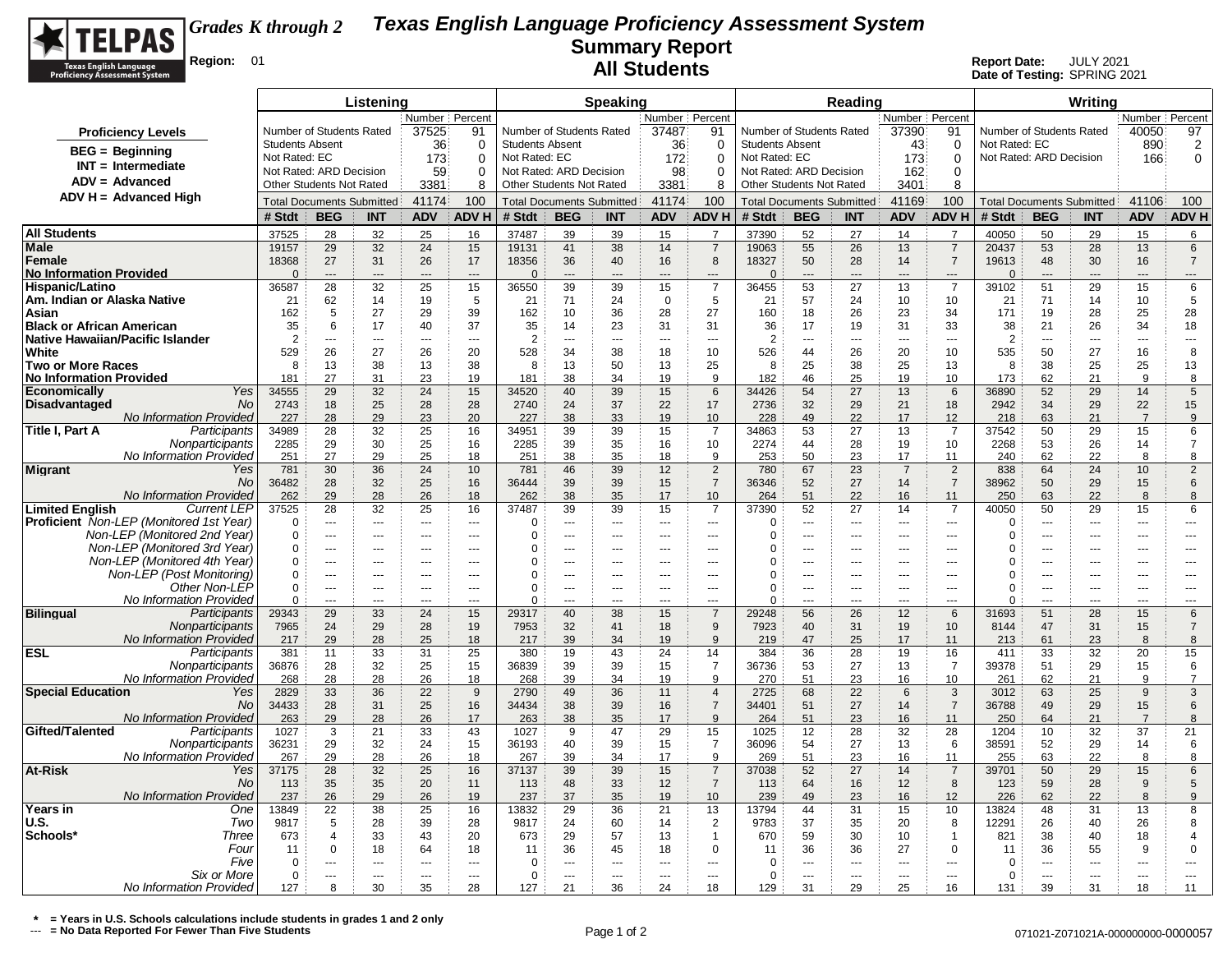

**Date of Testing:** SPRING 2021

|                                                                                                | Listening              |                                  |                      |                                |                          | <b>Speaking</b>                  |                          |                          |                      |                                  |                          |                      | Reading              |                                |                                  | Writing                          |                          |                      |                      |                          |
|------------------------------------------------------------------------------------------------|------------------------|----------------------------------|----------------------|--------------------------------|--------------------------|----------------------------------|--------------------------|--------------------------|----------------------|----------------------------------|--------------------------|----------------------|----------------------|--------------------------------|----------------------------------|----------------------------------|--------------------------|----------------------|----------------------|--------------------------|
|                                                                                                | Number Percent         |                                  |                      |                                |                          | Number Percent                   |                          |                          |                      |                                  |                          |                      | Number Percent       |                                |                                  |                                  |                          | Number Percent       |                      |                          |
| <b>Proficiency Levels</b>                                                                      |                        | Number of Students Rated         |                      | 37525                          | 91                       | Number of Students Rated         |                          |                          | 37487                | 91                               | Number of Students Rated |                      |                      | 37390                          | 91                               |                                  | Number of Students Rated |                      | 40050                | 97                       |
| $BEG = Beginning$                                                                              | <b>Students Absent</b> |                                  |                      | 36                             | $\mathbf 0$              | <b>Students Absent</b>           |                          |                          | 36                   | 0                                | <b>Students Absent</b>   |                      |                      | 43                             | $\mathbf 0$                      | Not Rated: EC                    |                          |                      | 890                  | $\overline{2}$           |
| $INT = Intermediate$                                                                           | Not Rated: EC          |                                  |                      | 173                            | $\Omega$                 | Not Rated: EC                    |                          |                          | 172                  | $\mathbf 0$                      | Not Rated: EC            |                      |                      | 173                            | $\mathbf 0$                      |                                  | Not Rated: ARD Decision  |                      | 166                  | $\mathbf 0$              |
| $ADV = Advanced$                                                                               |                        | Not Rated: ARD Decision          |                      | 59<br>0                        |                          |                                  | Not Rated: ARD Decision  |                          | 98                   | 0                                | Not Rated: ARD Decision  |                      |                      | 162                            | $\mathbf 0$                      |                                  |                          |                      |                      |                          |
| ADV H = Advanced High                                                                          |                        | Other Students Not Rated         |                      | 3381                           | 8                        | Other Students Not Rated         |                          |                          | 3381                 | 8                                | Other Students Not Rated |                      |                      | 3401                           | 8                                |                                  |                          |                      |                      |                          |
|                                                                                                |                        | <b>Total Documents Submitted</b> |                      | 41174                          | 100                      | <b>Total Documents Submitted</b> |                          | 41174                    | 100                  | <b>Total Documents Submitted</b> |                          | 41169                | 100                  |                                |                                  | <b>Total Documents Submitted</b> | 41106                    | 100                  |                      |                          |
|                                                                                                | # Stdt                 | <b>BEG</b>                       | <b>INT</b>           | <b>ADV</b>                     | <b>ADVH</b>              | # Stdt                           | <b>BEG</b>               | <b>INT</b>               | <b>ADV</b>           | <b>ADV H</b>                     | # Stdt                   | <b>BEG</b>           | <b>INT</b>           | <b>ADV</b>                     | <b>ADV H</b>                     | # Stdt                           | <b>BEG</b>               | <b>INT</b>           | <b>ADV</b>           | <b>ADV H</b>             |
| <b>All Students</b>                                                                            | 37525                  | 28                               | 32                   | 25                             | 16                       | 37487                            | 39                       | 39                       | 15                   | $\overline{7}$                   | 37390                    | 52                   | 27                   | 14                             | $\overline{7}$                   | 40050                            | 50                       | 29                   | 15                   | 6                        |
| Male                                                                                           | 19157                  | 29                               | 32                   | 24                             | 15                       | 19131                            | 41                       | 38                       | 14                   | $\overline{7}$                   | 19063                    | 55                   | 26                   | 13                             | $\overline{7}$                   | 20437                            | 53                       | 28                   | 13                   | 6                        |
| Female<br><b>No Information Provided</b>                                                       | 18368<br>$\Omega$      | 27<br>$\overline{a}$             | 31<br>$\overline{a}$ | 26<br>$---$                    | 17<br>$\sim$             | 18356<br>$\Omega$                | 36<br>$\overline{a}$     | 40<br>$---$              | 16<br>$\overline{a}$ | 8<br>$\sim$                      | 18327<br>$\Omega$        | 50<br>$\sim$         | 28<br>$\sim$         | 14<br>$---$                    | $\overline{7}$<br>$\overline{a}$ | 19613<br>$\Omega$                | 48<br>$\overline{a}$     | 30<br>---            | 16<br>---            | $\overline{7}$<br>---    |
| Hispanic/Latino                                                                                | 36587                  | 28                               | 32                   | 25                             | 15                       | 36550                            | 39                       | 39                       | 15                   | $\overline{7}$                   | 36455                    | 53                   | 27                   | 13                             | $\overline{7}$                   | 39102                            | 51                       | 29                   | 15                   | 6                        |
| Am. Indian or Alaska Native                                                                    | 21                     | 62                               | 14                   | 19                             | 5                        | 21                               | 71                       | 24                       | $\overline{0}$       | 5                                | 21                       | 57                   | 24                   | 10                             | 10                               | 21                               | 71                       | 14                   | 10                   | 5                        |
| Asian                                                                                          | 162                    | 5                                | 27                   | 29                             | 39                       | 162                              | 10                       | 36                       | 28                   | 27                               | 160                      | 18                   | 26                   | 23                             | 34                               | 171                              | 19                       | 28                   | 25                   | 28                       |
| <b>Black or African American</b>                                                               | 35                     | 6                                | 17                   | 40                             | 37                       | 35                               | 14                       | 23                       | 31                   | 31                               | 36                       | 17                   | 19                   | 31                             | 33                               | 38                               | 21                       | 26                   | 34                   | 18                       |
| <b>Native Hawaiian/Pacific Islander</b>                                                        | $\overline{2}$         | ---                              | $\overline{a}$       | $---$                          | $\overline{\phantom{a}}$ | $\overline{2}$                   | $\overline{\phantom{a}}$ | $\overline{\phantom{a}}$ | $\overline{a}$       | $\overline{a}$                   | $\overline{2}$           | ---                  | $\overline{a}$       | $\cdots$                       | $\sim$                           | $\overline{2}$                   | $\overline{\phantom{a}}$ | $\cdots$             | $---$                | $\overline{\phantom{a}}$ |
| White                                                                                          | 529                    | 26                               | 27                   | 26                             | 20                       | 528                              | 34                       | 38                       | 18                   | 10                               | 526                      | 44                   | 26                   | 20                             | 10                               | 535                              | 50                       | 27                   | 16                   | 8                        |
| <b>Two or More Races</b>                                                                       | 8                      | 13                               | 38                   | 13                             | 38                       | 8                                | 13                       | 50                       | 13                   | 25                               | 8                        | 25                   | 38                   | 25                             | 13                               | 8                                | 38                       | 25                   | 25                   | 13                       |
| <b>No Information Provided</b><br>Yes                                                          | 181                    | 27<br>29                         | 31                   | 23                             | 19                       | 181                              | 38                       | 34                       | 19                   | 9                                | 182                      | 46                   | 25                   | 19                             | 10                               | 173                              | 62                       | 21                   | 9                    | 8                        |
| <b>Economically</b><br><b>Disadvantaged</b><br>No                                              | 34555<br>2743          | 18                               | 32<br>25             | 24<br>28                       | 15<br>28                 | 34520<br>2740                    | 40<br>24                 | 39<br>37                 | 15<br>22             | 6<br>17                          | 34426<br>2736            | 54<br>32             | 27<br>29             | 13<br>21                       | 6<br>18                          | 36890<br>2942                    | 52<br>34                 | 29<br>29             | 14<br>22             | 5<br>15                  |
| <b>No Information Provided</b>                                                                 | 227                    | 28                               | 29                   | 23                             | 20                       | 227                              | 38                       | 33                       | 19                   | 10                               | 228                      | 49                   | 22                   | 17                             | 12                               | 218                              | 63                       | 21                   | $\overline{7}$       | 9                        |
| Title I, Part A<br>Participants                                                                | 34989                  | 28                               | 32                   | 25                             | 16                       | 34951                            | 39                       | 39                       | 15                   | $\overline{7}$                   | 34863                    | 53                   | 27                   | 13                             | $\overline{7}$                   | 37542                            | 50                       | 29                   | 15                   | 6                        |
| Nonparticipants                                                                                | 2285                   | 29                               | 30                   | 25                             | 16                       | 2285                             | 39                       | 35                       | 16                   | 10                               | 2274                     | 44                   | 28                   | 19                             | 10                               | 2268                             | 53                       | 26                   | 14                   | $\overline{7}$           |
| No Information Provideo                                                                        | 251                    | 27                               | 29                   | 25                             | 18                       | 251                              | 38                       | 35                       | <u>18</u>            | 9                                | 253                      | 50                   | 23                   | 17                             | 11                               | 240                              | 62                       | 22                   | 8                    | 8                        |
| <b>Migrant</b><br>Yes                                                                          | 781                    | 30                               | 36                   | 24                             | 10                       | 781                              | 46                       | 39                       | 12                   | $\overline{2}$                   | 780                      | 67                   | 23                   | $\overline{7}$                 | $\overline{2}$                   | 838                              | 64                       | 24                   | 10 <sup>10</sup>     | $\overline{2}$           |
| No                                                                                             | 36482                  | 28                               | 32                   | 25                             | 16                       | 36444                            | 39                       | 39                       | 15                   | $\overline{7}$                   | 36346                    | 52                   | 27                   | 14                             | $\overline{7}$                   | 38962                            | 50                       | 29                   | 15                   | $6\phantom{1}6$          |
| No Information Provided                                                                        | 262                    | 29                               | 28                   | 26                             | 18                       | 262                              | 38                       | 35                       | 17                   | 10                               | 264                      | 51                   | 22                   | 16                             | 11                               | 250                              | 63                       | 22                   | 8                    | 8                        |
| <b>Limited English</b><br><b>Current LEP</b><br><b>Proficient</b> Non-LEP (Monitored 1st Year) | 37525<br>$\Omega$      | 28<br>$\overline{a}$             | 32<br>$---$          | 25<br>$\overline{\phantom{a}}$ | 16<br>$---$              | 37487<br>0                       | 39<br>$\overline{a}$     | 39<br>$---$              | 15<br>$\sim$         | $\overline{7}$<br>$\overline{a}$ | 37390<br>∩               | 52<br>$\overline{a}$ | 27<br>$- - -$        | 14<br>$\sim$ $\sim$            | 7<br>$\overline{a}$              | 40050<br>0                       | 50<br>$\overline{a}$     | 29<br>$\overline{a}$ | 15<br>$\overline{a}$ | 6<br>$---$               |
| Non-LEP (Monitored 2nd Year)                                                                   | $\Omega$               | ---                              | ---                  | $\overline{a}$                 | $\overline{\phantom{a}}$ | $\Omega$                         | ---                      | ---                      | $\sim$               | ---                              | 0                        | ---                  | ---                  | $\overline{a}$                 | $\sim$                           | $\Omega$                         | ---                      | ---                  | ---                  | ---                      |
| Non-LEP (Monitored 3rd Year)                                                                   | $\Omega$               | ---                              | ---                  | $\overline{a}$                 | $\sim$                   | 0                                | ÷÷.                      | ---                      | ---                  | $\overline{a}$                   | 0                        | ---                  | ---                  | $\overline{a}$                 | $\overline{a}$                   | $\Omega$                         | $\overline{a}$           | ---                  | ---                  | $\overline{a}$           |
| Non-LEP (Monitored 4th Year)                                                                   | 0                      | ---                              |                      | $\overline{a}$                 |                          | 0                                | --                       | ---                      | ---                  | ---                              | $\Omega$                 | ---                  | ---                  | ---                            | ---                              | 0                                | ---                      | ---                  | ---                  |                          |
| Non-LEP (Post Monitoring)                                                                      | $\mathbf 0$            | $-$                              | $-$                  | $\sim$                         | $\sim$                   | $\mathbf 0$                      | $\overline{a}$           | $-$                      | $-$                  | $-$                              | $\Omega$                 | $-$                  | $-$                  | $\sim$                         | $\sim$                           | $\Omega$                         | $-$ - $-$                | $---$                | $\overline{a}$       | $-$                      |
| Other Non-LEP                                                                                  | $\mathbf 0$            | $\overline{a}$                   | $---$                | $- - -$                        | $- - -$                  | 0                                | $---$                    | $\overline{a}$           | $- - -$              | $---$                            | $\Omega$                 | $---$                | $- - -$              | $\hspace{0.05cm} \ldots$       | $\sim$                           | 0                                | $\overline{a}$           | ---                  | ---                  | $- - -$                  |
| No Information Provideo                                                                        | $\Omega$               | $\overline{a}$                   | ---                  | $- - -$                        | $--$                     | 0                                | $\overline{a}$           | ---                      | ---                  | ---                              | $\Omega$                 | <u></u>              | ---                  | $- - -$                        | $\overline{a}$                   | 0                                | $\sim$                   | ---                  | $\overline{a}$       | ---                      |
| <b>Bilingual</b><br>Participants                                                               | 29343                  | 29                               | 33                   | 24                             | 15                       | 29317                            | 40                       | 38                       | 15                   | $\overline{7}$                   | 29248                    | 56                   | 26                   | 12                             | 6                                | 31693                            | 51                       | 28                   | 15                   | 6                        |
| Nonparticipants<br><b>No Information Provided</b>                                              | 7965<br>217            | 24<br>29                         | 29<br>28             | 28<br>25                       | 19<br>18                 | 7953<br>217                      | 32<br>39                 | 41<br>34                 | 18<br>19             | 9<br>9                           | 7923<br>219              | 40<br>47             | 31<br>25             | 19<br>17                       | 10<br>11                         | 8144<br>213                      | 47<br>61                 | 31<br>23             | 15<br>8              | $\overline{7}$<br>8      |
| <b>ESL</b><br>Participants                                                                     | 381                    | 11                               | 33                   | 31                             | 25                       | 380                              | 19                       | 43                       | 24                   | 14                               | 384                      | 36                   | 28                   | 19                             | 16                               | 411                              | 33                       | 32                   | 20                   | 15                       |
| Nonparticipants                                                                                | 36876                  | 28                               | 32                   | 25                             | 15                       | 36839                            | 39                       | 39                       | 15                   | $\overline{7}$                   | 36736                    | 53                   | 27                   | 13                             | 7                                | 39378                            | 51                       | 29                   | 15                   | 6                        |
| No Information Provided                                                                        | 268                    | 28                               | 28                   | 26                             | 18                       | 268                              | 39                       | 34                       | 19                   | 9                                | 270                      | 51                   | 23                   | 16                             | 10                               | 261                              | 62                       | 21                   | 9                    | $\overline{7}$           |
| <b>Special Education</b><br>Yes                                                                | 2829                   | 33                               | 36                   | 22                             | 9                        | 2790                             | 49                       | 36                       | 11                   | $\overline{4}$                   | 2725                     | 68                   | 22                   | 6                              | 3                                | 3012                             | 63                       | 25                   | 9                    | 3                        |
| <b>No</b>                                                                                      | 34433                  | 28                               | 31                   | 25                             | 16                       | 34434                            | 38                       | 39                       | 16                   | $\overline{7}$                   | 34401                    | 51                   | 27                   | 14                             | $\overline{7}$                   | 36788                            | 49                       | 29                   | 15                   | 6                        |
| No Information Provided                                                                        | 263                    | 29                               | 28                   | 26                             | 17                       | 263                              | 38                       | 35                       | 17                   | 9                                | 264                      | 51                   | 23                   | 16                             | 11                               | 250                              | 64                       | 21                   | $\overline{7}$       | 8                        |
| Gifted/Talented<br>Participants                                                                | 1027                   | 3                                | 21                   | 33                             | 43                       | 1027                             | 9                        | 47                       | 29                   | 15                               | 1025                     | 12                   | 28                   | 32                             | 28                               | 1204                             | 10                       | 32                   | 37                   | 21                       |
| Nonparticipants<br>No Information Provideo                                                     | 36231<br>267           | 29<br>29                         | 32<br>28             | 24<br>26                       | 15<br>18                 | 36193<br>267                     | 40<br>39                 | 39<br>34                 | 15<br>17             | $\overline{7}$<br>9              | 36096<br>269             | 54<br>51             | 27<br>23             | 13<br>16                       | 6<br>11                          | 38591<br>255                     | 52<br>63                 | 29<br>22             | 14<br>8              | 6<br>8                   |
| At-Risk<br>Yes                                                                                 | 37175                  | 28                               | 32                   | 25                             | 16                       | 37137                            | 39                       | 39                       | 15                   | $\overline{7}$                   | 37038                    | 52                   | 27                   | 14                             | $\overline{7}$                   | 39701                            | 50                       | 29                   | 15                   | 6                        |
| No                                                                                             | 113                    | 35                               | 35                   | 20                             | 11                       | 113                              | 48                       | 33                       | 12                   | $\overline{7}$                   | 113                      | 64                   | 16                   | 12                             | 8                                | 123                              | 59                       | 28                   | 9                    | 5                        |
| <b>No Information Provided</b>                                                                 | 237                    | 26                               | 29                   | 26                             | 19                       | 237                              | 37                       | 35                       | 19                   | 10                               | 239                      | 49                   | 23                   | 16                             | 12                               | 226                              | 62                       | 22                   | 8                    | 9                        |
| Years in<br>One                                                                                | 13849                  | 22                               | 38                   | 25                             | 16                       | 13832                            | 29                       | 36                       | 21                   | 13                               | 13794                    | 44                   | 31                   | 15                             | 10                               | 13824                            | 48                       | 31                   | 13                   | 8                        |
| U.S.<br>Two                                                                                    | 9817                   | 5                                | 28                   | 39                             | 28                       | 9817                             | 24                       | 60                       | 14                   | $\overline{2}$                   | 9783                     | 37                   | 35                   | 20                             | 8                                | 12291                            | 26                       | 40                   | 26                   | 8                        |
| Schools*<br>Three                                                                              | 673                    | $\overline{4}$                   | 33                   | 43                             | 20                       | 673                              | 29                       | 57                       | 13                   | $\overline{1}$                   | 670                      | 59                   | 30                   | 10                             | $\mathbf{1}$                     | 821                              | 38                       | 40                   | 18                   | $\overline{4}$           |
| Four                                                                                           | 11                     | $\Omega$                         | 18                   | 64                             | 18                       | 11                               | 36                       | 45                       | 18                   | $\mathbf 0$                      | 11                       | 36                   | 36                   | 27                             | 0                                | 11                               | 36                       | 55                   | -9                   | $\mathbf 0$              |
| Five                                                                                           | $\mathbf 0$            | ---                              | $\overline{a}$       | $\sim$                         | $\sim$                   | $\mathbf 0$                      | $\overline{a}$           | ---                      | Ξ.                   | ---                              | $\Omega$                 | ---                  | $\overline{a}$       | $\sim$ $\sim$                  | $\overline{a}$                   | $\Omega$                         | $\overline{a}$           | ---                  |                      | ---                      |
| Six or More<br>No Information Provided                                                         | $\mathbf 0$<br>127     | $\overline{a}$<br>8              | ---<br>30            | $\overline{a}$<br>35           | $\overline{a}$<br>28     | $\mathbf 0$<br>127               | ---<br>21                | ---<br>36                | $\overline{a}$<br>24 | $\overline{a}$<br>18             | $\Omega$<br>129          | ---<br>31            | $\overline{a}$<br>29 | $\overline{\phantom{a}}$<br>25 | $\overline{a}$<br>16             | $\Omega$<br>131                  | ---<br>39                | ---<br>31            | ---<br>18            | $\sim$<br>11             |
|                                                                                                |                        |                                  |                      |                                |                          |                                  |                          |                          |                      |                                  |                          |                      |                      |                                |                                  |                                  |                          |                      |                      |                          |

**\* = Years in U.S. Schools calculations include students in grades 1 and 2 only**

--- **= No Data Reported For Fewer Than Five Students** Page 1 of 2 071021-Z071021A-000000000-0000057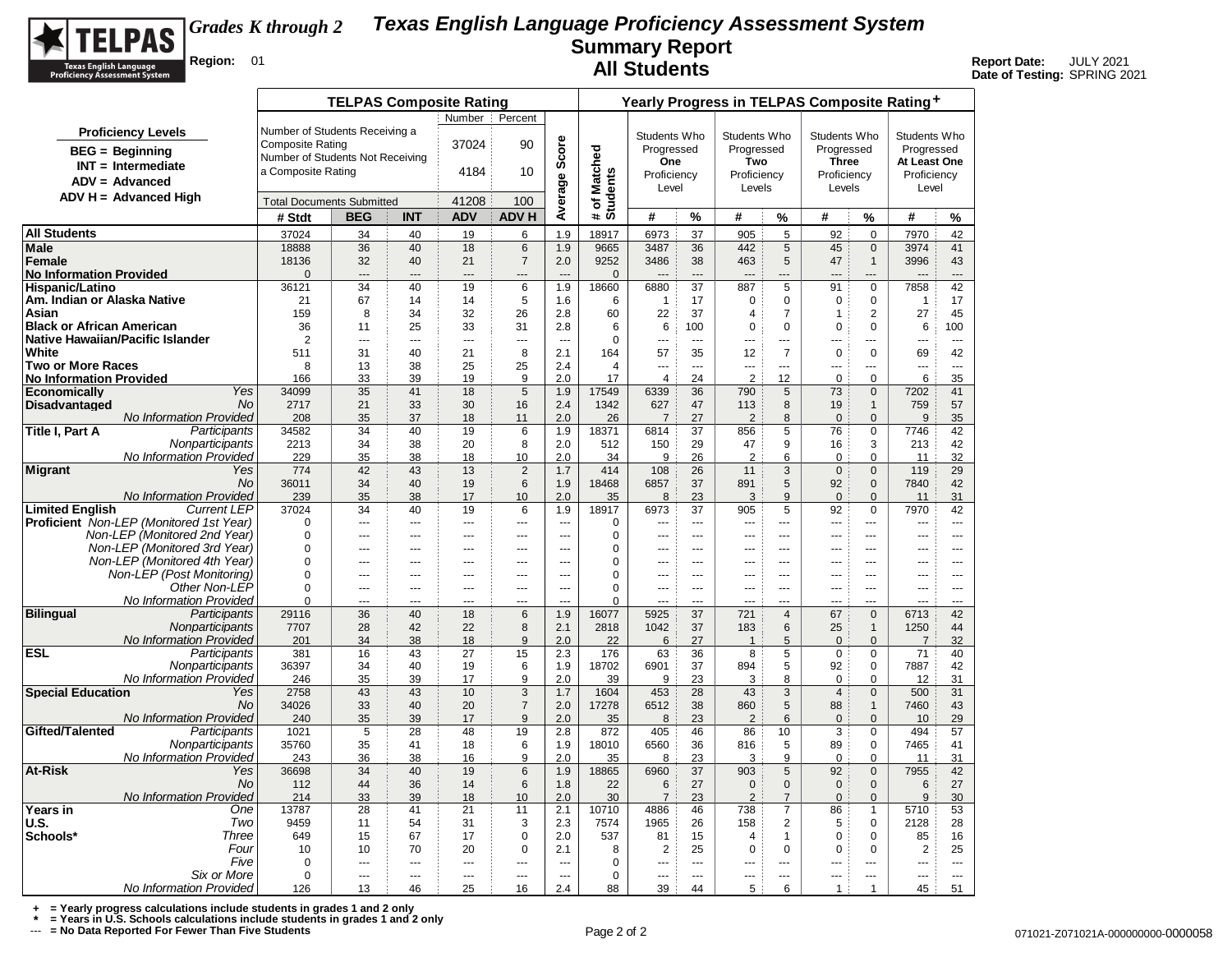

**Date of Testing:** SPRING 2021

| Number<br>Percent<br>Number of Students Receiving a<br><b>Proficiency Levels</b><br>Students Who<br>Students Who<br>Students Who<br>Students Who<br>Score<br><b>Composite Rating</b><br>37024<br>90<br>Progressed<br>Progressed<br>Progressed<br>Progressed<br>Matched<br>$BEG = Beginning$<br>Number of Students Not Receiving<br>One<br>Two<br><b>Three</b><br>At Least One<br>$INT = Intermediate$<br>a Composite Rating<br>4184<br>10<br># of Match<br>Students<br>Average<br>Proficiency<br>Proficiency<br>Proficiency<br>Proficiency<br>$ADV = Advanced$<br>Level<br>Levels<br>Levels<br>Level<br>$ADV H = Advanced High$<br>41208<br>100<br><b>Total Documents Submitted</b><br># Stdt<br><b>BEG</b><br><b>INT</b><br><b>ADV</b><br><b>ADVH</b><br>#<br>%<br>#<br>%<br>#<br>%<br>#<br>%<br>37024<br>40<br>19<br>1.9<br>18917<br>6973<br>37<br>905<br>$\sqrt{5}$<br>92<br>$\mathbf 0$<br>7970<br>42<br>34<br>6<br>18888<br>36<br>40<br>18<br>6<br>1.9<br>9665<br>3487<br>36<br>442<br>5<br>45<br>$\mathbf 0$<br>41<br>3974<br>18136<br>32<br>40<br>21<br>$\overline{7}$<br>2.0<br>9252<br>3486<br>38<br>463<br>5<br>47<br>$\mathbf{1}$<br>3996<br>43<br><b>No Information Provided</b><br>$\Omega$<br>$\Omega$<br>---<br>$\overline{a}$<br>---<br>$\overline{a}$<br>$\overline{a}$<br>$\overline{a}$<br>$\overline{a}$<br>---<br>$-$<br>19<br>1.9<br>37<br>$\overline{5}$<br>42<br>Hispanic/Latino<br>36121<br>34<br>40<br>6<br>18660<br>6880<br>887<br>$\mathbf 0$<br>7858<br>91<br>Am. Indian or Alaska Native<br>21<br>67<br>14<br>14<br>5<br>1.6<br>17<br>$\mathbf 0$<br>$\mathbf 0$<br>$\mathbf 0$<br>$\mathbf 0$<br>17<br>6<br>$\overline{1}$<br>$\mathbf{1}$<br>34<br>32<br>37<br>$\mathbf{2}$<br>45<br>Asian<br>159<br>8<br>26<br>2.8<br>60<br>22<br>$\overline{7}$<br>$\overline{1}$<br>27<br>$\overline{4}$<br><b>Black or African American</b><br>36<br>11<br>25<br>33<br>31<br>2.8<br>6<br>6<br>100<br>0<br>$\mathbf 0$<br>$\mathbf 0$<br>$\mathbf 0$<br>6<br>100<br>Native Hawaiian/Pacific Islander<br>$\overline{2}$<br>$\mathbf 0$<br>$\sim$<br>$\sim$<br><br>$\overline{a}$<br>$\overline{a}$<br>$\sim$<br>$-$<br>$-$<br>$\overline{a}$<br>$\sim$<br>$\overline{a}$<br>$---$<br>$-$<br>2.1<br>57<br>$\overline{7}$<br>511<br>31<br>40<br>21<br>8<br>35<br>12<br>$\mathsf 0$<br>$\Omega$<br>69<br>42<br>164<br>8<br>13<br>38<br>25<br>25<br>2.4<br>4<br>$\overline{a}$<br>$---$<br>$\overline{a}$<br>$\overline{a}$<br>$\sim$<br>$\sim$<br>$\sim$<br>$\sim$<br>$\overline{2}$<br>39<br>19<br>2.0<br>24<br>12<br>$\mathbf 0$<br>6<br>35<br>166<br>33<br>9<br>17<br>$\overline{4}$<br>$\Omega$<br>Yes<br>5<br>34099<br>35<br>41<br>18<br>17549<br>6339<br>36<br>5<br>$\mathbf{0}$<br>7202<br>41<br>1.9<br>790<br>73<br><b>Disadvantaged</b><br><b>No</b><br>2717<br>21<br>33<br>30<br>2.4<br>1342<br>47<br>8<br>57<br>16<br>627<br>19<br>$\mathbf{1}$<br>759<br>113<br>No Information Provided<br>208<br>35<br>37<br>18<br>2.0<br>26<br>$\overline{7}$<br>27<br>$\overline{2}$<br>8<br>$\mathbf{0}$<br>$\mathbf{0}$<br>9<br>35<br>11<br>Title I, Part A<br>Participants<br>34<br>40<br>19<br>1.9<br>18371<br>6814<br>37<br>5<br>76<br>$\mathbf 0$<br>7746<br>42<br>34582<br>6<br>856<br>Nonparticipants<br>2213<br>34<br>38<br>20<br>8<br>2.0<br>512<br>150<br>29<br>47<br>9<br>16<br>3<br>213<br>42<br>No Information Provided<br>$\overline{2}$<br>32<br>229<br>35<br>38<br>18<br>10<br>2.0<br>34<br>9<br>26<br>6<br>$\mathbf 0$<br>$\mathbf 0$<br>11<br><b>Migrant</b><br>Yes<br>774<br>42<br>43<br>13<br>$\overline{c}$<br>1.7<br>414<br>108<br>26<br>$\mathbf{3}$<br>$\mathbf 0$<br>$\mathbf 0$<br>119<br>29<br>11<br>No.<br>36011<br>34<br>40<br>19<br>6<br>18468<br>6857<br>37<br>5<br>92<br>7840<br>42<br>1.9<br>891<br>$\mathbf{0}$<br>No Information Provided<br>31<br>239<br>35<br>38<br>17<br>2.0<br>23<br>9<br>10<br>35<br>8<br>3<br>$\Omega$<br>$\Omega$<br>11<br><b>Limited English</b><br>37<br>5<br>7970<br><b>Current LEP</b><br>37024<br>34<br>40<br>19<br>1.9<br>18917<br>6973<br>905<br>92<br>$\mathbf 0$<br>42<br>6<br>$\mathbf 0$<br>0<br>---<br>$\overline{a}$<br>÷÷<br>---<br>$\overline{a}$<br>$\sim$ $\sim$<br>$\overline{a}$<br>$\sim$<br>---<br>$\overline{a}$<br>---<br>$---$<br>$\overline{a}$<br>Non-LEP (Monitored 2nd Year)<br>$\mathbf 0$<br>0<br>$\overline{\phantom{a}}$<br>---<br>$\sim$<br><u></u><br>---<br>$\overline{a}$<br>$\overline{a}$<br>$\overline{a}$<br>$\overline{a}$<br>$\overline{a}$<br>$\overline{a}$<br>$\overline{a}$<br>$\overline{a}$<br>Non-LEP (Monitored 3rd Year)<br>$\Omega$<br>$\mathbf 0$<br>$\sim$<br><br><br>$\sim$<br>$\sim$<br>$\sim$<br>$\sim$<br>$\sim$<br>$---$<br>$\sim$ $\sim$<br>$\sim$ $\sim$<br>$---$<br>$- - -$<br>Non-LEP (Monitored 4th Year)<br>$\mathbf 0$<br>0<br>$\sim$<br>$\overline{a}$<br>$\overline{a}$<br>$---$<br>---<br>$\sim$ $\sim$<br>$---$<br>$\sim$ $\sim$ $\sim$<br>$- - -$<br>$\overline{a}$<br>$- - -$<br>---<br>$\sim$ $\sim$<br>Non-LEP (Post Monitoring)<br>$\Omega$<br>0<br>---<br>---<br>---<br>$\overline{a}$<br>$\overline{a}$<br>---<br>---<br>---<br>$\overline{a}$<br>$\overline{a}$<br>$\overline{a}$<br>$\overline{a}$<br>$\overline{a}$<br>Other Non-LEP<br>$\mathbf 0$<br>$\mathbf 0$<br><br>$\sim$<br><u></u><br>$\sim$<br>$\sim$<br><br>$\sim$<br>$\sim$<br>$-$<br>$\overline{a}$<br>$\sim$<br>$\overline{a}$<br>$\overline{a}$<br>No Information Provided<br>$\Omega$<br>$\Omega$<br>---<br>---<br>---<br>---<br>---<br>---<br>---<br><b>Bilingual</b><br>Participants<br>40<br>1.9<br>42<br>29116<br>36<br>18<br>6<br>16077<br>5925<br>37<br>$\overline{4}$<br>67<br>$\mathbf 0$<br>6713<br>721<br>Nonparticipants<br>7707<br>28<br>42<br>22<br>8<br>2.1<br>2818<br>1042<br>37<br>183<br>6<br>25<br>1250<br>44<br>$\mathbf{1}$<br>No Information Provided<br>201<br>34<br>38<br>9<br>2.0<br>27<br>5<br>$\mathbf 0$<br>32<br>18<br>22<br>6<br>$\mathbf 0$<br>1<br>7<br>Participants<br>381<br>16<br>43<br>27<br>15<br>176<br>63<br>36<br>8<br>71<br>2.3<br>5<br>$\mathbf 0$<br>$\mathbf 0$<br>40<br>Nonparticipants<br>$\sqrt{5}$<br>36397<br>34<br>40<br>19<br>6<br>1.9<br>18702<br>6901<br>37<br>894<br>92<br>7887<br>42<br>$\Omega$<br>No Information Provided<br>35<br>39<br>17<br>2.0<br>23<br>246<br>9<br>39<br>9<br>3<br>8<br>$\mathbf 0$<br>$\mathbf 0$<br>12<br>31<br><b>Special Education</b><br>10<br>3<br>3<br>2758<br>43<br>43<br>28<br>$\Omega$<br>500<br>31<br>Yes<br>1.7<br>1604<br>453<br>43<br>$\overline{4}$<br>34026<br>33<br>40<br>20<br>$\overline{7}$<br>38<br>$5\phantom{.0}$<br>43<br>No.<br>2.0<br>17278<br>6512<br>860<br>88<br>7460<br>$\mathbf{1}$<br>No Information Provided<br>35<br>39<br>17<br>9<br>2.0<br>23<br>6<br>$\mathbf{0}$<br>29<br>240<br>35<br>8<br>$\overline{2}$<br>$\mathbf 0$<br>10<br>Gifted/Talented<br>Participants<br>5<br>28<br>48<br>2.8<br>46<br>10<br>3<br>57<br>1021<br>19<br>872<br>405<br>86<br>$\mathbf 0$<br>494<br>Nonparticipants<br>35760<br>35<br>41<br>18<br>6<br>1.9<br>18010<br>6560<br>36<br>816<br>5<br>89<br>0<br>7465<br>41<br>No Information Provided<br>243<br>9<br>36<br>38<br>16<br>9<br>2.0<br>35<br>8<br>23<br>3<br>$\mathbf 0$<br>$\mathbf 0$<br>11<br>31<br>Yes<br>36698<br>34<br>40<br>19<br>6<br>1.9<br>18865<br>6960<br>37<br>903<br>$\sqrt{5}$<br>92<br>$\mathbf 0$<br>7955<br>42<br>44<br>36<br>22<br>27<br>27<br>No.<br>112<br>14<br>6<br>1.8<br>6<br>$\mathbf{0}$<br>$\Omega$<br>$\mathbf{0}$<br>$\mathbf{0}$<br>6<br>No Information Provided<br>39<br>214<br>33<br>18<br>2.0<br>30<br>23<br>$\overline{2}$<br>30<br>10<br>$\overline{7}$<br>$\overline{7}$<br>$\Omega$<br>$\mathbf{0}$<br>9<br>$\overline{7}$<br>One<br>13787<br>41<br>21<br>2.1<br>10710<br>46<br>5710<br>53<br>28<br>11<br>4886<br>738<br>86<br>$\mathbf{1}$<br>Two<br>9459<br>54<br>31<br>2.3<br>1965<br>26<br>2<br>5<br>28<br>11<br>3<br>7574<br>158<br>$\mathbf 0$<br>2128<br>Schools*<br>Three<br>649<br>67<br>17<br>$\mathbf 0$<br>2.0<br>537<br>15<br>81<br>15<br>$\mathbf{1}$<br>$\mathbf 0$<br>$\mathbf 0$<br>85<br>16<br>$\overline{4}$<br>Four<br>25<br>10<br>10<br>70<br>20<br>0<br>2.1<br>8<br>$\overline{2}$<br>25<br>$\mathbf 0$<br>$\mathbf 0$<br>$\mathbf 0$<br>$\mathbf 0$<br>$\overline{2}$<br>Five<br>$\mathbf 0$<br>0<br>$\overline{a}$<br>$\sim$<br>---<br>$\overline{a}$<br>---<br>$-$<br>---<br>$-$<br>$-$<br>$---$<br>$\overline{\phantom{a}}$<br>$\overline{a}$<br>$-$<br>Six or More<br>$\mathbf 0$<br>$\mathbf 0$<br>---<br>---<br>---<br>---<br>---<br>---<br>---<br><br>---<br>---<br>---<br>---<br>$\sim$<br>5<br>$\mathbf{1}$<br>$\mathbf{1}$ |                                                |     | <b>TELPAS Composite Rating</b> |    |    |    |     | Yearly Progress in TELPAS Composite Rating+ |    |    |  |   |  |  |    |    |  |  |  |
|--------------------------------------------------------------------------------------------------------------------------------------------------------------------------------------------------------------------------------------------------------------------------------------------------------------------------------------------------------------------------------------------------------------------------------------------------------------------------------------------------------------------------------------------------------------------------------------------------------------------------------------------------------------------------------------------------------------------------------------------------------------------------------------------------------------------------------------------------------------------------------------------------------------------------------------------------------------------------------------------------------------------------------------------------------------------------------------------------------------------------------------------------------------------------------------------------------------------------------------------------------------------------------------------------------------------------------------------------------------------------------------------------------------------------------------------------------------------------------------------------------------------------------------------------------------------------------------------------------------------------------------------------------------------------------------------------------------------------------------------------------------------------------------------------------------------------------------------------------------------------------------------------------------------------------------------------------------------------------------------------------------------------------------------------------------------------------------------------------------------------------------------------------------------------------------------------------------------------------------------------------------------------------------------------------------------------------------------------------------------------------------------------------------------------------------------------------------------------------------------------------------------------------------------------------------------------------------------------------------------------------------------------------------------------------------------------------------------------------------------------------------------------------------------------------------------------------------------------------------------------------------------------------------------------------------------------------------------------------------------------------------------------------------------------------------------------------------------------------------------------------------------------------------------------------------------------------------------------------------------------------------------------------------------------------------------------------------------------------------------------------------------------------------------------------------------------------------------------------------------------------------------------------------------------------------------------------------------------------------------------------------------------------------------------------------------------------------------------------------------------------------------------------------------------------------------------------------------------------------------------------------------------------------------------------------------------------------------------------------------------------------------------------------------------------------------------------------------------------------------------------------------------------------------------------------------------------------------------------------------------------------------------------------------------------------------------------------------------------------------------------------------------------------------------------------------------------------------------------------------------------------------------------------------------------------------------------------------------------------------------------------------------------------------------------------------------------------------------------------------------------------------------------------------------------------------------------------------------------------------------------------------------------------------------------------------------------------------------------------------------------------------------------------------------------------------------------------------------------------------------------------------------------------------------------------------------------------------------------------------------------------------------------------------------------------------------------------------------------------------------------------------------------------------------------------------------------------------------------------------------------------------------------------------------------------------------------------------------------------------------------------------------------------------------------------------------------------------------------------------------------------------------------------------------------------------------------------------------------------------------------------------------------------------------------------------------------------------------------------------------------------------------------------------------------------------------------------------------------------------------------------------------------------------------------------------------------------------------------------------------------------------------------------------------------------------------------------------------------------------------------------------------------------------------------------------------------------------------------------------------------------------------------------------------------------------------------------------------------------------------------------------------------------------------------------------------------------------------------------------------------------------------------------------------------------------------------------------------------------------------------------------------------------------------------------------------------------------------------------------------------------------------------------------------------------------------------------------------------------------------------------------------------------------------------------------------------------------------------------------------------------------------------------------------------------------------------------------------------------------------------------------------------------------------------------------------------------------------------------------------------------------------------------------------------------------------------------------------------------------------------------------------------------------------------------------------------------------------------------------------------------------------------------------------------------------------------------------------------------------------------------------------------------------------------------------------------------------------------------------------------------------------------------------------------------------------------------------------------------------------------------------------------------------------------------------------------------------------------------------------------------------------------------------------------------------------------------------------------------------------------------------------------------------------------------------------------------------------------------------------------------------------------------------------------------------------------|------------------------------------------------|-----|--------------------------------|----|----|----|-----|---------------------------------------------|----|----|--|---|--|--|----|----|--|--|--|
|                                                                                                                                                                                                                                                                                                                                                                                                                                                                                                                                                                                                                                                                                                                                                                                                                                                                                                                                                                                                                                                                                                                                                                                                                                                                                                                                                                                                                                                                                                                                                                                                                                                                                                                                                                                                                                                                                                                                                                                                                                                                                                                                                                                                                                                                                                                                                                                                                                                                                                                                                                                                                                                                                                                                                                                                                                                                                                                                                                                                                                                                                                                                                                                                                                                                                                                                                                                                                                                                                                                                                                                                                                                                                                                                                                                                                                                                                                                                                                                                                                                                                                                                                                                                                                                                                                                                                                                                                                                                                                                                                                                                                                                                                                                                                                                                                                                                                                                                                                                                                                                                                                                                                                                                                                                                                                                                                                                                                                                                                                                                                                                                                                                                                                                                                                                                                                                                                                                                                                                                                                                                                                                                                                                                                                                                                                                                                                                                                                                                                                                                                                                                                                                                                                                                                                                                                                                                                                                                                                                                                                                                                                                                                                                                                                                                                                                                                                                                                                                                                                                                                                                                                                                                                                                                                                                                                                                                                                                                                                                                                                                                                                                                                                                                                                                                                                                                                                                                                                                                                                                                                                                |                                                |     |                                |    |    |    |     |                                             |    |    |  |   |  |  |    |    |  |  |  |
|                                                                                                                                                                                                                                                                                                                                                                                                                                                                                                                                                                                                                                                                                                                                                                                                                                                                                                                                                                                                                                                                                                                                                                                                                                                                                                                                                                                                                                                                                                                                                                                                                                                                                                                                                                                                                                                                                                                                                                                                                                                                                                                                                                                                                                                                                                                                                                                                                                                                                                                                                                                                                                                                                                                                                                                                                                                                                                                                                                                                                                                                                                                                                                                                                                                                                                                                                                                                                                                                                                                                                                                                                                                                                                                                                                                                                                                                                                                                                                                                                                                                                                                                                                                                                                                                                                                                                                                                                                                                                                                                                                                                                                                                                                                                                                                                                                                                                                                                                                                                                                                                                                                                                                                                                                                                                                                                                                                                                                                                                                                                                                                                                                                                                                                                                                                                                                                                                                                                                                                                                                                                                                                                                                                                                                                                                                                                                                                                                                                                                                                                                                                                                                                                                                                                                                                                                                                                                                                                                                                                                                                                                                                                                                                                                                                                                                                                                                                                                                                                                                                                                                                                                                                                                                                                                                                                                                                                                                                                                                                                                                                                                                                                                                                                                                                                                                                                                                                                                                                                                                                                                                                |                                                |     |                                |    |    |    |     |                                             |    |    |  |   |  |  |    |    |  |  |  |
|                                                                                                                                                                                                                                                                                                                                                                                                                                                                                                                                                                                                                                                                                                                                                                                                                                                                                                                                                                                                                                                                                                                                                                                                                                                                                                                                                                                                                                                                                                                                                                                                                                                                                                                                                                                                                                                                                                                                                                                                                                                                                                                                                                                                                                                                                                                                                                                                                                                                                                                                                                                                                                                                                                                                                                                                                                                                                                                                                                                                                                                                                                                                                                                                                                                                                                                                                                                                                                                                                                                                                                                                                                                                                                                                                                                                                                                                                                                                                                                                                                                                                                                                                                                                                                                                                                                                                                                                                                                                                                                                                                                                                                                                                                                                                                                                                                                                                                                                                                                                                                                                                                                                                                                                                                                                                                                                                                                                                                                                                                                                                                                                                                                                                                                                                                                                                                                                                                                                                                                                                                                                                                                                                                                                                                                                                                                                                                                                                                                                                                                                                                                                                                                                                                                                                                                                                                                                                                                                                                                                                                                                                                                                                                                                                                                                                                                                                                                                                                                                                                                                                                                                                                                                                                                                                                                                                                                                                                                                                                                                                                                                                                                                                                                                                                                                                                                                                                                                                                                                                                                                                                                |                                                |     |                                |    |    |    |     |                                             |    |    |  |   |  |  |    |    |  |  |  |
|                                                                                                                                                                                                                                                                                                                                                                                                                                                                                                                                                                                                                                                                                                                                                                                                                                                                                                                                                                                                                                                                                                                                                                                                                                                                                                                                                                                                                                                                                                                                                                                                                                                                                                                                                                                                                                                                                                                                                                                                                                                                                                                                                                                                                                                                                                                                                                                                                                                                                                                                                                                                                                                                                                                                                                                                                                                                                                                                                                                                                                                                                                                                                                                                                                                                                                                                                                                                                                                                                                                                                                                                                                                                                                                                                                                                                                                                                                                                                                                                                                                                                                                                                                                                                                                                                                                                                                                                                                                                                                                                                                                                                                                                                                                                                                                                                                                                                                                                                                                                                                                                                                                                                                                                                                                                                                                                                                                                                                                                                                                                                                                                                                                                                                                                                                                                                                                                                                                                                                                                                                                                                                                                                                                                                                                                                                                                                                                                                                                                                                                                                                                                                                                                                                                                                                                                                                                                                                                                                                                                                                                                                                                                                                                                                                                                                                                                                                                                                                                                                                                                                                                                                                                                                                                                                                                                                                                                                                                                                                                                                                                                                                                                                                                                                                                                                                                                                                                                                                                                                                                                                                                |                                                |     |                                |    |    |    |     |                                             |    |    |  |   |  |  |    |    |  |  |  |
|                                                                                                                                                                                                                                                                                                                                                                                                                                                                                                                                                                                                                                                                                                                                                                                                                                                                                                                                                                                                                                                                                                                                                                                                                                                                                                                                                                                                                                                                                                                                                                                                                                                                                                                                                                                                                                                                                                                                                                                                                                                                                                                                                                                                                                                                                                                                                                                                                                                                                                                                                                                                                                                                                                                                                                                                                                                                                                                                                                                                                                                                                                                                                                                                                                                                                                                                                                                                                                                                                                                                                                                                                                                                                                                                                                                                                                                                                                                                                                                                                                                                                                                                                                                                                                                                                                                                                                                                                                                                                                                                                                                                                                                                                                                                                                                                                                                                                                                                                                                                                                                                                                                                                                                                                                                                                                                                                                                                                                                                                                                                                                                                                                                                                                                                                                                                                                                                                                                                                                                                                                                                                                                                                                                                                                                                                                                                                                                                                                                                                                                                                                                                                                                                                                                                                                                                                                                                                                                                                                                                                                                                                                                                                                                                                                                                                                                                                                                                                                                                                                                                                                                                                                                                                                                                                                                                                                                                                                                                                                                                                                                                                                                                                                                                                                                                                                                                                                                                                                                                                                                                                                                |                                                |     |                                |    |    |    |     |                                             |    |    |  |   |  |  |    |    |  |  |  |
|                                                                                                                                                                                                                                                                                                                                                                                                                                                                                                                                                                                                                                                                                                                                                                                                                                                                                                                                                                                                                                                                                                                                                                                                                                                                                                                                                                                                                                                                                                                                                                                                                                                                                                                                                                                                                                                                                                                                                                                                                                                                                                                                                                                                                                                                                                                                                                                                                                                                                                                                                                                                                                                                                                                                                                                                                                                                                                                                                                                                                                                                                                                                                                                                                                                                                                                                                                                                                                                                                                                                                                                                                                                                                                                                                                                                                                                                                                                                                                                                                                                                                                                                                                                                                                                                                                                                                                                                                                                                                                                                                                                                                                                                                                                                                                                                                                                                                                                                                                                                                                                                                                                                                                                                                                                                                                                                                                                                                                                                                                                                                                                                                                                                                                                                                                                                                                                                                                                                                                                                                                                                                                                                                                                                                                                                                                                                                                                                                                                                                                                                                                                                                                                                                                                                                                                                                                                                                                                                                                                                                                                                                                                                                                                                                                                                                                                                                                                                                                                                                                                                                                                                                                                                                                                                                                                                                                                                                                                                                                                                                                                                                                                                                                                                                                                                                                                                                                                                                                                                                                                                                                                |                                                |     |                                |    |    |    |     |                                             |    |    |  |   |  |  |    |    |  |  |  |
|                                                                                                                                                                                                                                                                                                                                                                                                                                                                                                                                                                                                                                                                                                                                                                                                                                                                                                                                                                                                                                                                                                                                                                                                                                                                                                                                                                                                                                                                                                                                                                                                                                                                                                                                                                                                                                                                                                                                                                                                                                                                                                                                                                                                                                                                                                                                                                                                                                                                                                                                                                                                                                                                                                                                                                                                                                                                                                                                                                                                                                                                                                                                                                                                                                                                                                                                                                                                                                                                                                                                                                                                                                                                                                                                                                                                                                                                                                                                                                                                                                                                                                                                                                                                                                                                                                                                                                                                                                                                                                                                                                                                                                                                                                                                                                                                                                                                                                                                                                                                                                                                                                                                                                                                                                                                                                                                                                                                                                                                                                                                                                                                                                                                                                                                                                                                                                                                                                                                                                                                                                                                                                                                                                                                                                                                                                                                                                                                                                                                                                                                                                                                                                                                                                                                                                                                                                                                                                                                                                                                                                                                                                                                                                                                                                                                                                                                                                                                                                                                                                                                                                                                                                                                                                                                                                                                                                                                                                                                                                                                                                                                                                                                                                                                                                                                                                                                                                                                                                                                                                                                                                                |                                                |     |                                |    |    |    |     |                                             |    |    |  |   |  |  |    |    |  |  |  |
|                                                                                                                                                                                                                                                                                                                                                                                                                                                                                                                                                                                                                                                                                                                                                                                                                                                                                                                                                                                                                                                                                                                                                                                                                                                                                                                                                                                                                                                                                                                                                                                                                                                                                                                                                                                                                                                                                                                                                                                                                                                                                                                                                                                                                                                                                                                                                                                                                                                                                                                                                                                                                                                                                                                                                                                                                                                                                                                                                                                                                                                                                                                                                                                                                                                                                                                                                                                                                                                                                                                                                                                                                                                                                                                                                                                                                                                                                                                                                                                                                                                                                                                                                                                                                                                                                                                                                                                                                                                                                                                                                                                                                                                                                                                                                                                                                                                                                                                                                                                                                                                                                                                                                                                                                                                                                                                                                                                                                                                                                                                                                                                                                                                                                                                                                                                                                                                                                                                                                                                                                                                                                                                                                                                                                                                                                                                                                                                                                                                                                                                                                                                                                                                                                                                                                                                                                                                                                                                                                                                                                                                                                                                                                                                                                                                                                                                                                                                                                                                                                                                                                                                                                                                                                                                                                                                                                                                                                                                                                                                                                                                                                                                                                                                                                                                                                                                                                                                                                                                                                                                                                                                | <b>All Students</b>                            |     |                                |    |    |    |     |                                             |    |    |  |   |  |  |    |    |  |  |  |
|                                                                                                                                                                                                                                                                                                                                                                                                                                                                                                                                                                                                                                                                                                                                                                                                                                                                                                                                                                                                                                                                                                                                                                                                                                                                                                                                                                                                                                                                                                                                                                                                                                                                                                                                                                                                                                                                                                                                                                                                                                                                                                                                                                                                                                                                                                                                                                                                                                                                                                                                                                                                                                                                                                                                                                                                                                                                                                                                                                                                                                                                                                                                                                                                                                                                                                                                                                                                                                                                                                                                                                                                                                                                                                                                                                                                                                                                                                                                                                                                                                                                                                                                                                                                                                                                                                                                                                                                                                                                                                                                                                                                                                                                                                                                                                                                                                                                                                                                                                                                                                                                                                                                                                                                                                                                                                                                                                                                                                                                                                                                                                                                                                                                                                                                                                                                                                                                                                                                                                                                                                                                                                                                                                                                                                                                                                                                                                                                                                                                                                                                                                                                                                                                                                                                                                                                                                                                                                                                                                                                                                                                                                                                                                                                                                                                                                                                                                                                                                                                                                                                                                                                                                                                                                                                                                                                                                                                                                                                                                                                                                                                                                                                                                                                                                                                                                                                                                                                                                                                                                                                                                                | Male                                           |     |                                |    |    |    |     |                                             |    |    |  |   |  |  |    |    |  |  |  |
|                                                                                                                                                                                                                                                                                                                                                                                                                                                                                                                                                                                                                                                                                                                                                                                                                                                                                                                                                                                                                                                                                                                                                                                                                                                                                                                                                                                                                                                                                                                                                                                                                                                                                                                                                                                                                                                                                                                                                                                                                                                                                                                                                                                                                                                                                                                                                                                                                                                                                                                                                                                                                                                                                                                                                                                                                                                                                                                                                                                                                                                                                                                                                                                                                                                                                                                                                                                                                                                                                                                                                                                                                                                                                                                                                                                                                                                                                                                                                                                                                                                                                                                                                                                                                                                                                                                                                                                                                                                                                                                                                                                                                                                                                                                                                                                                                                                                                                                                                                                                                                                                                                                                                                                                                                                                                                                                                                                                                                                                                                                                                                                                                                                                                                                                                                                                                                                                                                                                                                                                                                                                                                                                                                                                                                                                                                                                                                                                                                                                                                                                                                                                                                                                                                                                                                                                                                                                                                                                                                                                                                                                                                                                                                                                                                                                                                                                                                                                                                                                                                                                                                                                                                                                                                                                                                                                                                                                                                                                                                                                                                                                                                                                                                                                                                                                                                                                                                                                                                                                                                                                                                                | Female                                         |     |                                |    |    |    |     |                                             |    |    |  |   |  |  |    |    |  |  |  |
|                                                                                                                                                                                                                                                                                                                                                                                                                                                                                                                                                                                                                                                                                                                                                                                                                                                                                                                                                                                                                                                                                                                                                                                                                                                                                                                                                                                                                                                                                                                                                                                                                                                                                                                                                                                                                                                                                                                                                                                                                                                                                                                                                                                                                                                                                                                                                                                                                                                                                                                                                                                                                                                                                                                                                                                                                                                                                                                                                                                                                                                                                                                                                                                                                                                                                                                                                                                                                                                                                                                                                                                                                                                                                                                                                                                                                                                                                                                                                                                                                                                                                                                                                                                                                                                                                                                                                                                                                                                                                                                                                                                                                                                                                                                                                                                                                                                                                                                                                                                                                                                                                                                                                                                                                                                                                                                                                                                                                                                                                                                                                                                                                                                                                                                                                                                                                                                                                                                                                                                                                                                                                                                                                                                                                                                                                                                                                                                                                                                                                                                                                                                                                                                                                                                                                                                                                                                                                                                                                                                                                                                                                                                                                                                                                                                                                                                                                                                                                                                                                                                                                                                                                                                                                                                                                                                                                                                                                                                                                                                                                                                                                                                                                                                                                                                                                                                                                                                                                                                                                                                                                                                |                                                |     |                                |    |    |    |     |                                             |    |    |  |   |  |  |    |    |  |  |  |
|                                                                                                                                                                                                                                                                                                                                                                                                                                                                                                                                                                                                                                                                                                                                                                                                                                                                                                                                                                                                                                                                                                                                                                                                                                                                                                                                                                                                                                                                                                                                                                                                                                                                                                                                                                                                                                                                                                                                                                                                                                                                                                                                                                                                                                                                                                                                                                                                                                                                                                                                                                                                                                                                                                                                                                                                                                                                                                                                                                                                                                                                                                                                                                                                                                                                                                                                                                                                                                                                                                                                                                                                                                                                                                                                                                                                                                                                                                                                                                                                                                                                                                                                                                                                                                                                                                                                                                                                                                                                                                                                                                                                                                                                                                                                                                                                                                                                                                                                                                                                                                                                                                                                                                                                                                                                                                                                                                                                                                                                                                                                                                                                                                                                                                                                                                                                                                                                                                                                                                                                                                                                                                                                                                                                                                                                                                                                                                                                                                                                                                                                                                                                                                                                                                                                                                                                                                                                                                                                                                                                                                                                                                                                                                                                                                                                                                                                                                                                                                                                                                                                                                                                                                                                                                                                                                                                                                                                                                                                                                                                                                                                                                                                                                                                                                                                                                                                                                                                                                                                                                                                                                                |                                                |     |                                |    |    |    |     |                                             |    |    |  |   |  |  |    |    |  |  |  |
|                                                                                                                                                                                                                                                                                                                                                                                                                                                                                                                                                                                                                                                                                                                                                                                                                                                                                                                                                                                                                                                                                                                                                                                                                                                                                                                                                                                                                                                                                                                                                                                                                                                                                                                                                                                                                                                                                                                                                                                                                                                                                                                                                                                                                                                                                                                                                                                                                                                                                                                                                                                                                                                                                                                                                                                                                                                                                                                                                                                                                                                                                                                                                                                                                                                                                                                                                                                                                                                                                                                                                                                                                                                                                                                                                                                                                                                                                                                                                                                                                                                                                                                                                                                                                                                                                                                                                                                                                                                                                                                                                                                                                                                                                                                                                                                                                                                                                                                                                                                                                                                                                                                                                                                                                                                                                                                                                                                                                                                                                                                                                                                                                                                                                                                                                                                                                                                                                                                                                                                                                                                                                                                                                                                                                                                                                                                                                                                                                                                                                                                                                                                                                                                                                                                                                                                                                                                                                                                                                                                                                                                                                                                                                                                                                                                                                                                                                                                                                                                                                                                                                                                                                                                                                                                                                                                                                                                                                                                                                                                                                                                                                                                                                                                                                                                                                                                                                                                                                                                                                                                                                                                |                                                |     |                                |    |    |    |     |                                             |    |    |  |   |  |  |    |    |  |  |  |
|                                                                                                                                                                                                                                                                                                                                                                                                                                                                                                                                                                                                                                                                                                                                                                                                                                                                                                                                                                                                                                                                                                                                                                                                                                                                                                                                                                                                                                                                                                                                                                                                                                                                                                                                                                                                                                                                                                                                                                                                                                                                                                                                                                                                                                                                                                                                                                                                                                                                                                                                                                                                                                                                                                                                                                                                                                                                                                                                                                                                                                                                                                                                                                                                                                                                                                                                                                                                                                                                                                                                                                                                                                                                                                                                                                                                                                                                                                                                                                                                                                                                                                                                                                                                                                                                                                                                                                                                                                                                                                                                                                                                                                                                                                                                                                                                                                                                                                                                                                                                                                                                                                                                                                                                                                                                                                                                                                                                                                                                                                                                                                                                                                                                                                                                                                                                                                                                                                                                                                                                                                                                                                                                                                                                                                                                                                                                                                                                                                                                                                                                                                                                                                                                                                                                                                                                                                                                                                                                                                                                                                                                                                                                                                                                                                                                                                                                                                                                                                                                                                                                                                                                                                                                                                                                                                                                                                                                                                                                                                                                                                                                                                                                                                                                                                                                                                                                                                                                                                                                                                                                                                                |                                                |     |                                |    |    |    |     |                                             |    |    |  |   |  |  |    |    |  |  |  |
|                                                                                                                                                                                                                                                                                                                                                                                                                                                                                                                                                                                                                                                                                                                                                                                                                                                                                                                                                                                                                                                                                                                                                                                                                                                                                                                                                                                                                                                                                                                                                                                                                                                                                                                                                                                                                                                                                                                                                                                                                                                                                                                                                                                                                                                                                                                                                                                                                                                                                                                                                                                                                                                                                                                                                                                                                                                                                                                                                                                                                                                                                                                                                                                                                                                                                                                                                                                                                                                                                                                                                                                                                                                                                                                                                                                                                                                                                                                                                                                                                                                                                                                                                                                                                                                                                                                                                                                                                                                                                                                                                                                                                                                                                                                                                                                                                                                                                                                                                                                                                                                                                                                                                                                                                                                                                                                                                                                                                                                                                                                                                                                                                                                                                                                                                                                                                                                                                                                                                                                                                                                                                                                                                                                                                                                                                                                                                                                                                                                                                                                                                                                                                                                                                                                                                                                                                                                                                                                                                                                                                                                                                                                                                                                                                                                                                                                                                                                                                                                                                                                                                                                                                                                                                                                                                                                                                                                                                                                                                                                                                                                                                                                                                                                                                                                                                                                                                                                                                                                                                                                                                                                |                                                |     |                                |    |    |    |     |                                             |    |    |  |   |  |  |    |    |  |  |  |
|                                                                                                                                                                                                                                                                                                                                                                                                                                                                                                                                                                                                                                                                                                                                                                                                                                                                                                                                                                                                                                                                                                                                                                                                                                                                                                                                                                                                                                                                                                                                                                                                                                                                                                                                                                                                                                                                                                                                                                                                                                                                                                                                                                                                                                                                                                                                                                                                                                                                                                                                                                                                                                                                                                                                                                                                                                                                                                                                                                                                                                                                                                                                                                                                                                                                                                                                                                                                                                                                                                                                                                                                                                                                                                                                                                                                                                                                                                                                                                                                                                                                                                                                                                                                                                                                                                                                                                                                                                                                                                                                                                                                                                                                                                                                                                                                                                                                                                                                                                                                                                                                                                                                                                                                                                                                                                                                                                                                                                                                                                                                                                                                                                                                                                                                                                                                                                                                                                                                                                                                                                                                                                                                                                                                                                                                                                                                                                                                                                                                                                                                                                                                                                                                                                                                                                                                                                                                                                                                                                                                                                                                                                                                                                                                                                                                                                                                                                                                                                                                                                                                                                                                                                                                                                                                                                                                                                                                                                                                                                                                                                                                                                                                                                                                                                                                                                                                                                                                                                                                                                                                                                                | White                                          |     |                                |    |    |    |     |                                             |    |    |  |   |  |  |    |    |  |  |  |
|                                                                                                                                                                                                                                                                                                                                                                                                                                                                                                                                                                                                                                                                                                                                                                                                                                                                                                                                                                                                                                                                                                                                                                                                                                                                                                                                                                                                                                                                                                                                                                                                                                                                                                                                                                                                                                                                                                                                                                                                                                                                                                                                                                                                                                                                                                                                                                                                                                                                                                                                                                                                                                                                                                                                                                                                                                                                                                                                                                                                                                                                                                                                                                                                                                                                                                                                                                                                                                                                                                                                                                                                                                                                                                                                                                                                                                                                                                                                                                                                                                                                                                                                                                                                                                                                                                                                                                                                                                                                                                                                                                                                                                                                                                                                                                                                                                                                                                                                                                                                                                                                                                                                                                                                                                                                                                                                                                                                                                                                                                                                                                                                                                                                                                                                                                                                                                                                                                                                                                                                                                                                                                                                                                                                                                                                                                                                                                                                                                                                                                                                                                                                                                                                                                                                                                                                                                                                                                                                                                                                                                                                                                                                                                                                                                                                                                                                                                                                                                                                                                                                                                                                                                                                                                                                                                                                                                                                                                                                                                                                                                                                                                                                                                                                                                                                                                                                                                                                                                                                                                                                                                                | <b>Two or More Races</b>                       |     |                                |    |    |    |     |                                             |    |    |  |   |  |  |    |    |  |  |  |
|                                                                                                                                                                                                                                                                                                                                                                                                                                                                                                                                                                                                                                                                                                                                                                                                                                                                                                                                                                                                                                                                                                                                                                                                                                                                                                                                                                                                                                                                                                                                                                                                                                                                                                                                                                                                                                                                                                                                                                                                                                                                                                                                                                                                                                                                                                                                                                                                                                                                                                                                                                                                                                                                                                                                                                                                                                                                                                                                                                                                                                                                                                                                                                                                                                                                                                                                                                                                                                                                                                                                                                                                                                                                                                                                                                                                                                                                                                                                                                                                                                                                                                                                                                                                                                                                                                                                                                                                                                                                                                                                                                                                                                                                                                                                                                                                                                                                                                                                                                                                                                                                                                                                                                                                                                                                                                                                                                                                                                                                                                                                                                                                                                                                                                                                                                                                                                                                                                                                                                                                                                                                                                                                                                                                                                                                                                                                                                                                                                                                                                                                                                                                                                                                                                                                                                                                                                                                                                                                                                                                                                                                                                                                                                                                                                                                                                                                                                                                                                                                                                                                                                                                                                                                                                                                                                                                                                                                                                                                                                                                                                                                                                                                                                                                                                                                                                                                                                                                                                                                                                                                                                                | <b>No Information Provided</b>                 |     |                                |    |    |    |     |                                             |    |    |  |   |  |  |    |    |  |  |  |
|                                                                                                                                                                                                                                                                                                                                                                                                                                                                                                                                                                                                                                                                                                                                                                                                                                                                                                                                                                                                                                                                                                                                                                                                                                                                                                                                                                                                                                                                                                                                                                                                                                                                                                                                                                                                                                                                                                                                                                                                                                                                                                                                                                                                                                                                                                                                                                                                                                                                                                                                                                                                                                                                                                                                                                                                                                                                                                                                                                                                                                                                                                                                                                                                                                                                                                                                                                                                                                                                                                                                                                                                                                                                                                                                                                                                                                                                                                                                                                                                                                                                                                                                                                                                                                                                                                                                                                                                                                                                                                                                                                                                                                                                                                                                                                                                                                                                                                                                                                                                                                                                                                                                                                                                                                                                                                                                                                                                                                                                                                                                                                                                                                                                                                                                                                                                                                                                                                                                                                                                                                                                                                                                                                                                                                                                                                                                                                                                                                                                                                                                                                                                                                                                                                                                                                                                                                                                                                                                                                                                                                                                                                                                                                                                                                                                                                                                                                                                                                                                                                                                                                                                                                                                                                                                                                                                                                                                                                                                                                                                                                                                                                                                                                                                                                                                                                                                                                                                                                                                                                                                                                                | <b>Economically</b>                            |     |                                |    |    |    |     |                                             |    |    |  |   |  |  |    |    |  |  |  |
|                                                                                                                                                                                                                                                                                                                                                                                                                                                                                                                                                                                                                                                                                                                                                                                                                                                                                                                                                                                                                                                                                                                                                                                                                                                                                                                                                                                                                                                                                                                                                                                                                                                                                                                                                                                                                                                                                                                                                                                                                                                                                                                                                                                                                                                                                                                                                                                                                                                                                                                                                                                                                                                                                                                                                                                                                                                                                                                                                                                                                                                                                                                                                                                                                                                                                                                                                                                                                                                                                                                                                                                                                                                                                                                                                                                                                                                                                                                                                                                                                                                                                                                                                                                                                                                                                                                                                                                                                                                                                                                                                                                                                                                                                                                                                                                                                                                                                                                                                                                                                                                                                                                                                                                                                                                                                                                                                                                                                                                                                                                                                                                                                                                                                                                                                                                                                                                                                                                                                                                                                                                                                                                                                                                                                                                                                                                                                                                                                                                                                                                                                                                                                                                                                                                                                                                                                                                                                                                                                                                                                                                                                                                                                                                                                                                                                                                                                                                                                                                                                                                                                                                                                                                                                                                                                                                                                                                                                                                                                                                                                                                                                                                                                                                                                                                                                                                                                                                                                                                                                                                                                                                |                                                |     |                                |    |    |    |     |                                             |    |    |  |   |  |  |    |    |  |  |  |
|                                                                                                                                                                                                                                                                                                                                                                                                                                                                                                                                                                                                                                                                                                                                                                                                                                                                                                                                                                                                                                                                                                                                                                                                                                                                                                                                                                                                                                                                                                                                                                                                                                                                                                                                                                                                                                                                                                                                                                                                                                                                                                                                                                                                                                                                                                                                                                                                                                                                                                                                                                                                                                                                                                                                                                                                                                                                                                                                                                                                                                                                                                                                                                                                                                                                                                                                                                                                                                                                                                                                                                                                                                                                                                                                                                                                                                                                                                                                                                                                                                                                                                                                                                                                                                                                                                                                                                                                                                                                                                                                                                                                                                                                                                                                                                                                                                                                                                                                                                                                                                                                                                                                                                                                                                                                                                                                                                                                                                                                                                                                                                                                                                                                                                                                                                                                                                                                                                                                                                                                                                                                                                                                                                                                                                                                                                                                                                                                                                                                                                                                                                                                                                                                                                                                                                                                                                                                                                                                                                                                                                                                                                                                                                                                                                                                                                                                                                                                                                                                                                                                                                                                                                                                                                                                                                                                                                                                                                                                                                                                                                                                                                                                                                                                                                                                                                                                                                                                                                                                                                                                                                                |                                                |     |                                |    |    |    |     |                                             |    |    |  |   |  |  |    |    |  |  |  |
|                                                                                                                                                                                                                                                                                                                                                                                                                                                                                                                                                                                                                                                                                                                                                                                                                                                                                                                                                                                                                                                                                                                                                                                                                                                                                                                                                                                                                                                                                                                                                                                                                                                                                                                                                                                                                                                                                                                                                                                                                                                                                                                                                                                                                                                                                                                                                                                                                                                                                                                                                                                                                                                                                                                                                                                                                                                                                                                                                                                                                                                                                                                                                                                                                                                                                                                                                                                                                                                                                                                                                                                                                                                                                                                                                                                                                                                                                                                                                                                                                                                                                                                                                                                                                                                                                                                                                                                                                                                                                                                                                                                                                                                                                                                                                                                                                                                                                                                                                                                                                                                                                                                                                                                                                                                                                                                                                                                                                                                                                                                                                                                                                                                                                                                                                                                                                                                                                                                                                                                                                                                                                                                                                                                                                                                                                                                                                                                                                                                                                                                                                                                                                                                                                                                                                                                                                                                                                                                                                                                                                                                                                                                                                                                                                                                                                                                                                                                                                                                                                                                                                                                                                                                                                                                                                                                                                                                                                                                                                                                                                                                                                                                                                                                                                                                                                                                                                                                                                                                                                                                                                                                |                                                |     |                                |    |    |    |     |                                             |    |    |  |   |  |  |    |    |  |  |  |
|                                                                                                                                                                                                                                                                                                                                                                                                                                                                                                                                                                                                                                                                                                                                                                                                                                                                                                                                                                                                                                                                                                                                                                                                                                                                                                                                                                                                                                                                                                                                                                                                                                                                                                                                                                                                                                                                                                                                                                                                                                                                                                                                                                                                                                                                                                                                                                                                                                                                                                                                                                                                                                                                                                                                                                                                                                                                                                                                                                                                                                                                                                                                                                                                                                                                                                                                                                                                                                                                                                                                                                                                                                                                                                                                                                                                                                                                                                                                                                                                                                                                                                                                                                                                                                                                                                                                                                                                                                                                                                                                                                                                                                                                                                                                                                                                                                                                                                                                                                                                                                                                                                                                                                                                                                                                                                                                                                                                                                                                                                                                                                                                                                                                                                                                                                                                                                                                                                                                                                                                                                                                                                                                                                                                                                                                                                                                                                                                                                                                                                                                                                                                                                                                                                                                                                                                                                                                                                                                                                                                                                                                                                                                                                                                                                                                                                                                                                                                                                                                                                                                                                                                                                                                                                                                                                                                                                                                                                                                                                                                                                                                                                                                                                                                                                                                                                                                                                                                                                                                                                                                                                                |                                                |     |                                |    |    |    |     |                                             |    |    |  |   |  |  |    |    |  |  |  |
|                                                                                                                                                                                                                                                                                                                                                                                                                                                                                                                                                                                                                                                                                                                                                                                                                                                                                                                                                                                                                                                                                                                                                                                                                                                                                                                                                                                                                                                                                                                                                                                                                                                                                                                                                                                                                                                                                                                                                                                                                                                                                                                                                                                                                                                                                                                                                                                                                                                                                                                                                                                                                                                                                                                                                                                                                                                                                                                                                                                                                                                                                                                                                                                                                                                                                                                                                                                                                                                                                                                                                                                                                                                                                                                                                                                                                                                                                                                                                                                                                                                                                                                                                                                                                                                                                                                                                                                                                                                                                                                                                                                                                                                                                                                                                                                                                                                                                                                                                                                                                                                                                                                                                                                                                                                                                                                                                                                                                                                                                                                                                                                                                                                                                                                                                                                                                                                                                                                                                                                                                                                                                                                                                                                                                                                                                                                                                                                                                                                                                                                                                                                                                                                                                                                                                                                                                                                                                                                                                                                                                                                                                                                                                                                                                                                                                                                                                                                                                                                                                                                                                                                                                                                                                                                                                                                                                                                                                                                                                                                                                                                                                                                                                                                                                                                                                                                                                                                                                                                                                                                                                                                |                                                |     |                                |    |    |    |     |                                             |    |    |  |   |  |  |    |    |  |  |  |
|                                                                                                                                                                                                                                                                                                                                                                                                                                                                                                                                                                                                                                                                                                                                                                                                                                                                                                                                                                                                                                                                                                                                                                                                                                                                                                                                                                                                                                                                                                                                                                                                                                                                                                                                                                                                                                                                                                                                                                                                                                                                                                                                                                                                                                                                                                                                                                                                                                                                                                                                                                                                                                                                                                                                                                                                                                                                                                                                                                                                                                                                                                                                                                                                                                                                                                                                                                                                                                                                                                                                                                                                                                                                                                                                                                                                                                                                                                                                                                                                                                                                                                                                                                                                                                                                                                                                                                                                                                                                                                                                                                                                                                                                                                                                                                                                                                                                                                                                                                                                                                                                                                                                                                                                                                                                                                                                                                                                                                                                                                                                                                                                                                                                                                                                                                                                                                                                                                                                                                                                                                                                                                                                                                                                                                                                                                                                                                                                                                                                                                                                                                                                                                                                                                                                                                                                                                                                                                                                                                                                                                                                                                                                                                                                                                                                                                                                                                                                                                                                                                                                                                                                                                                                                                                                                                                                                                                                                                                                                                                                                                                                                                                                                                                                                                                                                                                                                                                                                                                                                                                                                                                |                                                |     |                                |    |    |    |     |                                             |    |    |  |   |  |  |    |    |  |  |  |
|                                                                                                                                                                                                                                                                                                                                                                                                                                                                                                                                                                                                                                                                                                                                                                                                                                                                                                                                                                                                                                                                                                                                                                                                                                                                                                                                                                                                                                                                                                                                                                                                                                                                                                                                                                                                                                                                                                                                                                                                                                                                                                                                                                                                                                                                                                                                                                                                                                                                                                                                                                                                                                                                                                                                                                                                                                                                                                                                                                                                                                                                                                                                                                                                                                                                                                                                                                                                                                                                                                                                                                                                                                                                                                                                                                                                                                                                                                                                                                                                                                                                                                                                                                                                                                                                                                                                                                                                                                                                                                                                                                                                                                                                                                                                                                                                                                                                                                                                                                                                                                                                                                                                                                                                                                                                                                                                                                                                                                                                                                                                                                                                                                                                                                                                                                                                                                                                                                                                                                                                                                                                                                                                                                                                                                                                                                                                                                                                                                                                                                                                                                                                                                                                                                                                                                                                                                                                                                                                                                                                                                                                                                                                                                                                                                                                                                                                                                                                                                                                                                                                                                                                                                                                                                                                                                                                                                                                                                                                                                                                                                                                                                                                                                                                                                                                                                                                                                                                                                                                                                                                                                                |                                                |     |                                |    |    |    |     |                                             |    |    |  |   |  |  |    |    |  |  |  |
|                                                                                                                                                                                                                                                                                                                                                                                                                                                                                                                                                                                                                                                                                                                                                                                                                                                                                                                                                                                                                                                                                                                                                                                                                                                                                                                                                                                                                                                                                                                                                                                                                                                                                                                                                                                                                                                                                                                                                                                                                                                                                                                                                                                                                                                                                                                                                                                                                                                                                                                                                                                                                                                                                                                                                                                                                                                                                                                                                                                                                                                                                                                                                                                                                                                                                                                                                                                                                                                                                                                                                                                                                                                                                                                                                                                                                                                                                                                                                                                                                                                                                                                                                                                                                                                                                                                                                                                                                                                                                                                                                                                                                                                                                                                                                                                                                                                                                                                                                                                                                                                                                                                                                                                                                                                                                                                                                                                                                                                                                                                                                                                                                                                                                                                                                                                                                                                                                                                                                                                                                                                                                                                                                                                                                                                                                                                                                                                                                                                                                                                                                                                                                                                                                                                                                                                                                                                                                                                                                                                                                                                                                                                                                                                                                                                                                                                                                                                                                                                                                                                                                                                                                                                                                                                                                                                                                                                                                                                                                                                                                                                                                                                                                                                                                                                                                                                                                                                                                                                                                                                                                                                |                                                |     |                                |    |    |    |     |                                             |    |    |  |   |  |  |    |    |  |  |  |
|                                                                                                                                                                                                                                                                                                                                                                                                                                                                                                                                                                                                                                                                                                                                                                                                                                                                                                                                                                                                                                                                                                                                                                                                                                                                                                                                                                                                                                                                                                                                                                                                                                                                                                                                                                                                                                                                                                                                                                                                                                                                                                                                                                                                                                                                                                                                                                                                                                                                                                                                                                                                                                                                                                                                                                                                                                                                                                                                                                                                                                                                                                                                                                                                                                                                                                                                                                                                                                                                                                                                                                                                                                                                                                                                                                                                                                                                                                                                                                                                                                                                                                                                                                                                                                                                                                                                                                                                                                                                                                                                                                                                                                                                                                                                                                                                                                                                                                                                                                                                                                                                                                                                                                                                                                                                                                                                                                                                                                                                                                                                                                                                                                                                                                                                                                                                                                                                                                                                                                                                                                                                                                                                                                                                                                                                                                                                                                                                                                                                                                                                                                                                                                                                                                                                                                                                                                                                                                                                                                                                                                                                                                                                                                                                                                                                                                                                                                                                                                                                                                                                                                                                                                                                                                                                                                                                                                                                                                                                                                                                                                                                                                                                                                                                                                                                                                                                                                                                                                                                                                                                                                                | <b>Proficient</b> Non-LEP (Monitored 1st Year) |     |                                |    |    |    |     |                                             |    |    |  |   |  |  |    |    |  |  |  |
|                                                                                                                                                                                                                                                                                                                                                                                                                                                                                                                                                                                                                                                                                                                                                                                                                                                                                                                                                                                                                                                                                                                                                                                                                                                                                                                                                                                                                                                                                                                                                                                                                                                                                                                                                                                                                                                                                                                                                                                                                                                                                                                                                                                                                                                                                                                                                                                                                                                                                                                                                                                                                                                                                                                                                                                                                                                                                                                                                                                                                                                                                                                                                                                                                                                                                                                                                                                                                                                                                                                                                                                                                                                                                                                                                                                                                                                                                                                                                                                                                                                                                                                                                                                                                                                                                                                                                                                                                                                                                                                                                                                                                                                                                                                                                                                                                                                                                                                                                                                                                                                                                                                                                                                                                                                                                                                                                                                                                                                                                                                                                                                                                                                                                                                                                                                                                                                                                                                                                                                                                                                                                                                                                                                                                                                                                                                                                                                                                                                                                                                                                                                                                                                                                                                                                                                                                                                                                                                                                                                                                                                                                                                                                                                                                                                                                                                                                                                                                                                                                                                                                                                                                                                                                                                                                                                                                                                                                                                                                                                                                                                                                                                                                                                                                                                                                                                                                                                                                                                                                                                                                                                |                                                |     |                                |    |    |    |     |                                             |    |    |  |   |  |  |    |    |  |  |  |
|                                                                                                                                                                                                                                                                                                                                                                                                                                                                                                                                                                                                                                                                                                                                                                                                                                                                                                                                                                                                                                                                                                                                                                                                                                                                                                                                                                                                                                                                                                                                                                                                                                                                                                                                                                                                                                                                                                                                                                                                                                                                                                                                                                                                                                                                                                                                                                                                                                                                                                                                                                                                                                                                                                                                                                                                                                                                                                                                                                                                                                                                                                                                                                                                                                                                                                                                                                                                                                                                                                                                                                                                                                                                                                                                                                                                                                                                                                                                                                                                                                                                                                                                                                                                                                                                                                                                                                                                                                                                                                                                                                                                                                                                                                                                                                                                                                                                                                                                                                                                                                                                                                                                                                                                                                                                                                                                                                                                                                                                                                                                                                                                                                                                                                                                                                                                                                                                                                                                                                                                                                                                                                                                                                                                                                                                                                                                                                                                                                                                                                                                                                                                                                                                                                                                                                                                                                                                                                                                                                                                                                                                                                                                                                                                                                                                                                                                                                                                                                                                                                                                                                                                                                                                                                                                                                                                                                                                                                                                                                                                                                                                                                                                                                                                                                                                                                                                                                                                                                                                                                                                                                                |                                                |     |                                |    |    |    |     |                                             |    |    |  |   |  |  |    |    |  |  |  |
|                                                                                                                                                                                                                                                                                                                                                                                                                                                                                                                                                                                                                                                                                                                                                                                                                                                                                                                                                                                                                                                                                                                                                                                                                                                                                                                                                                                                                                                                                                                                                                                                                                                                                                                                                                                                                                                                                                                                                                                                                                                                                                                                                                                                                                                                                                                                                                                                                                                                                                                                                                                                                                                                                                                                                                                                                                                                                                                                                                                                                                                                                                                                                                                                                                                                                                                                                                                                                                                                                                                                                                                                                                                                                                                                                                                                                                                                                                                                                                                                                                                                                                                                                                                                                                                                                                                                                                                                                                                                                                                                                                                                                                                                                                                                                                                                                                                                                                                                                                                                                                                                                                                                                                                                                                                                                                                                                                                                                                                                                                                                                                                                                                                                                                                                                                                                                                                                                                                                                                                                                                                                                                                                                                                                                                                                                                                                                                                                                                                                                                                                                                                                                                                                                                                                                                                                                                                                                                                                                                                                                                                                                                                                                                                                                                                                                                                                                                                                                                                                                                                                                                                                                                                                                                                                                                                                                                                                                                                                                                                                                                                                                                                                                                                                                                                                                                                                                                                                                                                                                                                                                                                |                                                |     |                                |    |    |    |     |                                             |    |    |  |   |  |  |    |    |  |  |  |
|                                                                                                                                                                                                                                                                                                                                                                                                                                                                                                                                                                                                                                                                                                                                                                                                                                                                                                                                                                                                                                                                                                                                                                                                                                                                                                                                                                                                                                                                                                                                                                                                                                                                                                                                                                                                                                                                                                                                                                                                                                                                                                                                                                                                                                                                                                                                                                                                                                                                                                                                                                                                                                                                                                                                                                                                                                                                                                                                                                                                                                                                                                                                                                                                                                                                                                                                                                                                                                                                                                                                                                                                                                                                                                                                                                                                                                                                                                                                                                                                                                                                                                                                                                                                                                                                                                                                                                                                                                                                                                                                                                                                                                                                                                                                                                                                                                                                                                                                                                                                                                                                                                                                                                                                                                                                                                                                                                                                                                                                                                                                                                                                                                                                                                                                                                                                                                                                                                                                                                                                                                                                                                                                                                                                                                                                                                                                                                                                                                                                                                                                                                                                                                                                                                                                                                                                                                                                                                                                                                                                                                                                                                                                                                                                                                                                                                                                                                                                                                                                                                                                                                                                                                                                                                                                                                                                                                                                                                                                                                                                                                                                                                                                                                                                                                                                                                                                                                                                                                                                                                                                                                                |                                                |     |                                |    |    |    |     |                                             |    |    |  |   |  |  |    |    |  |  |  |
|                                                                                                                                                                                                                                                                                                                                                                                                                                                                                                                                                                                                                                                                                                                                                                                                                                                                                                                                                                                                                                                                                                                                                                                                                                                                                                                                                                                                                                                                                                                                                                                                                                                                                                                                                                                                                                                                                                                                                                                                                                                                                                                                                                                                                                                                                                                                                                                                                                                                                                                                                                                                                                                                                                                                                                                                                                                                                                                                                                                                                                                                                                                                                                                                                                                                                                                                                                                                                                                                                                                                                                                                                                                                                                                                                                                                                                                                                                                                                                                                                                                                                                                                                                                                                                                                                                                                                                                                                                                                                                                                                                                                                                                                                                                                                                                                                                                                                                                                                                                                                                                                                                                                                                                                                                                                                                                                                                                                                                                                                                                                                                                                                                                                                                                                                                                                                                                                                                                                                                                                                                                                                                                                                                                                                                                                                                                                                                                                                                                                                                                                                                                                                                                                                                                                                                                                                                                                                                                                                                                                                                                                                                                                                                                                                                                                                                                                                                                                                                                                                                                                                                                                                                                                                                                                                                                                                                                                                                                                                                                                                                                                                                                                                                                                                                                                                                                                                                                                                                                                                                                                                                                |                                                |     |                                |    |    |    |     |                                             |    |    |  |   |  |  |    |    |  |  |  |
|                                                                                                                                                                                                                                                                                                                                                                                                                                                                                                                                                                                                                                                                                                                                                                                                                                                                                                                                                                                                                                                                                                                                                                                                                                                                                                                                                                                                                                                                                                                                                                                                                                                                                                                                                                                                                                                                                                                                                                                                                                                                                                                                                                                                                                                                                                                                                                                                                                                                                                                                                                                                                                                                                                                                                                                                                                                                                                                                                                                                                                                                                                                                                                                                                                                                                                                                                                                                                                                                                                                                                                                                                                                                                                                                                                                                                                                                                                                                                                                                                                                                                                                                                                                                                                                                                                                                                                                                                                                                                                                                                                                                                                                                                                                                                                                                                                                                                                                                                                                                                                                                                                                                                                                                                                                                                                                                                                                                                                                                                                                                                                                                                                                                                                                                                                                                                                                                                                                                                                                                                                                                                                                                                                                                                                                                                                                                                                                                                                                                                                                                                                                                                                                                                                                                                                                                                                                                                                                                                                                                                                                                                                                                                                                                                                                                                                                                                                                                                                                                                                                                                                                                                                                                                                                                                                                                                                                                                                                                                                                                                                                                                                                                                                                                                                                                                                                                                                                                                                                                                                                                                                                |                                                |     |                                |    |    |    |     |                                             |    |    |  |   |  |  |    |    |  |  |  |
|                                                                                                                                                                                                                                                                                                                                                                                                                                                                                                                                                                                                                                                                                                                                                                                                                                                                                                                                                                                                                                                                                                                                                                                                                                                                                                                                                                                                                                                                                                                                                                                                                                                                                                                                                                                                                                                                                                                                                                                                                                                                                                                                                                                                                                                                                                                                                                                                                                                                                                                                                                                                                                                                                                                                                                                                                                                                                                                                                                                                                                                                                                                                                                                                                                                                                                                                                                                                                                                                                                                                                                                                                                                                                                                                                                                                                                                                                                                                                                                                                                                                                                                                                                                                                                                                                                                                                                                                                                                                                                                                                                                                                                                                                                                                                                                                                                                                                                                                                                                                                                                                                                                                                                                                                                                                                                                                                                                                                                                                                                                                                                                                                                                                                                                                                                                                                                                                                                                                                                                                                                                                                                                                                                                                                                                                                                                                                                                                                                                                                                                                                                                                                                                                                                                                                                                                                                                                                                                                                                                                                                                                                                                                                                                                                                                                                                                                                                                                                                                                                                                                                                                                                                                                                                                                                                                                                                                                                                                                                                                                                                                                                                                                                                                                                                                                                                                                                                                                                                                                                                                                                                                |                                                |     |                                |    |    |    |     |                                             |    |    |  |   |  |  |    |    |  |  |  |
|                                                                                                                                                                                                                                                                                                                                                                                                                                                                                                                                                                                                                                                                                                                                                                                                                                                                                                                                                                                                                                                                                                                                                                                                                                                                                                                                                                                                                                                                                                                                                                                                                                                                                                                                                                                                                                                                                                                                                                                                                                                                                                                                                                                                                                                                                                                                                                                                                                                                                                                                                                                                                                                                                                                                                                                                                                                                                                                                                                                                                                                                                                                                                                                                                                                                                                                                                                                                                                                                                                                                                                                                                                                                                                                                                                                                                                                                                                                                                                                                                                                                                                                                                                                                                                                                                                                                                                                                                                                                                                                                                                                                                                                                                                                                                                                                                                                                                                                                                                                                                                                                                                                                                                                                                                                                                                                                                                                                                                                                                                                                                                                                                                                                                                                                                                                                                                                                                                                                                                                                                                                                                                                                                                                                                                                                                                                                                                                                                                                                                                                                                                                                                                                                                                                                                                                                                                                                                                                                                                                                                                                                                                                                                                                                                                                                                                                                                                                                                                                                                                                                                                                                                                                                                                                                                                                                                                                                                                                                                                                                                                                                                                                                                                                                                                                                                                                                                                                                                                                                                                                                                                                |                                                |     |                                |    |    |    |     |                                             |    |    |  |   |  |  |    |    |  |  |  |
|                                                                                                                                                                                                                                                                                                                                                                                                                                                                                                                                                                                                                                                                                                                                                                                                                                                                                                                                                                                                                                                                                                                                                                                                                                                                                                                                                                                                                                                                                                                                                                                                                                                                                                                                                                                                                                                                                                                                                                                                                                                                                                                                                                                                                                                                                                                                                                                                                                                                                                                                                                                                                                                                                                                                                                                                                                                                                                                                                                                                                                                                                                                                                                                                                                                                                                                                                                                                                                                                                                                                                                                                                                                                                                                                                                                                                                                                                                                                                                                                                                                                                                                                                                                                                                                                                                                                                                                                                                                                                                                                                                                                                                                                                                                                                                                                                                                                                                                                                                                                                                                                                                                                                                                                                                                                                                                                                                                                                                                                                                                                                                                                                                                                                                                                                                                                                                                                                                                                                                                                                                                                                                                                                                                                                                                                                                                                                                                                                                                                                                                                                                                                                                                                                                                                                                                                                                                                                                                                                                                                                                                                                                                                                                                                                                                                                                                                                                                                                                                                                                                                                                                                                                                                                                                                                                                                                                                                                                                                                                                                                                                                                                                                                                                                                                                                                                                                                                                                                                                                                                                                                                                | <b>ESL</b>                                     |     |                                |    |    |    |     |                                             |    |    |  |   |  |  |    |    |  |  |  |
|                                                                                                                                                                                                                                                                                                                                                                                                                                                                                                                                                                                                                                                                                                                                                                                                                                                                                                                                                                                                                                                                                                                                                                                                                                                                                                                                                                                                                                                                                                                                                                                                                                                                                                                                                                                                                                                                                                                                                                                                                                                                                                                                                                                                                                                                                                                                                                                                                                                                                                                                                                                                                                                                                                                                                                                                                                                                                                                                                                                                                                                                                                                                                                                                                                                                                                                                                                                                                                                                                                                                                                                                                                                                                                                                                                                                                                                                                                                                                                                                                                                                                                                                                                                                                                                                                                                                                                                                                                                                                                                                                                                                                                                                                                                                                                                                                                                                                                                                                                                                                                                                                                                                                                                                                                                                                                                                                                                                                                                                                                                                                                                                                                                                                                                                                                                                                                                                                                                                                                                                                                                                                                                                                                                                                                                                                                                                                                                                                                                                                                                                                                                                                                                                                                                                                                                                                                                                                                                                                                                                                                                                                                                                                                                                                                                                                                                                                                                                                                                                                                                                                                                                                                                                                                                                                                                                                                                                                                                                                                                                                                                                                                                                                                                                                                                                                                                                                                                                                                                                                                                                                                                |                                                |     |                                |    |    |    |     |                                             |    |    |  |   |  |  |    |    |  |  |  |
|                                                                                                                                                                                                                                                                                                                                                                                                                                                                                                                                                                                                                                                                                                                                                                                                                                                                                                                                                                                                                                                                                                                                                                                                                                                                                                                                                                                                                                                                                                                                                                                                                                                                                                                                                                                                                                                                                                                                                                                                                                                                                                                                                                                                                                                                                                                                                                                                                                                                                                                                                                                                                                                                                                                                                                                                                                                                                                                                                                                                                                                                                                                                                                                                                                                                                                                                                                                                                                                                                                                                                                                                                                                                                                                                                                                                                                                                                                                                                                                                                                                                                                                                                                                                                                                                                                                                                                                                                                                                                                                                                                                                                                                                                                                                                                                                                                                                                                                                                                                                                                                                                                                                                                                                                                                                                                                                                                                                                                                                                                                                                                                                                                                                                                                                                                                                                                                                                                                                                                                                                                                                                                                                                                                                                                                                                                                                                                                                                                                                                                                                                                                                                                                                                                                                                                                                                                                                                                                                                                                                                                                                                                                                                                                                                                                                                                                                                                                                                                                                                                                                                                                                                                                                                                                                                                                                                                                                                                                                                                                                                                                                                                                                                                                                                                                                                                                                                                                                                                                                                                                                                                                |                                                |     |                                |    |    |    |     |                                             |    |    |  |   |  |  |    |    |  |  |  |
|                                                                                                                                                                                                                                                                                                                                                                                                                                                                                                                                                                                                                                                                                                                                                                                                                                                                                                                                                                                                                                                                                                                                                                                                                                                                                                                                                                                                                                                                                                                                                                                                                                                                                                                                                                                                                                                                                                                                                                                                                                                                                                                                                                                                                                                                                                                                                                                                                                                                                                                                                                                                                                                                                                                                                                                                                                                                                                                                                                                                                                                                                                                                                                                                                                                                                                                                                                                                                                                                                                                                                                                                                                                                                                                                                                                                                                                                                                                                                                                                                                                                                                                                                                                                                                                                                                                                                                                                                                                                                                                                                                                                                                                                                                                                                                                                                                                                                                                                                                                                                                                                                                                                                                                                                                                                                                                                                                                                                                                                                                                                                                                                                                                                                                                                                                                                                                                                                                                                                                                                                                                                                                                                                                                                                                                                                                                                                                                                                                                                                                                                                                                                                                                                                                                                                                                                                                                                                                                                                                                                                                                                                                                                                                                                                                                                                                                                                                                                                                                                                                                                                                                                                                                                                                                                                                                                                                                                                                                                                                                                                                                                                                                                                                                                                                                                                                                                                                                                                                                                                                                                                                                |                                                |     |                                |    |    |    |     |                                             |    |    |  |   |  |  |    |    |  |  |  |
|                                                                                                                                                                                                                                                                                                                                                                                                                                                                                                                                                                                                                                                                                                                                                                                                                                                                                                                                                                                                                                                                                                                                                                                                                                                                                                                                                                                                                                                                                                                                                                                                                                                                                                                                                                                                                                                                                                                                                                                                                                                                                                                                                                                                                                                                                                                                                                                                                                                                                                                                                                                                                                                                                                                                                                                                                                                                                                                                                                                                                                                                                                                                                                                                                                                                                                                                                                                                                                                                                                                                                                                                                                                                                                                                                                                                                                                                                                                                                                                                                                                                                                                                                                                                                                                                                                                                                                                                                                                                                                                                                                                                                                                                                                                                                                                                                                                                                                                                                                                                                                                                                                                                                                                                                                                                                                                                                                                                                                                                                                                                                                                                                                                                                                                                                                                                                                                                                                                                                                                                                                                                                                                                                                                                                                                                                                                                                                                                                                                                                                                                                                                                                                                                                                                                                                                                                                                                                                                                                                                                                                                                                                                                                                                                                                                                                                                                                                                                                                                                                                                                                                                                                                                                                                                                                                                                                                                                                                                                                                                                                                                                                                                                                                                                                                                                                                                                                                                                                                                                                                                                                                                |                                                |     |                                |    |    |    |     |                                             |    |    |  |   |  |  |    |    |  |  |  |
|                                                                                                                                                                                                                                                                                                                                                                                                                                                                                                                                                                                                                                                                                                                                                                                                                                                                                                                                                                                                                                                                                                                                                                                                                                                                                                                                                                                                                                                                                                                                                                                                                                                                                                                                                                                                                                                                                                                                                                                                                                                                                                                                                                                                                                                                                                                                                                                                                                                                                                                                                                                                                                                                                                                                                                                                                                                                                                                                                                                                                                                                                                                                                                                                                                                                                                                                                                                                                                                                                                                                                                                                                                                                                                                                                                                                                                                                                                                                                                                                                                                                                                                                                                                                                                                                                                                                                                                                                                                                                                                                                                                                                                                                                                                                                                                                                                                                                                                                                                                                                                                                                                                                                                                                                                                                                                                                                                                                                                                                                                                                                                                                                                                                                                                                                                                                                                                                                                                                                                                                                                                                                                                                                                                                                                                                                                                                                                                                                                                                                                                                                                                                                                                                                                                                                                                                                                                                                                                                                                                                                                                                                                                                                                                                                                                                                                                                                                                                                                                                                                                                                                                                                                                                                                                                                                                                                                                                                                                                                                                                                                                                                                                                                                                                                                                                                                                                                                                                                                                                                                                                                                                |                                                |     |                                |    |    |    |     |                                             |    |    |  |   |  |  |    |    |  |  |  |
|                                                                                                                                                                                                                                                                                                                                                                                                                                                                                                                                                                                                                                                                                                                                                                                                                                                                                                                                                                                                                                                                                                                                                                                                                                                                                                                                                                                                                                                                                                                                                                                                                                                                                                                                                                                                                                                                                                                                                                                                                                                                                                                                                                                                                                                                                                                                                                                                                                                                                                                                                                                                                                                                                                                                                                                                                                                                                                                                                                                                                                                                                                                                                                                                                                                                                                                                                                                                                                                                                                                                                                                                                                                                                                                                                                                                                                                                                                                                                                                                                                                                                                                                                                                                                                                                                                                                                                                                                                                                                                                                                                                                                                                                                                                                                                                                                                                                                                                                                                                                                                                                                                                                                                                                                                                                                                                                                                                                                                                                                                                                                                                                                                                                                                                                                                                                                                                                                                                                                                                                                                                                                                                                                                                                                                                                                                                                                                                                                                                                                                                                                                                                                                                                                                                                                                                                                                                                                                                                                                                                                                                                                                                                                                                                                                                                                                                                                                                                                                                                                                                                                                                                                                                                                                                                                                                                                                                                                                                                                                                                                                                                                                                                                                                                                                                                                                                                                                                                                                                                                                                                                                                |                                                |     |                                |    |    |    |     |                                             |    |    |  |   |  |  |    |    |  |  |  |
|                                                                                                                                                                                                                                                                                                                                                                                                                                                                                                                                                                                                                                                                                                                                                                                                                                                                                                                                                                                                                                                                                                                                                                                                                                                                                                                                                                                                                                                                                                                                                                                                                                                                                                                                                                                                                                                                                                                                                                                                                                                                                                                                                                                                                                                                                                                                                                                                                                                                                                                                                                                                                                                                                                                                                                                                                                                                                                                                                                                                                                                                                                                                                                                                                                                                                                                                                                                                                                                                                                                                                                                                                                                                                                                                                                                                                                                                                                                                                                                                                                                                                                                                                                                                                                                                                                                                                                                                                                                                                                                                                                                                                                                                                                                                                                                                                                                                                                                                                                                                                                                                                                                                                                                                                                                                                                                                                                                                                                                                                                                                                                                                                                                                                                                                                                                                                                                                                                                                                                                                                                                                                                                                                                                                                                                                                                                                                                                                                                                                                                                                                                                                                                                                                                                                                                                                                                                                                                                                                                                                                                                                                                                                                                                                                                                                                                                                                                                                                                                                                                                                                                                                                                                                                                                                                                                                                                                                                                                                                                                                                                                                                                                                                                                                                                                                                                                                                                                                                                                                                                                                                                                |                                                |     |                                |    |    |    |     |                                             |    |    |  |   |  |  |    |    |  |  |  |
|                                                                                                                                                                                                                                                                                                                                                                                                                                                                                                                                                                                                                                                                                                                                                                                                                                                                                                                                                                                                                                                                                                                                                                                                                                                                                                                                                                                                                                                                                                                                                                                                                                                                                                                                                                                                                                                                                                                                                                                                                                                                                                                                                                                                                                                                                                                                                                                                                                                                                                                                                                                                                                                                                                                                                                                                                                                                                                                                                                                                                                                                                                                                                                                                                                                                                                                                                                                                                                                                                                                                                                                                                                                                                                                                                                                                                                                                                                                                                                                                                                                                                                                                                                                                                                                                                                                                                                                                                                                                                                                                                                                                                                                                                                                                                                                                                                                                                                                                                                                                                                                                                                                                                                                                                                                                                                                                                                                                                                                                                                                                                                                                                                                                                                                                                                                                                                                                                                                                                                                                                                                                                                                                                                                                                                                                                                                                                                                                                                                                                                                                                                                                                                                                                                                                                                                                                                                                                                                                                                                                                                                                                                                                                                                                                                                                                                                                                                                                                                                                                                                                                                                                                                                                                                                                                                                                                                                                                                                                                                                                                                                                                                                                                                                                                                                                                                                                                                                                                                                                                                                                                                                | At-Risk                                        |     |                                |    |    |    |     |                                             |    |    |  |   |  |  |    |    |  |  |  |
|                                                                                                                                                                                                                                                                                                                                                                                                                                                                                                                                                                                                                                                                                                                                                                                                                                                                                                                                                                                                                                                                                                                                                                                                                                                                                                                                                                                                                                                                                                                                                                                                                                                                                                                                                                                                                                                                                                                                                                                                                                                                                                                                                                                                                                                                                                                                                                                                                                                                                                                                                                                                                                                                                                                                                                                                                                                                                                                                                                                                                                                                                                                                                                                                                                                                                                                                                                                                                                                                                                                                                                                                                                                                                                                                                                                                                                                                                                                                                                                                                                                                                                                                                                                                                                                                                                                                                                                                                                                                                                                                                                                                                                                                                                                                                                                                                                                                                                                                                                                                                                                                                                                                                                                                                                                                                                                                                                                                                                                                                                                                                                                                                                                                                                                                                                                                                                                                                                                                                                                                                                                                                                                                                                                                                                                                                                                                                                                                                                                                                                                                                                                                                                                                                                                                                                                                                                                                                                                                                                                                                                                                                                                                                                                                                                                                                                                                                                                                                                                                                                                                                                                                                                                                                                                                                                                                                                                                                                                                                                                                                                                                                                                                                                                                                                                                                                                                                                                                                                                                                                                                                                                |                                                |     |                                |    |    |    |     |                                             |    |    |  |   |  |  |    |    |  |  |  |
|                                                                                                                                                                                                                                                                                                                                                                                                                                                                                                                                                                                                                                                                                                                                                                                                                                                                                                                                                                                                                                                                                                                                                                                                                                                                                                                                                                                                                                                                                                                                                                                                                                                                                                                                                                                                                                                                                                                                                                                                                                                                                                                                                                                                                                                                                                                                                                                                                                                                                                                                                                                                                                                                                                                                                                                                                                                                                                                                                                                                                                                                                                                                                                                                                                                                                                                                                                                                                                                                                                                                                                                                                                                                                                                                                                                                                                                                                                                                                                                                                                                                                                                                                                                                                                                                                                                                                                                                                                                                                                                                                                                                                                                                                                                                                                                                                                                                                                                                                                                                                                                                                                                                                                                                                                                                                                                                                                                                                                                                                                                                                                                                                                                                                                                                                                                                                                                                                                                                                                                                                                                                                                                                                                                                                                                                                                                                                                                                                                                                                                                                                                                                                                                                                                                                                                                                                                                                                                                                                                                                                                                                                                                                                                                                                                                                                                                                                                                                                                                                                                                                                                                                                                                                                                                                                                                                                                                                                                                                                                                                                                                                                                                                                                                                                                                                                                                                                                                                                                                                                                                                                                                |                                                |     |                                |    |    |    |     |                                             |    |    |  |   |  |  |    |    |  |  |  |
|                                                                                                                                                                                                                                                                                                                                                                                                                                                                                                                                                                                                                                                                                                                                                                                                                                                                                                                                                                                                                                                                                                                                                                                                                                                                                                                                                                                                                                                                                                                                                                                                                                                                                                                                                                                                                                                                                                                                                                                                                                                                                                                                                                                                                                                                                                                                                                                                                                                                                                                                                                                                                                                                                                                                                                                                                                                                                                                                                                                                                                                                                                                                                                                                                                                                                                                                                                                                                                                                                                                                                                                                                                                                                                                                                                                                                                                                                                                                                                                                                                                                                                                                                                                                                                                                                                                                                                                                                                                                                                                                                                                                                                                                                                                                                                                                                                                                                                                                                                                                                                                                                                                                                                                                                                                                                                                                                                                                                                                                                                                                                                                                                                                                                                                                                                                                                                                                                                                                                                                                                                                                                                                                                                                                                                                                                                                                                                                                                                                                                                                                                                                                                                                                                                                                                                                                                                                                                                                                                                                                                                                                                                                                                                                                                                                                                                                                                                                                                                                                                                                                                                                                                                                                                                                                                                                                                                                                                                                                                                                                                                                                                                                                                                                                                                                                                                                                                                                                                                                                                                                                                                                | Years in                                       |     |                                |    |    |    |     |                                             |    |    |  |   |  |  |    |    |  |  |  |
|                                                                                                                                                                                                                                                                                                                                                                                                                                                                                                                                                                                                                                                                                                                                                                                                                                                                                                                                                                                                                                                                                                                                                                                                                                                                                                                                                                                                                                                                                                                                                                                                                                                                                                                                                                                                                                                                                                                                                                                                                                                                                                                                                                                                                                                                                                                                                                                                                                                                                                                                                                                                                                                                                                                                                                                                                                                                                                                                                                                                                                                                                                                                                                                                                                                                                                                                                                                                                                                                                                                                                                                                                                                                                                                                                                                                                                                                                                                                                                                                                                                                                                                                                                                                                                                                                                                                                                                                                                                                                                                                                                                                                                                                                                                                                                                                                                                                                                                                                                                                                                                                                                                                                                                                                                                                                                                                                                                                                                                                                                                                                                                                                                                                                                                                                                                                                                                                                                                                                                                                                                                                                                                                                                                                                                                                                                                                                                                                                                                                                                                                                                                                                                                                                                                                                                                                                                                                                                                                                                                                                                                                                                                                                                                                                                                                                                                                                                                                                                                                                                                                                                                                                                                                                                                                                                                                                                                                                                                                                                                                                                                                                                                                                                                                                                                                                                                                                                                                                                                                                                                                                                                | U.S.                                           |     |                                |    |    |    |     |                                             |    |    |  |   |  |  |    |    |  |  |  |
|                                                                                                                                                                                                                                                                                                                                                                                                                                                                                                                                                                                                                                                                                                                                                                                                                                                                                                                                                                                                                                                                                                                                                                                                                                                                                                                                                                                                                                                                                                                                                                                                                                                                                                                                                                                                                                                                                                                                                                                                                                                                                                                                                                                                                                                                                                                                                                                                                                                                                                                                                                                                                                                                                                                                                                                                                                                                                                                                                                                                                                                                                                                                                                                                                                                                                                                                                                                                                                                                                                                                                                                                                                                                                                                                                                                                                                                                                                                                                                                                                                                                                                                                                                                                                                                                                                                                                                                                                                                                                                                                                                                                                                                                                                                                                                                                                                                                                                                                                                                                                                                                                                                                                                                                                                                                                                                                                                                                                                                                                                                                                                                                                                                                                                                                                                                                                                                                                                                                                                                                                                                                                                                                                                                                                                                                                                                                                                                                                                                                                                                                                                                                                                                                                                                                                                                                                                                                                                                                                                                                                                                                                                                                                                                                                                                                                                                                                                                                                                                                                                                                                                                                                                                                                                                                                                                                                                                                                                                                                                                                                                                                                                                                                                                                                                                                                                                                                                                                                                                                                                                                                                                |                                                |     |                                |    |    |    |     |                                             |    |    |  |   |  |  |    |    |  |  |  |
|                                                                                                                                                                                                                                                                                                                                                                                                                                                                                                                                                                                                                                                                                                                                                                                                                                                                                                                                                                                                                                                                                                                                                                                                                                                                                                                                                                                                                                                                                                                                                                                                                                                                                                                                                                                                                                                                                                                                                                                                                                                                                                                                                                                                                                                                                                                                                                                                                                                                                                                                                                                                                                                                                                                                                                                                                                                                                                                                                                                                                                                                                                                                                                                                                                                                                                                                                                                                                                                                                                                                                                                                                                                                                                                                                                                                                                                                                                                                                                                                                                                                                                                                                                                                                                                                                                                                                                                                                                                                                                                                                                                                                                                                                                                                                                                                                                                                                                                                                                                                                                                                                                                                                                                                                                                                                                                                                                                                                                                                                                                                                                                                                                                                                                                                                                                                                                                                                                                                                                                                                                                                                                                                                                                                                                                                                                                                                                                                                                                                                                                                                                                                                                                                                                                                                                                                                                                                                                                                                                                                                                                                                                                                                                                                                                                                                                                                                                                                                                                                                                                                                                                                                                                                                                                                                                                                                                                                                                                                                                                                                                                                                                                                                                                                                                                                                                                                                                                                                                                                                                                                                                                |                                                |     |                                |    |    |    |     |                                             |    |    |  |   |  |  |    |    |  |  |  |
|                                                                                                                                                                                                                                                                                                                                                                                                                                                                                                                                                                                                                                                                                                                                                                                                                                                                                                                                                                                                                                                                                                                                                                                                                                                                                                                                                                                                                                                                                                                                                                                                                                                                                                                                                                                                                                                                                                                                                                                                                                                                                                                                                                                                                                                                                                                                                                                                                                                                                                                                                                                                                                                                                                                                                                                                                                                                                                                                                                                                                                                                                                                                                                                                                                                                                                                                                                                                                                                                                                                                                                                                                                                                                                                                                                                                                                                                                                                                                                                                                                                                                                                                                                                                                                                                                                                                                                                                                                                                                                                                                                                                                                                                                                                                                                                                                                                                                                                                                                                                                                                                                                                                                                                                                                                                                                                                                                                                                                                                                                                                                                                                                                                                                                                                                                                                                                                                                                                                                                                                                                                                                                                                                                                                                                                                                                                                                                                                                                                                                                                                                                                                                                                                                                                                                                                                                                                                                                                                                                                                                                                                                                                                                                                                                                                                                                                                                                                                                                                                                                                                                                                                                                                                                                                                                                                                                                                                                                                                                                                                                                                                                                                                                                                                                                                                                                                                                                                                                                                                                                                                                                                |                                                |     |                                |    |    |    |     |                                             |    |    |  |   |  |  |    |    |  |  |  |
|                                                                                                                                                                                                                                                                                                                                                                                                                                                                                                                                                                                                                                                                                                                                                                                                                                                                                                                                                                                                                                                                                                                                                                                                                                                                                                                                                                                                                                                                                                                                                                                                                                                                                                                                                                                                                                                                                                                                                                                                                                                                                                                                                                                                                                                                                                                                                                                                                                                                                                                                                                                                                                                                                                                                                                                                                                                                                                                                                                                                                                                                                                                                                                                                                                                                                                                                                                                                                                                                                                                                                                                                                                                                                                                                                                                                                                                                                                                                                                                                                                                                                                                                                                                                                                                                                                                                                                                                                                                                                                                                                                                                                                                                                                                                                                                                                                                                                                                                                                                                                                                                                                                                                                                                                                                                                                                                                                                                                                                                                                                                                                                                                                                                                                                                                                                                                                                                                                                                                                                                                                                                                                                                                                                                                                                                                                                                                                                                                                                                                                                                                                                                                                                                                                                                                                                                                                                                                                                                                                                                                                                                                                                                                                                                                                                                                                                                                                                                                                                                                                                                                                                                                                                                                                                                                                                                                                                                                                                                                                                                                                                                                                                                                                                                                                                                                                                                                                                                                                                                                                                                                                                | No Information Provided                        | 126 | 13                             | 46 | 25 | 16 | 2.4 | 88                                          | 39 | 44 |  | 6 |  |  | 45 | 51 |  |  |  |

+ = Yearly progress calculations include students in grades 1 and 2 only<br>\* = Years in U.S. Schools calculations include students in grades 1 and 2 only

--- **= No Data Reported For Fewer Than Five Students** Page 2 of 2 071021-Z071021A-000000000-0000058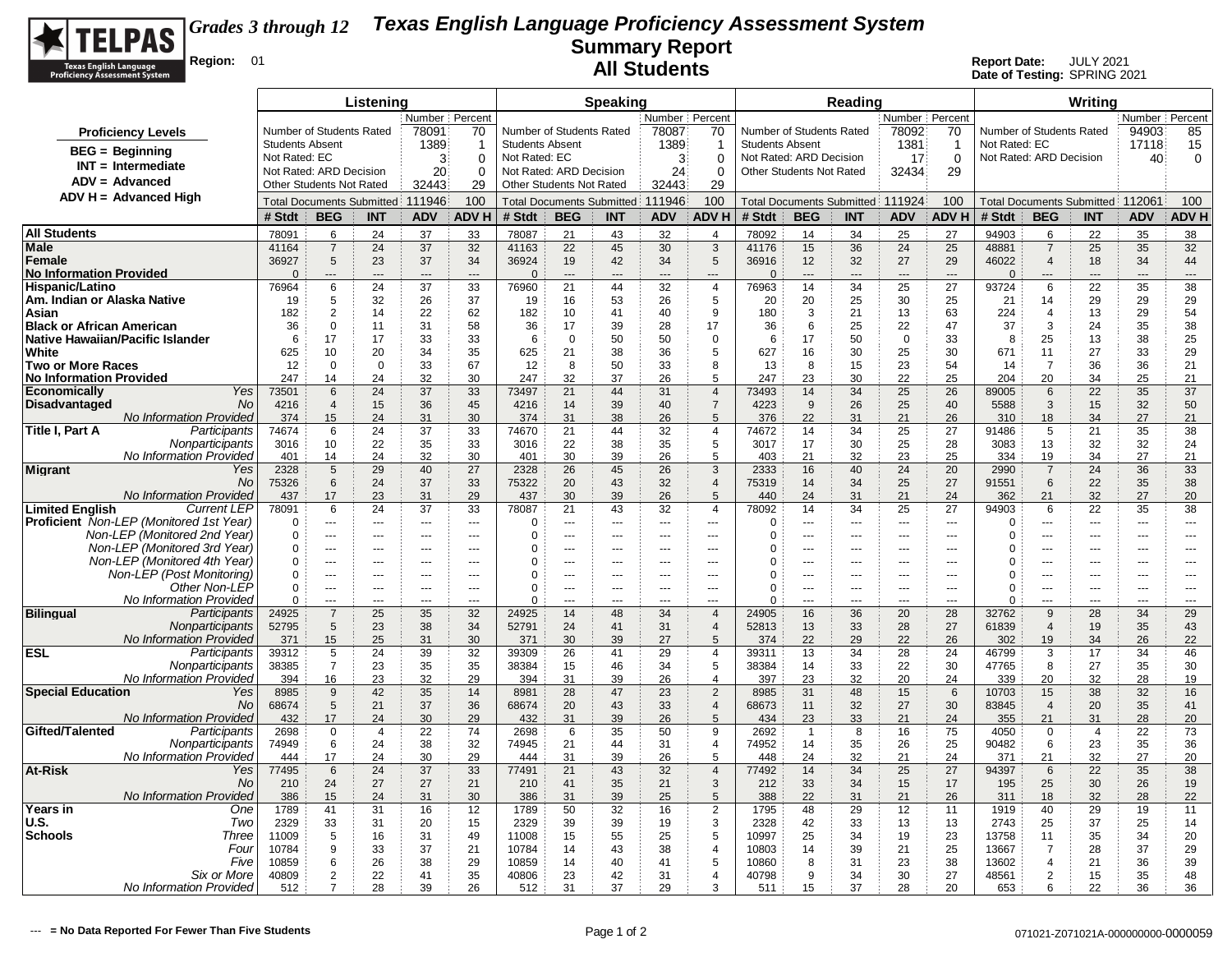

|                                                                         | Listening                                |                               |                                  |                |                                            | <b>Speaking</b>                                     |                |                |                    |                                  |                                                   |                                   | Reading        |                                 |                          | Writing                  |                                   |                |                |                |
|-------------------------------------------------------------------------|------------------------------------------|-------------------------------|----------------------------------|----------------|--------------------------------------------|-----------------------------------------------------|----------------|----------------|--------------------|----------------------------------|---------------------------------------------------|-----------------------------------|----------------|---------------------------------|--------------------------|--------------------------|-----------------------------------|----------------|----------------|----------------|
|                                                                         | Number Percent                           |                               |                                  |                | Number Percent                             |                                                     |                |                |                    |                                  |                                                   | Number Percent                    |                |                                 |                          |                          | Number Percent                    |                |                |                |
| <b>Proficiency Levels</b>                                               | Number of Students Rated                 |                               |                                  | 78091          | 70                                         | Number of Students Rated                            |                |                | 78087              | 70                               | Number of Students Rated                          |                                   |                | 78092                           | 70                       | Number of Students Rated |                                   | 94903          | 85             |                |
| $BEG =$ Beginning                                                       | <b>Students Absent</b>                   |                               |                                  | 1389           |                                            | <b>Students Absent</b>                              |                |                | 1389               | -1                               | <b>Students Absent</b><br>Not Rated: ARD Decision |                                   |                | 1381                            | -1                       | Not Rated: EC            |                                   |                | 17118          | 15             |
| $INT = Intermediate$                                                    | Not Rated: EC<br>Not Rated: ARD Decision |                               |                                  | 3<br>20        | $\Omega$<br>$\Omega$                       | Not Rated: EC                                       |                |                | $\mathbf{3}$<br>24 | $\Omega$<br>$\Omega$             | Other Students Not Rated                          |                                   |                | 17                              | $\mathbf 0$<br>29        | Not Rated: ARD Decision  |                                   |                | 40             | $\mathbf 0$    |
| $ADV = Advanced$                                                        | <b>Other Students Not Rated</b>          |                               |                                  | 32443          | 29                                         | Not Rated: ARD Decision<br>Other Students Not Rated |                |                | 32443              | 29                               |                                                   |                                   |                | 32434                           |                          |                          |                                   |                |                |                |
| $ADV H = Advanced High$                                                 |                                          |                               | <b>Total Documents Submitted</b> | 111946         | 100                                        | Total Documents Submitted                           |                | 111946         | 100                |                                  |                                                   | Total Documents Submitted: 111924 |                | 100                             |                          |                          | Total Documents Submitted: 112061 |                | 100            |                |
|                                                                         | # Stdt                                   | <b>BEG</b>                    | <b>INT</b>                       | <b>ADV</b>     | <b>ADVH</b>                                | # Stdt                                              | <b>BEG</b>     | <b>INT</b>     | <b>ADV</b>         | <b>ADV H</b>                     | # Stdt                                            | <b>BEG</b>                        | <b>INT</b>     | <b>ADV</b>                      | <b>ADVH</b>              | # Stdt                   | <b>BEG</b>                        | <b>INT</b>     | <b>ADV</b>     | <b>ADV H</b>   |
| <b>All Students</b>                                                     | 78091                                    | 6                             | 24                               |                |                                            | 78087                                               | 21             | 43             |                    | $\overline{4}$                   | 78092                                             | 14                                |                |                                 | 27                       | 94903                    | 6                                 |                |                | 38             |
| Male                                                                    | 41164                                    | $\overline{7}$                | 24                               | 37<br>37       | 33<br>32                                   | 41163                                               | 22             | 45             | 32<br>30           | 3                                | 41176                                             | 15                                | 34<br>36       | 25<br>24                        | 25                       | 48881                    | $\overline{7}$                    | 22<br>25       | 35<br>35       | 32             |
| Female                                                                  | 36927                                    | 5                             | 23                               | 37             | 34                                         | 36924                                               | 19             | 42             | 34                 | 5                                | 36916                                             | 12                                | 32             | 27                              | 29                       | 46022                    | $\overline{4}$                    | 18             | 34             | 44             |
| <b>No Information Provided</b>                                          | $\Omega$                                 | $\overline{a}$                | $\overline{a}$                   | $\overline{a}$ | $---$                                      | $\Omega$                                            | $\overline{a}$ | ---            | $\overline{a}$     | $\overline{a}$                   | $\Omega$                                          | $---$                             | $\overline{a}$ | $---$                           | $\overline{\phantom{a}}$ | $\Omega$                 | ---                               | ---            | ---            | $---$          |
| Hispanic/Latino                                                         | 76964                                    | 6                             | 24                               | 37             | 33                                         | 76960                                               | 21             | 44             | 32                 | $\overline{4}$                   | 76963                                             | 14                                | 34             | 25                              | 27                       | 93724                    | 6                                 | 22             | 35             | 38             |
| Am. Indian or Alaska Native                                             | 19                                       | 5                             | 32                               | 26             | 37                                         | 19                                                  | 16             | 53             | 26                 | $\sqrt{5}$                       | 20                                                | 20                                | 25             | 30                              | 25                       | 21                       | 14                                | 29             | 29             | 29             |
| Asian<br><b>Black or African American</b>                               | 182<br>36                                | $\overline{2}$<br>$\mathbf 0$ | 14<br>11                         | 22<br>31       | 62<br>58                                   | 182<br>36                                           | 10<br>17       | 41<br>39       | 40<br>28           | 9<br>17                          | 180<br>36                                         | 3<br>6                            | 21<br>25       | 13<br>22                        | 63<br>47                 | 224<br>37                | $\overline{4}$<br>3               | 13<br>24       | 29<br>35       | 54<br>38       |
| Native Hawaiian/Pacific Islander                                        | 6                                        | 17                            | 17                               | 33             | 33                                         | 6                                                   | $\mathbf 0$    | 50             | 50                 | $\mathbf 0$                      | 6                                                 | 17                                | 50             | $\mathbf 0$                     | 33                       | 8                        | 25                                | 13             | 38             | 25             |
| White                                                                   | 625                                      | 10                            | 20                               | 34             | 35                                         | 625                                                 | 21             | 38             | 36                 | 5                                | 627                                               | 16                                | 30             | 25                              | 30                       | 671                      | 11                                | 27             | 33             | 29             |
| <b>Two or More Races</b>                                                | 12                                       | $\mathbf 0$                   | $\mathbf 0$                      | 33             | 67                                         | 12                                                  | 8              | 50             | 33                 | 8                                | 13                                                | 8                                 | 15             | 23                              | 54                       | 14                       | $\overline{7}$                    | 36             | 36             | 21             |
| <b>No Information Provided</b>                                          | 247                                      | 14                            | 24                               | 32             | 30                                         | 247                                                 | 32             | 37             | 26                 | 5                                | 247                                               | 23                                | 30             | 22                              | 25                       | 204                      | 20                                | 34             | 25             | 21             |
| Yes<br>Economicallv                                                     | 73501                                    | 6                             | 24                               | 37             | 33                                         | 73497                                               | 21             | 44             | 31                 | $\overline{4}$                   | 73493                                             | 14                                | 34             | 25                              | 26                       | 89005                    | 6                                 | 22             | 35             | 37             |
| <b>No</b><br><b>Disadvantaged</b><br>No Information Provided            | 4216<br>374                              | $\overline{4}$<br>15          | 15<br>24                         | 36<br>31       | 45<br>30                                   | 4216<br>374                                         | 14<br>31       | 39<br>38       | 40<br>26           | $\overline{7}$<br>5              | 4223<br>376                                       | 9<br>22                           | 26<br>31       | 25<br>21                        | 40<br>26                 | 5588<br>310              | 3<br>18                           | 15<br>34       | 32<br>27       | 50<br>21       |
| Title I, Part A<br>Participants                                         | 74674                                    | 6                             | 24                               | 37             | 33                                         | 74670                                               | 21             | 44             | 32                 | $\overline{4}$                   | 74672                                             | 14                                | 34             | 25                              | 27                       | 91486                    | 5                                 | 21             | 35             | 38             |
| Nonparticipants                                                         | 3016                                     | 10                            | 22                               | 35             | 33                                         | 3016                                                | 22             | 38             | 35                 | $\sqrt{5}$                       | 3017                                              | 17                                | 30             | 25                              | 28                       | 3083                     | 13                                | 32             | 32             | 24             |
| No Information Provided                                                 | 401                                      | 14                            | 24                               | 32             | 30                                         | 401                                                 | 30             | 39             | 26                 | $\overline{5}$                   | 403                                               | 21                                | 32             | 23                              | 25                       | 334                      | 19                                | 34             | 27             | 21             |
| <b>Migrant</b><br>Yes                                                   | 2328                                     | 5                             | 29                               | 40             | 27                                         | 2328                                                | 26             | 45             | 26                 | 3                                | 2333                                              | 16                                | 40             | 24                              | 20                       | 2990                     | $\overline{7}$                    | 24             | 36             | 33             |
| No.                                                                     | 75326                                    | 6                             | 24                               | 37             | 33                                         | 75322                                               | 20             | 43             | 32                 | $\overline{4}$                   | 75319                                             | 14                                | 34             | 25                              | 27                       | 91551                    | 6                                 | 22             | 35             | 38             |
| No Information Provided<br><b>Limited English</b><br><b>Current LEP</b> | 437<br>78091                             | 17<br>6                       | 23<br>24                         | 31<br>37       | 29<br>33                                   | 437<br>78087                                        | 30<br>21       | 39<br>43       | 26<br>32           | $\overline{5}$<br>$\overline{4}$ | 440<br>78092                                      | 24<br>14                          | 31<br>34       | 21<br>25                        | 24<br>27                 | 362<br>94903             | 21<br>6                           | 32<br>22       | 27<br>35       | 20<br>38       |
| <b>Proficient</b> Non-LEP (Monitored 1st Year)                          | $\Omega$                                 | $\overline{a}$                | $\overline{a}$                   | $\overline{a}$ | $\overline{a}$                             | $\mathbf 0$                                         | ---            | $\sim$         | $\overline{a}$     | $\overline{a}$                   | $\Omega$                                          | ---                               | $\overline{a}$ | $\overline{\phantom{a}}$        | $\overline{\phantom{a}}$ | $\mathbf 0$              | ---                               | $\overline{a}$ | $\overline{a}$ | $\overline{a}$ |
| Non-LEP (Monitored 2nd Year)                                            | $\Omega$                                 | $\overline{a}$                | $\overline{a}$                   | $- - -$        | $\sim$                                     | 0                                                   | $\sim$         | $\sim$         | $- - -$            | $\overline{a}$                   | $\Omega$                                          | $\sim$ $\sim$ $\sim$              | $\overline{a}$ | $\sim$ $\sim$                   | $\sim$                   | $\Omega$                 | $\overline{a}$                    | $\overline{a}$ | $---$          | $\overline{a}$ |
| Non-LEP (Monitored 3rd Year)                                            | $\mathbf 0$                              | $\overline{a}$                | $\overline{a}$                   | $- - -$        | $- - -$                                    | $\mathbf 0$                                         | $\overline{a}$ | $\overline{a}$ | $\overline{a}$     | $-$                              | 0                                                 | $\overline{a}$                    | $---$          | $-$                             | $\overline{a}$           | $\mathbf 0$              | ---                               | $-$            | $---$          | $---$          |
| Non-LEP (Monitored 4th Year)                                            | $\Omega$                                 | $\overline{a}$                | $\overline{a}$                   | $- - -$        | $---$                                      | $\Omega$                                            | ---            | ---            | $\overline{a}$     | $\overline{a}$                   | 0                                                 | $\overline{a}$                    | $\overline{a}$ | $\sim$                          | $\overline{a}$           | $\Omega$                 |                                   | ---            | $\overline{a}$ | $---$          |
| Non-LEP (Post Monitoring)<br>Other Non-LEP                              | $\Omega$<br>$\Omega$                     | ---<br>---                    | ---<br>---                       | $\overline{a}$ | $\overline{a}$<br>$\overline{\phantom{a}}$ | $\Omega$<br>$\Omega$                                | --<br>---      | ---<br>---     | ---<br>---         | ---<br>$\overline{\phantom{a}}$  | 0<br>$\Omega$                                     | ---<br>---                        | ---<br>---     | ---<br>$\overline{\phantom{a}}$ | ---<br>$\overline{a}$    | 0<br>$\Omega$            | ---<br>---                        | ---<br>---     | ---            | ---<br>---     |
| No Information Provided                                                 | $\Omega$                                 | $-$                           | $\overline{a}$                   | $\sim$         | $-$                                        | $\Omega$                                            | $\overline{a}$ | $\overline{a}$ |                    | $-$                              | $\Omega$                                          | $-$                               | $-$            | $-$                             | $\sim$                   | $\Omega$                 | $\overline{a}$                    | ---            | $\overline{a}$ | $\overline{a}$ |
| <b>Bilingual</b><br>Participants                                        | 24925                                    | $\overline{7}$                | 25                               | 35             | 32                                         | 24925                                               | 14             | 48             | 34                 | $\overline{4}$                   | 24905                                             | 16                                | 36             | 20                              | 28                       | 32762                    | 9                                 | 28             | 34             | 29             |
| Nonparticipants                                                         | 52795                                    | 5                             | 23                               | 38             | 34                                         | 52791                                               | 24             | 41             | 31                 | $\overline{4}$                   | 52813                                             | 13                                | 33             | 28                              | 27                       | 61839                    | $\overline{4}$                    | 19             | 35             | 43             |
| No Information Provided                                                 | 371                                      | 15                            | 25                               | 31             | 30                                         | 371                                                 | 30             | 39             | 27                 | 5                                | 374                                               | 22                                | 29             | 22                              | 26                       | 302                      | 19                                | 34             | 26             | 22             |
| ESL<br>Participants                                                     | 39312                                    | 5<br>$\overline{7}$           | 24<br>23                         | 39             | 32<br>35                                   | 39309<br>38384                                      | 26             | 41             | 29<br>34           | $\overline{4}$<br>5              | 39311                                             | 13                                | 34             | 28                              | 24<br>30                 | 46799                    | 3<br>8                            | 17<br>27       | 34<br>35       | 46<br>30       |
| Nonparticipants<br>No Information Provided                              | 38385<br>394                             | 16                            | 23                               | 35<br>32       | 29                                         | 394                                                 | 15<br>31       | 46<br>39       | 26                 | $\overline{4}$                   | 38384<br>397                                      | 14<br>23                          | 33<br>32       | 22<br>20                        | 24                       | 47765<br>339             | 20                                | 32             | 28             | 19             |
| <b>Special Education</b><br>Yes                                         | 8985                                     | 9                             | 42                               | 35             | 14                                         | 8981                                                | 28             | 47             | 23                 | $\overline{2}$                   | 8985                                              | 31                                | 48             | 15                              | 6                        | 10703                    | 15                                | 38             | 32             | 16             |
| No.                                                                     | 68674                                    | 5                             | 21                               | 37             | 36                                         | 68674                                               | 20             | 43             | 33                 | $\overline{4}$                   | 68673                                             | 11                                | 32             | 27                              | 30                       | 83845                    | $\overline{4}$                    | 20             | 35             | 41             |
| No Information Provided                                                 | 432                                      | 17                            | 24                               | 30             | 29                                         | 432                                                 | 31             | 39             | 26                 | 5                                | 434                                               | 23                                | 33             | 21                              | 24                       | 355                      | 21                                | 31             | 28             | 20             |
| Participants<br>Gifted/Talented                                         | 2698                                     | $\Omega$                      | $\overline{4}$                   | 22             | 74                                         | 2698                                                | 6              | 35             | 50                 | 9                                | 2692                                              | $\mathbf{1}$                      | 8              | 16                              | 75                       | 4050                     | $\mathbf 0$                       | $\overline{4}$ | 22             | 73             |
| Nonparticipants<br>No Information Provided                              | 74949<br>444                             | 6<br>17                       | 24<br>24                         | 38<br>30       | 32<br>29                                   | 74945<br>444                                        | 21<br>31       | 44<br>39       | 31<br>26           | $\overline{4}$<br>5              | 74952<br>448                                      | 14<br>24                          | 35<br>32       | 26<br>21                        | 25<br>24                 | 90482<br>371             | 6<br>21                           | 23<br>32       | 35<br>27       | 36<br>20       |
| At-Risk<br>Yes                                                          | 77495                                    | 6                             | 24                               | 37             | 33                                         | 77491                                               | 21             | 43             | 32                 | $\overline{4}$                   | 77492                                             | 14                                | 34             | 25                              | 27                       | 94397                    | 6                                 | 22             | 35             | 38             |
| No                                                                      | 210                                      | 24                            | 27                               | 27             | 21                                         | 210                                                 | 41             | 35             | 21                 | $\mathsf 3$                      | 212                                               | 33                                | 34             | 15                              | 17                       | 195                      | 25                                | 30             | 26             | 19             |
| No Information Provided                                                 | 386                                      | 15                            | 24                               | 31             | 30                                         | 386                                                 | 31             | 39             | 25                 | $\sqrt{5}$                       | 388                                               | 22                                | 31             | 21                              | 26                       | 311                      | 18                                | 32             | 28             | 22             |
| Years in<br>One                                                         | 1789                                     | 41                            | 31                               | 16             | 12                                         | 1789                                                | 50             | 32             | 16                 | $\overline{2}$                   | 1795                                              | 48                                | 29             | 12                              | 11                       | 1919                     | 40                                | 29             | 19             | 11             |
| U.S.<br>Two<br>Three                                                    | 2329                                     | 33<br>5                       | 31                               | 20             | 15<br>49                                   | 2329<br>11008                                       | 39             | 39             | 19                 | 3                                | 2328<br>10997                                     | 42                                | 33<br>34       | 13                              | 13                       | 2743                     | 25<br>11                          | 37             | 25<br>34       | 14             |
| Schools<br>Four                                                         | 11009<br>10784                           | 9                             | 16<br>33                         | 31<br>37       | 21                                         | 10784                                               | 15<br>14       | 55<br>43       | 25<br>38           | $\sqrt{5}$<br>$\overline{4}$     | 10803                                             | 25<br>14                          | 39             | 19<br>21                        | 23<br>25                 | 13758<br>13667           | $\overline{7}$                    | 35<br>28       | 37             | 20<br>29       |
| Five                                                                    | 10859                                    | 6                             | 26                               | 38             | 29                                         | 10859                                               | 14             | 40             | 41                 | 5                                | 10860                                             | 8                                 | 31             | 23                              | 38                       | 13602                    | 4                                 | 21             | 36             | 39             |
| Six or More                                                             | 40809                                    | $\overline{2}$                | 22                               | 41             | 35                                         | 40806                                               | 23             | 42             | 31                 | $\overline{4}$                   | 40798                                             | 9                                 | 34             | 30                              | 27                       | 48561                    | $\overline{2}$                    | 15             | 35             | 48             |
| No Information Provided                                                 | 512                                      | $\overline{7}$                | 28                               | 39             | 26                                         | 512                                                 | 31             | 37             | 29                 | 3                                | 511                                               | 15                                | 37             | 28                              | 20                       | 653                      | ĥ                                 | 22             | 36             | 36             |